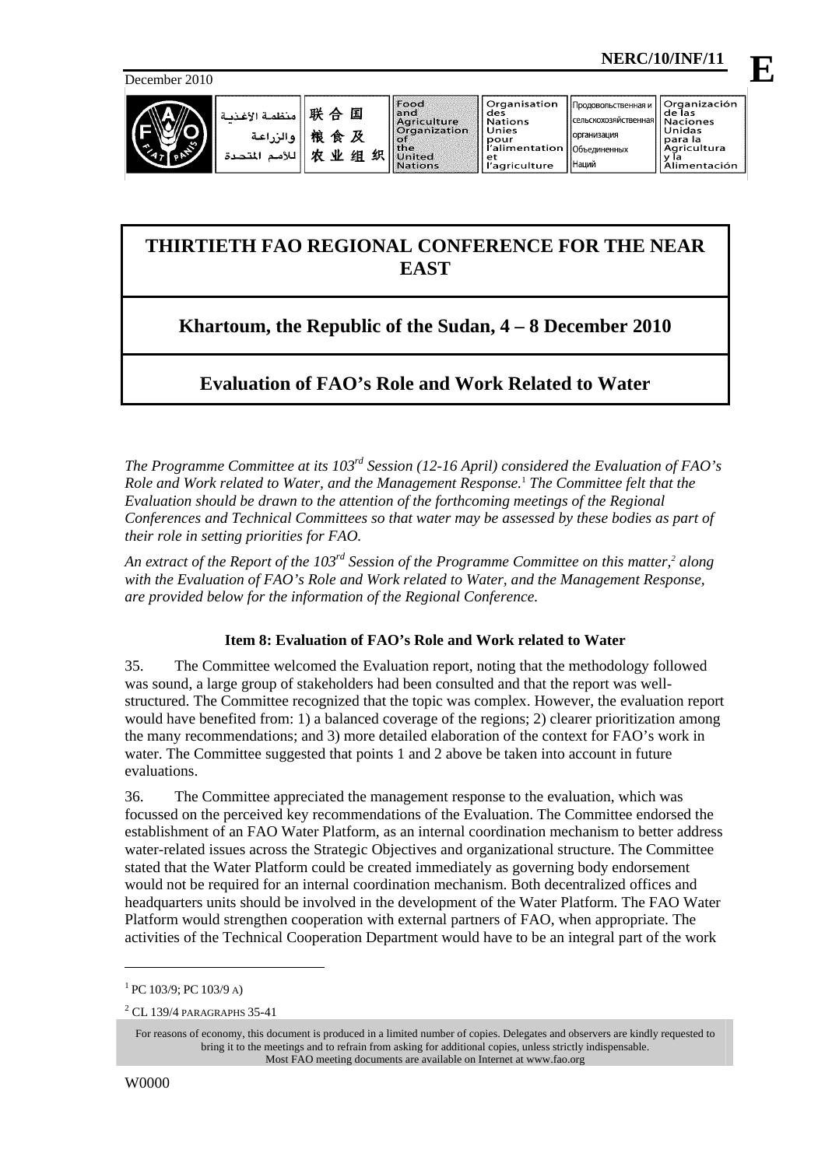December 2010



**E**

| ا منظمة الأغذسة '             | 联合国                         | 'l Food<br>land<br>Aariculture                                   | <b>Organisation</b><br>des<br><b>Nations</b>          | Продовольственная и І<br>« (сельскохозяйственная   Naciones | <u>I</u> Organización<br>de las                   |
|-------------------------------|-----------------------------|------------------------------------------------------------------|-------------------------------------------------------|-------------------------------------------------------------|---------------------------------------------------|
| والزراعية<br>للأمد<br>المتحدة | 桹<br>食及<br>贞<br>业<br>织<br>组 | <b>Organization</b><br>llof<br>l the<br>United<br><b>Nations</b> | Unies<br>pour<br>alimentation/<br>et<br>l'agriculture | <b>Горганизация</b><br><b>ПОбъединенных</b><br> Наций       | Unidas<br>l para la<br>Agricultura<br>limentación |

# **THIRTIETH FAO REGIONAL CONFERENCE FOR THE NEAR EAST**

# **Khartoum, the Republic of the Sudan, 4 – 8 December 2010**

# **Evaluation of FAO's Role and Work Related to Water**

*The Programme Committee at its 103rd Session (12-16 April) considered the Evaluation of FAO's Role and Work related to Water, and the Management Response.*<sup>1</sup>  *The Committee felt that the Evaluation should be drawn to the attention of the forthcoming meetings of the Regional Conferences and Technical Committees so that water may be assessed by these bodies as part of their role in setting priorities for FAO.* 

An extract of the Report of the 103<sup>rd</sup> Session of the Programme Committee on this matter,<sup>2</sup> along *with the Evaluation of FAO's Role and Work related to Water, and the Management Response, are provided below for the information of the Regional Conference.* 

# **Item 8: Evaluation of FAO's Role and Work related to Water**

35. The Committee welcomed the Evaluation report, noting that the methodology followed was sound, a large group of stakeholders had been consulted and that the report was wellstructured. The Committee recognized that the topic was complex. However, the evaluation report would have benefited from: 1) a balanced coverage of the regions; 2) clearer prioritization among the many recommendations; and 3) more detailed elaboration of the context for FAO's work in water. The Committee suggested that points 1 and 2 above be taken into account in future evaluations.

36. The Committee appreciated the management response to the evaluation, which was focussed on the perceived key recommendations of the Evaluation. The Committee endorsed the establishment of an FAO Water Platform, as an internal coordination mechanism to better address water-related issues across the Strategic Objectives and organizational structure. The Committee stated that the Water Platform could be created immediately as governing body endorsement would not be required for an internal coordination mechanism. Both decentralized offices and headquarters units should be involved in the development of the Water Platform. The FAO Water Platform would strengthen cooperation with external partners of FAO, when appropriate. The activities of the Technical Cooperation Department would have to be an integral part of the work

l

 $1$  PC 103/9; PC 103/9 A)

<sup>2</sup> CL 139/4 PARAGRAPHS 35-41

For reasons of economy, this document is produced in a limited number of copies. Delegates and observers are kindly requested to bring it to the meetings and to refrain from asking for additional copies, unless strictly indispensable. Most FAO meeting documents are available on Internet at www.fao.org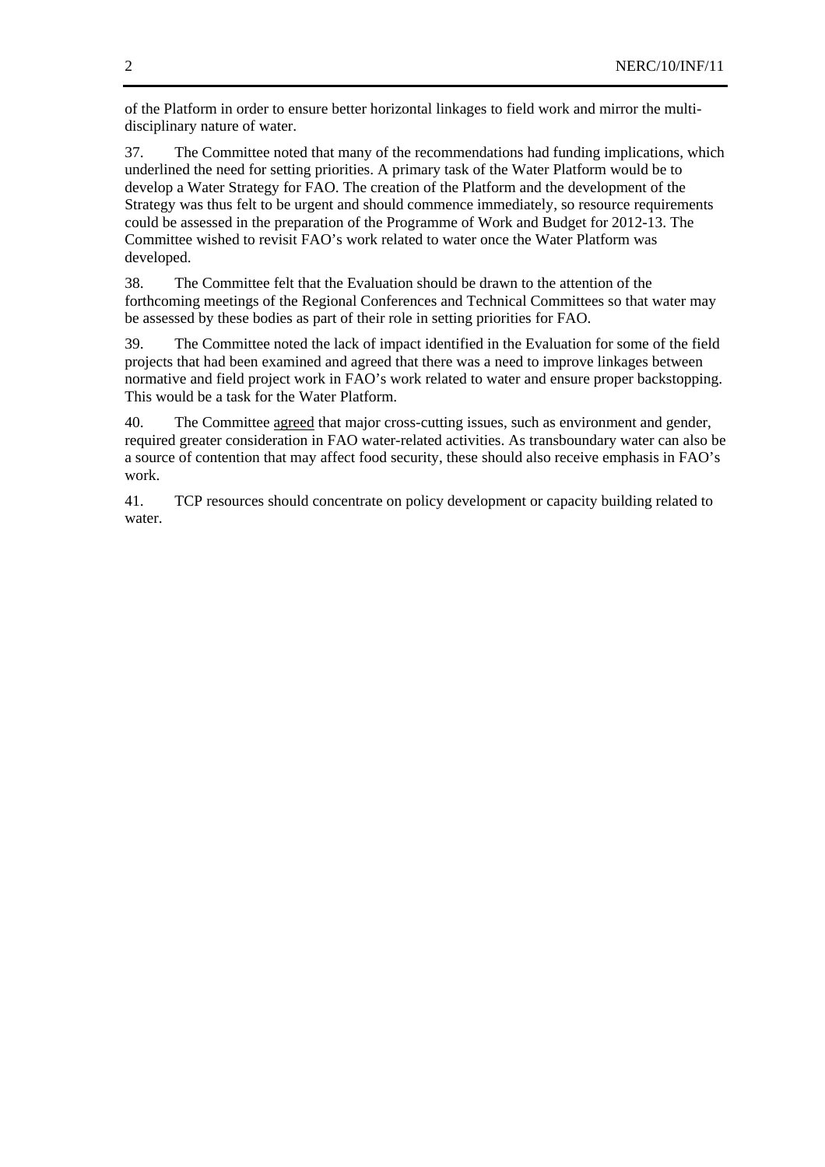of the Platform in order to ensure better horizontal linkages to field work and mirror the multidisciplinary nature of water.

37. The Committee noted that many of the recommendations had funding implications, which underlined the need for setting priorities. A primary task of the Water Platform would be to develop a Water Strategy for FAO. The creation of the Platform and the development of the Strategy was thus felt to be urgent and should commence immediately, so resource requirements could be assessed in the preparation of the Programme of Work and Budget for 2012-13. The Committee wished to revisit FAO's work related to water once the Water Platform was developed.

38. The Committee felt that the Evaluation should be drawn to the attention of the forthcoming meetings of the Regional Conferences and Technical Committees so that water may be assessed by these bodies as part of their role in setting priorities for FAO.

39. The Committee noted the lack of impact identified in the Evaluation for some of the field projects that had been examined and agreed that there was a need to improve linkages between normative and field project work in FAO's work related to water and ensure proper backstopping. This would be a task for the Water Platform.

40. The Committee agreed that major cross-cutting issues, such as environment and gender, required greater consideration in FAO water-related activities. As transboundary water can also be a source of contention that may affect food security, these should also receive emphasis in FAO's work.

41. TCP resources should concentrate on policy development or capacity building related to water.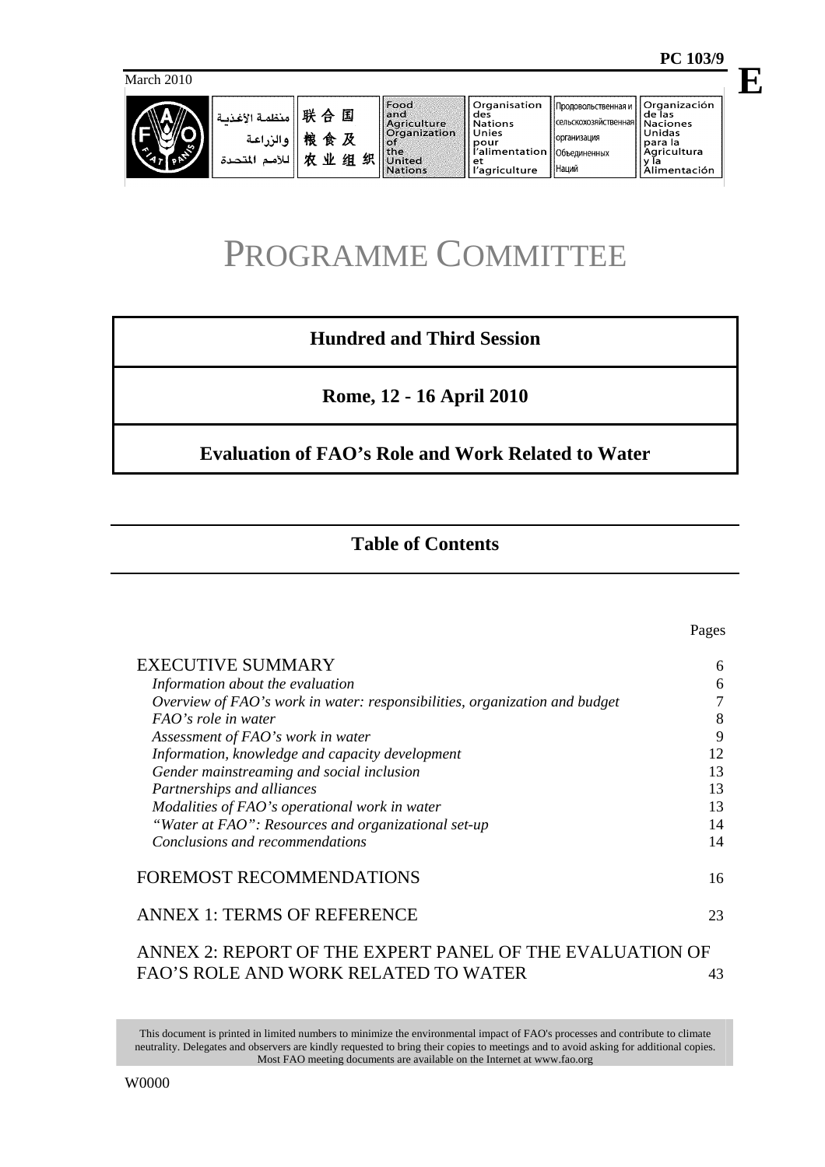March 2010



| ا منظمة الأغـنــة $\parallel$ # $\oplus$ $\parallel$<br>粮食及<br>والزراعة<br>业组织<br>农<br>للأمد<br>المتحدة | Food<br>and<br>Agriculture<br><b>Organization</b><br>-of<br>the<br>United<br><b>Nations</b> | Organisation<br>des<br><b>Nations</b><br>Unies<br>pour<br>l'alimentation   Объединенных<br>еt<br>l'agriculture | . Продовольственная и   '<br>сельскохозяйственная   Naciones<br><b>Горганизация</b><br>I Наций | <b>Organización</b><br>de las<br>Unidas<br>para la<br>Agricultura<br>Alimentación |
|---------------------------------------------------------------------------------------------------------|---------------------------------------------------------------------------------------------|----------------------------------------------------------------------------------------------------------------|------------------------------------------------------------------------------------------------|-----------------------------------------------------------------------------------|
|---------------------------------------------------------------------------------------------------------|---------------------------------------------------------------------------------------------|----------------------------------------------------------------------------------------------------------------|------------------------------------------------------------------------------------------------|-----------------------------------------------------------------------------------|

# PROGRAMME COMMITTEE

# **Hundred and Third Session**

**Rome, 12 - 16 April 2010** 

# **Evaluation of FAO's Role and Work Related to Water**

# **Table of Contents**

| <b>EXECUTIVE SUMMARY</b>                                                   | 6  |
|----------------------------------------------------------------------------|----|
| Information about the evaluation                                           | 6  |
| Overview of FAO's work in water: responsibilities, organization and budget | 7  |
| FAO's role in water                                                        | 8  |
| Assessment of FAO's work in water                                          | 9  |
| Information, knowledge and capacity development                            | 12 |
| Gender mainstreaming and social inclusion                                  | 13 |
| Partnerships and alliances                                                 | 13 |
| Modalities of FAO's operational work in water                              | 13 |
| "Water at FAO": Resources and organizational set-up                        | 14 |
| Conclusions and recommendations                                            | 14 |
| FOREMOST RECOMMENDATIONS                                                   | 16 |
| <b>ANNEX 1: TERMS OF REFERENCE</b>                                         | 23 |
| ANNEX 2: REPORT OF THE EXPERT PANEL OF THE EVALUATI                        |    |
| FAO'S ROLE AND WORK RELATED TO WATER                                       | 43 |

This document is printed in limited numbers to minimize the environmental impact of FAO's processes and contribute to climate neutrality. Delegates and observers are kindly requested to bring their copies to meetings and to avoid asking for additional copies. Most FAO meeting documents are available on the Internet at www.fao.org

**E**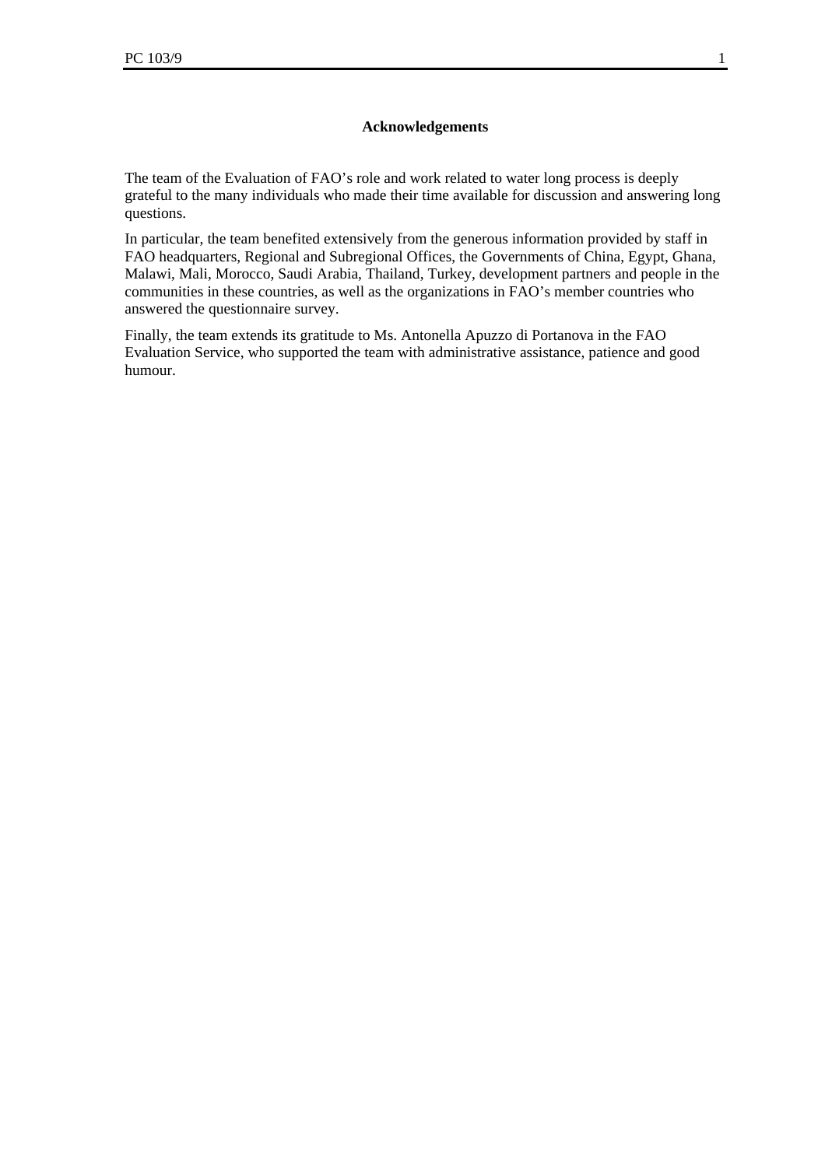#### **Acknowledgements**

The team of the Evaluation of FAO's role and work related to water long process is deeply grateful to the many individuals who made their time available for discussion and answering long questions.

In particular, the team benefited extensively from the generous information provided by staff in FAO headquarters, Regional and Subregional Offices, the Governments of China, Egypt, Ghana, Malawi, Mali, Morocco, Saudi Arabia, Thailand, Turkey, development partners and people in the communities in these countries, as well as the organizations in FAO's member countries who answered the questionnaire survey.

Finally, the team extends its gratitude to Ms. Antonella Apuzzo di Portanova in the FAO Evaluation Service, who supported the team with administrative assistance, patience and good humour.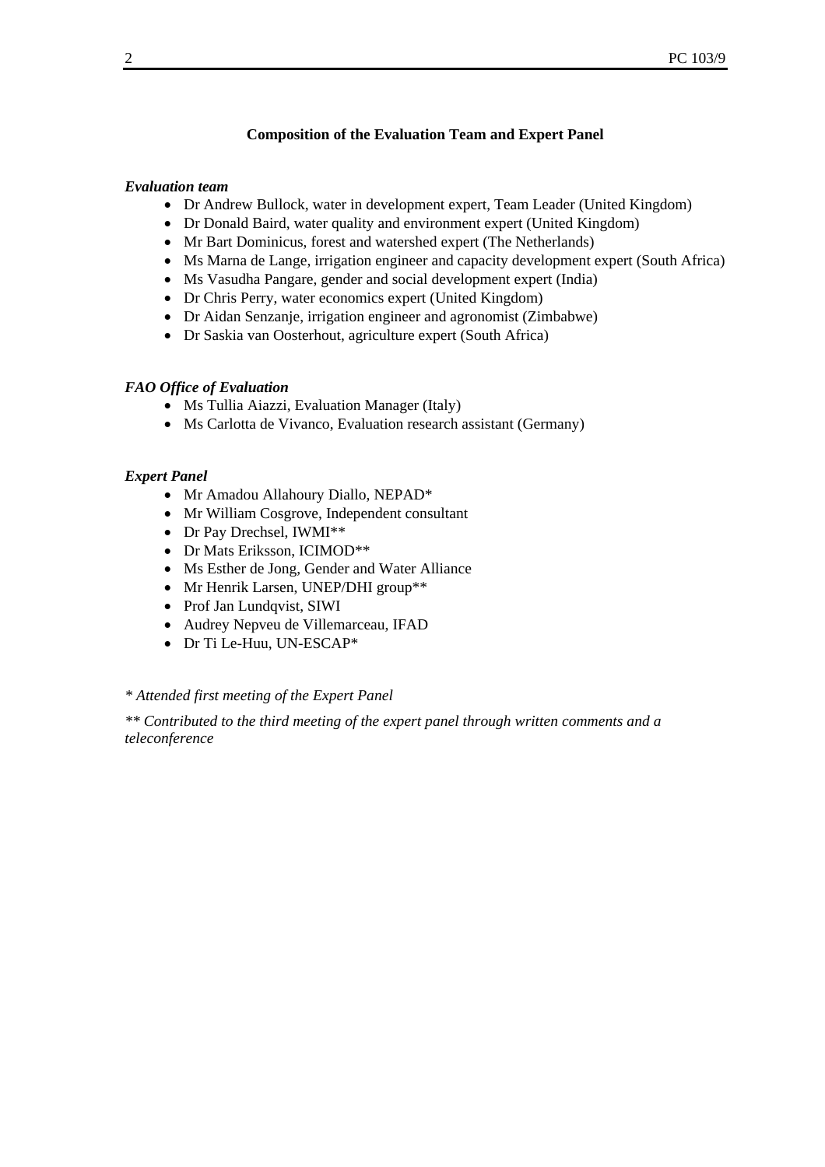#### **Composition of the Evaluation Team and Expert Panel**

#### *Evaluation team*

- Dr Andrew Bullock, water in development expert, Team Leader (United Kingdom)
- Dr Donald Baird, water quality and environment expert (United Kingdom)
- Mr Bart Dominicus, forest and watershed expert (The Netherlands)
- Ms Marna de Lange, irrigation engineer and capacity development expert (South Africa)
- Ms Vasudha Pangare, gender and social development expert (India)
- Dr Chris Perry, water economics expert (United Kingdom)
- Dr Aidan Senzanje, irrigation engineer and agronomist (Zimbabwe)
- Dr Saskia van Oosterhout, agriculture expert (South Africa)

#### *FAO Office of Evaluation*

- Ms Tullia Aiazzi, Evaluation Manager (Italy)
- Ms Carlotta de Vivanco, Evaluation research assistant (Germany)

#### *Expert Panel*

- Mr Amadou Allahoury Diallo, NEPAD\*
- Mr William Cosgrove, Independent consultant
- Dr Pay Drechsel, IWMI\*\*
- Dr Mats Eriksson, ICIMOD\*\*
- Ms Esther de Jong, Gender and Water Alliance
- Mr Henrik Larsen, UNEP/DHI group\*\*
- Prof Jan Lundqvist, SIWI
- Audrey Nepveu de Villemarceau, IFAD
- Dr Ti Le-Huu, UN-ESCAP\*

#### *\* Attended first meeting of the Expert Panel*

*\*\* Contributed to the third meeting of the expert panel through written comments and a teleconference*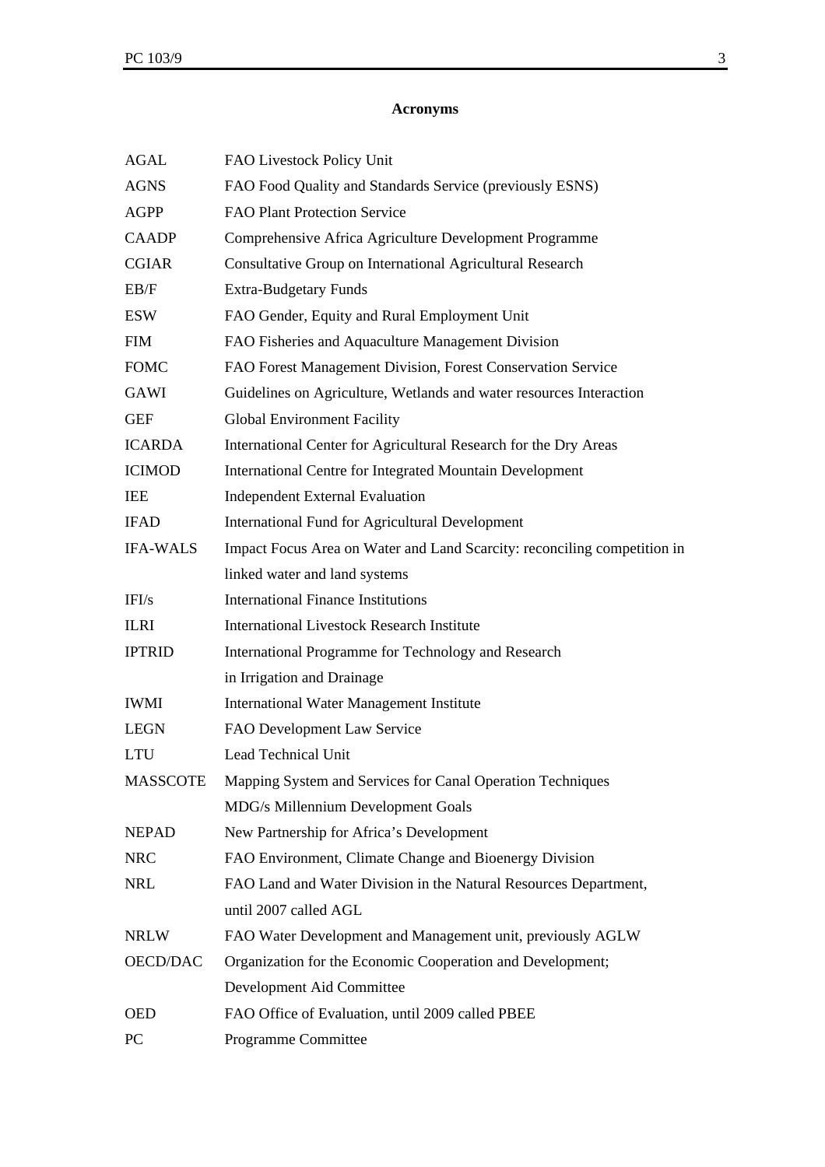## **Acronyms**

| <b>AGAL</b>     | FAO Livestock Policy Unit                                                |  |  |
|-----------------|--------------------------------------------------------------------------|--|--|
| <b>AGNS</b>     | FAO Food Quality and Standards Service (previously ESNS)                 |  |  |
| <b>AGPP</b>     | FAO Plant Protection Service                                             |  |  |
| <b>CAADP</b>    | Comprehensive Africa Agriculture Development Programme                   |  |  |
| <b>CGIAR</b>    | Consultative Group on International Agricultural Research                |  |  |
| EB/F            | <b>Extra-Budgetary Funds</b>                                             |  |  |
| ESW             | FAO Gender, Equity and Rural Employment Unit                             |  |  |
| <b>FIM</b>      | FAO Fisheries and Aquaculture Management Division                        |  |  |
| <b>FOMC</b>     | FAO Forest Management Division, Forest Conservation Service              |  |  |
| GAWI            | Guidelines on Agriculture, Wetlands and water resources Interaction      |  |  |
| <b>GEF</b>      | Global Environment Facility                                              |  |  |
| <b>ICARDA</b>   | International Center for Agricultural Research for the Dry Areas         |  |  |
| <b>ICIMOD</b>   | International Centre for Integrated Mountain Development                 |  |  |
| <b>IEE</b>      | <b>Independent External Evaluation</b>                                   |  |  |
| <b>IFAD</b>     | <b>International Fund for Agricultural Development</b>                   |  |  |
| <b>IFA-WALS</b> | Impact Focus Area on Water and Land Scarcity: reconciling competition in |  |  |
|                 | linked water and land systems                                            |  |  |
| IFI/s           | <b>International Finance Institutions</b>                                |  |  |
| <b>ILRI</b>     | <b>International Livestock Research Institute</b>                        |  |  |
| <b>IPTRID</b>   | International Programme for Technology and Research                      |  |  |
|                 | in Irrigation and Drainage                                               |  |  |
| <b>IWMI</b>     | International Water Management Institute                                 |  |  |
| LEGN            | FAO Development Law Service                                              |  |  |
| <b>LTU</b>      | Lead Technical Unit                                                      |  |  |
| <b>MASSCOTE</b> | Mapping System and Services for Canal Operation Techniques               |  |  |
|                 | MDG/s Millennium Development Goals                                       |  |  |
| <b>NEPAD</b>    | New Partnership for Africa's Development                                 |  |  |
| <b>NRC</b>      | FAO Environment, Climate Change and Bioenergy Division                   |  |  |
| NRL             | FAO Land and Water Division in the Natural Resources Department,         |  |  |
|                 | until 2007 called AGL                                                    |  |  |
| <b>NRLW</b>     | FAO Water Development and Management unit, previously AGLW               |  |  |
| <b>OECD/DAC</b> | Organization for the Economic Cooperation and Development;               |  |  |
|                 | Development Aid Committee                                                |  |  |
| <b>OED</b>      | FAO Office of Evaluation, until 2009 called PBEE                         |  |  |
| PC              | Programme Committee                                                      |  |  |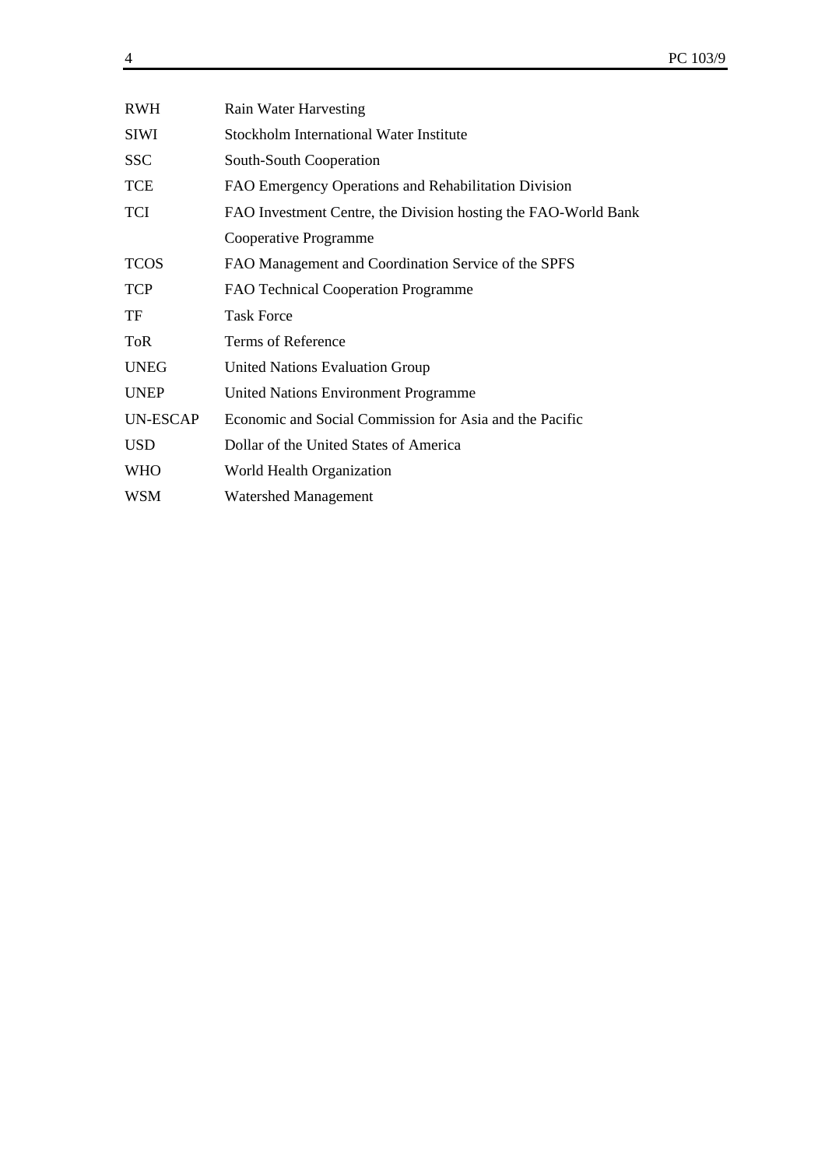| RWH         | Rain Water Harvesting                                          |
|-------------|----------------------------------------------------------------|
| <b>SIWI</b> | <b>Stockholm International Water Institute</b>                 |
| <b>SSC</b>  | South-South Cooperation                                        |
| <b>TCE</b>  | FAO Emergency Operations and Rehabilitation Division           |
| <b>TCI</b>  | FAO Investment Centre, the Division hosting the FAO-World Bank |
|             | Cooperative Programme                                          |
| <b>TCOS</b> | FAO Management and Coordination Service of the SPFS            |
| <b>TCP</b>  | FAO Technical Cooperation Programme                            |
| TF          | <b>Task Force</b>                                              |
| <b>ToR</b>  | Terms of Reference                                             |
| <b>UNEG</b> | <b>United Nations Evaluation Group</b>                         |
| <b>UNEP</b> | <b>United Nations Environment Programme</b>                    |
| UN-ESCAP    | Economic and Social Commission for Asia and the Pacific        |
| <b>USD</b>  | Dollar of the United States of America                         |
| <b>WHO</b>  | World Health Organization                                      |
| WSM         | <b>Watershed Management</b>                                    |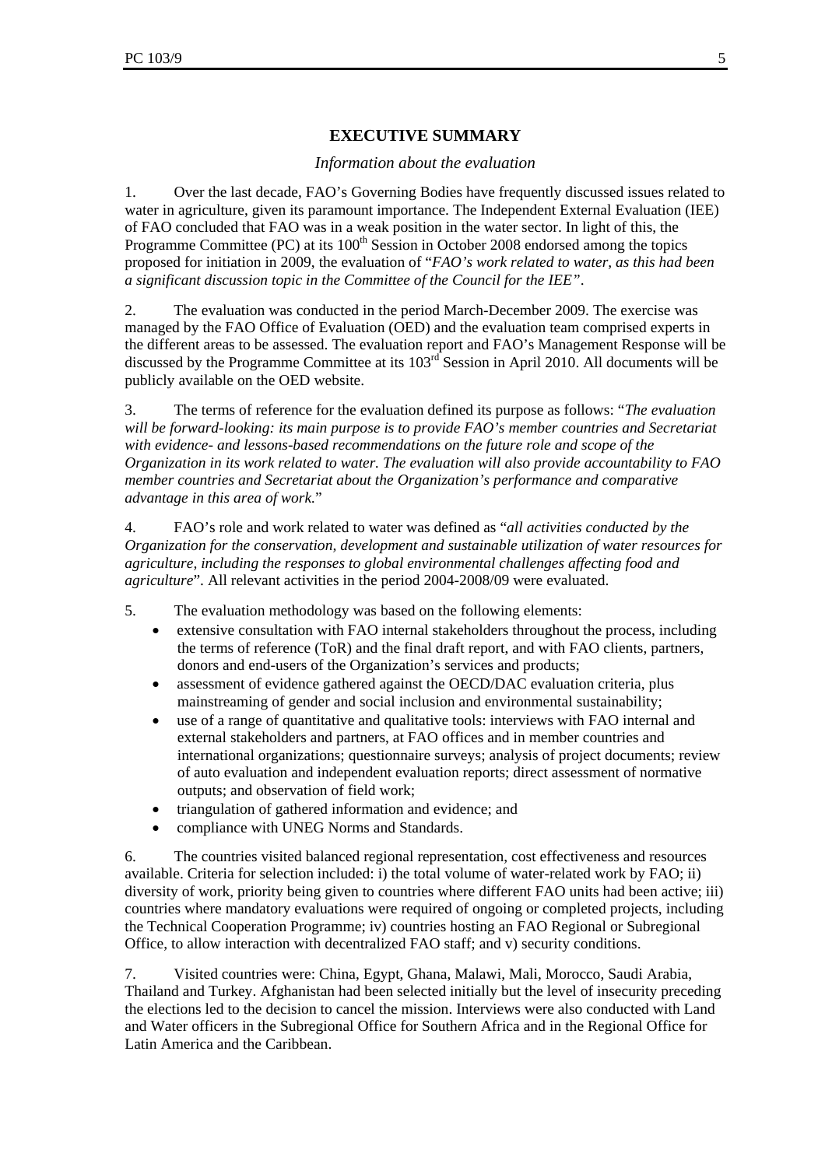# **EXECUTIVE SUMMARY**

## *Information about the evaluation*

1. Over the last decade, FAO's Governing Bodies have frequently discussed issues related to water in agriculture, given its paramount importance. The Independent External Evaluation (IEE) of FAO concluded that FAO was in a weak position in the water sector. In light of this, the Programme Committee (PC) at its  $100<sup>th</sup>$  Session in October 2008 endorsed among the topics proposed for initiation in 2009, the evaluation of "*FAO's work related to water, as this had been a significant discussion topic in the Committee of the Council for the IEE"*.

2. The evaluation was conducted in the period March-December 2009. The exercise was managed by the FAO Office of Evaluation (OED) and the evaluation team comprised experts in the different areas to be assessed. The evaluation report and FAO's Management Response will be discussed by the Programme Committee at its  $103<sup>rd</sup>$  Session in April 2010. All documents will be publicly available on the OED website.

3. The terms of reference for the evaluation defined its purpose as follows: "*The evaluation will be forward-looking: its main purpose is to provide FAO's member countries and Secretariat with evidence- and lessons-based recommendations on the future role and scope of the Organization in its work related to water. The evaluation will also provide accountability to FAO member countries and Secretariat about the Organization's performance and comparative advantage in this area of work.*"

4. FAO's role and work related to water was defined as "*all activities conducted by the Organization for the conservation, development and sustainable utilization of water resources for agriculture, including the responses to global environmental challenges affecting food and agriculture*". All relevant activities in the period 2004-2008/09 were evaluated.

- 5. The evaluation methodology was based on the following elements:
	- extensive consultation with FAO internal stakeholders throughout the process, including the terms of reference (ToR) and the final draft report, and with FAO clients, partners, donors and end-users of the Organization's services and products;
	- assessment of evidence gathered against the OECD/DAC evaluation criteria, plus mainstreaming of gender and social inclusion and environmental sustainability;
	- use of a range of quantitative and qualitative tools: interviews with FAO internal and external stakeholders and partners, at FAO offices and in member countries and international organizations; questionnaire surveys; analysis of project documents; review of auto evaluation and independent evaluation reports; direct assessment of normative outputs; and observation of field work;
	- triangulation of gathered information and evidence; and
	- compliance with UNEG Norms and Standards.

6. The countries visited balanced regional representation, cost effectiveness and resources available. Criteria for selection included: i) the total volume of water-related work by FAO; ii) diversity of work, priority being given to countries where different FAO units had been active; iii) countries where mandatory evaluations were required of ongoing or completed projects, including the Technical Cooperation Programme; iv) countries hosting an FAO Regional or Subregional Office, to allow interaction with decentralized FAO staff; and v) security conditions.

7. Visited countries were: China, Egypt, Ghana, Malawi, Mali, Morocco, Saudi Arabia, Thailand and Turkey. Afghanistan had been selected initially but the level of insecurity preceding the elections led to the decision to cancel the mission. Interviews were also conducted with Land and Water officers in the Subregional Office for Southern Africa and in the Regional Office for Latin America and the Caribbean.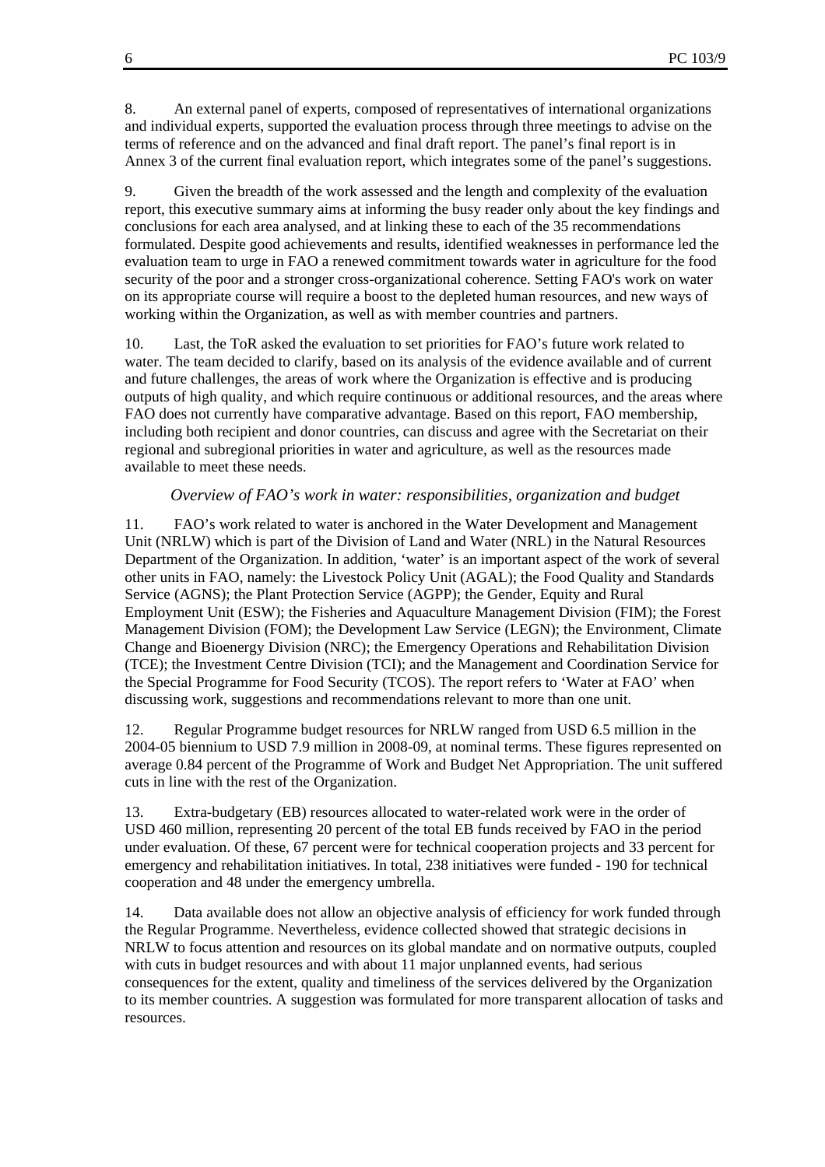8. An external panel of experts, composed of representatives of international organizations and individual experts, supported the evaluation process through three meetings to advise on the terms of reference and on the advanced and final draft report. The panel's final report is in Annex 3 of the current final evaluation report, which integrates some of the panel's suggestions.

9. Given the breadth of the work assessed and the length and complexity of the evaluation report, this executive summary aims at informing the busy reader only about the key findings and conclusions for each area analysed, and at linking these to each of the 35 recommendations formulated. Despite good achievements and results, identified weaknesses in performance led the evaluation team to urge in FAO a renewed commitment towards water in agriculture for the food security of the poor and a stronger cross-organizational coherence. Setting FAO's work on water on its appropriate course will require a boost to the depleted human resources, and new ways of working within the Organization, as well as with member countries and partners.

10. Last, the ToR asked the evaluation to set priorities for FAO's future work related to water. The team decided to clarify, based on its analysis of the evidence available and of current and future challenges, the areas of work where the Organization is effective and is producing outputs of high quality, and which require continuous or additional resources, and the areas where FAO does not currently have comparative advantage. Based on this report, FAO membership, including both recipient and donor countries, can discuss and agree with the Secretariat on their regional and subregional priorities in water and agriculture, as well as the resources made available to meet these needs.

#### *Overview of FAO's work in water: responsibilities, organization and budget*

11. FAO's work related to water is anchored in the Water Development and Management Unit (NRLW) which is part of the Division of Land and Water (NRL) in the Natural Resources Department of the Organization. In addition, 'water' is an important aspect of the work of several other units in FAO, namely: the Livestock Policy Unit (AGAL); the Food Quality and Standards Service (AGNS); the Plant Protection Service (AGPP); the Gender, Equity and Rural Employment Unit (ESW); the Fisheries and Aquaculture Management Division (FIM); the Forest Management Division (FOM); the Development Law Service (LEGN); the Environment, Climate Change and Bioenergy Division (NRC); the Emergency Operations and Rehabilitation Division (TCE); the Investment Centre Division (TCI); and the Management and Coordination Service for the Special Programme for Food Security (TCOS). The report refers to 'Water at FAO' when discussing work, suggestions and recommendations relevant to more than one unit.

12. Regular Programme budget resources for NRLW ranged from USD 6.5 million in the 2004-05 biennium to USD 7.9 million in 2008-09, at nominal terms. These figures represented on average 0.84 percent of the Programme of Work and Budget Net Appropriation. The unit suffered cuts in line with the rest of the Organization.

13. Extra-budgetary (EB) resources allocated to water-related work were in the order of USD 460 million, representing 20 percent of the total EB funds received by FAO in the period under evaluation. Of these, 67 percent were for technical cooperation projects and 33 percent for emergency and rehabilitation initiatives. In total, 238 initiatives were funded - 190 for technical cooperation and 48 under the emergency umbrella.

14. Data available does not allow an objective analysis of efficiency for work funded through the Regular Programme. Nevertheless, evidence collected showed that strategic decisions in NRLW to focus attention and resources on its global mandate and on normative outputs, coupled with cuts in budget resources and with about 11 major unplanned events, had serious consequences for the extent, quality and timeliness of the services delivered by the Organization to its member countries. A suggestion was formulated for more transparent allocation of tasks and resources.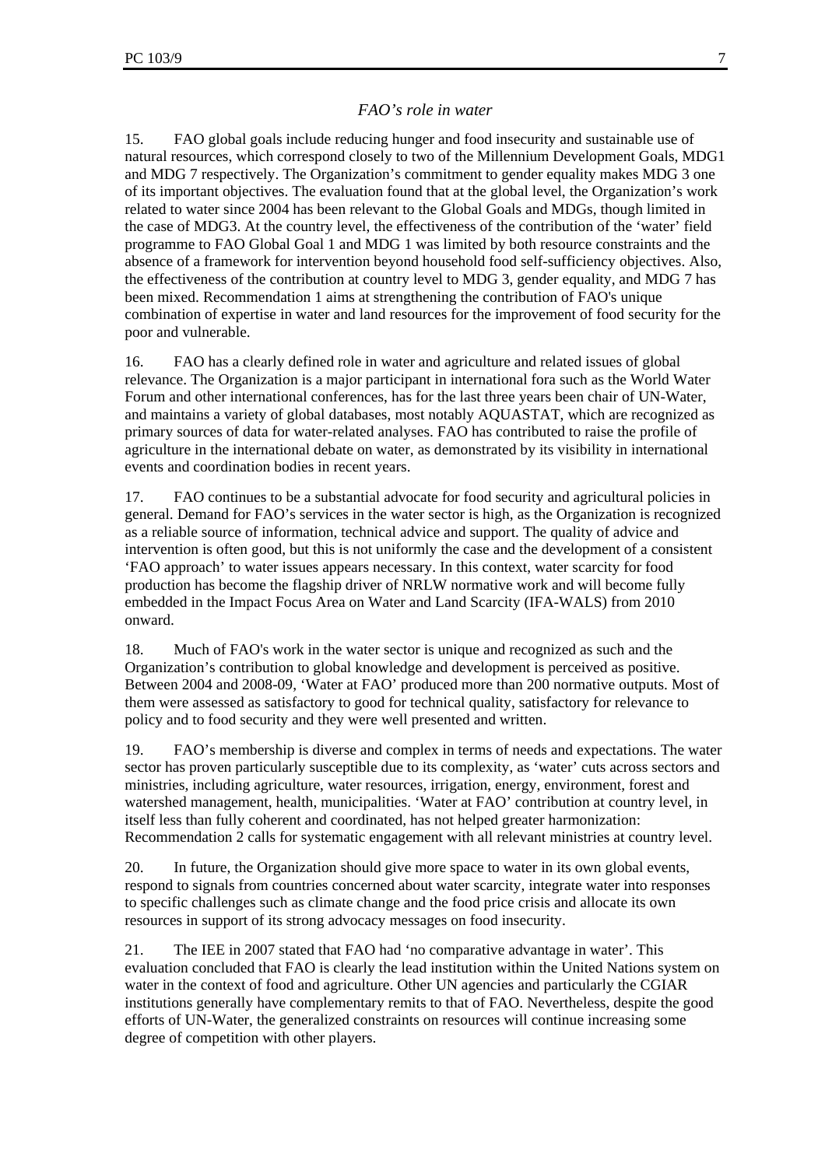## *FAO's role in water*

15. FAO global goals include reducing hunger and food insecurity and sustainable use of natural resources, which correspond closely to two of the Millennium Development Goals, MDG1 and MDG 7 respectively. The Organization's commitment to gender equality makes MDG 3 one of its important objectives. The evaluation found that at the global level, the Organization's work related to water since 2004 has been relevant to the Global Goals and MDGs, though limited in the case of MDG3. At the country level, the effectiveness of the contribution of the 'water' field programme to FAO Global Goal 1 and MDG 1 was limited by both resource constraints and the absence of a framework for intervention beyond household food self-sufficiency objectives. Also, the effectiveness of the contribution at country level to MDG 3, gender equality, and MDG 7 has been mixed. Recommendation 1 aims at strengthening the contribution of FAO's unique combination of expertise in water and land resources for the improvement of food security for the poor and vulnerable.

16. FAO has a clearly defined role in water and agriculture and related issues of global relevance. The Organization is a major participant in international fora such as the World Water Forum and other international conferences, has for the last three years been chair of UN-Water, and maintains a variety of global databases, most notably AQUASTAT, which are recognized as primary sources of data for water-related analyses. FAO has contributed to raise the profile of agriculture in the international debate on water, as demonstrated by its visibility in international events and coordination bodies in recent years.

17. FAO continues to be a substantial advocate for food security and agricultural policies in general. Demand for FAO's services in the water sector is high, as the Organization is recognized as a reliable source of information, technical advice and support. The quality of advice and intervention is often good, but this is not uniformly the case and the development of a consistent 'FAO approach' to water issues appears necessary. In this context, water scarcity for food production has become the flagship driver of NRLW normative work and will become fully embedded in the Impact Focus Area on Water and Land Scarcity (IFA-WALS) from 2010 onward.

18. Much of FAO's work in the water sector is unique and recognized as such and the Organization's contribution to global knowledge and development is perceived as positive. Between 2004 and 2008-09, 'Water at FAO' produced more than 200 normative outputs. Most of them were assessed as satisfactory to good for technical quality, satisfactory for relevance to policy and to food security and they were well presented and written.

19. FAO's membership is diverse and complex in terms of needs and expectations. The water sector has proven particularly susceptible due to its complexity, as 'water' cuts across sectors and ministries, including agriculture, water resources, irrigation, energy, environment, forest and watershed management, health, municipalities. 'Water at FAO' contribution at country level, in itself less than fully coherent and coordinated, has not helped greater harmonization: Recommendation 2 calls for systematic engagement with all relevant ministries at country level.

20. In future, the Organization should give more space to water in its own global events, respond to signals from countries concerned about water scarcity, integrate water into responses to specific challenges such as climate change and the food price crisis and allocate its own resources in support of its strong advocacy messages on food insecurity.

21. The IEE in 2007 stated that FAO had 'no comparative advantage in water'. This evaluation concluded that FAO is clearly the lead institution within the United Nations system on water in the context of food and agriculture. Other UN agencies and particularly the CGIAR institutions generally have complementary remits to that of FAO. Nevertheless, despite the good efforts of UN-Water, the generalized constraints on resources will continue increasing some degree of competition with other players.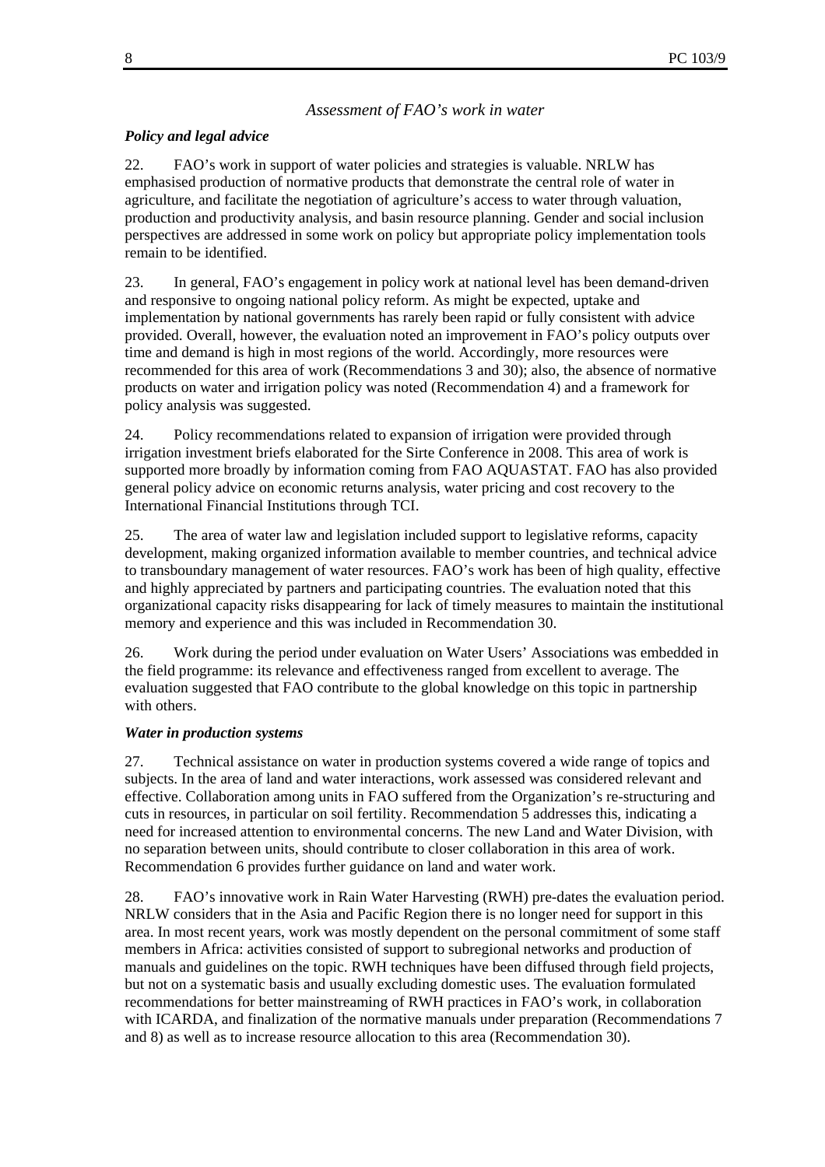#### *Assessment of FAO's work in water*

#### *Policy and legal advice*

22. FAO's work in support of water policies and strategies is valuable. NRLW has emphasised production of normative products that demonstrate the central role of water in agriculture, and facilitate the negotiation of agriculture's access to water through valuation, production and productivity analysis, and basin resource planning. Gender and social inclusion perspectives are addressed in some work on policy but appropriate policy implementation tools remain to be identified.

23. In general, FAO's engagement in policy work at national level has been demand-driven and responsive to ongoing national policy reform. As might be expected, uptake and implementation by national governments has rarely been rapid or fully consistent with advice provided. Overall, however, the evaluation noted an improvement in FAO's policy outputs over time and demand is high in most regions of the world. Accordingly, more resources were recommended for this area of work (Recommendations 3 and 30); also, the absence of normative products on water and irrigation policy was noted (Recommendation 4) and a framework for policy analysis was suggested.

24. Policy recommendations related to expansion of irrigation were provided through irrigation investment briefs elaborated for the Sirte Conference in 2008. This area of work is supported more broadly by information coming from FAO AQUASTAT. FAO has also provided general policy advice on economic returns analysis, water pricing and cost recovery to the International Financial Institutions through TCI.

25. The area of water law and legislation included support to legislative reforms, capacity development, making organized information available to member countries, and technical advice to transboundary management of water resources. FAO's work has been of high quality, effective and highly appreciated by partners and participating countries. The evaluation noted that this organizational capacity risks disappearing for lack of timely measures to maintain the institutional memory and experience and this was included in Recommendation 30.

26. Work during the period under evaluation on Water Users' Associations was embedded in the field programme: its relevance and effectiveness ranged from excellent to average. The evaluation suggested that FAO contribute to the global knowledge on this topic in partnership with others.

#### *Water in production systems*

27. Technical assistance on water in production systems covered a wide range of topics and subjects. In the area of land and water interactions, work assessed was considered relevant and effective. Collaboration among units in FAO suffered from the Organization's re-structuring and cuts in resources, in particular on soil fertility. Recommendation 5 addresses this, indicating a need for increased attention to environmental concerns. The new Land and Water Division, with no separation between units, should contribute to closer collaboration in this area of work. Recommendation 6 provides further guidance on land and water work.

28. FAO's innovative work in Rain Water Harvesting (RWH) pre-dates the evaluation period. NRLW considers that in the Asia and Pacific Region there is no longer need for support in this area. In most recent years, work was mostly dependent on the personal commitment of some staff members in Africa: activities consisted of support to subregional networks and production of manuals and guidelines on the topic. RWH techniques have been diffused through field projects, but not on a systematic basis and usually excluding domestic uses. The evaluation formulated recommendations for better mainstreaming of RWH practices in FAO's work, in collaboration with ICARDA, and finalization of the normative manuals under preparation (Recommendations 7 and 8) as well as to increase resource allocation to this area (Recommendation 30).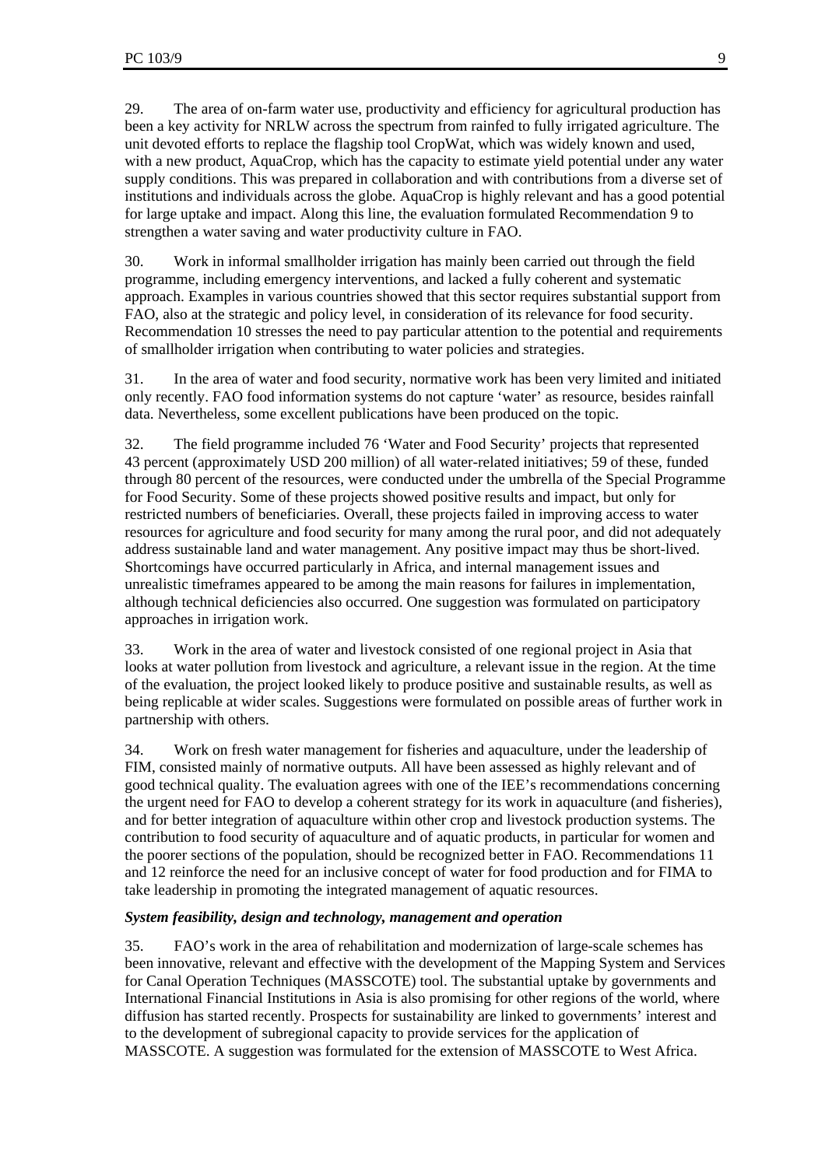29. The area of on-farm water use, productivity and efficiency for agricultural production has been a key activity for NRLW across the spectrum from rainfed to fully irrigated agriculture. The unit devoted efforts to replace the flagship tool CropWat, which was widely known and used, with a new product, AquaCrop, which has the capacity to estimate yield potential under any water supply conditions. This was prepared in collaboration and with contributions from a diverse set of institutions and individuals across the globe. AquaCrop is highly relevant and has a good potential for large uptake and impact. Along this line, the evaluation formulated Recommendation 9 to strengthen a water saving and water productivity culture in FAO.

30. Work in informal smallholder irrigation has mainly been carried out through the field programme, including emergency interventions, and lacked a fully coherent and systematic approach. Examples in various countries showed that this sector requires substantial support from FAO, also at the strategic and policy level, in consideration of its relevance for food security. Recommendation 10 stresses the need to pay particular attention to the potential and requirements of smallholder irrigation when contributing to water policies and strategies.

31. In the area of water and food security, normative work has been very limited and initiated only recently. FAO food information systems do not capture 'water' as resource, besides rainfall data. Nevertheless, some excellent publications have been produced on the topic.

32. The field programme included 76 'Water and Food Security' projects that represented 43 percent (approximately USD 200 million) of all water-related initiatives; 59 of these, funded through 80 percent of the resources, were conducted under the umbrella of the Special Programme for Food Security. Some of these projects showed positive results and impact, but only for restricted numbers of beneficiaries. Overall, these projects failed in improving access to water resources for agriculture and food security for many among the rural poor, and did not adequately address sustainable land and water management. Any positive impact may thus be short-lived. Shortcomings have occurred particularly in Africa, and internal management issues and unrealistic timeframes appeared to be among the main reasons for failures in implementation, although technical deficiencies also occurred. One suggestion was formulated on participatory approaches in irrigation work.

33. Work in the area of water and livestock consisted of one regional project in Asia that looks at water pollution from livestock and agriculture, a relevant issue in the region. At the time of the evaluation, the project looked likely to produce positive and sustainable results, as well as being replicable at wider scales. Suggestions were formulated on possible areas of further work in partnership with others.

34. Work on fresh water management for fisheries and aquaculture, under the leadership of FIM, consisted mainly of normative outputs. All have been assessed as highly relevant and of good technical quality. The evaluation agrees with one of the IEE's recommendations concerning the urgent need for FAO to develop a coherent strategy for its work in aquaculture (and fisheries), and for better integration of aquaculture within other crop and livestock production systems. The contribution to food security of aquaculture and of aquatic products, in particular for women and the poorer sections of the population, should be recognized better in FAO. Recommendations 11 and 12 reinforce the need for an inclusive concept of water for food production and for FIMA to take leadership in promoting the integrated management of aquatic resources.

#### *System feasibility, design and technology, management and operation*

35. FAO's work in the area of rehabilitation and modernization of large-scale schemes has been innovative, relevant and effective with the development of the Mapping System and Services for Canal Operation Techniques (MASSCOTE) tool. The substantial uptake by governments and International Financial Institutions in Asia is also promising for other regions of the world, where diffusion has started recently. Prospects for sustainability are linked to governments' interest and to the development of subregional capacity to provide services for the application of MASSCOTE. A suggestion was formulated for the extension of MASSCOTE to West Africa.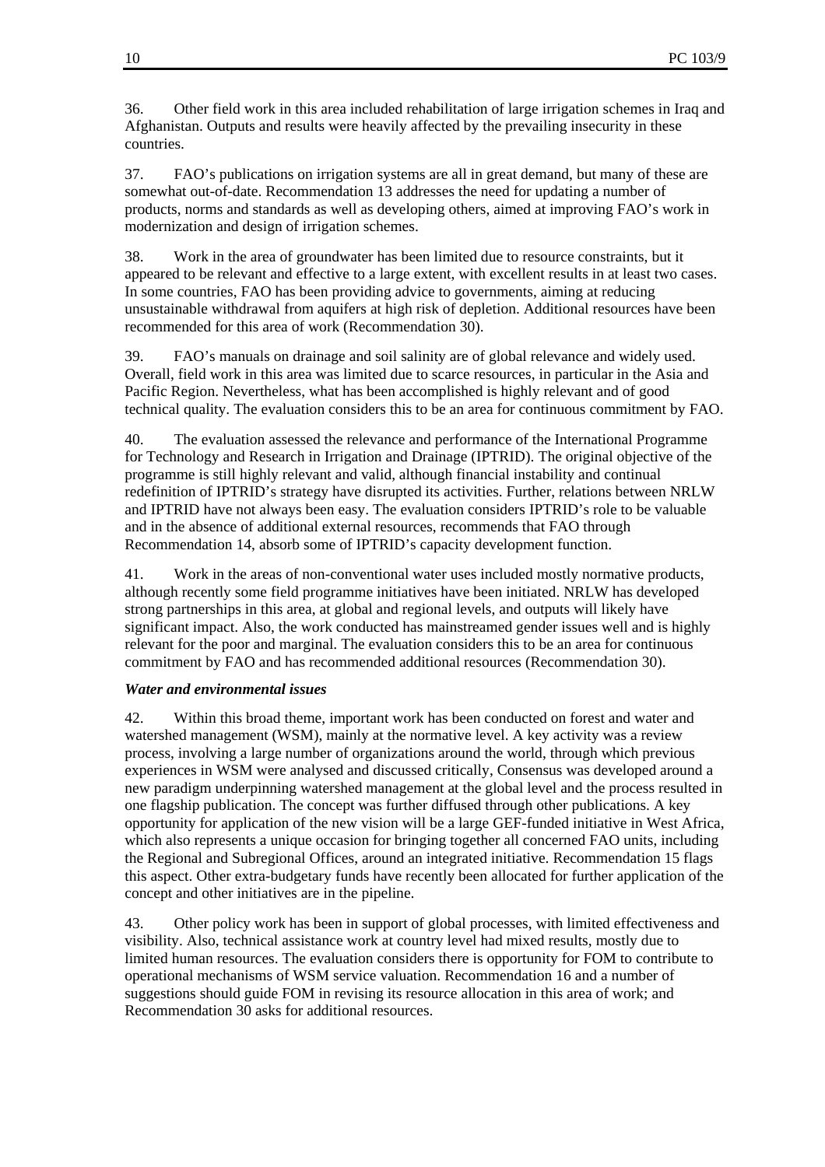36. Other field work in this area included rehabilitation of large irrigation schemes in Iraq and Afghanistan. Outputs and results were heavily affected by the prevailing insecurity in these countries.

37. FAO's publications on irrigation systems are all in great demand, but many of these are somewhat out-of-date. Recommendation 13 addresses the need for updating a number of products, norms and standards as well as developing others, aimed at improving FAO's work in modernization and design of irrigation schemes.

38. Work in the area of groundwater has been limited due to resource constraints, but it appeared to be relevant and effective to a large extent, with excellent results in at least two cases. In some countries, FAO has been providing advice to governments, aiming at reducing unsustainable withdrawal from aquifers at high risk of depletion. Additional resources have been recommended for this area of work (Recommendation 30).

39. FAO's manuals on drainage and soil salinity are of global relevance and widely used. Overall, field work in this area was limited due to scarce resources, in particular in the Asia and Pacific Region. Nevertheless, what has been accomplished is highly relevant and of good technical quality. The evaluation considers this to be an area for continuous commitment by FAO.

40. The evaluation assessed the relevance and performance of the International Programme for Technology and Research in Irrigation and Drainage (IPTRID). The original objective of the programme is still highly relevant and valid, although financial instability and continual redefinition of IPTRID's strategy have disrupted its activities. Further, relations between NRLW and IPTRID have not always been easy. The evaluation considers IPTRID's role to be valuable and in the absence of additional external resources, recommends that FAO through Recommendation 14, absorb some of IPTRID's capacity development function.

41. Work in the areas of non-conventional water uses included mostly normative products, although recently some field programme initiatives have been initiated. NRLW has developed strong partnerships in this area, at global and regional levels, and outputs will likely have significant impact. Also, the work conducted has mainstreamed gender issues well and is highly relevant for the poor and marginal. The evaluation considers this to be an area for continuous commitment by FAO and has recommended additional resources (Recommendation 30).

## *Water and environmental issues*

42. Within this broad theme, important work has been conducted on forest and water and watershed management (WSM), mainly at the normative level. A key activity was a review process, involving a large number of organizations around the world, through which previous experiences in WSM were analysed and discussed critically, Consensus was developed around a new paradigm underpinning watershed management at the global level and the process resulted in one flagship publication. The concept was further diffused through other publications. A key opportunity for application of the new vision will be a large GEF-funded initiative in West Africa, which also represents a unique occasion for bringing together all concerned FAO units, including the Regional and Subregional Offices, around an integrated initiative. Recommendation 15 flags this aspect. Other extra-budgetary funds have recently been allocated for further application of the concept and other initiatives are in the pipeline.

43. Other policy work has been in support of global processes, with limited effectiveness and visibility. Also, technical assistance work at country level had mixed results, mostly due to limited human resources. The evaluation considers there is opportunity for FOM to contribute to operational mechanisms of WSM service valuation. Recommendation 16 and a number of suggestions should guide FOM in revising its resource allocation in this area of work; and Recommendation 30 asks for additional resources.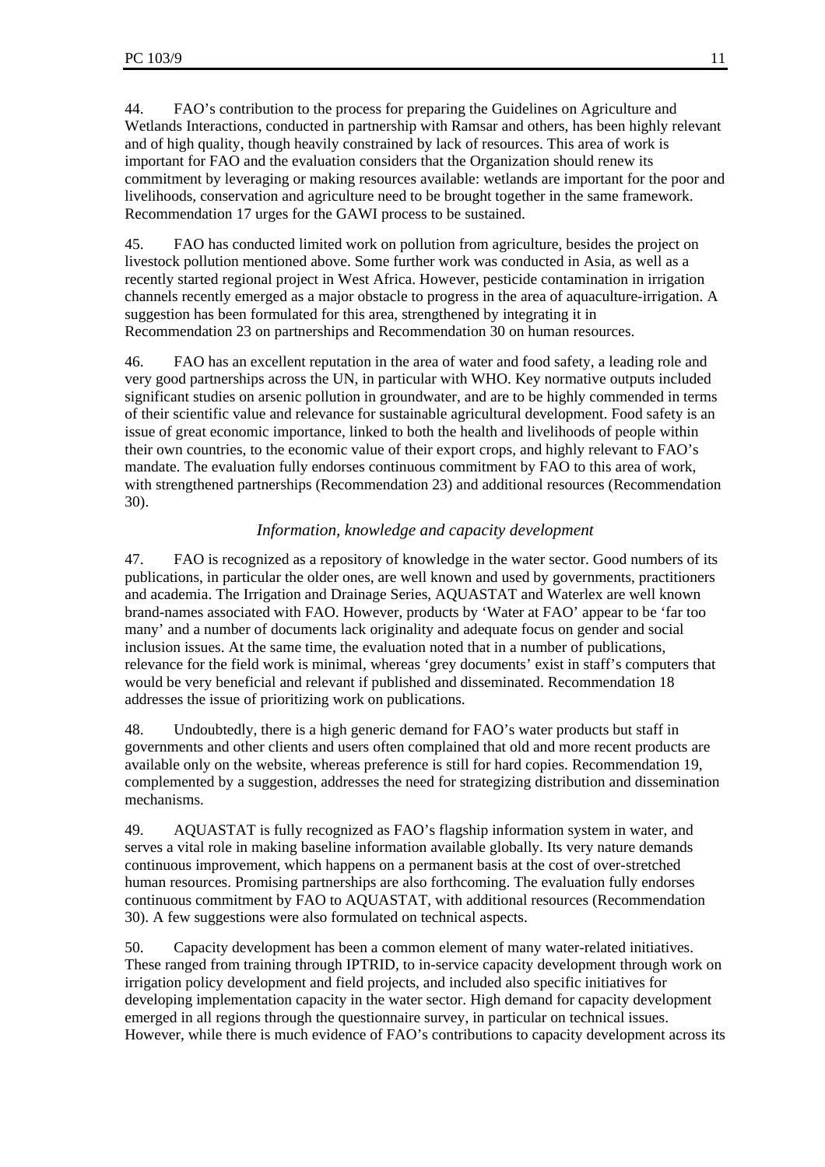44. FAO's contribution to the process for preparing the Guidelines on Agriculture and Wetlands Interactions, conducted in partnership with Ramsar and others, has been highly relevant and of high quality, though heavily constrained by lack of resources. This area of work is important for FAO and the evaluation considers that the Organization should renew its commitment by leveraging or making resources available: wetlands are important for the poor and livelihoods, conservation and agriculture need to be brought together in the same framework. Recommendation 17 urges for the GAWI process to be sustained.

45. FAO has conducted limited work on pollution from agriculture, besides the project on livestock pollution mentioned above. Some further work was conducted in Asia, as well as a recently started regional project in West Africa. However, pesticide contamination in irrigation channels recently emerged as a major obstacle to progress in the area of aquaculture-irrigation. A suggestion has been formulated for this area, strengthened by integrating it in Recommendation 23 on partnerships and Recommendation 30 on human resources.

46. FAO has an excellent reputation in the area of water and food safety, a leading role and very good partnerships across the UN, in particular with WHO. Key normative outputs included significant studies on arsenic pollution in groundwater, and are to be highly commended in terms of their scientific value and relevance for sustainable agricultural development. Food safety is an issue of great economic importance, linked to both the health and livelihoods of people within their own countries, to the economic value of their export crops, and highly relevant to FAO's mandate. The evaluation fully endorses continuous commitment by FAO to this area of work, with strengthened partnerships (Recommendation 23) and additional resources (Recommendation 30).

## *Information, knowledge and capacity development*

47. FAO is recognized as a repository of knowledge in the water sector. Good numbers of its publications, in particular the older ones, are well known and used by governments, practitioners and academia. The Irrigation and Drainage Series, AQUASTAT and Waterlex are well known brand-names associated with FAO. However, products by 'Water at FAO' appear to be 'far too many' and a number of documents lack originality and adequate focus on gender and social inclusion issues. At the same time, the evaluation noted that in a number of publications, relevance for the field work is minimal, whereas 'grey documents' exist in staff's computers that would be very beneficial and relevant if published and disseminated. Recommendation 18 addresses the issue of prioritizing work on publications.

48. Undoubtedly, there is a high generic demand for FAO's water products but staff in governments and other clients and users often complained that old and more recent products are available only on the website, whereas preference is still for hard copies. Recommendation 19, complemented by a suggestion, addresses the need for strategizing distribution and dissemination mechanisms.

49. AQUASTAT is fully recognized as FAO's flagship information system in water, and serves a vital role in making baseline information available globally. Its very nature demands continuous improvement, which happens on a permanent basis at the cost of over-stretched human resources. Promising partnerships are also forthcoming. The evaluation fully endorses continuous commitment by FAO to AQUASTAT, with additional resources (Recommendation 30). A few suggestions were also formulated on technical aspects.

50. Capacity development has been a common element of many water-related initiatives. These ranged from training through IPTRID, to in-service capacity development through work on irrigation policy development and field projects, and included also specific initiatives for developing implementation capacity in the water sector. High demand for capacity development emerged in all regions through the questionnaire survey, in particular on technical issues. However, while there is much evidence of FAO's contributions to capacity development across its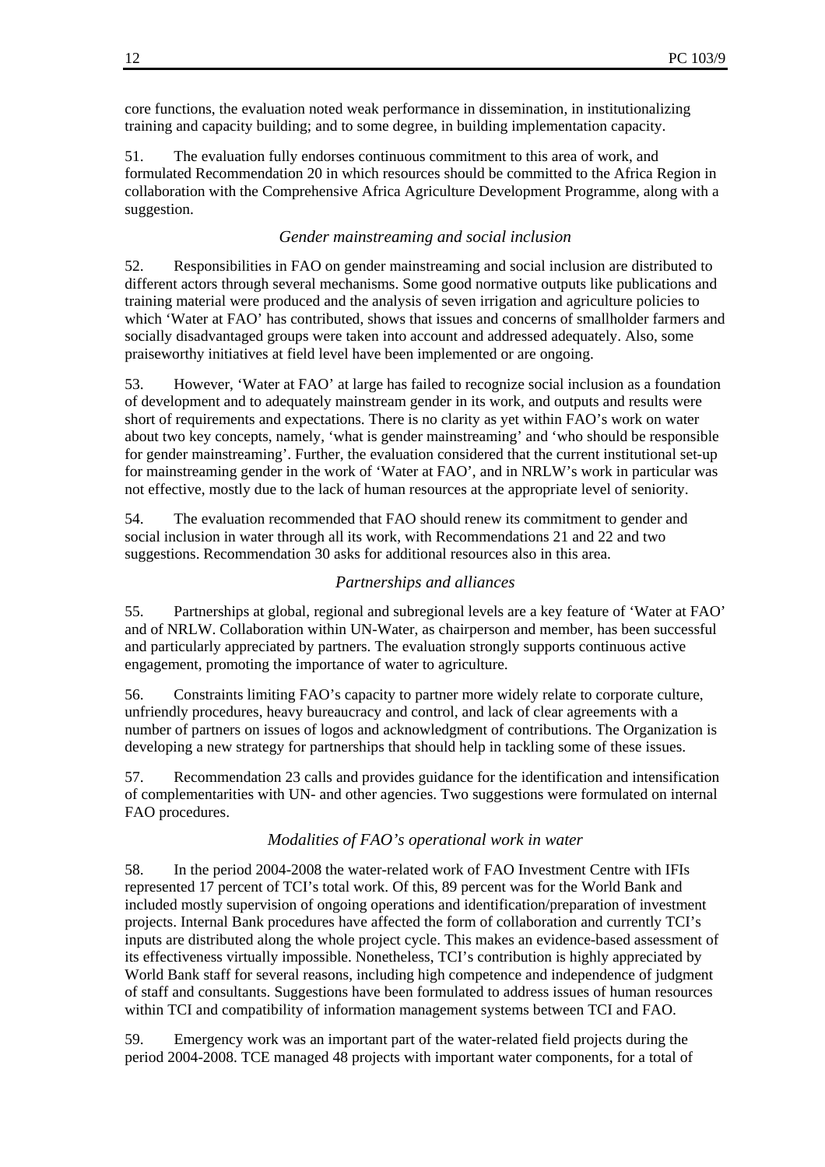core functions, the evaluation noted weak performance in dissemination, in institutionalizing training and capacity building; and to some degree, in building implementation capacity.

51. The evaluation fully endorses continuous commitment to this area of work, and formulated Recommendation 20 in which resources should be committed to the Africa Region in collaboration with the Comprehensive Africa Agriculture Development Programme, along with a suggestion.

#### *Gender mainstreaming and social inclusion*

52. Responsibilities in FAO on gender mainstreaming and social inclusion are distributed to different actors through several mechanisms. Some good normative outputs like publications and training material were produced and the analysis of seven irrigation and agriculture policies to which 'Water at FAO' has contributed, shows that issues and concerns of smallholder farmers and socially disadvantaged groups were taken into account and addressed adequately. Also, some praiseworthy initiatives at field level have been implemented or are ongoing.

53. However, 'Water at FAO' at large has failed to recognize social inclusion as a foundation of development and to adequately mainstream gender in its work, and outputs and results were short of requirements and expectations. There is no clarity as yet within FAO's work on water about two key concepts, namely, 'what is gender mainstreaming' and 'who should be responsible for gender mainstreaming'. Further, the evaluation considered that the current institutional set-up for mainstreaming gender in the work of 'Water at FAO', and in NRLW's work in particular was not effective, mostly due to the lack of human resources at the appropriate level of seniority.

54. The evaluation recommended that FAO should renew its commitment to gender and social inclusion in water through all its work, with Recommendations 21 and 22 and two suggestions. Recommendation 30 asks for additional resources also in this area.

#### *Partnerships and alliances*

55. Partnerships at global, regional and subregional levels are a key feature of 'Water at FAO' and of NRLW. Collaboration within UN-Water, as chairperson and member, has been successful and particularly appreciated by partners. The evaluation strongly supports continuous active engagement, promoting the importance of water to agriculture.

56. Constraints limiting FAO's capacity to partner more widely relate to corporate culture, unfriendly procedures, heavy bureaucracy and control, and lack of clear agreements with a number of partners on issues of logos and acknowledgment of contributions. The Organization is developing a new strategy for partnerships that should help in tackling some of these issues.

57. Recommendation 23 calls and provides guidance for the identification and intensification of complementarities with UN- and other agencies. Two suggestions were formulated on internal FAO procedures.

#### *Modalities of FAO's operational work in water*

58. In the period 2004-2008 the water-related work of FAO Investment Centre with IFIs represented 17 percent of TCI's total work. Of this, 89 percent was for the World Bank and included mostly supervision of ongoing operations and identification/preparation of investment projects. Internal Bank procedures have affected the form of collaboration and currently TCI's inputs are distributed along the whole project cycle. This makes an evidence-based assessment of its effectiveness virtually impossible. Nonetheless, TCI's contribution is highly appreciated by World Bank staff for several reasons, including high competence and independence of judgment of staff and consultants. Suggestions have been formulated to address issues of human resources within TCI and compatibility of information management systems between TCI and FAO.

59. Emergency work was an important part of the water-related field projects during the period 2004-2008. TCE managed 48 projects with important water components, for a total of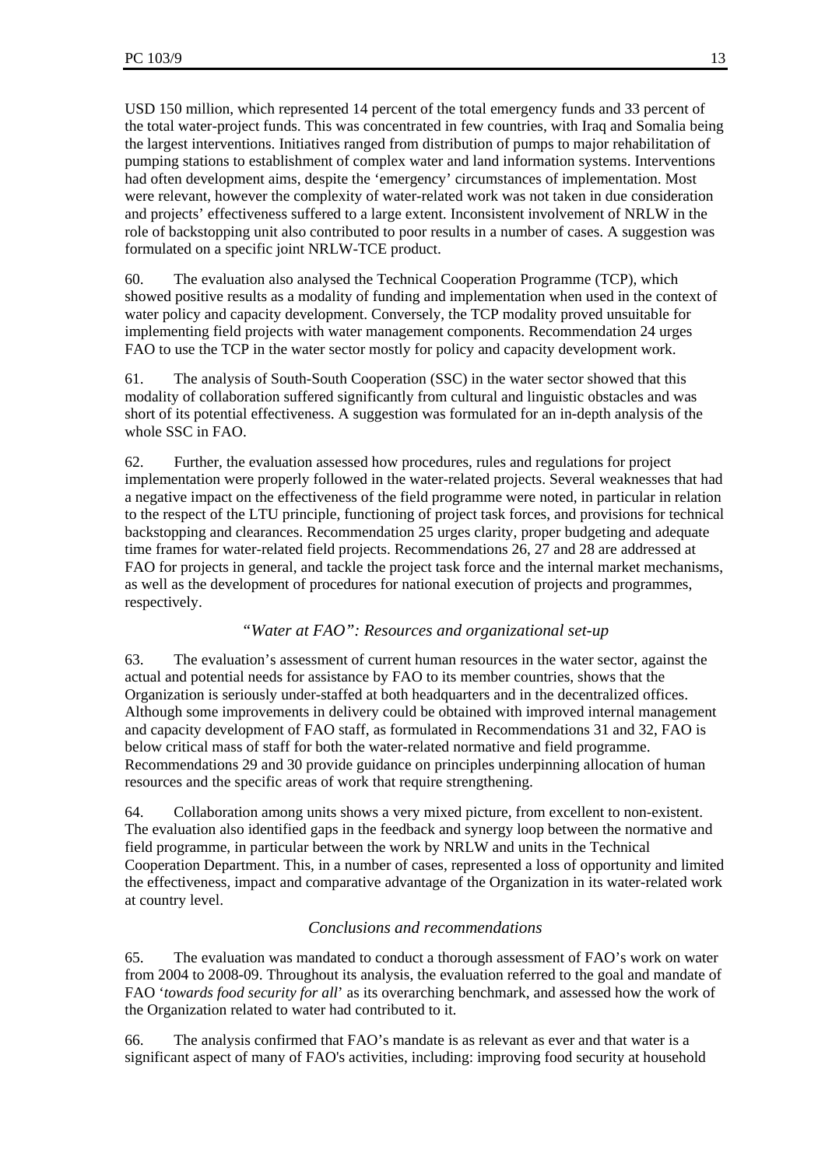USD 150 million, which represented 14 percent of the total emergency funds and 33 percent of the total water-project funds. This was concentrated in few countries, with Iraq and Somalia being the largest interventions. Initiatives ranged from distribution of pumps to major rehabilitation of pumping stations to establishment of complex water and land information systems. Interventions had often development aims, despite the 'emergency' circumstances of implementation. Most were relevant, however the complexity of water-related work was not taken in due consideration and projects' effectiveness suffered to a large extent. Inconsistent involvement of NRLW in the role of backstopping unit also contributed to poor results in a number of cases. A suggestion was formulated on a specific joint NRLW-TCE product.

60. The evaluation also analysed the Technical Cooperation Programme (TCP), which showed positive results as a modality of funding and implementation when used in the context of water policy and capacity development. Conversely, the TCP modality proved unsuitable for implementing field projects with water management components. Recommendation 24 urges FAO to use the TCP in the water sector mostly for policy and capacity development work.

61. The analysis of South-South Cooperation (SSC) in the water sector showed that this modality of collaboration suffered significantly from cultural and linguistic obstacles and was short of its potential effectiveness. A suggestion was formulated for an in-depth analysis of the whole SSC in FAO.

62. Further, the evaluation assessed how procedures, rules and regulations for project implementation were properly followed in the water-related projects. Several weaknesses that had a negative impact on the effectiveness of the field programme were noted, in particular in relation to the respect of the LTU principle, functioning of project task forces, and provisions for technical backstopping and clearances. Recommendation 25 urges clarity, proper budgeting and adequate time frames for water-related field projects. Recommendations 26, 27 and 28 are addressed at FAO for projects in general, and tackle the project task force and the internal market mechanisms, as well as the development of procedures for national execution of projects and programmes, respectively.

# *"Water at FAO": Resources and organizational set-up*

63. The evaluation's assessment of current human resources in the water sector, against the actual and potential needs for assistance by FAO to its member countries, shows that the Organization is seriously under-staffed at both headquarters and in the decentralized offices. Although some improvements in delivery could be obtained with improved internal management and capacity development of FAO staff, as formulated in Recommendations 31 and 32, FAO is below critical mass of staff for both the water-related normative and field programme. Recommendations 29 and 30 provide guidance on principles underpinning allocation of human resources and the specific areas of work that require strengthening.

64. Collaboration among units shows a very mixed picture, from excellent to non-existent. The evaluation also identified gaps in the feedback and synergy loop between the normative and field programme, in particular between the work by NRLW and units in the Technical Cooperation Department. This, in a number of cases, represented a loss of opportunity and limited the effectiveness, impact and comparative advantage of the Organization in its water-related work at country level.

# *Conclusions and recommendations*

65. The evaluation was mandated to conduct a thorough assessment of FAO's work on water from 2004 to 2008-09. Throughout its analysis, the evaluation referred to the goal and mandate of FAO '*towards food security for all*' as its overarching benchmark, and assessed how the work of the Organization related to water had contributed to it.

66. The analysis confirmed that FAO's mandate is as relevant as ever and that water is a significant aspect of many of FAO's activities, including: improving food security at household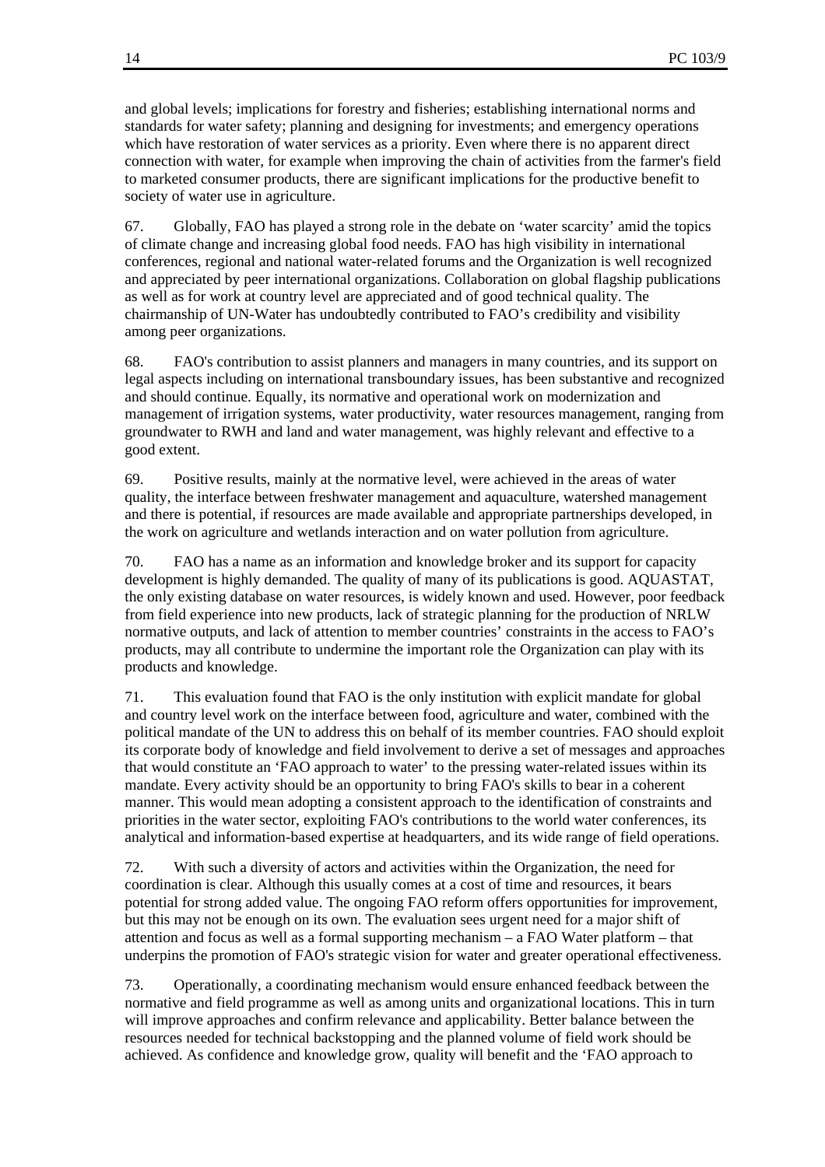and global levels; implications for forestry and fisheries; establishing international norms and standards for water safety; planning and designing for investments; and emergency operations which have restoration of water services as a priority. Even where there is no apparent direct connection with water, for example when improving the chain of activities from the farmer's field to marketed consumer products, there are significant implications for the productive benefit to society of water use in agriculture.

67. Globally, FAO has played a strong role in the debate on 'water scarcity' amid the topics of climate change and increasing global food needs. FAO has high visibility in international conferences, regional and national water-related forums and the Organization is well recognized and appreciated by peer international organizations. Collaboration on global flagship publications as well as for work at country level are appreciated and of good technical quality. The chairmanship of UN-Water has undoubtedly contributed to FAO's credibility and visibility among peer organizations.

68. FAO's contribution to assist planners and managers in many countries, and its support on legal aspects including on international transboundary issues, has been substantive and recognized and should continue. Equally, its normative and operational work on modernization and management of irrigation systems, water productivity, water resources management, ranging from groundwater to RWH and land and water management, was highly relevant and effective to a good extent.

69. Positive results, mainly at the normative level, were achieved in the areas of water quality, the interface between freshwater management and aquaculture, watershed management and there is potential, if resources are made available and appropriate partnerships developed, in the work on agriculture and wetlands interaction and on water pollution from agriculture.

70. FAO has a name as an information and knowledge broker and its support for capacity development is highly demanded. The quality of many of its publications is good. AQUASTAT, the only existing database on water resources, is widely known and used. However, poor feedback from field experience into new products, lack of strategic planning for the production of NRLW normative outputs, and lack of attention to member countries' constraints in the access to FAO's products, may all contribute to undermine the important role the Organization can play with its products and knowledge.

71. This evaluation found that FAO is the only institution with explicit mandate for global and country level work on the interface between food, agriculture and water, combined with the political mandate of the UN to address this on behalf of its member countries. FAO should exploit its corporate body of knowledge and field involvement to derive a set of messages and approaches that would constitute an 'FAO approach to water' to the pressing water-related issues within its mandate. Every activity should be an opportunity to bring FAO's skills to bear in a coherent manner. This would mean adopting a consistent approach to the identification of constraints and priorities in the water sector, exploiting FAO's contributions to the world water conferences, its analytical and information-based expertise at headquarters, and its wide range of field operations.

72. With such a diversity of actors and activities within the Organization, the need for coordination is clear. Although this usually comes at a cost of time and resources, it bears potential for strong added value. The ongoing FAO reform offers opportunities for improvement, but this may not be enough on its own. The evaluation sees urgent need for a major shift of attention and focus as well as a formal supporting mechanism – a FAO Water platform – that underpins the promotion of FAO's strategic vision for water and greater operational effectiveness.

73. Operationally, a coordinating mechanism would ensure enhanced feedback between the normative and field programme as well as among units and organizational locations. This in turn will improve approaches and confirm relevance and applicability. Better balance between the resources needed for technical backstopping and the planned volume of field work should be achieved. As confidence and knowledge grow, quality will benefit and the 'FAO approach to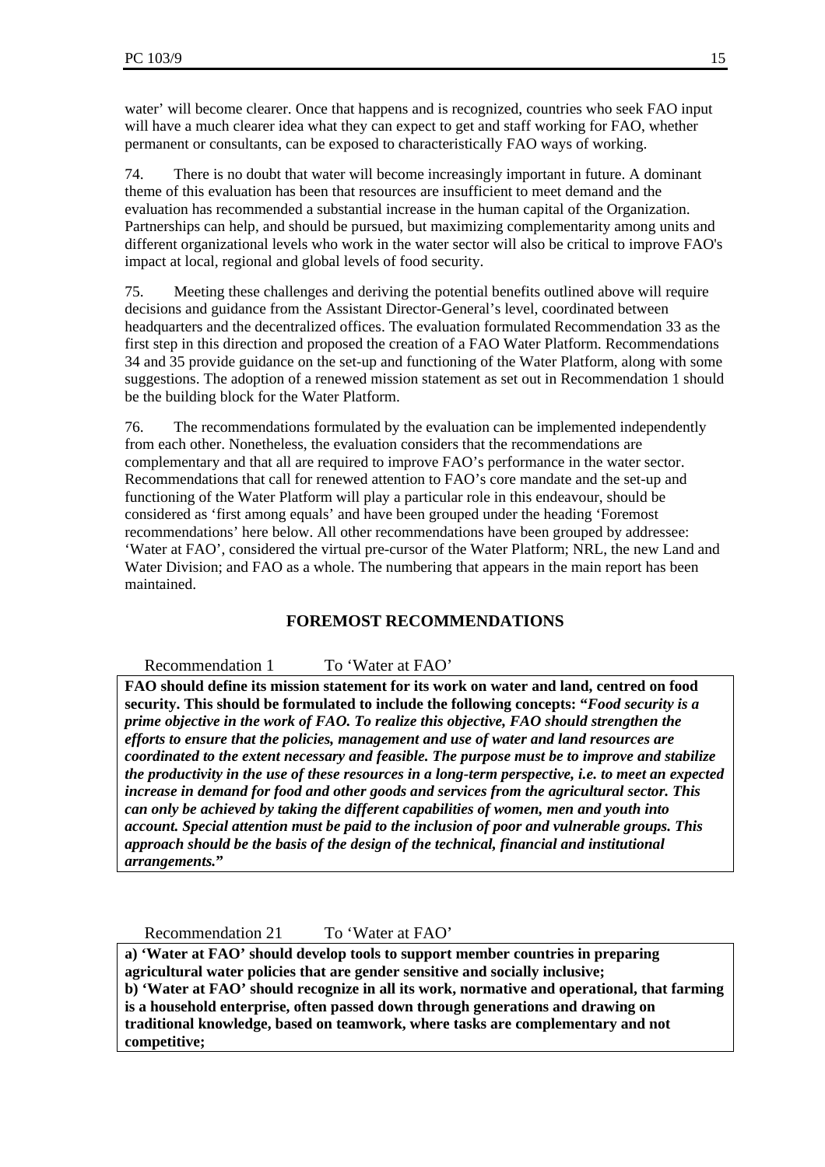water' will become clearer. Once that happens and is recognized, countries who seek FAO input will have a much clearer idea what they can expect to get and staff working for FAO, whether permanent or consultants, can be exposed to characteristically FAO ways of working.

74. There is no doubt that water will become increasingly important in future. A dominant theme of this evaluation has been that resources are insufficient to meet demand and the evaluation has recommended a substantial increase in the human capital of the Organization. Partnerships can help, and should be pursued, but maximizing complementarity among units and different organizational levels who work in the water sector will also be critical to improve FAO's impact at local, regional and global levels of food security.

75. Meeting these challenges and deriving the potential benefits outlined above will require decisions and guidance from the Assistant Director-General's level, coordinated between headquarters and the decentralized offices. The evaluation formulated Recommendation 33 as the first step in this direction and proposed the creation of a FAO Water Platform. Recommendations 34 and 35 provide guidance on the set-up and functioning of the Water Platform, along with some suggestions. The adoption of a renewed mission statement as set out in Recommendation 1 should be the building block for the Water Platform.

76. The recommendations formulated by the evaluation can be implemented independently from each other. Nonetheless, the evaluation considers that the recommendations are complementary and that all are required to improve FAO's performance in the water sector. Recommendations that call for renewed attention to FAO's core mandate and the set-up and functioning of the Water Platform will play a particular role in this endeavour, should be considered as 'first among equals' and have been grouped under the heading 'Foremost recommendations' here below. All other recommendations have been grouped by addressee: 'Water at FAO', considered the virtual pre-cursor of the Water Platform; NRL, the new Land and Water Division; and FAO as a whole. The numbering that appears in the main report has been maintained.

# **FOREMOST RECOMMENDATIONS**

## Recommendation 1 To 'Water at FAO'

**FAO should define its mission statement for its work on water and land, centred on food security. This should be formulated to include the following concepts: "***Food security is a prime objective in the work of FAO. To realize this objective, FAO should strengthen the efforts to ensure that the policies, management and use of water and land resources are coordinated to the extent necessary and feasible. The purpose must be to improve and stabilize the productivity in the use of these resources in a long-term perspective, i.e. to meet an expected increase in demand for food and other goods and services from the agricultural sector. This can only be achieved by taking the different capabilities of women, men and youth into account. Special attention must be paid to the inclusion of poor and vulnerable groups. This approach should be the basis of the design of the technical, financial and institutional arrangements.***"** 

Recommendation 21 To 'Water at FAO'

**a) 'Water at FAO' should develop tools to support member countries in preparing agricultural water policies that are gender sensitive and socially inclusive; b) 'Water at FAO' should recognize in all its work, normative and operational, that farming is a household enterprise, often passed down through generations and drawing on traditional knowledge, based on teamwork, where tasks are complementary and not competitive;**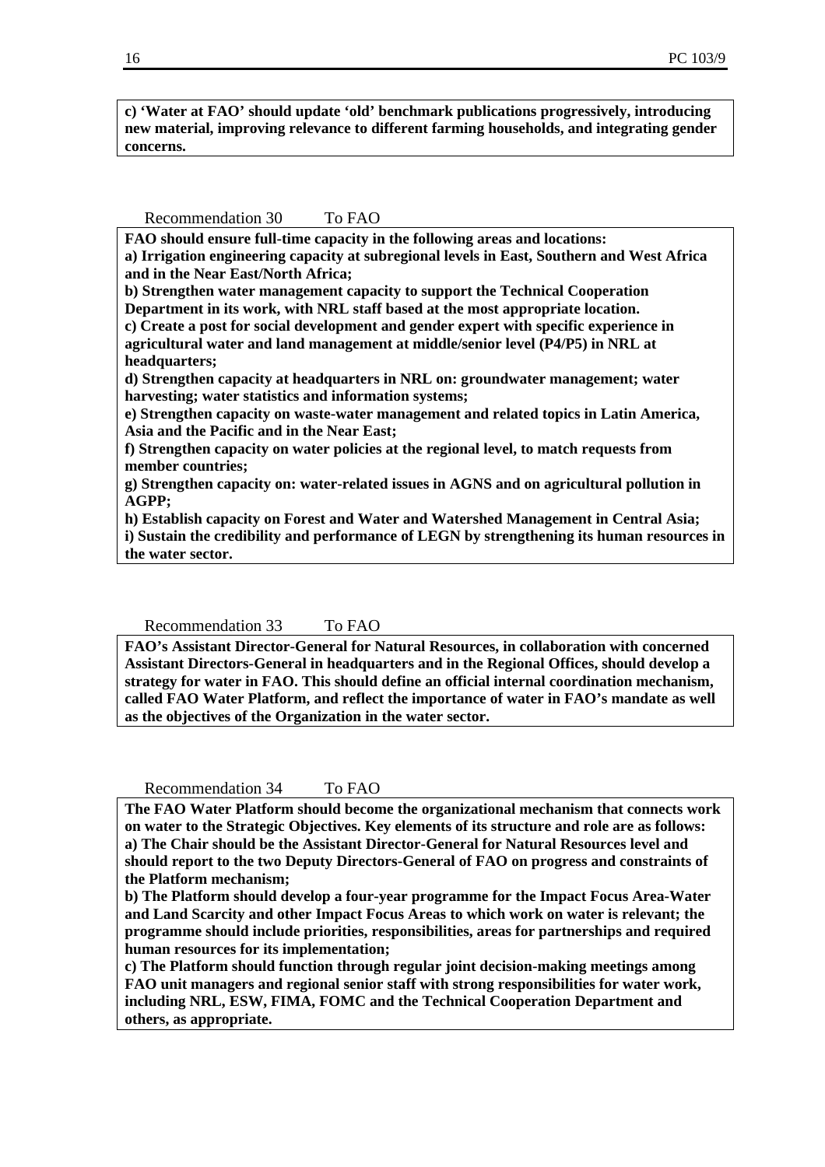**c) 'Water at FAO' should update 'old' benchmark publications progressively, introducing new material, improving relevance to different farming households, and integrating gender concerns.** 

#### Recommendation 30 To FAO

**FAO should ensure full-time capacity in the following areas and locations:** 

**a) Irrigation engineering capacity at subregional levels in East, Southern and West Africa and in the Near East/North Africa;** 

**b) Strengthen water management capacity to support the Technical Cooperation Department in its work, with NRL staff based at the most appropriate location.** 

**c) Create a post for social development and gender expert with specific experience in agricultural water and land management at middle/senior level (P4/P5) in NRL at headquarters;** 

**d) Strengthen capacity at headquarters in NRL on: groundwater management; water harvesting; water statistics and information systems;** 

**e) Strengthen capacity on waste-water management and related topics in Latin America, Asia and the Pacific and in the Near East;** 

**f) Strengthen capacity on water policies at the regional level, to match requests from member countries;** 

**g) Strengthen capacity on: water-related issues in AGNS and on agricultural pollution in AGPP;** 

**h) Establish capacity on Forest and Water and Watershed Management in Central Asia; i) Sustain the credibility and performance of LEGN by strengthening its human resources in the water sector.** 

#### Recommendation 33 To FAO

**FAO's Assistant Director-General for Natural Resources, in collaboration with concerned Assistant Directors-General in headquarters and in the Regional Offices, should develop a strategy for water in FAO. This should define an official internal coordination mechanism, called FAO Water Platform, and reflect the importance of water in FAO's mandate as well as the objectives of the Organization in the water sector.** 

#### Recommendation 34 To FAO

**The FAO Water Platform should become the organizational mechanism that connects work on water to the Strategic Objectives. Key elements of its structure and role are as follows: a) The Chair should be the Assistant Director-General for Natural Resources level and should report to the two Deputy Directors-General of FAO on progress and constraints of the Platform mechanism;** 

**b) The Platform should develop a four-year programme for the Impact Focus Area-Water and Land Scarcity and other Impact Focus Areas to which work on water is relevant; the programme should include priorities, responsibilities, areas for partnerships and required human resources for its implementation;** 

**c) The Platform should function through regular joint decision-making meetings among FAO unit managers and regional senior staff with strong responsibilities for water work, including NRL, ESW, FIMA, FOMC and the Technical Cooperation Department and others, as appropriate.**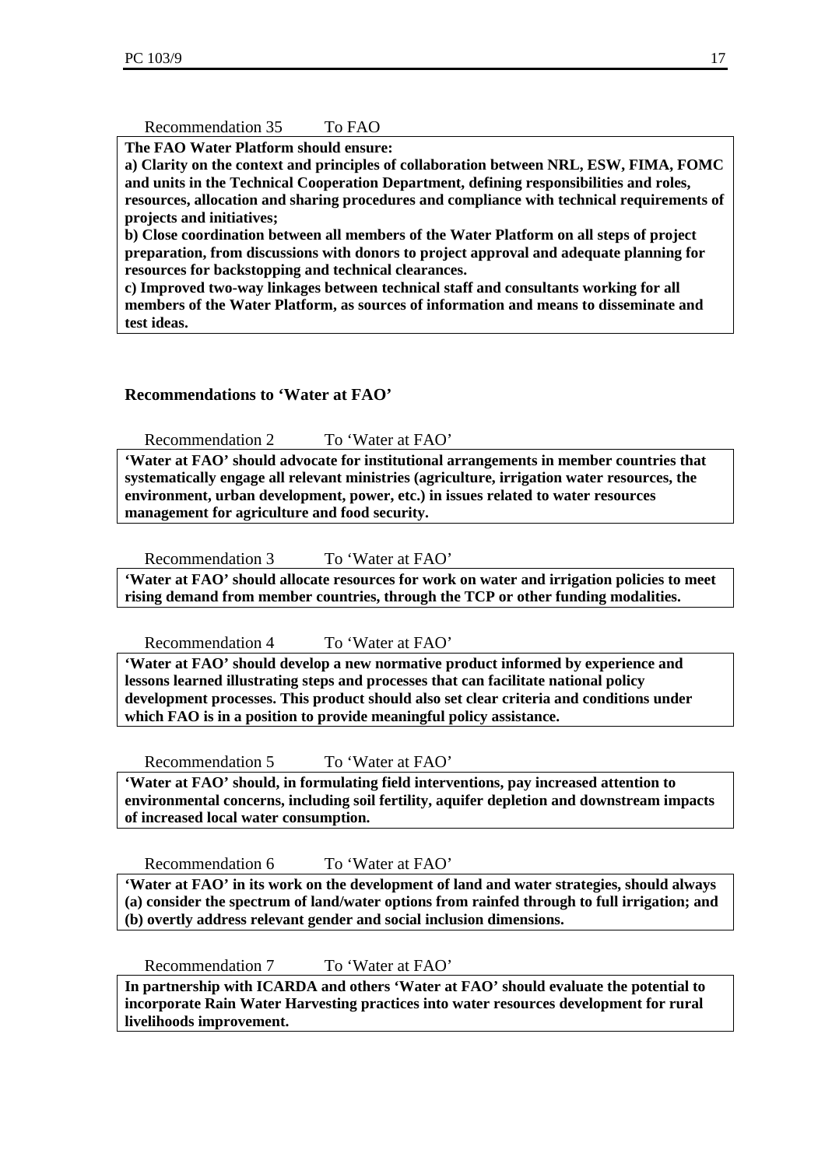# Recommendation 35 To FAO

**The FAO Water Platform should ensure:** 

**a) Clarity on the context and principles of collaboration between NRL, ESW, FIMA, FOMC and units in the Technical Cooperation Department, defining responsibilities and roles, resources, allocation and sharing procedures and compliance with technical requirements of projects and initiatives;** 

**b) Close coordination between all members of the Water Platform on all steps of project preparation, from discussions with donors to project approval and adequate planning for resources for backstopping and technical clearances.** 

**c) Improved two-way linkages between technical staff and consultants working for all members of the Water Platform, as sources of information and means to disseminate and test ideas.** 

# **Recommendations to 'Water at FAO'**

Recommendation 2 To 'Water at FAO'

**'Water at FAO' should advocate for institutional arrangements in member countries that systematically engage all relevant ministries (agriculture, irrigation water resources, the environment, urban development, power, etc.) in issues related to water resources management for agriculture and food security.** 

Recommendation 3 To 'Water at FAO'

**'Water at FAO' should allocate resources for work on water and irrigation policies to meet rising demand from member countries, through the TCP or other funding modalities.** 

Recommendation 4 To 'Water at FAO'

**'Water at FAO' should develop a new normative product informed by experience and lessons learned illustrating steps and processes that can facilitate national policy development processes. This product should also set clear criteria and conditions under which FAO is in a position to provide meaningful policy assistance.** 

Recommendation 5 To 'Water at FAO'

**'Water at FAO' should, in formulating field interventions, pay increased attention to environmental concerns, including soil fertility, aquifer depletion and downstream impacts of increased local water consumption.** 

Recommendation 6 To 'Water at FAO'

**'Water at FAO' in its work on the development of land and water strategies, should always (a) consider the spectrum of land/water options from rainfed through to full irrigation; and (b) overtly address relevant gender and social inclusion dimensions.** 

Recommendation 7 To 'Water at FAO'

**In partnership with ICARDA and others 'Water at FAO' should evaluate the potential to incorporate Rain Water Harvesting practices into water resources development for rural livelihoods improvement.**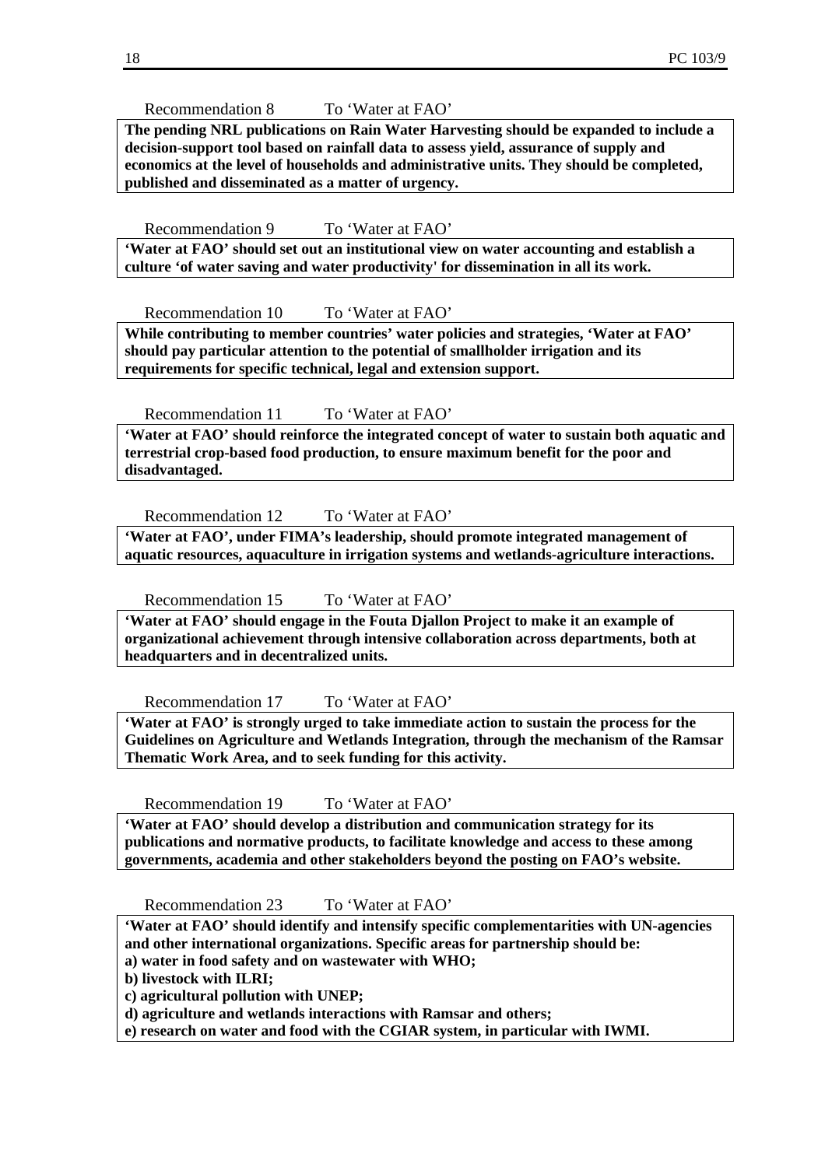Recommendation 8 To 'Water at FAO'

**The pending NRL publications on Rain Water Harvesting should be expanded to include a decision-support tool based on rainfall data to assess yield, assurance of supply and economics at the level of households and administrative units. They should be completed, published and disseminated as a matter of urgency.** 

Recommendation 9 To 'Water at FAO'

**'Water at FAO' should set out an institutional view on water accounting and establish a culture 'of water saving and water productivity' for dissemination in all its work.** 

Recommendation 10 To 'Water at FAO'

**While contributing to member countries' water policies and strategies, 'Water at FAO' should pay particular attention to the potential of smallholder irrigation and its requirements for specific technical, legal and extension support.** 

Recommendation 11 To 'Water at FAO'

**'Water at FAO' should reinforce the integrated concept of water to sustain both aquatic and terrestrial crop-based food production, to ensure maximum benefit for the poor and disadvantaged.** 

Recommendation 12 To 'Water at FAO'

**'Water at FAO', under FIMA's leadership, should promote integrated management of aquatic resources, aquaculture in irrigation systems and wetlands-agriculture interactions.** 

Recommendation 15 To 'Water at FAO'

**'Water at FAO' should engage in the Fouta Djallon Project to make it an example of organizational achievement through intensive collaboration across departments, both at headquarters and in decentralized units.** 

Recommendation 17 To 'Water at FAO'

**'Water at FAO' is strongly urged to take immediate action to sustain the process for the Guidelines on Agriculture and Wetlands Integration, through the mechanism of the Ramsar Thematic Work Area, and to seek funding for this activity.** 

Recommendation 19 To 'Water at FAO'

**'Water at FAO' should develop a distribution and communication strategy for its publications and normative products, to facilitate knowledge and access to these among governments, academia and other stakeholders beyond the posting on FAO's website.** 

Recommendation 23 To 'Water at FAO'

**'Water at FAO' should identify and intensify specific complementarities with UN-agencies and other international organizations. Specific areas for partnership should be:** 

**a) water in food safety and on wastewater with WHO;** 

**b) livestock with ILRI;** 

**c) agricultural pollution with UNEP;** 

**d) agriculture and wetlands interactions with Ramsar and others;** 

**e) research on water and food with the CGIAR system, in particular with IWMI.**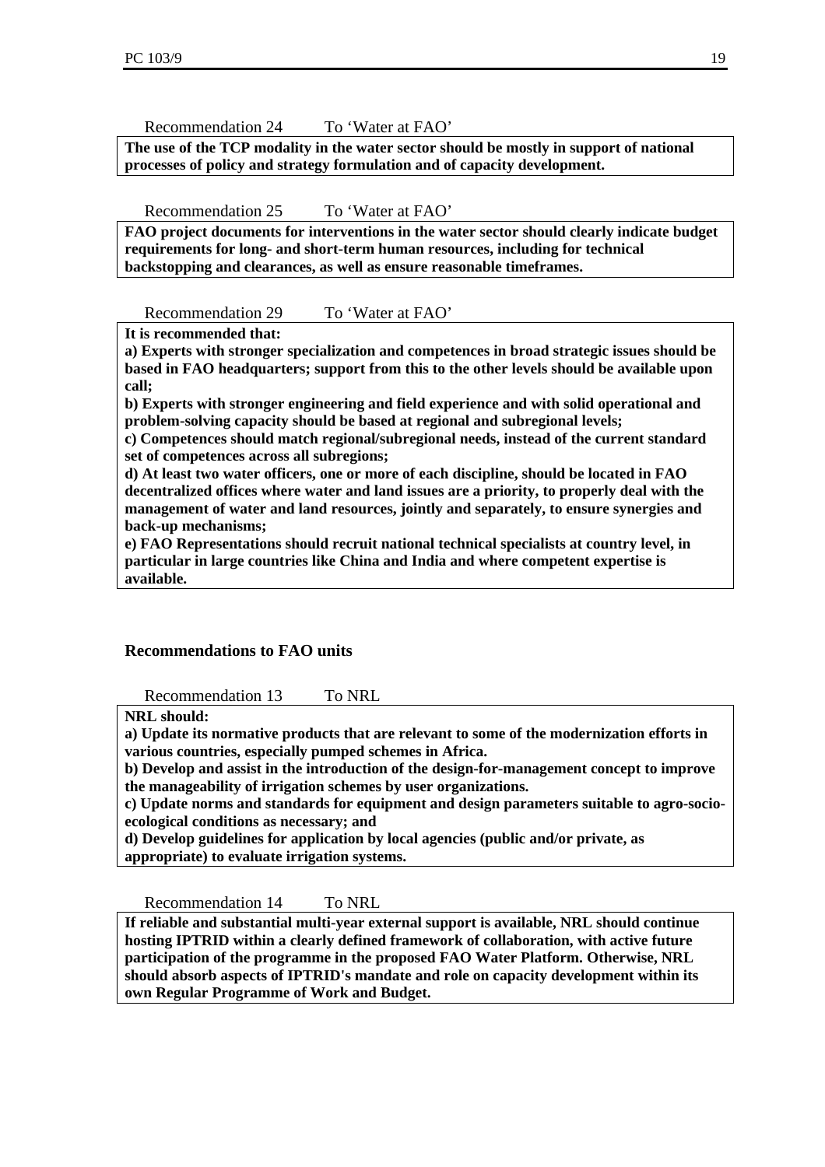Recommendation 24 To 'Water at FAO'

**The use of the TCP modality in the water sector should be mostly in support of national processes of policy and strategy formulation and of capacity development.** 

Recommendation 25 To 'Water at FAO'

**FAO project documents for interventions in the water sector should clearly indicate budget requirements for long- and short-term human resources, including for technical backstopping and clearances, as well as ensure reasonable timeframes.** 

Recommendation 29 To 'Water at FAO'

**It is recommended that:** 

**a) Experts with stronger specialization and competences in broad strategic issues should be based in FAO headquarters; support from this to the other levels should be available upon call;** 

**b) Experts with stronger engineering and field experience and with solid operational and problem-solving capacity should be based at regional and subregional levels;** 

**c) Competences should match regional/subregional needs, instead of the current standard set of competences across all subregions;** 

**d) At least two water officers, one or more of each discipline, should be located in FAO decentralized offices where water and land issues are a priority, to properly deal with the management of water and land resources, jointly and separately, to ensure synergies and back-up mechanisms;** 

**e) FAO Representations should recruit national technical specialists at country level, in particular in large countries like China and India and where competent expertise is available.** 

# **Recommendations to FAO units**

Recommendation 13 To NRL

**NRL should:** 

**a) Update its normative products that are relevant to some of the modernization efforts in various countries, especially pumped schemes in Africa.** 

**b) Develop and assist in the introduction of the design-for-management concept to improve the manageability of irrigation schemes by user organizations.** 

**c) Update norms and standards for equipment and design parameters suitable to agro-socioecological conditions as necessary; and** 

**d) Develop guidelines for application by local agencies (public and/or private, as appropriate) to evaluate irrigation systems.** 

Recommendation 14 To NRL

**If reliable and substantial multi-year external support is available, NRL should continue hosting IPTRID within a clearly defined framework of collaboration, with active future participation of the programme in the proposed FAO Water Platform. Otherwise, NRL should absorb aspects of IPTRID's mandate and role on capacity development within its own Regular Programme of Work and Budget.**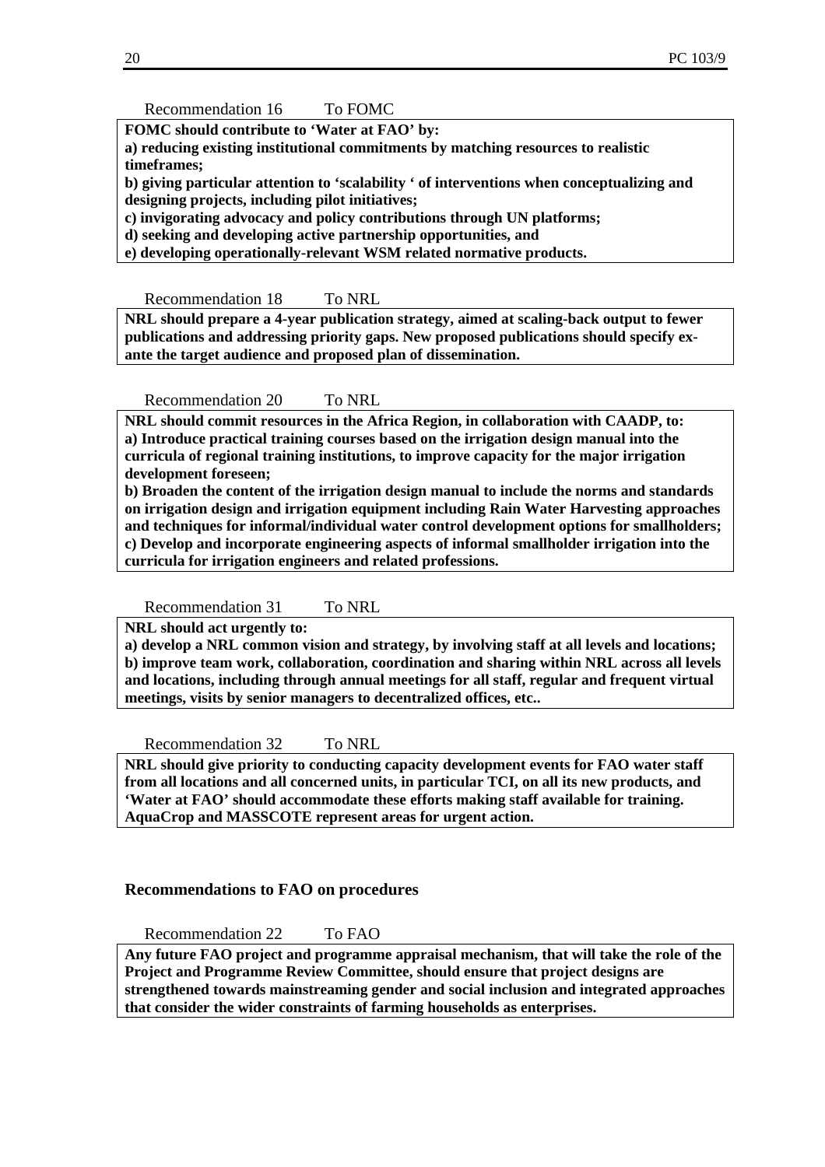Recommendation 16 To FOMC

**FOMC should contribute to 'Water at FAO' by:** 

**a) reducing existing institutional commitments by matching resources to realistic timeframes;** 

**b) giving particular attention to 'scalability ' of interventions when conceptualizing and designing projects, including pilot initiatives;** 

**c) invigorating advocacy and policy contributions through UN platforms;** 

**d) seeking and developing active partnership opportunities, and** 

**e) developing operationally-relevant WSM related normative products.** 

Recommendation 18 To NRL

**NRL should prepare a 4-year publication strategy, aimed at scaling-back output to fewer publications and addressing priority gaps. New proposed publications should specify exante the target audience and proposed plan of dissemination.** 

Recommendation 20 To NRL

**NRL should commit resources in the Africa Region, in collaboration with CAADP, to: a) Introduce practical training courses based on the irrigation design manual into the curricula of regional training institutions, to improve capacity for the major irrigation development foreseen;** 

**b) Broaden the content of the irrigation design manual to include the norms and standards on irrigation design and irrigation equipment including Rain Water Harvesting approaches and techniques for informal/individual water control development options for smallholders; c) Develop and incorporate engineering aspects of informal smallholder irrigation into the curricula for irrigation engineers and related professions.** 

Recommendation 31 To NRL

**NRL should act urgently to:** 

**a) develop a NRL common vision and strategy, by involving staff at all levels and locations; b) improve team work, collaboration, coordination and sharing within NRL across all levels and locations, including through annual meetings for all staff, regular and frequent virtual meetings, visits by senior managers to decentralized offices, etc..** 

Recommendation 32 To NRL

**NRL should give priority to conducting capacity development events for FAO water staff from all locations and all concerned units, in particular TCI, on all its new products, and 'Water at FAO' should accommodate these efforts making staff available for training. AquaCrop and MASSCOTE represent areas for urgent action.** 

#### **Recommendations to FAO on procedures**

Recommendation 22 To FAO

**Any future FAO project and programme appraisal mechanism, that will take the role of the Project and Programme Review Committee, should ensure that project designs are strengthened towards mainstreaming gender and social inclusion and integrated approaches that consider the wider constraints of farming households as enterprises.**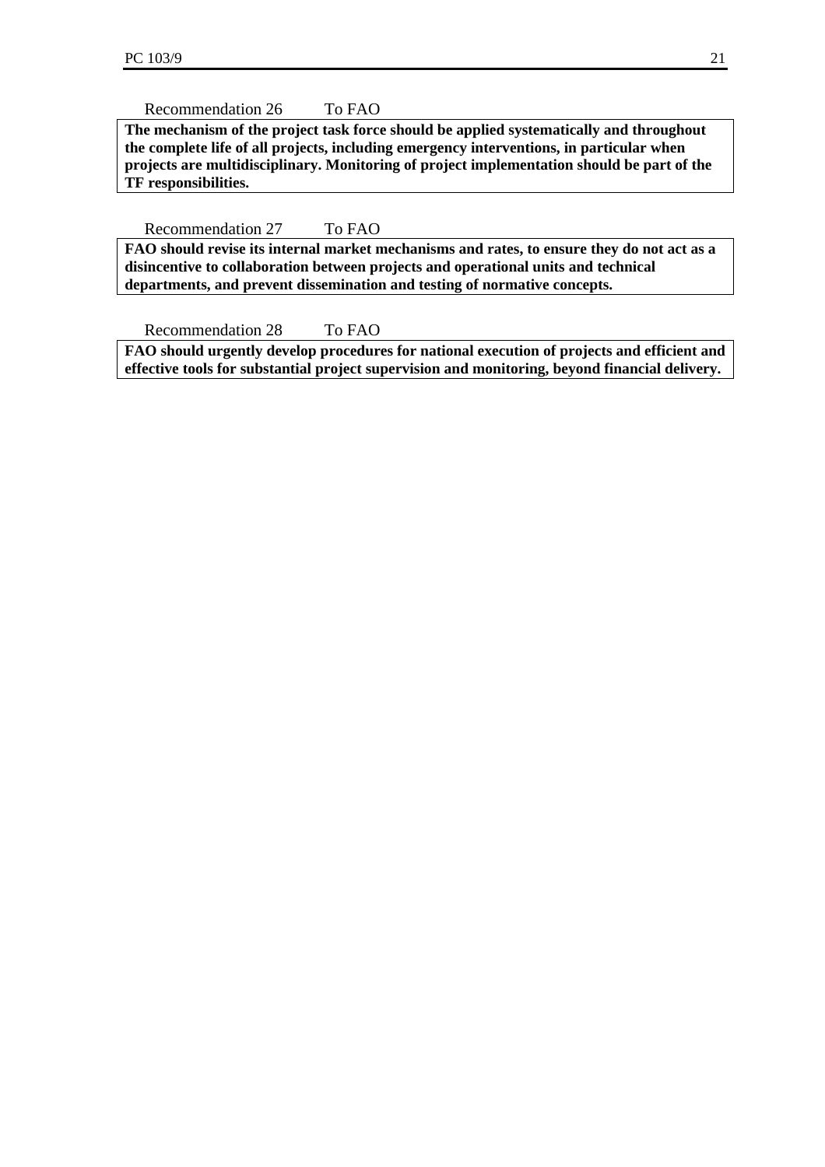Recommendation 26 To FAO

**The mechanism of the project task force should be applied systematically and throughout the complete life of all projects, including emergency interventions, in particular when projects are multidisciplinary. Monitoring of project implementation should be part of the TF responsibilities.** 

Recommendation 27 To FAO

**FAO should revise its internal market mechanisms and rates, to ensure they do not act as a disincentive to collaboration between projects and operational units and technical departments, and prevent dissemination and testing of normative concepts.** 

Recommendation 28 To FAO

**FAO should urgently develop procedures for national execution of projects and efficient and effective tools for substantial project supervision and monitoring, beyond financial delivery.**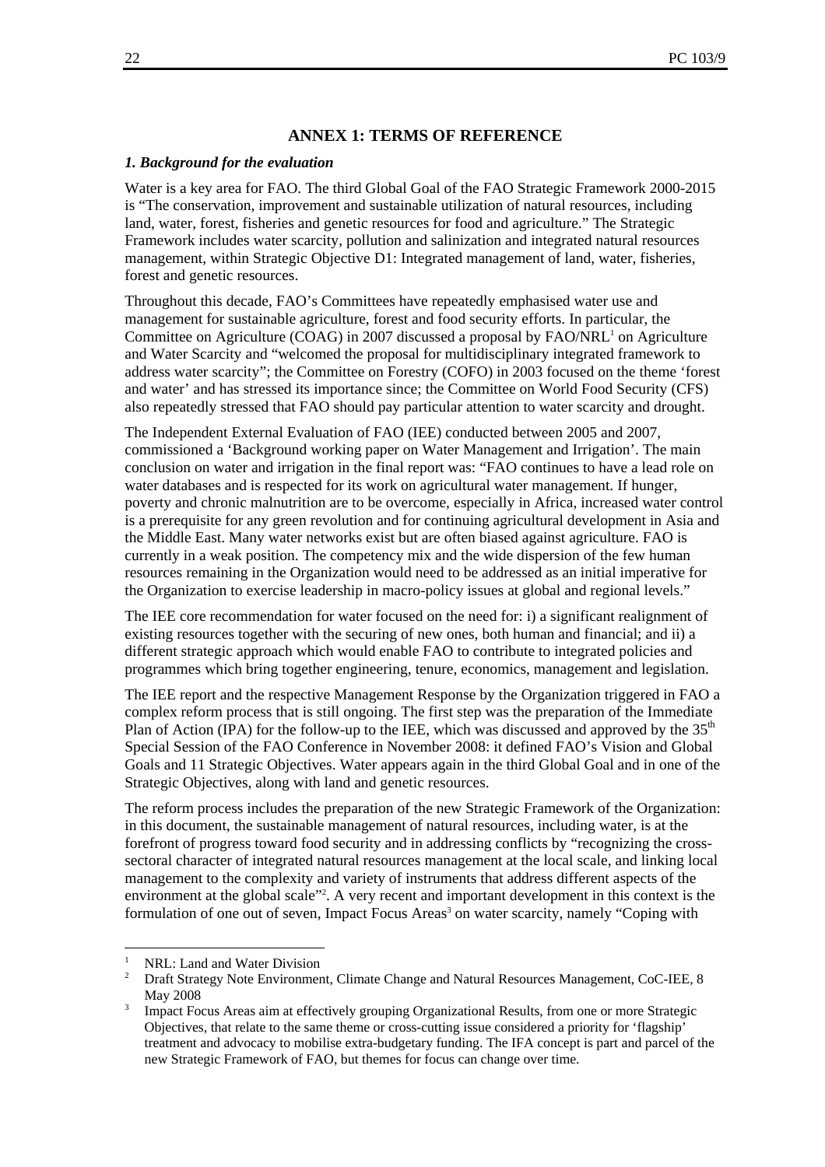#### **ANNEX 1: TERMS OF REFERENCE**

#### *1. Background for the evaluation*

Water is a key area for FAO. The third Global Goal of the FAO Strategic Framework 2000-2015 is "The conservation, improvement and sustainable utilization of natural resources, including land, water, forest, fisheries and genetic resources for food and agriculture." The Strategic Framework includes water scarcity, pollution and salinization and integrated natural resources management, within Strategic Objective D1: Integrated management of land, water, fisheries, forest and genetic resources.

Throughout this decade, FAO's Committees have repeatedly emphasised water use and management for sustainable agriculture, forest and food security efforts. In particular, the Committee on Agriculture (COAG) in 2007 discussed a proposal by  $FAO/NRL<sup>1</sup>$  on Agriculture and Water Scarcity and "welcomed the proposal for multidisciplinary integrated framework to address water scarcity"; the Committee on Forestry (COFO) in 2003 focused on the theme 'forest and water' and has stressed its importance since; the Committee on World Food Security (CFS) also repeatedly stressed that FAO should pay particular attention to water scarcity and drought.

The Independent External Evaluation of FAO (IEE) conducted between 2005 and 2007, commissioned a 'Background working paper on Water Management and Irrigation'. The main conclusion on water and irrigation in the final report was: "FAO continues to have a lead role on water databases and is respected for its work on agricultural water management. If hunger, poverty and chronic malnutrition are to be overcome, especially in Africa, increased water control is a prerequisite for any green revolution and for continuing agricultural development in Asia and the Middle East. Many water networks exist but are often biased against agriculture. FAO is currently in a weak position. The competency mix and the wide dispersion of the few human resources remaining in the Organization would need to be addressed as an initial imperative for the Organization to exercise leadership in macro-policy issues at global and regional levels."

The IEE core recommendation for water focused on the need for: i) a significant realignment of existing resources together with the securing of new ones, both human and financial; and ii) a different strategic approach which would enable FAO to contribute to integrated policies and programmes which bring together engineering, tenure, economics, management and legislation.

The IEE report and the respective Management Response by the Organization triggered in FAO a complex reform process that is still ongoing. The first step was the preparation of the Immediate Plan of Action (IPA) for the follow-up to the IEE, which was discussed and approved by the  $35<sup>th</sup>$ Special Session of the FAO Conference in November 2008: it defined FAO's Vision and Global Goals and 11 Strategic Objectives. Water appears again in the third Global Goal and in one of the Strategic Objectives, along with land and genetic resources.

The reform process includes the preparation of the new Strategic Framework of the Organization: in this document, the sustainable management of natural resources, including water, is at the forefront of progress toward food security and in addressing conflicts by "recognizing the crosssectoral character of integrated natural resources management at the local scale, and linking local management to the complexity and variety of instruments that address different aspects of the environment at the global scale"<sup>2</sup>. A very recent and important development in this context is the formulation of one out of seven, Impact Focus Areas<sup>3</sup> on water scarcity, namely "Coping with

l

<sup>1</sup> NRL: Land and Water Division

<sup>2</sup> Draft Strategy Note Environment, Climate Change and Natural Resources Management, CoC-IEE, 8 **May 2008** 

Impact Focus Areas aim at effectively grouping Organizational Results, from one or more Strategic Objectives, that relate to the same theme or cross-cutting issue considered a priority for 'flagship' treatment and advocacy to mobilise extra-budgetary funding. The IFA concept is part and parcel of the new Strategic Framework of FAO, but themes for focus can change over time.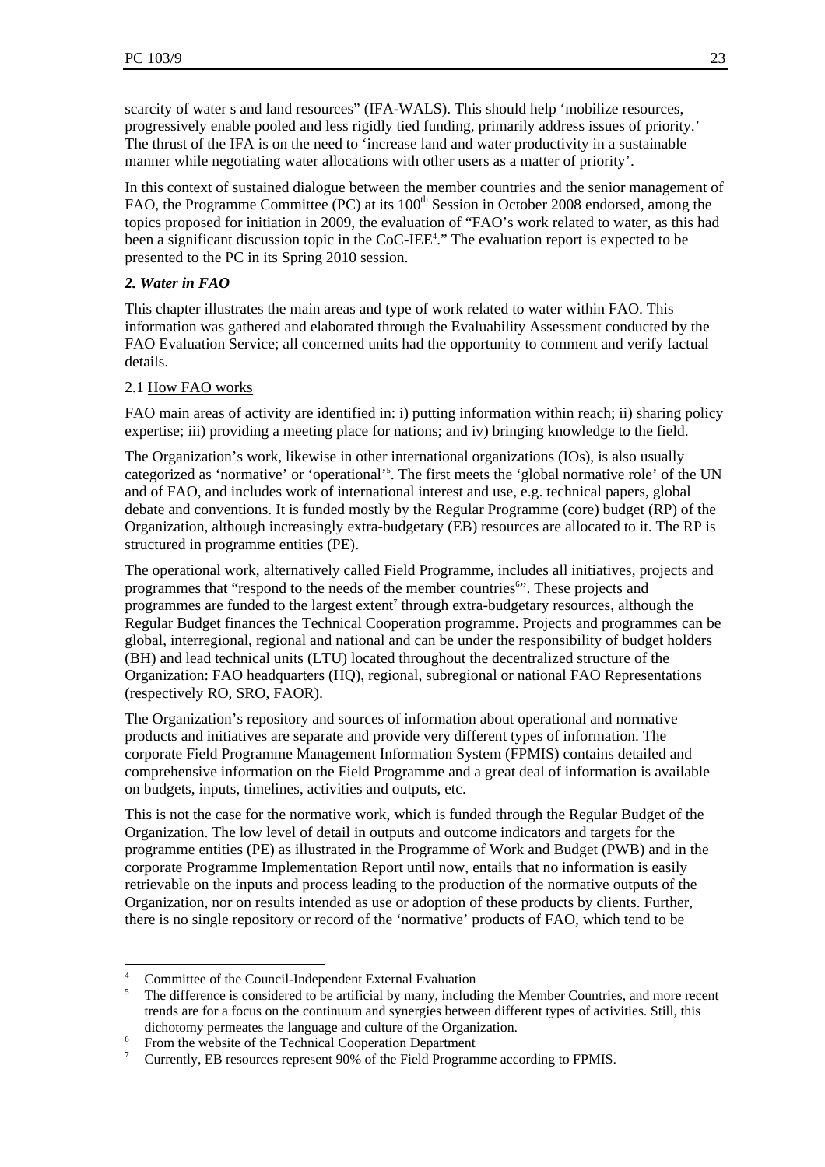scarcity of water s and land resources" (IFA-WALS). This should help 'mobilize resources, progressively enable pooled and less rigidly tied funding, primarily address issues of priority.' The thrust of the IFA is on the need to 'increase land and water productivity in a sustainable manner while negotiating water allocations with other users as a matter of priority'.

In this context of sustained dialogue between the member countries and the senior management of FAO, the Programme Committee (PC) at its 100<sup>th</sup> Session in October 2008 endorsed, among the topics proposed for initiation in 2009, the evaluation of "FAO's work related to water, as this had been a significant discussion topic in the CoC-IEE<sup>4</sup>." The evaluation report is expected to be presented to the PC in its Spring 2010 session.

# *2. Water in FAO*

This chapter illustrates the main areas and type of work related to water within FAO. This information was gathered and elaborated through the Evaluability Assessment conducted by the FAO Evaluation Service; all concerned units had the opportunity to comment and verify factual details.

# 2.1 How FAO works

l

FAO main areas of activity are identified in: i) putting information within reach; ii) sharing policy expertise; iii) providing a meeting place for nations; and iv) bringing knowledge to the field.

The Organization's work, likewise in other international organizations (IOs), is also usually categorized as 'normative' or 'operational'<sup>5</sup>. The first meets the 'global normative role' of the UN and of FAO, and includes work of international interest and use, e.g. technical papers, global debate and conventions. It is funded mostly by the Regular Programme (core) budget (RP) of the Organization, although increasingly extra-budgetary (EB) resources are allocated to it. The RP is structured in programme entities (PE).

The operational work, alternatively called Field Programme, includes all initiatives, projects and programmes that "respond to the needs of the member countries". These projects and programmes are funded to the largest extent<sup>7</sup> through extra-budgetary resources, although the Regular Budget finances the Technical Cooperation programme. Projects and programmes can be global, interregional, regional and national and can be under the responsibility of budget holders (BH) and lead technical units (LTU) located throughout the decentralized structure of the Organization: FAO headquarters (HQ), regional, subregional or national FAO Representations (respectively RO, SRO, FAOR).

The Organization's repository and sources of information about operational and normative products and initiatives are separate and provide very different types of information. The corporate Field Programme Management Information System (FPMIS) contains detailed and comprehensive information on the Field Programme and a great deal of information is available on budgets, inputs, timelines, activities and outputs, etc.

This is not the case for the normative work, which is funded through the Regular Budget of the Organization. The low level of detail in outputs and outcome indicators and targets for the programme entities (PE) as illustrated in the Programme of Work and Budget (PWB) and in the corporate Programme Implementation Report until now, entails that no information is easily retrievable on the inputs and process leading to the production of the normative outputs of the Organization, nor on results intended as use or adoption of these products by clients. Further, there is no single repository or record of the 'normative' products of FAO, which tend to be

<sup>4</sup> Committee of the Council-Independent External Evaluation 5

The difference is considered to be artificial by many, including the Member Countries, and more recent trends are for a focus on the continuum and synergies between different types of activities. Still, this dichotomy permeates the language and culture of the Organization.

<sup>&</sup>lt;sup>6</sup> From the website of the Technical Cooperation Department

<sup>7</sup> Currently, EB resources represent 90% of the Field Programme according to FPMIS.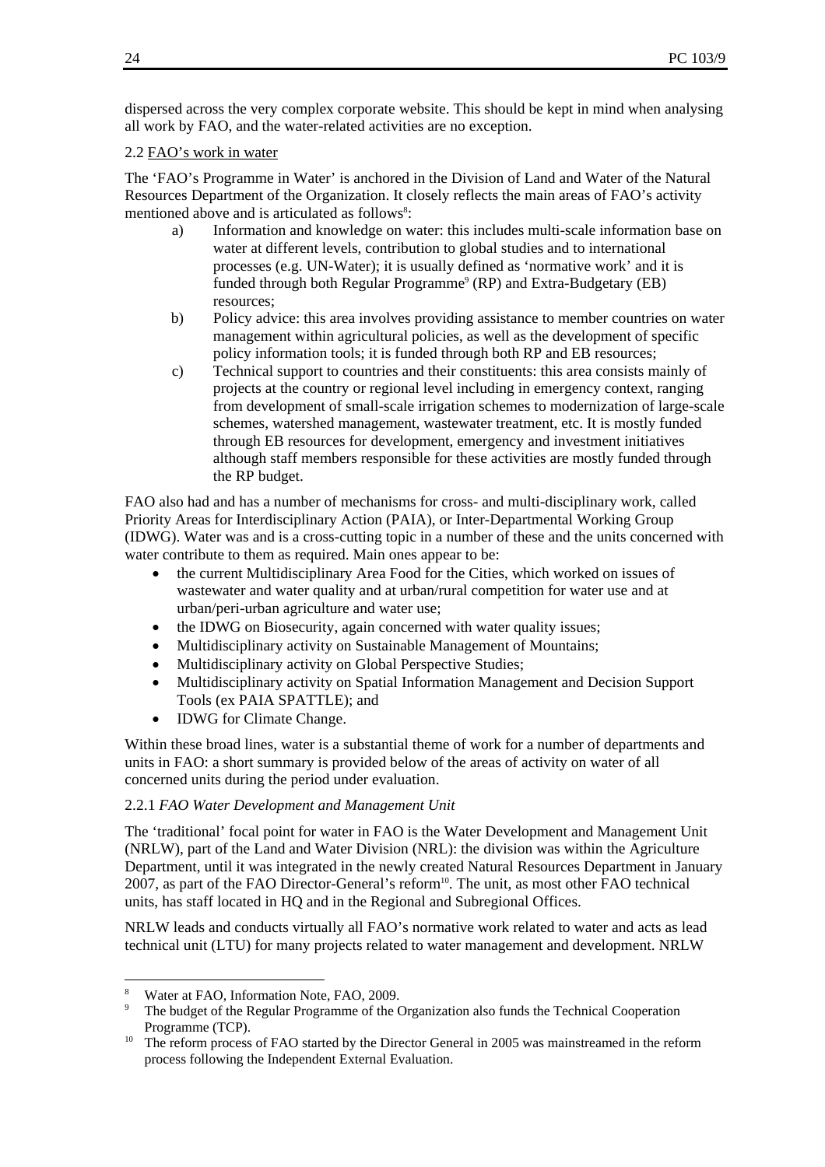dispersed across the very complex corporate website. This should be kept in mind when analysing all work by FAO, and the water-related activities are no exception.

#### 2.2 FAO's work in water

The 'FAO's Programme in Water' is anchored in the Division of Land and Water of the Natural Resources Department of the Organization. It closely reflects the main areas of FAO's activity mentioned above and is articulated as follows<sup>8</sup>:

- a) Information and knowledge on water: this includes multi-scale information base on water at different levels, contribution to global studies and to international processes (e.g. UN-Water); it is usually defined as 'normative work' and it is funded through both Regular Programme<sup>9</sup> (RP) and Extra-Budgetary (EB) resources;
- b) Policy advice: this area involves providing assistance to member countries on water management within agricultural policies, as well as the development of specific policy information tools; it is funded through both RP and EB resources;
- c) Technical support to countries and their constituents: this area consists mainly of projects at the country or regional level including in emergency context, ranging from development of small-scale irrigation schemes to modernization of large-scale schemes, watershed management, wastewater treatment, etc. It is mostly funded through EB resources for development, emergency and investment initiatives although staff members responsible for these activities are mostly funded through the RP budget.

FAO also had and has a number of mechanisms for cross- and multi-disciplinary work, called Priority Areas for Interdisciplinary Action (PAIA), or Inter-Departmental Working Group (IDWG). Water was and is a cross-cutting topic in a number of these and the units concerned with water contribute to them as required. Main ones appear to be:

- the current Multidisciplinary Area Food for the Cities, which worked on issues of wastewater and water quality and at urban/rural competition for water use and at urban/peri-urban agriculture and water use;
- the IDWG on Biosecurity, again concerned with water quality issues;
- Multidisciplinary activity on Sustainable Management of Mountains;
- Multidisciplinary activity on Global Perspective Studies;
- Multidisciplinary activity on Spatial Information Management and Decision Support Tools (ex PAIA SPATTLE); and
- IDWG for Climate Change.

Within these broad lines, water is a substantial theme of work for a number of departments and units in FAO: a short summary is provided below of the areas of activity on water of all concerned units during the period under evaluation.

#### 2.2.1 *FAO Water Development and Management Unit*

The 'traditional' focal point for water in FAO is the Water Development and Management Unit (NRLW), part of the Land and Water Division (NRL): the division was within the Agriculture Department, until it was integrated in the newly created Natural Resources Department in January 2007, as part of the FAO Director-General's reform<sup>10</sup>. The unit, as most other FAO technical units, has staff located in HQ and in the Regional and Subregional Offices.

NRLW leads and conducts virtually all FAO's normative work related to water and acts as lead technical unit (LTU) for many projects related to water management and development. NRLW

l

<sup>8</sup> Water at FAO, Information Note, FAO, 2009.

<sup>9</sup> The budget of the Regular Programme of the Organization also funds the Technical Cooperation

Programme (TCP).<br><sup>10</sup> The reform process of FAO started by the Director General in 2005 was mainstreamed in the reform process following the Independent External Evaluation.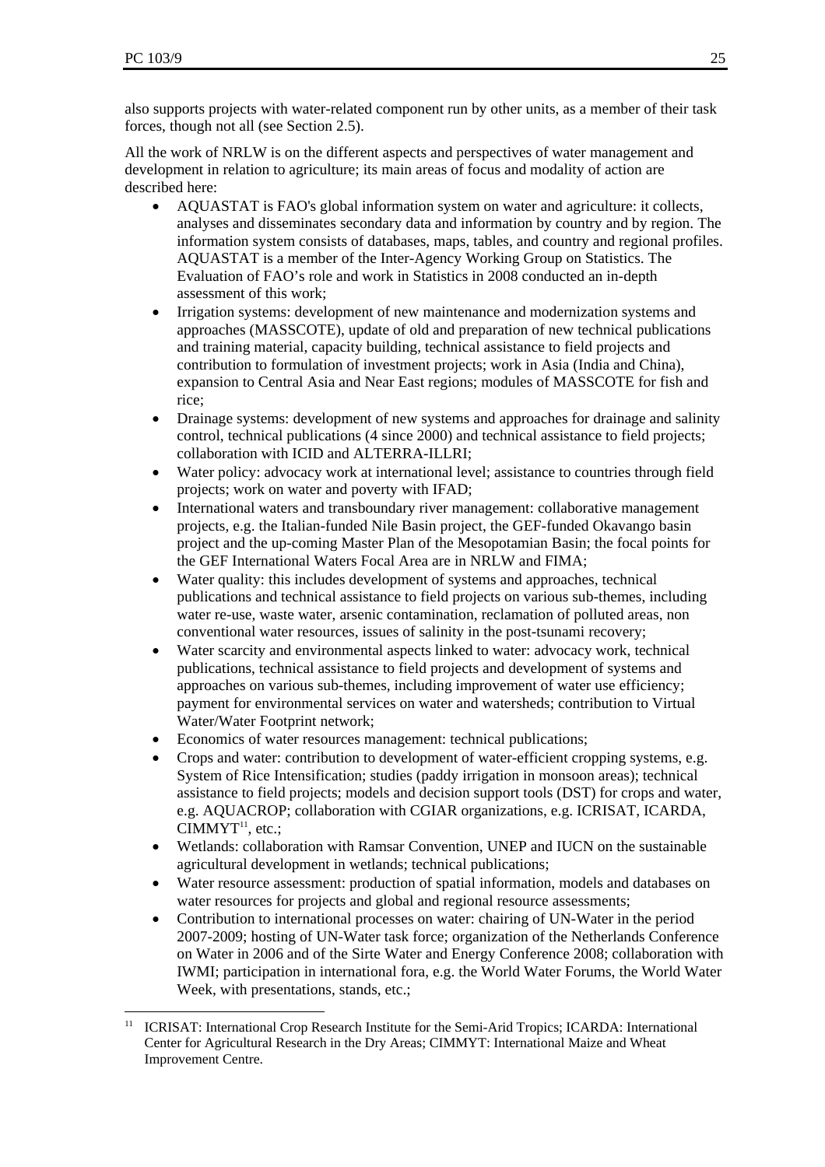$\overline{\phantom{a}}$ 

also supports projects with water-related component run by other units, as a member of their task forces, though not all (see Section 2.5).

All the work of NRLW is on the different aspects and perspectives of water management and development in relation to agriculture; its main areas of focus and modality of action are described here:

- AQUASTAT is FAO's global information system on water and agriculture: it collects, analyses and disseminates secondary data and information by country and by region. The information system consists of databases, maps, tables, and country and regional profiles. AQUASTAT is a member of the Inter-Agency Working Group on Statistics. The Evaluation of FAO's role and work in Statistics in 2008 conducted an in-depth assessment of this work;
- Irrigation systems: development of new maintenance and modernization systems and approaches (MASSCOTE), update of old and preparation of new technical publications and training material, capacity building, technical assistance to field projects and contribution to formulation of investment projects; work in Asia (India and China), expansion to Central Asia and Near East regions; modules of MASSCOTE for fish and rice;
- Drainage systems: development of new systems and approaches for drainage and salinity control, technical publications (4 since 2000) and technical assistance to field projects; collaboration with ICID and ALTERRA-ILLRI;
- Water policy: advocacy work at international level; assistance to countries through field projects; work on water and poverty with IFAD;
- International waters and transboundary river management: collaborative management projects, e.g. the Italian-funded Nile Basin project, the GEF-funded Okavango basin project and the up-coming Master Plan of the Mesopotamian Basin; the focal points for the GEF International Waters Focal Area are in NRLW and FIMA;
- Water quality: this includes development of systems and approaches, technical publications and technical assistance to field projects on various sub-themes, including water re-use, waste water, arsenic contamination, reclamation of polluted areas, non conventional water resources, issues of salinity in the post-tsunami recovery;
- Water scarcity and environmental aspects linked to water: advocacy work, technical publications, technical assistance to field projects and development of systems and approaches on various sub-themes, including improvement of water use efficiency; payment for environmental services on water and watersheds; contribution to Virtual Water/Water Footprint network;
- Economics of water resources management: technical publications;
- Crops and water: contribution to development of water-efficient cropping systems, e.g. System of Rice Intensification; studies (paddy irrigation in monsoon areas); technical assistance to field projects; models and decision support tools (DST) for crops and water, e.g. AQUACROP; collaboration with CGIAR organizations, e.g. ICRISAT, ICARDA, CIMMYT<sup>11</sup>, etc.;
- Wetlands: collaboration with Ramsar Convention, UNEP and IUCN on the sustainable agricultural development in wetlands; technical publications;
- Water resource assessment: production of spatial information, models and databases on water resources for projects and global and regional resource assessments;
- Contribution to international processes on water: chairing of UN-Water in the period 2007-2009; hosting of UN-Water task force; organization of the Netherlands Conference on Water in 2006 and of the Sirte Water and Energy Conference 2008; collaboration with IWMI; participation in international fora, e.g. the World Water Forums, the World Water Week, with presentations, stands, etc.;

<sup>11</sup> ICRISAT: International Crop Research Institute for the Semi-Arid Tropics; ICARDA: International Center for Agricultural Research in the Dry Areas; CIMMYT: International Maize and Wheat Improvement Centre.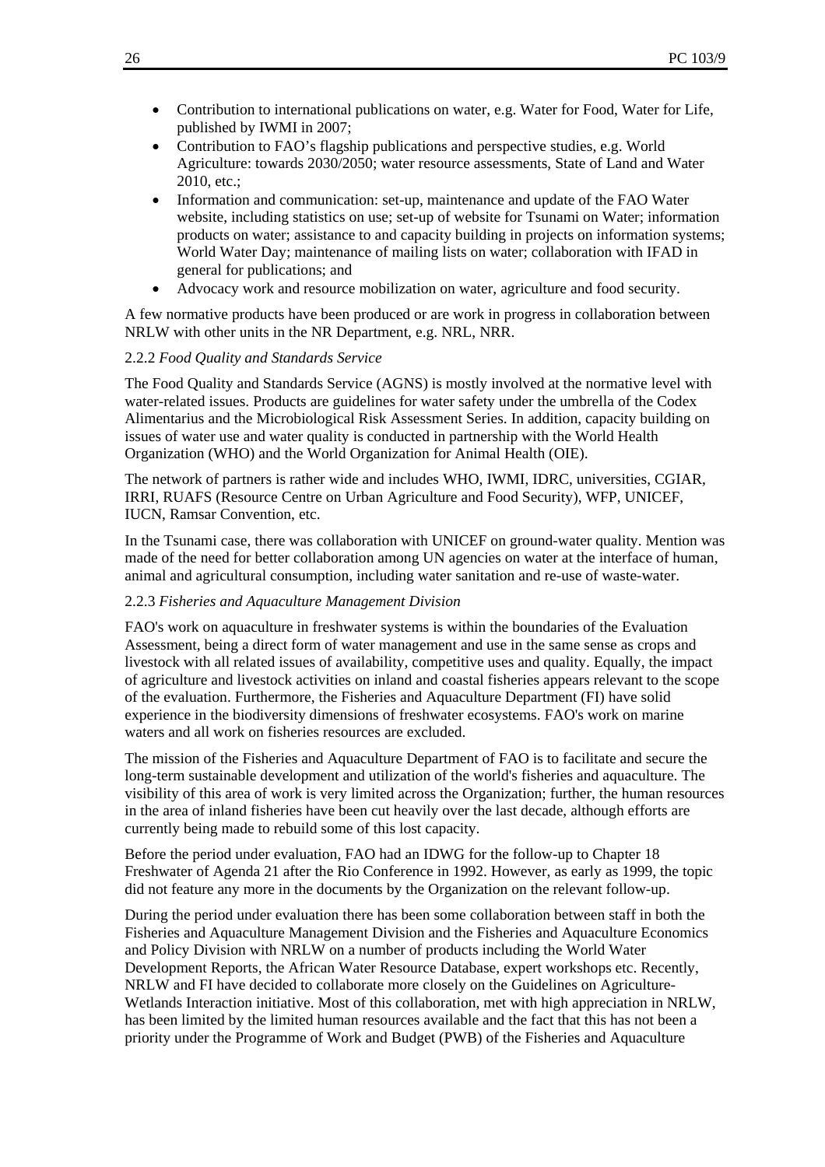- Contribution to international publications on water, e.g. Water for Food, Water for Life, published by IWMI in 2007;
- Contribution to FAO's flagship publications and perspective studies, e.g. World Agriculture: towards 2030/2050; water resource assessments, State of Land and Water 2010, etc.;
- Information and communication: set-up, maintenance and update of the FAO Water website, including statistics on use; set-up of website for Tsunami on Water; information products on water; assistance to and capacity building in projects on information systems; World Water Day; maintenance of mailing lists on water; collaboration with IFAD in general for publications; and
- Advocacy work and resource mobilization on water, agriculture and food security.

A few normative products have been produced or are work in progress in collaboration between NRLW with other units in the NR Department, e.g. NRL, NRR.

#### 2.2.2 *Food Quality and Standards Service*

The Food Quality and Standards Service (AGNS) is mostly involved at the normative level with water-related issues. Products are guidelines for water safety under the umbrella of the Codex Alimentarius and the Microbiological Risk Assessment Series. In addition, capacity building on issues of water use and water quality is conducted in partnership with the World Health Organization (WHO) and the World Organization for Animal Health (OIE).

The network of partners is rather wide and includes WHO, IWMI, IDRC, universities, CGIAR, IRRI, RUAFS (Resource Centre on Urban Agriculture and Food Security), WFP, UNICEF, IUCN, Ramsar Convention, etc.

In the Tsunami case, there was collaboration with UNICEF on ground-water quality. Mention was made of the need for better collaboration among UN agencies on water at the interface of human, animal and agricultural consumption, including water sanitation and re-use of waste-water.

#### 2.2.3 *Fisheries and Aquaculture Management Division*

FAO's work on aquaculture in freshwater systems is within the boundaries of the Evaluation Assessment, being a direct form of water management and use in the same sense as crops and livestock with all related issues of availability, competitive uses and quality. Equally, the impact of agriculture and livestock activities on inland and coastal fisheries appears relevant to the scope of the evaluation. Furthermore, the Fisheries and Aquaculture Department (FI) have solid experience in the biodiversity dimensions of freshwater ecosystems. FAO's work on marine waters and all work on fisheries resources are excluded.

The mission of the Fisheries and Aquaculture Department of FAO is to facilitate and secure the long-term sustainable development and utilization of the world's fisheries and aquaculture. The visibility of this area of work is very limited across the Organization; further, the human resources in the area of inland fisheries have been cut heavily over the last decade, although efforts are currently being made to rebuild some of this lost capacity.

Before the period under evaluation, FAO had an IDWG for the follow-up to Chapter 18 Freshwater of Agenda 21 after the Rio Conference in 1992. However, as early as 1999, the topic did not feature any more in the documents by the Organization on the relevant follow-up.

During the period under evaluation there has been some collaboration between staff in both the Fisheries and Aquaculture Management Division and the Fisheries and Aquaculture Economics and Policy Division with NRLW on a number of products including the World Water Development Reports, the African Water Resource Database, expert workshops etc. Recently, NRLW and FI have decided to collaborate more closely on the Guidelines on Agriculture-Wetlands Interaction initiative. Most of this collaboration, met with high appreciation in NRLW, has been limited by the limited human resources available and the fact that this has not been a priority under the Programme of Work and Budget (PWB) of the Fisheries and Aquaculture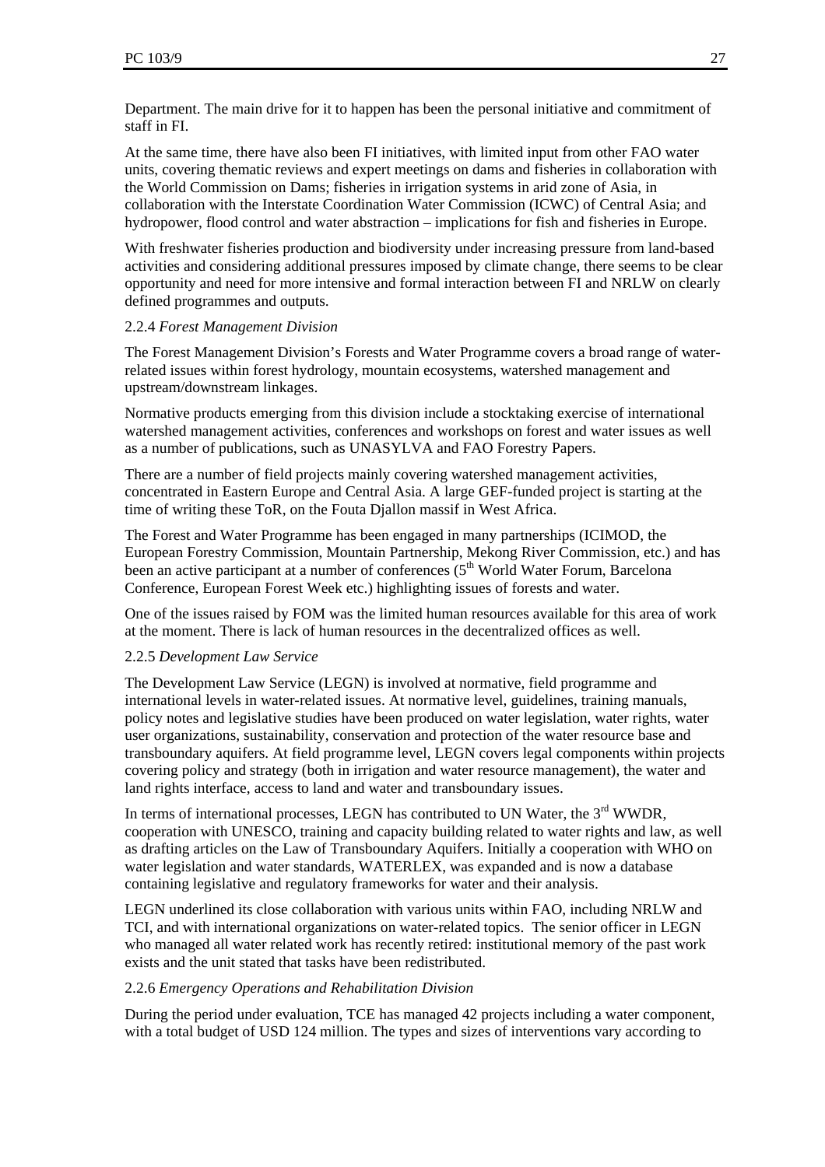Department. The main drive for it to happen has been the personal initiative and commitment of staff in FI.

At the same time, there have also been FI initiatives, with limited input from other FAO water units, covering thematic reviews and expert meetings on dams and fisheries in collaboration with the World Commission on Dams; fisheries in irrigation systems in arid zone of Asia, in collaboration with the Interstate Coordination Water Commission (ICWC) of Central Asia; and hydropower, flood control and water abstraction – implications for fish and fisheries in Europe.

With freshwater fisheries production and biodiversity under increasing pressure from land-based activities and considering additional pressures imposed by climate change, there seems to be clear opportunity and need for more intensive and formal interaction between FI and NRLW on clearly defined programmes and outputs.

#### 2.2.4 *Forest Management Division*

The Forest Management Division's Forests and Water Programme covers a broad range of waterrelated issues within forest hydrology, mountain ecosystems, watershed management and upstream/downstream linkages.

Normative products emerging from this division include a stocktaking exercise of international watershed management activities, conferences and workshops on forest and water issues as well as a number of publications, such as UNASYLVA and FAO Forestry Papers.

There are a number of field projects mainly covering watershed management activities, concentrated in Eastern Europe and Central Asia. A large GEF-funded project is starting at the time of writing these ToR, on the Fouta Djallon massif in West Africa.

The Forest and Water Programme has been engaged in many partnerships (ICIMOD, the European Forestry Commission, Mountain Partnership, Mekong River Commission, etc.) and has been an active participant at a number of conferences  $(5<sup>th</sup>$  World Water Forum, Barcelona Conference, European Forest Week etc.) highlighting issues of forests and water.

One of the issues raised by FOM was the limited human resources available for this area of work at the moment. There is lack of human resources in the decentralized offices as well.

#### 2.2.5 *Development Law Service*

The Development Law Service (LEGN) is involved at normative, field programme and international levels in water-related issues. At normative level, guidelines, training manuals, policy notes and legislative studies have been produced on water legislation, water rights, water user organizations, sustainability, conservation and protection of the water resource base and transboundary aquifers. At field programme level, LEGN covers legal components within projects covering policy and strategy (both in irrigation and water resource management), the water and land rights interface, access to land and water and transboundary issues.

In terms of international processes, LEGN has contributed to UN Water, the 3<sup>rd</sup> WWDR, cooperation with UNESCO, training and capacity building related to water rights and law, as well as drafting articles on the Law of Transboundary Aquifers. Initially a cooperation with WHO on water legislation and water standards, WATERLEX, was expanded and is now a database containing legislative and regulatory frameworks for water and their analysis.

LEGN underlined its close collaboration with various units within FAO, including NRLW and TCI, and with international organizations on water-related topics. The senior officer in LEGN who managed all water related work has recently retired: institutional memory of the past work exists and the unit stated that tasks have been redistributed.

## 2.2.6 *Emergency Operations and Rehabilitation Division*

During the period under evaluation, TCE has managed 42 projects including a water component, with a total budget of USD 124 million. The types and sizes of interventions vary according to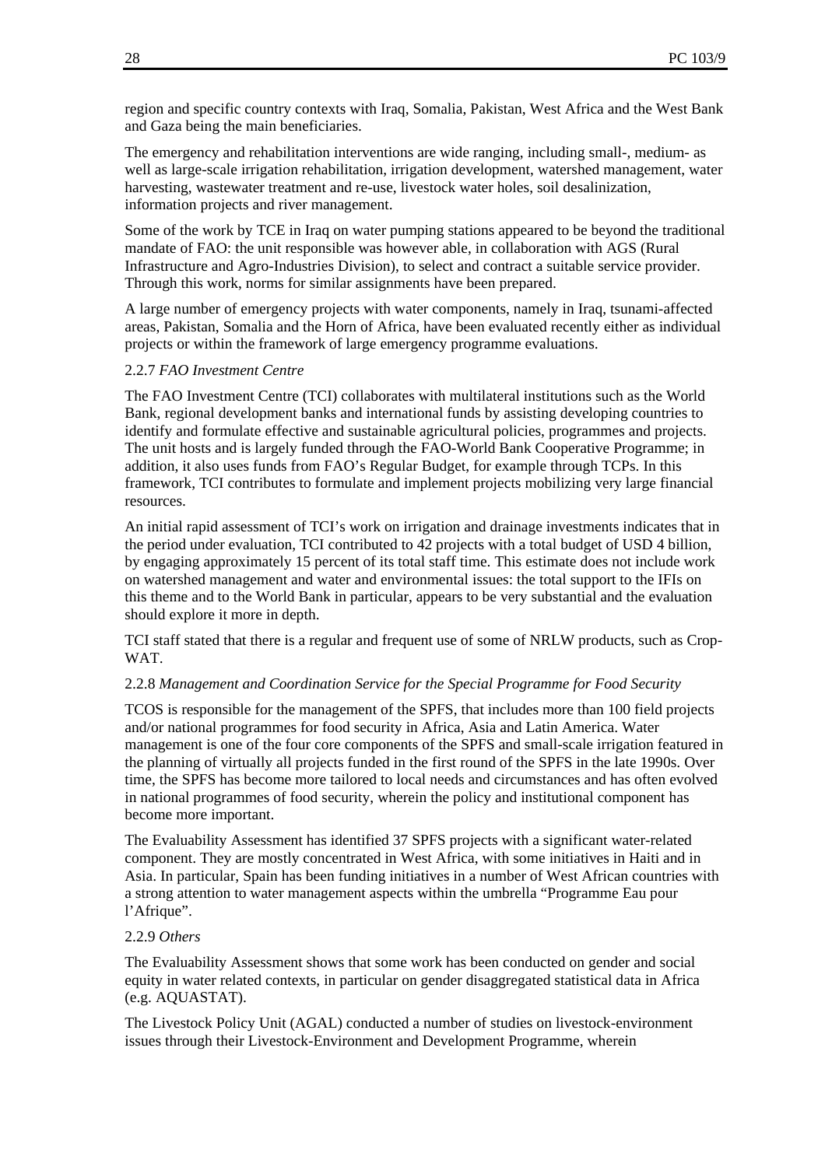region and specific country contexts with Iraq, Somalia, Pakistan, West Africa and the West Bank and Gaza being the main beneficiaries.

The emergency and rehabilitation interventions are wide ranging, including small-, medium- as well as large-scale irrigation rehabilitation, irrigation development, watershed management, water harvesting, wastewater treatment and re-use, livestock water holes, soil desalinization, information projects and river management.

Some of the work by TCE in Iraq on water pumping stations appeared to be beyond the traditional mandate of FAO: the unit responsible was however able, in collaboration with AGS (Rural Infrastructure and Agro-Industries Division), to select and contract a suitable service provider. Through this work, norms for similar assignments have been prepared.

A large number of emergency projects with water components, namely in Iraq, tsunami-affected areas, Pakistan, Somalia and the Horn of Africa, have been evaluated recently either as individual projects or within the framework of large emergency programme evaluations.

#### 2.2.7 *FAO Investment Centre*

The FAO Investment Centre (TCI) collaborates with multilateral institutions such as the World Bank, regional development banks and international funds by assisting developing countries to identify and formulate effective and sustainable agricultural policies, programmes and projects. The unit hosts and is largely funded through the FAO-World Bank Cooperative Programme; in addition, it also uses funds from FAO's Regular Budget, for example through TCPs. In this framework, TCI contributes to formulate and implement projects mobilizing very large financial resources.

An initial rapid assessment of TCI's work on irrigation and drainage investments indicates that in the period under evaluation, TCI contributed to 42 projects with a total budget of USD 4 billion, by engaging approximately 15 percent of its total staff time. This estimate does not include work on watershed management and water and environmental issues: the total support to the IFIs on this theme and to the World Bank in particular, appears to be very substantial and the evaluation should explore it more in depth.

TCI staff stated that there is a regular and frequent use of some of NRLW products, such as Crop-WAT.

#### 2.2.8 *Management and Coordination Service for the Special Programme for Food Security*

TCOS is responsible for the management of the SPFS, that includes more than 100 field projects and/or national programmes for food security in Africa, Asia and Latin America. Water management is one of the four core components of the SPFS and small-scale irrigation featured in the planning of virtually all projects funded in the first round of the SPFS in the late 1990s. Over time, the SPFS has become more tailored to local needs and circumstances and has often evolved in national programmes of food security, wherein the policy and institutional component has become more important.

The Evaluability Assessment has identified 37 SPFS projects with a significant water-related component. They are mostly concentrated in West Africa, with some initiatives in Haiti and in Asia. In particular, Spain has been funding initiatives in a number of West African countries with a strong attention to water management aspects within the umbrella "Programme Eau pour l'Afrique".

#### 2.2.9 *Others*

The Evaluability Assessment shows that some work has been conducted on gender and social equity in water related contexts, in particular on gender disaggregated statistical data in Africa (e.g. AQUASTAT).

The Livestock Policy Unit (AGAL) conducted a number of studies on livestock-environment issues through their Livestock-Environment and Development Programme, wherein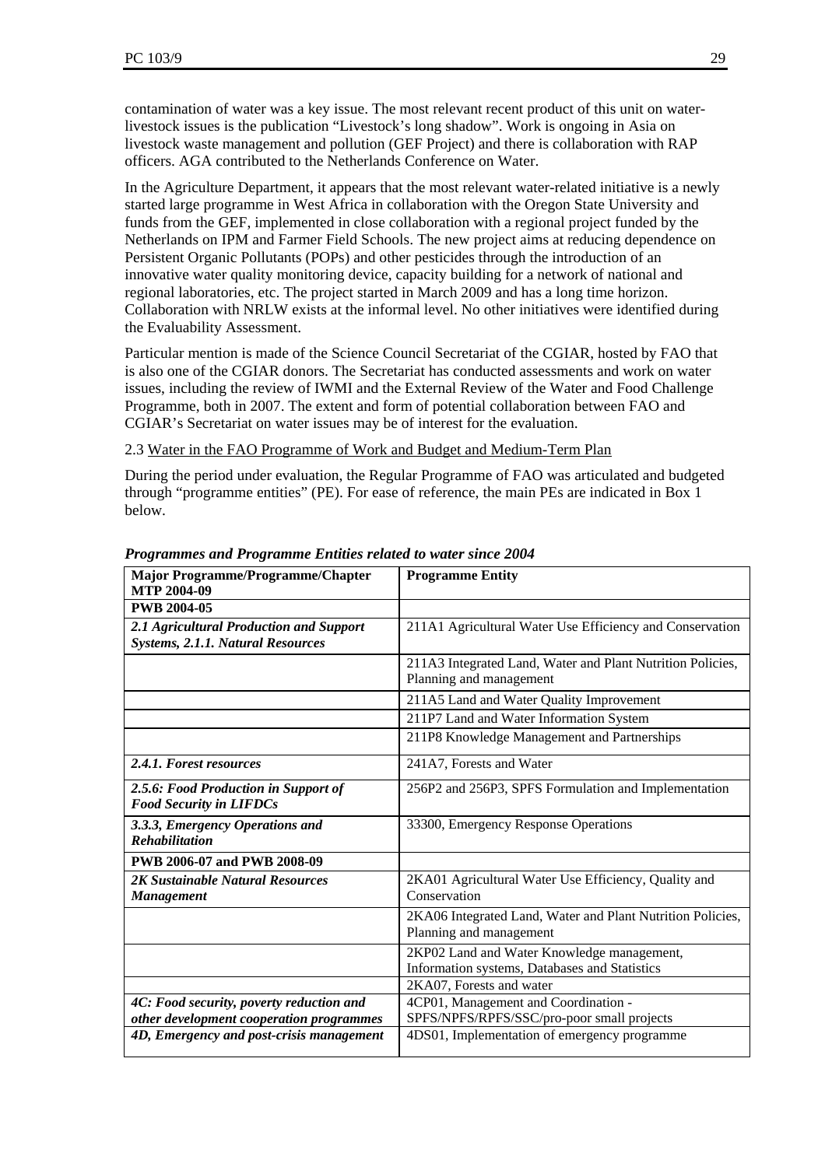contamination of water was a key issue. The most relevant recent product of this unit on waterlivestock issues is the publication "Livestock's long shadow". Work is ongoing in Asia on livestock waste management and pollution (GEF Project) and there is collaboration with RAP officers. AGA contributed to the Netherlands Conference on Water.

In the Agriculture Department, it appears that the most relevant water-related initiative is a newly started large programme in West Africa in collaboration with the Oregon State University and funds from the GEF, implemented in close collaboration with a regional project funded by the Netherlands on IPM and Farmer Field Schools. The new project aims at reducing dependence on Persistent Organic Pollutants (POPs) and other pesticides through the introduction of an innovative water quality monitoring device, capacity building for a network of national and regional laboratories, etc. The project started in March 2009 and has a long time horizon. Collaboration with NRLW exists at the informal level. No other initiatives were identified during the Evaluability Assessment.

Particular mention is made of the Science Council Secretariat of the CGIAR, hosted by FAO that is also one of the CGIAR donors. The Secretariat has conducted assessments and work on water issues, including the review of IWMI and the External Review of the Water and Food Challenge Programme, both in 2007. The extent and form of potential collaboration between FAO and CGIAR's Secretariat on water issues may be of interest for the evaluation.

#### 2.3 Water in the FAO Programme of Work and Budget and Medium-Term Plan

During the period under evaluation, the Regular Programme of FAO was articulated and budgeted through "programme entities" (PE). For ease of reference, the main PEs are indicated in Box 1 below.

| <b>Major Programme/Programme/Chapter</b><br><b>MTP 2004-09</b>         | <b>Programme Entity</b>                                                                     |
|------------------------------------------------------------------------|---------------------------------------------------------------------------------------------|
| <b>PWB 2004-05</b>                                                     |                                                                                             |
| 2.1 Agricultural Production and Support                                | 211A1 Agricultural Water Use Efficiency and Conservation                                    |
| <b>Systems, 2.1.1. Natural Resources</b>                               |                                                                                             |
|                                                                        | 211A3 Integrated Land, Water and Plant Nutrition Policies,                                  |
|                                                                        | Planning and management                                                                     |
|                                                                        | 211A5 Land and Water Quality Improvement                                                    |
|                                                                        | 211P7 Land and Water Information System                                                     |
|                                                                        | 211P8 Knowledge Management and Partnerships                                                 |
| 2.4.1. Forest resources                                                | 241A7, Forests and Water                                                                    |
| 2.5.6: Food Production in Support of<br><b>Food Security in LIFDCs</b> | 256P2 and 256P3, SPFS Formulation and Implementation                                        |
| 3.3.3, Emergency Operations and<br><b>Rehabilitation</b>               | 33300, Emergency Response Operations                                                        |
| PWB 2006-07 and PWB 2008-09                                            |                                                                                             |
| 2K Sustainable Natural Resources<br><b>Management</b>                  | 2KA01 Agricultural Water Use Efficiency, Quality and<br>Conservation                        |
|                                                                        | 2KA06 Integrated Land, Water and Plant Nutrition Policies,<br>Planning and management       |
|                                                                        | 2KP02 Land and Water Knowledge management,<br>Information systems, Databases and Statistics |
|                                                                        | 2KA07, Forests and water                                                                    |
| 4C: Food security, poverty reduction and                               | 4CP01, Management and Coordination -                                                        |
| other development cooperation programmes                               | SPFS/NPFS/RPFS/SSC/pro-poor small projects                                                  |
| 4D, Emergency and post-crisis management                               | 4DS01, Implementation of emergency programme                                                |

#### *Programmes and Programme Entities related to water since 2004*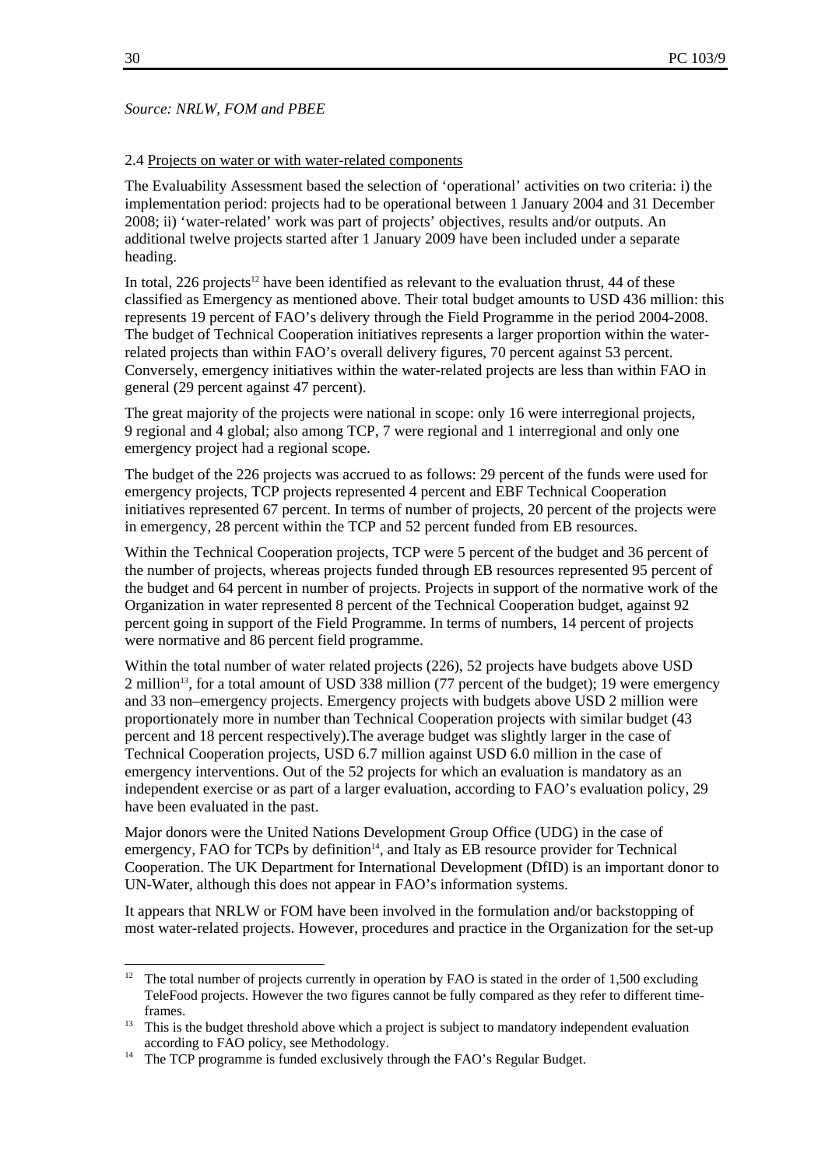#### 2.4 Projects on water or with water-related components

The Evaluability Assessment based the selection of 'operational' activities on two criteria: i) the implementation period: projects had to be operational between 1 January 2004 and 31 December 2008; ii) 'water-related' work was part of projects' objectives, results and/or outputs. An additional twelve projects started after 1 January 2009 have been included under a separate heading.

In total, 226 projects<sup>12</sup> have been identified as relevant to the evaluation thrust, 44 of these classified as Emergency as mentioned above. Their total budget amounts to USD 436 million: this represents 19 percent of FAO's delivery through the Field Programme in the period 2004-2008. The budget of Technical Cooperation initiatives represents a larger proportion within the waterrelated projects than within FAO's overall delivery figures, 70 percent against 53 percent. Conversely, emergency initiatives within the water-related projects are less than within FAO in general (29 percent against 47 percent).

The great majority of the projects were national in scope: only 16 were interregional projects, 9 regional and 4 global; also among TCP, 7 were regional and 1 interregional and only one emergency project had a regional scope.

The budget of the 226 projects was accrued to as follows: 29 percent of the funds were used for emergency projects, TCP projects represented 4 percent and EBF Technical Cooperation initiatives represented 67 percent. In terms of number of projects, 20 percent of the projects were in emergency, 28 percent within the TCP and 52 percent funded from EB resources.

Within the Technical Cooperation projects, TCP were 5 percent of the budget and 36 percent of the number of projects, whereas projects funded through EB resources represented 95 percent of the budget and 64 percent in number of projects. Projects in support of the normative work of the Organization in water represented 8 percent of the Technical Cooperation budget, against 92 percent going in support of the Field Programme. In terms of numbers, 14 percent of projects were normative and 86 percent field programme.

Within the total number of water related projects (226), 52 projects have budgets above USD 2 million<sup>13</sup>, for a total amount of USD 338 million (77 percent of the budget); 19 were emergency and 33 non–emergency projects. Emergency projects with budgets above USD 2 million were proportionately more in number than Technical Cooperation projects with similar budget (43 percent and 18 percent respectively).The average budget was slightly larger in the case of Technical Cooperation projects, USD 6.7 million against USD 6.0 million in the case of emergency interventions. Out of the 52 projects for which an evaluation is mandatory as an independent exercise or as part of a larger evaluation, according to FAO's evaluation policy, 29 have been evaluated in the past.

Major donors were the United Nations Development Group Office (UDG) in the case of emergency, FAO for TCPs by definition<sup>14</sup>, and Italy as EB resource provider for Technical Cooperation. The UK Department for International Development (DfID) is an important donor to UN-Water, although this does not appear in FAO's information systems.

It appears that NRLW or FOM have been involved in the formulation and/or backstopping of most water-related projects. However, procedures and practice in the Organization for the set-up

 $12$ 12 The total number of projects currently in operation by FAO is stated in the order of 1,500 excluding TeleFood projects. However the two figures cannot be fully compared as they refer to different time-

frames.<br><sup>13</sup> This is the budget threshold above which a project is subject to mandatory independent evaluation according to FAO policy, see Methodology.<br><sup>14</sup> The TCP programme is funded exclusively through the FAO's Regular Budget.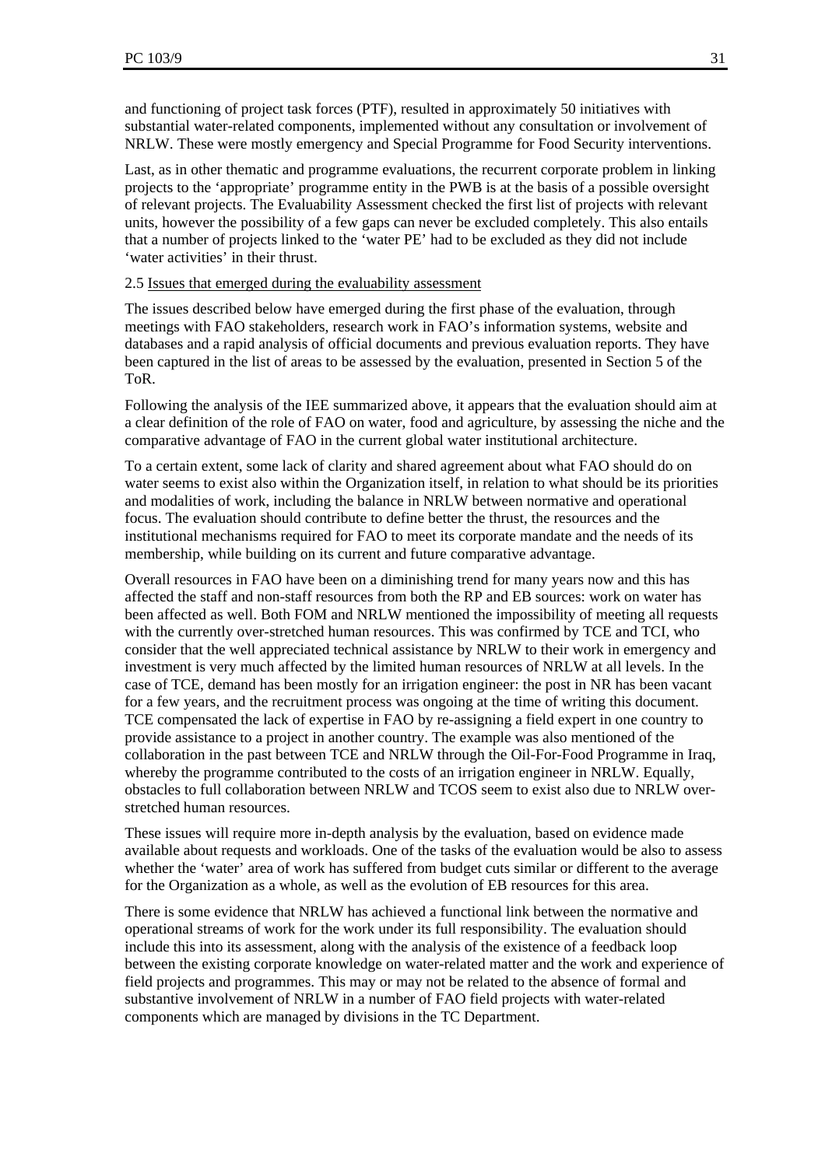and functioning of project task forces (PTF), resulted in approximately 50 initiatives with substantial water-related components, implemented without any consultation or involvement of NRLW. These were mostly emergency and Special Programme for Food Security interventions.

Last, as in other thematic and programme evaluations, the recurrent corporate problem in linking projects to the 'appropriate' programme entity in the PWB is at the basis of a possible oversight of relevant projects. The Evaluability Assessment checked the first list of projects with relevant units, however the possibility of a few gaps can never be excluded completely. This also entails that a number of projects linked to the 'water PE' had to be excluded as they did not include 'water activities' in their thrust.

#### 2.5 Issues that emerged during the evaluability assessment

The issues described below have emerged during the first phase of the evaluation, through meetings with FAO stakeholders, research work in FAO's information systems, website and databases and a rapid analysis of official documents and previous evaluation reports. They have been captured in the list of areas to be assessed by the evaluation, presented in Section 5 of the ToR.

Following the analysis of the IEE summarized above, it appears that the evaluation should aim at a clear definition of the role of FAO on water, food and agriculture, by assessing the niche and the comparative advantage of FAO in the current global water institutional architecture.

To a certain extent, some lack of clarity and shared agreement about what FAO should do on water seems to exist also within the Organization itself, in relation to what should be its priorities and modalities of work, including the balance in NRLW between normative and operational focus. The evaluation should contribute to define better the thrust, the resources and the institutional mechanisms required for FAO to meet its corporate mandate and the needs of its membership, while building on its current and future comparative advantage.

Overall resources in FAO have been on a diminishing trend for many years now and this has affected the staff and non-staff resources from both the RP and EB sources: work on water has been affected as well. Both FOM and NRLW mentioned the impossibility of meeting all requests with the currently over-stretched human resources. This was confirmed by TCE and TCI, who consider that the well appreciated technical assistance by NRLW to their work in emergency and investment is very much affected by the limited human resources of NRLW at all levels. In the case of TCE, demand has been mostly for an irrigation engineer: the post in NR has been vacant for a few years, and the recruitment process was ongoing at the time of writing this document. TCE compensated the lack of expertise in FAO by re-assigning a field expert in one country to provide assistance to a project in another country. The example was also mentioned of the collaboration in the past between TCE and NRLW through the Oil-For-Food Programme in Iraq, whereby the programme contributed to the costs of an irrigation engineer in NRLW. Equally, obstacles to full collaboration between NRLW and TCOS seem to exist also due to NRLW overstretched human resources.

These issues will require more in-depth analysis by the evaluation, based on evidence made available about requests and workloads. One of the tasks of the evaluation would be also to assess whether the 'water' area of work has suffered from budget cuts similar or different to the average for the Organization as a whole, as well as the evolution of EB resources for this area.

There is some evidence that NRLW has achieved a functional link between the normative and operational streams of work for the work under its full responsibility. The evaluation should include this into its assessment, along with the analysis of the existence of a feedback loop between the existing corporate knowledge on water-related matter and the work and experience of field projects and programmes. This may or may not be related to the absence of formal and substantive involvement of NRLW in a number of FAO field projects with water-related components which are managed by divisions in the TC Department.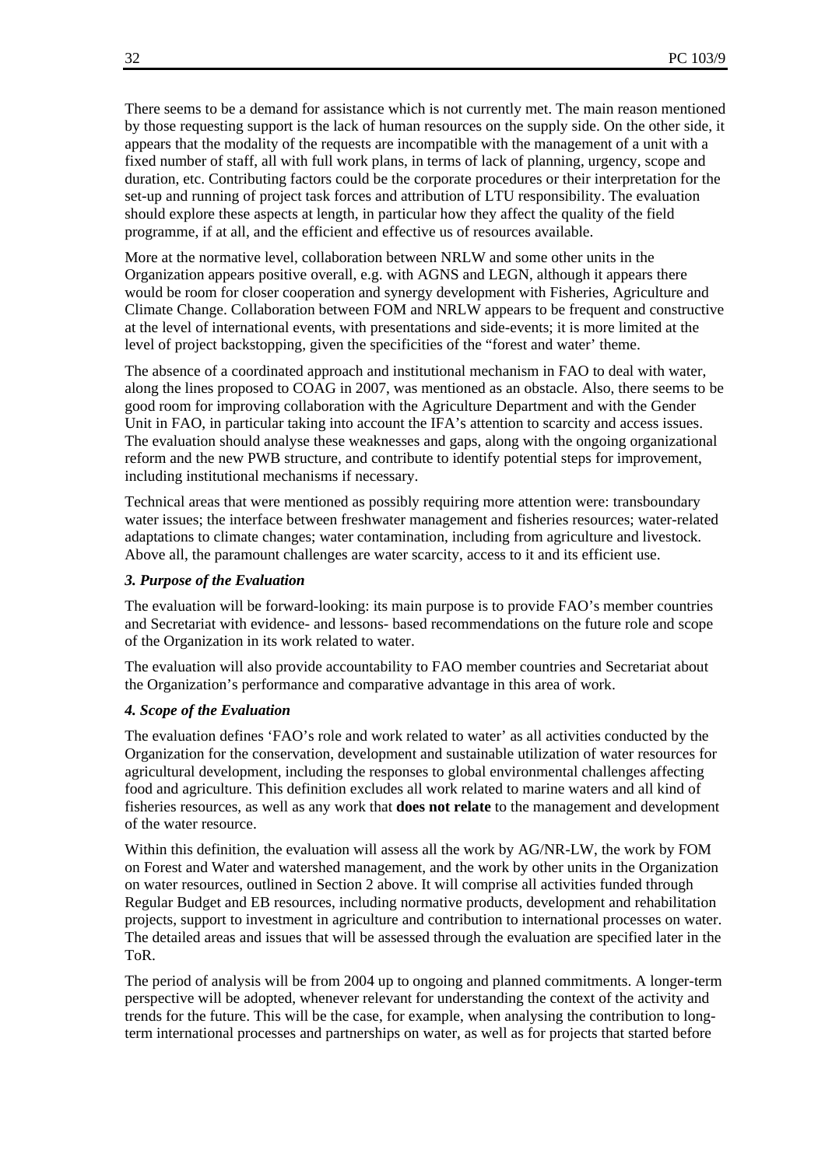There seems to be a demand for assistance which is not currently met. The main reason mentioned by those requesting support is the lack of human resources on the supply side. On the other side, it appears that the modality of the requests are incompatible with the management of a unit with a fixed number of staff, all with full work plans, in terms of lack of planning, urgency, scope and duration, etc. Contributing factors could be the corporate procedures or their interpretation for the set-up and running of project task forces and attribution of LTU responsibility. The evaluation should explore these aspects at length, in particular how they affect the quality of the field programme, if at all, and the efficient and effective us of resources available.

More at the normative level, collaboration between NRLW and some other units in the Organization appears positive overall, e.g. with AGNS and LEGN, although it appears there would be room for closer cooperation and synergy development with Fisheries, Agriculture and Climate Change. Collaboration between FOM and NRLW appears to be frequent and constructive at the level of international events, with presentations and side-events; it is more limited at the level of project backstopping, given the specificities of the "forest and water' theme.

The absence of a coordinated approach and institutional mechanism in FAO to deal with water, along the lines proposed to COAG in 2007, was mentioned as an obstacle. Also, there seems to be good room for improving collaboration with the Agriculture Department and with the Gender Unit in FAO, in particular taking into account the IFA's attention to scarcity and access issues. The evaluation should analyse these weaknesses and gaps, along with the ongoing organizational reform and the new PWB structure, and contribute to identify potential steps for improvement, including institutional mechanisms if necessary.

Technical areas that were mentioned as possibly requiring more attention were: transboundary water issues; the interface between freshwater management and fisheries resources; water-related adaptations to climate changes; water contamination, including from agriculture and livestock. Above all, the paramount challenges are water scarcity, access to it and its efficient use.

#### *3. Purpose of the Evaluation*

The evaluation will be forward-looking: its main purpose is to provide FAO's member countries and Secretariat with evidence- and lessons- based recommendations on the future role and scope of the Organization in its work related to water.

The evaluation will also provide accountability to FAO member countries and Secretariat about the Organization's performance and comparative advantage in this area of work.

#### *4. Scope of the Evaluation*

The evaluation defines 'FAO's role and work related to water' as all activities conducted by the Organization for the conservation, development and sustainable utilization of water resources for agricultural development, including the responses to global environmental challenges affecting food and agriculture. This definition excludes all work related to marine waters and all kind of fisheries resources, as well as any work that **does not relate** to the management and development of the water resource.

Within this definition, the evaluation will assess all the work by AG/NR-LW, the work by FOM on Forest and Water and watershed management, and the work by other units in the Organization on water resources, outlined in Section 2 above. It will comprise all activities funded through Regular Budget and EB resources, including normative products, development and rehabilitation projects, support to investment in agriculture and contribution to international processes on water. The detailed areas and issues that will be assessed through the evaluation are specified later in the ToR.

The period of analysis will be from 2004 up to ongoing and planned commitments. A longer-term perspective will be adopted, whenever relevant for understanding the context of the activity and trends for the future. This will be the case, for example, when analysing the contribution to longterm international processes and partnerships on water, as well as for projects that started before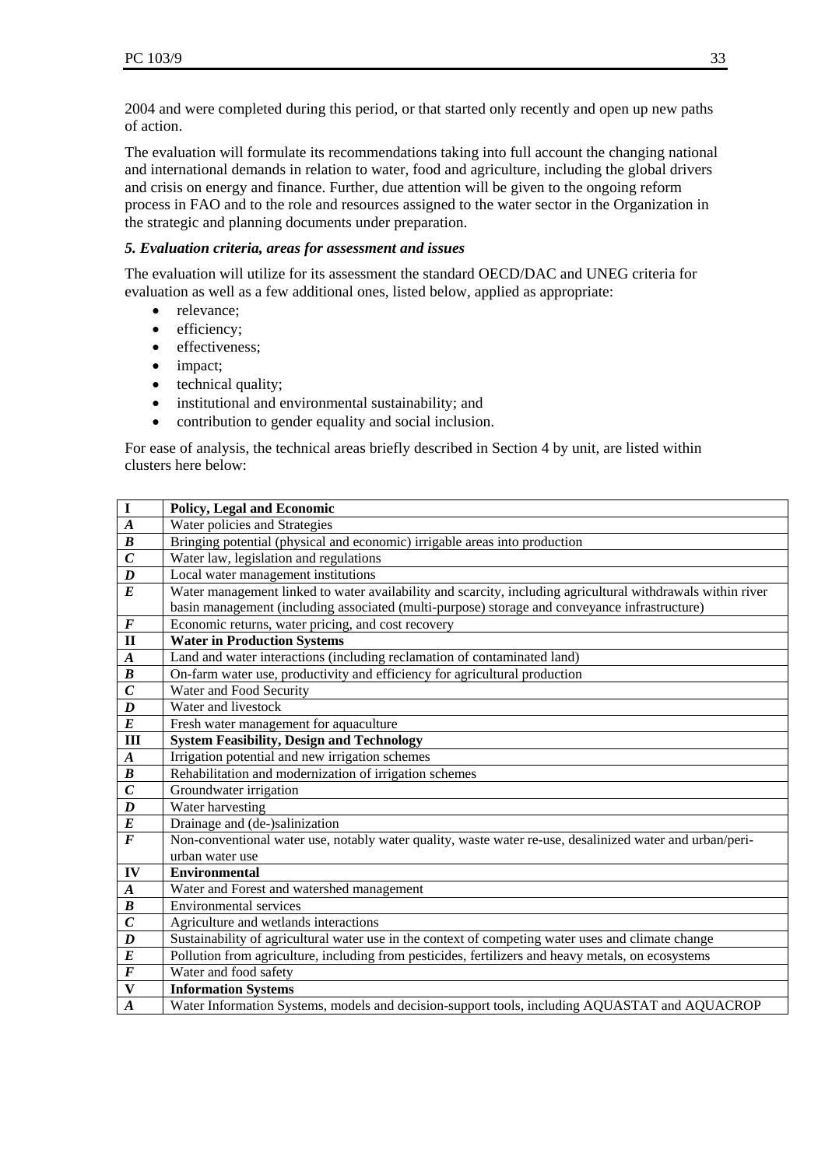2004 and were completed during this period, or that started only recently and open up new paths of action.

The evaluation will formulate its recommendations taking into full account the changing national and international demands in relation to water, food and agriculture, including the global drivers and crisis on energy and finance. Further, due attention will be given to the ongoing reform process in FAO and to the role and resources assigned to the water sector in the Organization in the strategic and planning documents under preparation.

#### *5. Evaluation criteria, areas for assessment and issues*

The evaluation will utilize for its assessment the standard OECD/DAC and UNEG criteria for evaluation as well as a few additional ones, listed below, applied as appropriate:

- relevance;
- efficiency;
- effectiveness;
- impact;
- technical quality;
- institutional and environmental sustainability; and
- contribution to gender equality and social inclusion.

For ease of analysis, the technical areas briefly described in Section 4 by unit, are listed within clusters here below:

| $\mathbf I$             | Policy, Legal and Economic                                                                                  |
|-------------------------|-------------------------------------------------------------------------------------------------------------|
| $\boldsymbol{A}$        | Water policies and Strategies                                                                               |
| $\boldsymbol{B}$        | Bringing potential (physical and economic) irrigable areas into production                                  |
| $\overline{C}$          | Water law, legislation and regulations                                                                      |
| $\boldsymbol{D}$        | Local water management institutions                                                                         |
| $\boldsymbol{E}$        | Water management linked to water availability and scarcity, including agricultural withdrawals within river |
|                         | basin management (including associated (multi-purpose) storage and conveyance infrastructure)               |
| $\overline{\bm{F}}$     | Economic returns, water pricing, and cost recovery                                                          |
| $\mathbf{I}$            | <b>Water in Production Systems</b>                                                                          |
| $\boldsymbol{A}$        | Land and water interactions (including reclamation of contaminated land)                                    |
| $\boldsymbol{B}$        | On-farm water use, productivity and efficiency for agricultural production                                  |
| $\overline{C}$          | Water and Food Security                                                                                     |
| $\boldsymbol{D}$        | Water and livestock                                                                                         |
| $\boldsymbol{E}$        | Fresh water management for aquaculture                                                                      |
| $\overline{\mathbf{H}}$ | <b>System Feasibility, Design and Technology</b>                                                            |
| $\boldsymbol{A}$        | Irrigation potential and new irrigation schemes                                                             |
| $\overline{B}$          | Rehabilitation and modernization of irrigation schemes                                                      |
| $\overline{C}$          | Groundwater irrigation                                                                                      |
| $\boldsymbol{D}$        | Water harvesting                                                                                            |
| $\pmb{E}$               | Drainage and (de-)salinization                                                                              |
| $\overline{F}$          | Non-conventional water use, notably water quality, waste water re-use, desalinized water and urban/peri-    |
|                         | urban water use                                                                                             |
| ${\bf IV}$              | <b>Environmental</b>                                                                                        |
| $\boldsymbol{A}$        | Water and Forest and watershed management                                                                   |
| $\boldsymbol{B}$        | <b>Environmental services</b>                                                                               |
| $\boldsymbol{C}$        | Agriculture and wetlands interactions                                                                       |
| $\boldsymbol{D}$        | Sustainability of agricultural water use in the context of competing water uses and climate change          |
| $\overline{E}$          | Pollution from agriculture, including from pesticides, fertilizers and heavy metals, on ecosystems          |
| $\boldsymbol{F}$        | Water and food safety                                                                                       |
| $\mathbf{V}$            | <b>Information Systems</b>                                                                                  |
| $\boldsymbol{A}$        | Water Information Systems, models and decision-support tools, including AQUASTAT and AQUACROP               |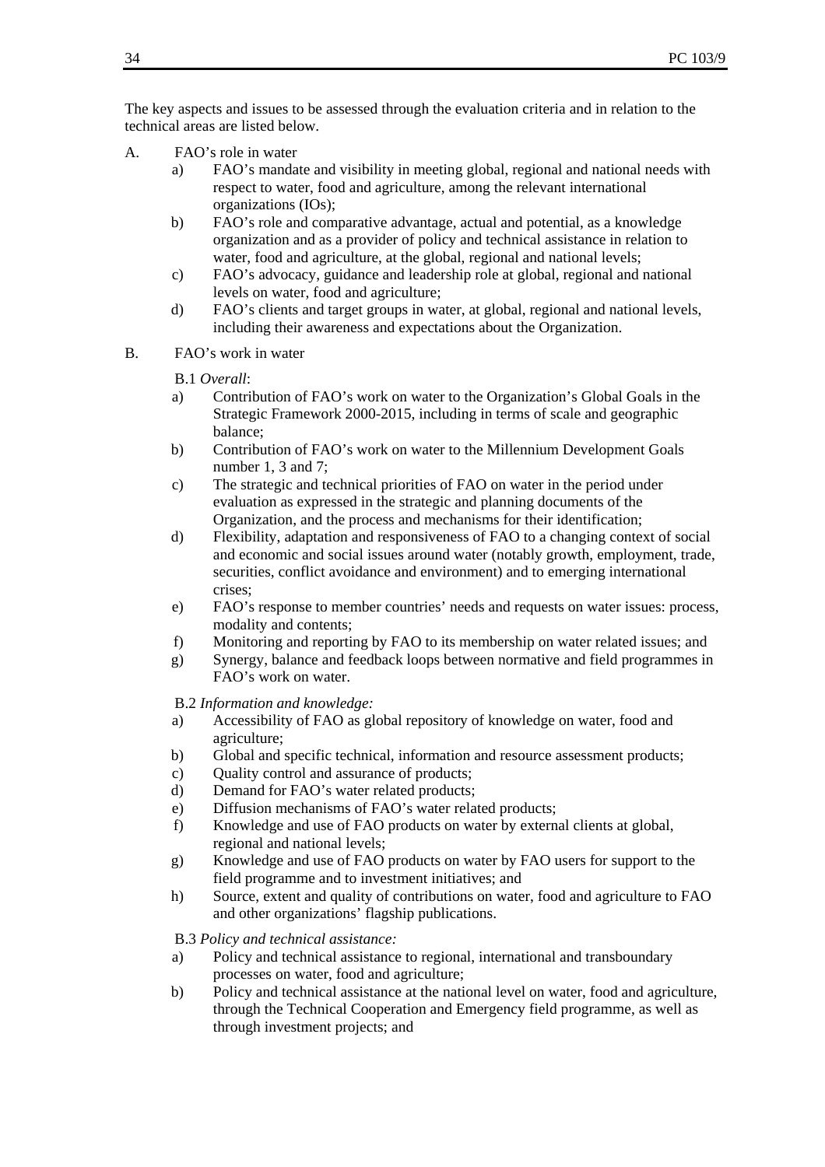The key aspects and issues to be assessed through the evaluation criteria and in relation to the technical areas are listed below.

- A. FAO's role in water
	- a) FAO's mandate and visibility in meeting global, regional and national needs with respect to water, food and agriculture, among the relevant international organizations (IOs);
	- b) FAO's role and comparative advantage, actual and potential, as a knowledge organization and as a provider of policy and technical assistance in relation to water, food and agriculture, at the global, regional and national levels;
	- c) FAO's advocacy, guidance and leadership role at global, regional and national levels on water, food and agriculture;
	- d) FAO's clients and target groups in water, at global, regional and national levels, including their awareness and expectations about the Organization.
- B. FAO's work in water

#### B.1 *Overall*:

- a) Contribution of FAO's work on water to the Organization's Global Goals in the Strategic Framework 2000-2015, including in terms of scale and geographic balance;
- b) Contribution of FAO's work on water to the Millennium Development Goals number 1, 3 and 7;
- c) The strategic and technical priorities of FAO on water in the period under evaluation as expressed in the strategic and planning documents of the Organization, and the process and mechanisms for their identification;
- d) Flexibility, adaptation and responsiveness of FAO to a changing context of social and economic and social issues around water (notably growth, employment, trade, securities, conflict avoidance and environment) and to emerging international crises;
- e) FAO's response to member countries' needs and requests on water issues: process, modality and contents;
- f) Monitoring and reporting by FAO to its membership on water related issues; and
- g) Synergy, balance and feedback loops between normative and field programmes in FAO's work on water.

B.2 *Information and knowledge:* 

- a) Accessibility of FAO as global repository of knowledge on water, food and agriculture;
- b) Global and specific technical, information and resource assessment products;
- c) Quality control and assurance of products;
- d) Demand for FAO's water related products;
- e) Diffusion mechanisms of FAO's water related products;
- f) Knowledge and use of FAO products on water by external clients at global, regional and national levels;
- g) Knowledge and use of FAO products on water by FAO users for support to the field programme and to investment initiatives; and
- h) Source, extent and quality of contributions on water, food and agriculture to FAO and other organizations' flagship publications.

B.3 *Policy and technical assistance:* 

- a) Policy and technical assistance to regional, international and transboundary processes on water, food and agriculture;
- b) Policy and technical assistance at the national level on water, food and agriculture, through the Technical Cooperation and Emergency field programme, as well as through investment projects; and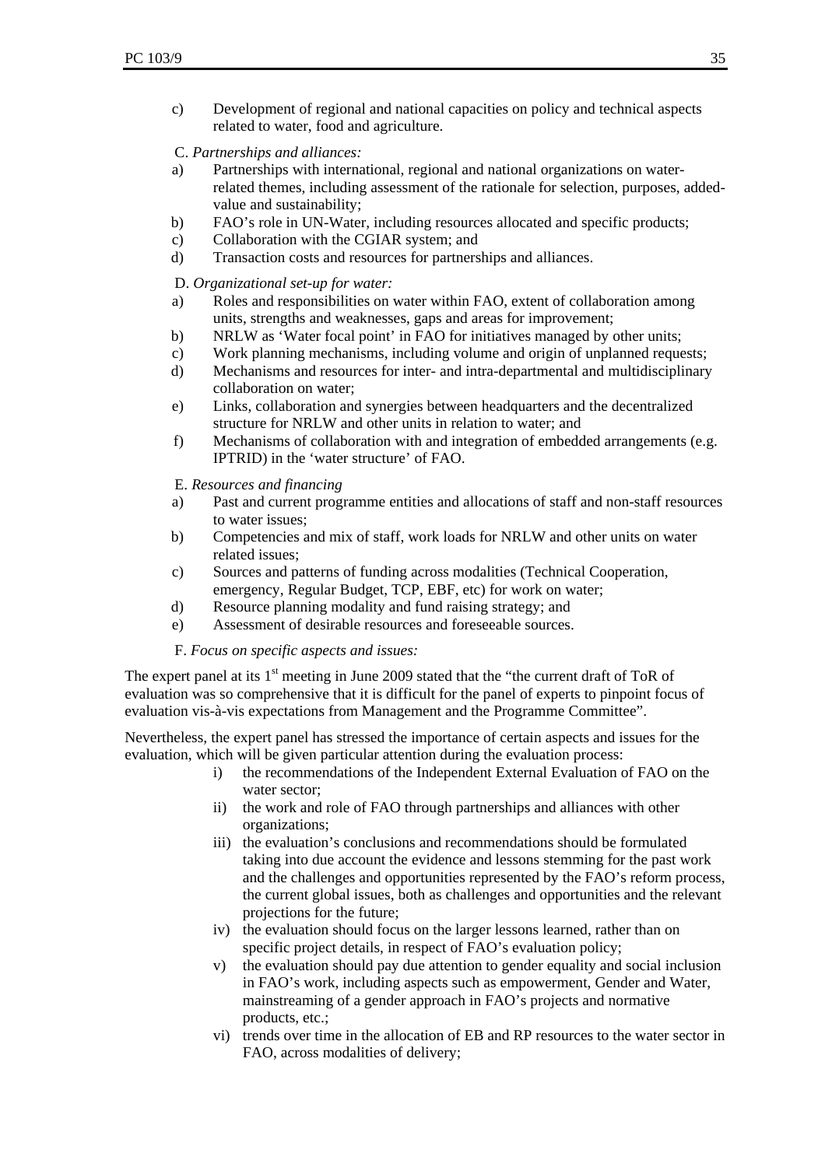c) Development of regional and national capacities on policy and technical aspects related to water, food and agriculture.

C. *Partnerships and alliances:* 

- a) Partnerships with international, regional and national organizations on waterrelated themes, including assessment of the rationale for selection, purposes, addedvalue and sustainability;
- b) FAO's role in UN-Water, including resources allocated and specific products;
- c) Collaboration with the CGIAR system; and
- d) Transaction costs and resources for partnerships and alliances.

D. *Organizational set-up for water:* 

- a) Roles and responsibilities on water within FAO, extent of collaboration among units, strengths and weaknesses, gaps and areas for improvement;
- b) NRLW as 'Water focal point' in FAO for initiatives managed by other units;
- c) Work planning mechanisms, including volume and origin of unplanned requests;
- d) Mechanisms and resources for inter- and intra-departmental and multidisciplinary collaboration on water;
- e) Links, collaboration and synergies between headquarters and the decentralized structure for NRLW and other units in relation to water; and
- f) Mechanisms of collaboration with and integration of embedded arrangements (e.g. IPTRID) in the 'water structure' of FAO.

E. *Resources and financing* 

- a) Past and current programme entities and allocations of staff and non-staff resources to water issues;
- b) Competencies and mix of staff, work loads for NRLW and other units on water related issues;
- c) Sources and patterns of funding across modalities (Technical Cooperation, emergency, Regular Budget, TCP, EBF, etc) for work on water;
- d) Resource planning modality and fund raising strategy; and
- e) Assessment of desirable resources and foreseeable sources.

F. *Focus on specific aspects and issues:*

The expert panel at its  $1<sup>st</sup>$  meeting in June 2009 stated that the "the current draft of ToR of evaluation was so comprehensive that it is difficult for the panel of experts to pinpoint focus of evaluation vis-à-vis expectations from Management and the Programme Committee".

Nevertheless, the expert panel has stressed the importance of certain aspects and issues for the evaluation, which will be given particular attention during the evaluation process:

- i) the recommendations of the Independent External Evaluation of FAO on the water sector;
- ii) the work and role of FAO through partnerships and alliances with other organizations;
- iii) the evaluation's conclusions and recommendations should be formulated taking into due account the evidence and lessons stemming for the past work and the challenges and opportunities represented by the FAO's reform process, the current global issues, both as challenges and opportunities and the relevant projections for the future;
- iv) the evaluation should focus on the larger lessons learned, rather than on specific project details, in respect of FAO's evaluation policy;
- v) the evaluation should pay due attention to gender equality and social inclusion in FAO's work, including aspects such as empowerment, Gender and Water, mainstreaming of a gender approach in FAO's projects and normative products, etc.;
- vi) trends over time in the allocation of EB and RP resources to the water sector in FAO, across modalities of delivery;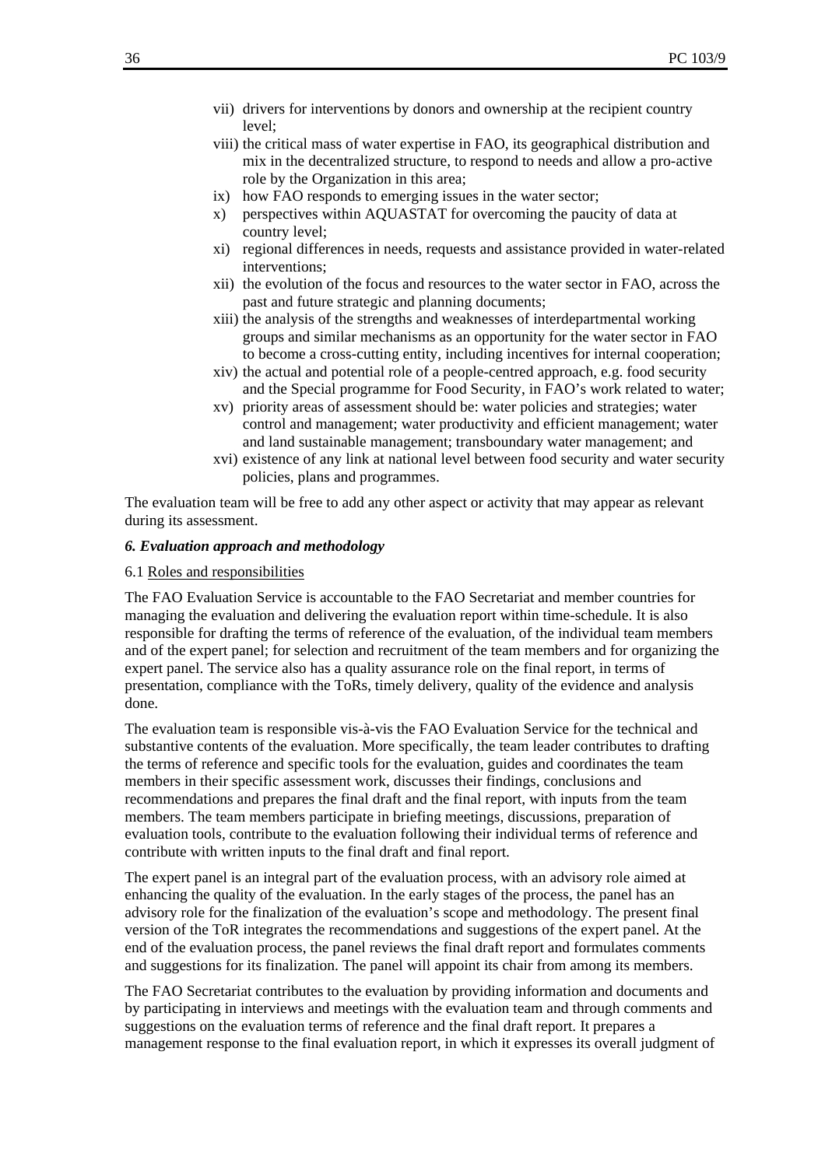- vii) drivers for interventions by donors and ownership at the recipient country level;
- viii) the critical mass of water expertise in FAO, its geographical distribution and mix in the decentralized structure, to respond to needs and allow a pro-active role by the Organization in this area;
- ix) how FAO responds to emerging issues in the water sector;
- x) perspectives within AQUASTAT for overcoming the paucity of data at country level;
- xi) regional differences in needs, requests and assistance provided in water-related interventions;
- xii) the evolution of the focus and resources to the water sector in FAO, across the past and future strategic and planning documents;
- xiii) the analysis of the strengths and weaknesses of interdepartmental working groups and similar mechanisms as an opportunity for the water sector in FAO to become a cross-cutting entity, including incentives for internal cooperation;
- xiv) the actual and potential role of a people-centred approach, e.g. food security and the Special programme for Food Security, in FAO's work related to water;
- xv) priority areas of assessment should be: water policies and strategies; water control and management; water productivity and efficient management; water and land sustainable management; transboundary water management; and
- xvi) existence of any link at national level between food security and water security policies, plans and programmes.

The evaluation team will be free to add any other aspect or activity that may appear as relevant during its assessment.

#### *6. Evaluation approach and methodology*

#### 6.1 Roles and responsibilities

The FAO Evaluation Service is accountable to the FAO Secretariat and member countries for managing the evaluation and delivering the evaluation report within time-schedule. It is also responsible for drafting the terms of reference of the evaluation, of the individual team members and of the expert panel; for selection and recruitment of the team members and for organizing the expert panel. The service also has a quality assurance role on the final report, in terms of presentation, compliance with the ToRs, timely delivery, quality of the evidence and analysis done.

The evaluation team is responsible vis-à-vis the FAO Evaluation Service for the technical and substantive contents of the evaluation. More specifically, the team leader contributes to drafting the terms of reference and specific tools for the evaluation, guides and coordinates the team members in their specific assessment work, discusses their findings, conclusions and recommendations and prepares the final draft and the final report, with inputs from the team members. The team members participate in briefing meetings, discussions, preparation of evaluation tools, contribute to the evaluation following their individual terms of reference and contribute with written inputs to the final draft and final report.

The expert panel is an integral part of the evaluation process, with an advisory role aimed at enhancing the quality of the evaluation. In the early stages of the process, the panel has an advisory role for the finalization of the evaluation's scope and methodology. The present final version of the ToR integrates the recommendations and suggestions of the expert panel. At the end of the evaluation process, the panel reviews the final draft report and formulates comments and suggestions for its finalization. The panel will appoint its chair from among its members.

The FAO Secretariat contributes to the evaluation by providing information and documents and by participating in interviews and meetings with the evaluation team and through comments and suggestions on the evaluation terms of reference and the final draft report. It prepares a management response to the final evaluation report, in which it expresses its overall judgment of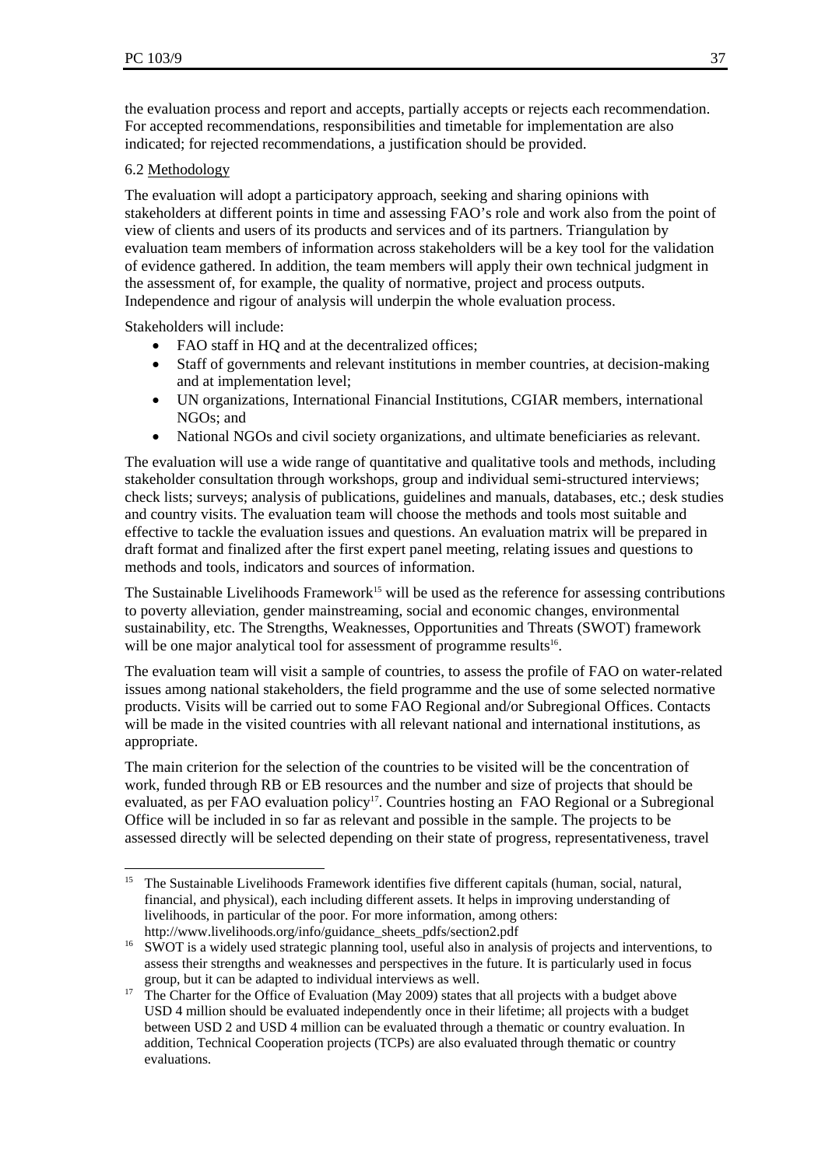the evaluation process and report and accepts, partially accepts or rejects each recommendation. For accepted recommendations, responsibilities and timetable for implementation are also indicated; for rejected recommendations, a justification should be provided.

## 6.2 Methodology

The evaluation will adopt a participatory approach, seeking and sharing opinions with stakeholders at different points in time and assessing FAO's role and work also from the point of view of clients and users of its products and services and of its partners. Triangulation by evaluation team members of information across stakeholders will be a key tool for the validation of evidence gathered. In addition, the team members will apply their own technical judgment in the assessment of, for example, the quality of normative, project and process outputs. Independence and rigour of analysis will underpin the whole evaluation process.

Stakeholders will include:

l

- FAO staff in HO and at the decentralized offices;
- Staff of governments and relevant institutions in member countries, at decision-making and at implementation level;
- UN organizations, International Financial Institutions, CGIAR members, international NGOs; and
- National NGOs and civil society organizations, and ultimate beneficiaries as relevant.

The evaluation will use a wide range of quantitative and qualitative tools and methods, including stakeholder consultation through workshops, group and individual semi-structured interviews; check lists; surveys; analysis of publications, guidelines and manuals, databases, etc.; desk studies and country visits. The evaluation team will choose the methods and tools most suitable and effective to tackle the evaluation issues and questions. An evaluation matrix will be prepared in draft format and finalized after the first expert panel meeting, relating issues and questions to methods and tools, indicators and sources of information.

The Sustainable Livelihoods Framework<sup>15</sup> will be used as the reference for assessing contributions to poverty alleviation, gender mainstreaming, social and economic changes, environmental sustainability, etc. The Strengths, Weaknesses, Opportunities and Threats (SWOT) framework will be one major analytical tool for assessment of programme results<sup>16</sup>.

The evaluation team will visit a sample of countries, to assess the profile of FAO on water-related issues among national stakeholders, the field programme and the use of some selected normative products. Visits will be carried out to some FAO Regional and/or Subregional Offices. Contacts will be made in the visited countries with all relevant national and international institutions, as appropriate.

The main criterion for the selection of the countries to be visited will be the concentration of work, funded through RB or EB resources and the number and size of projects that should be evaluated, as per FAO evaluation policy<sup>17</sup>. Countries hosting an FAO Regional or a Subregional Office will be included in so far as relevant and possible in the sample. The projects to be assessed directly will be selected depending on their state of progress, representativeness, travel

<sup>&</sup>lt;sup>15</sup> The Sustainable Livelihoods Framework identifies five different capitals (human, social, natural, financial, and physical), each including different assets. It helps in improving understanding of livelihoods, in particular of the poor. For more information, among others:

http://www.livelihoods.org/info/guidance\_sheets\_pdfs/section2.pdf<br><sup>16</sup> SWOT is a widely used strategic planning tool, useful also in analysis of projects and interventions, to assess their strengths and weaknesses and perspectives in the future. It is particularly used in focus

group, but it can be adapted to individual interviews as well. 17 The Charter for the Office of Evaluation (May 2009) states that all projects with a budget above USD 4 million should be evaluated independently once in their lifetime; all projects with a budget between USD 2 and USD 4 million can be evaluated through a thematic or country evaluation. In addition, Technical Cooperation projects (TCPs) are also evaluated through thematic or country evaluations.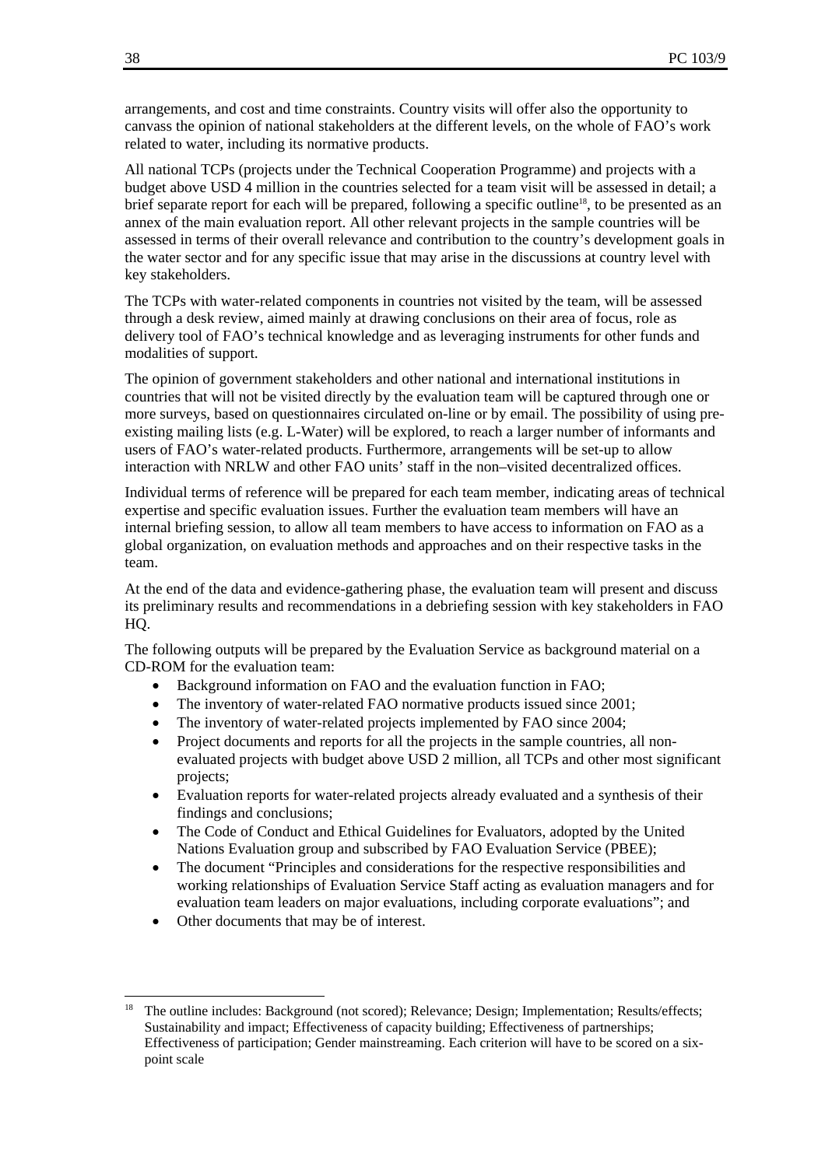arrangements, and cost and time constraints. Country visits will offer also the opportunity to canvass the opinion of national stakeholders at the different levels, on the whole of FAO's work related to water, including its normative products.

All national TCPs (projects under the Technical Cooperation Programme) and projects with a budget above USD 4 million in the countries selected for a team visit will be assessed in detail; a brief separate report for each will be prepared, following a specific outline<sup>18</sup>, to be presented as an annex of the main evaluation report. All other relevant projects in the sample countries will be assessed in terms of their overall relevance and contribution to the country's development goals in the water sector and for any specific issue that may arise in the discussions at country level with key stakeholders.

The TCPs with water-related components in countries not visited by the team, will be assessed through a desk review, aimed mainly at drawing conclusions on their area of focus, role as delivery tool of FAO's technical knowledge and as leveraging instruments for other funds and modalities of support.

The opinion of government stakeholders and other national and international institutions in countries that will not be visited directly by the evaluation team will be captured through one or more surveys, based on questionnaires circulated on-line or by email. The possibility of using preexisting mailing lists (e.g. L-Water) will be explored, to reach a larger number of informants and users of FAO's water-related products. Furthermore, arrangements will be set-up to allow interaction with NRLW and other FAO units' staff in the non–visited decentralized offices.

Individual terms of reference will be prepared for each team member, indicating areas of technical expertise and specific evaluation issues. Further the evaluation team members will have an internal briefing session, to allow all team members to have access to information on FAO as a global organization, on evaluation methods and approaches and on their respective tasks in the team.

At the end of the data and evidence-gathering phase, the evaluation team will present and discuss its preliminary results and recommendations in a debriefing session with key stakeholders in FAO HQ.

The following outputs will be prepared by the Evaluation Service as background material on a CD-ROM for the evaluation team:

- Background information on FAO and the evaluation function in FAO;
- The inventory of water-related FAO normative products issued since 2001;
- The inventory of water-related projects implemented by FAO since 2004;
- Project documents and reports for all the projects in the sample countries, all nonevaluated projects with budget above USD 2 million, all TCPs and other most significant projects;
- Evaluation reports for water-related projects already evaluated and a synthesis of their findings and conclusions;
- The Code of Conduct and Ethical Guidelines for Evaluators, adopted by the United Nations Evaluation group and subscribed by FAO Evaluation Service (PBEE);
- The document "Principles and considerations for the respective responsibilities and working relationships of Evaluation Service Staff acting as evaluation managers and for evaluation team leaders on major evaluations, including corporate evaluations"; and
- Other documents that may be of interest.

<sup>&</sup>lt;sup>18</sup> The outline includes: Background (not scored); Relevance: Design; Implementation; Results/effects; Sustainability and impact; Effectiveness of capacity building; Effectiveness of partnerships; Effectiveness of participation; Gender mainstreaming. Each criterion will have to be scored on a sixpoint scale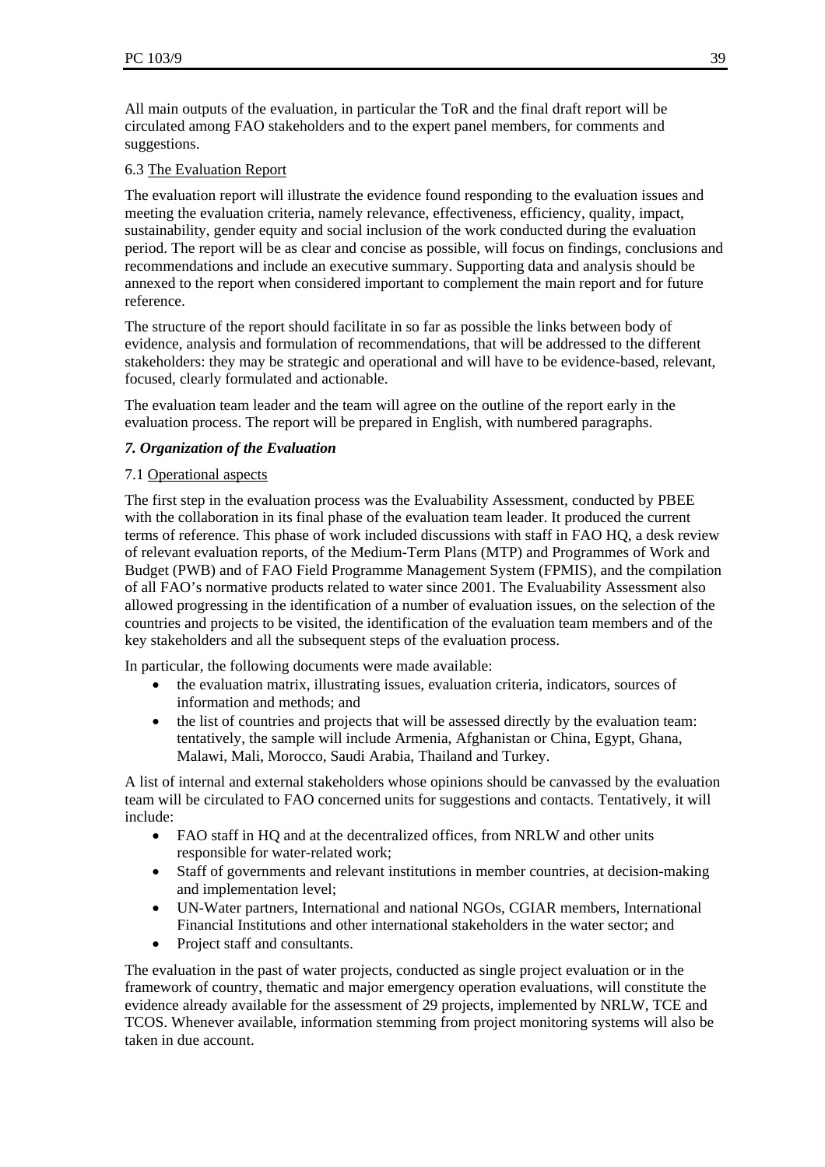All main outputs of the evaluation, in particular the ToR and the final draft report will be circulated among FAO stakeholders and to the expert panel members, for comments and suggestions.

## 6.3 The Evaluation Report

The evaluation report will illustrate the evidence found responding to the evaluation issues and meeting the evaluation criteria, namely relevance, effectiveness, efficiency, quality, impact, sustainability, gender equity and social inclusion of the work conducted during the evaluation period. The report will be as clear and concise as possible, will focus on findings, conclusions and recommendations and include an executive summary. Supporting data and analysis should be annexed to the report when considered important to complement the main report and for future reference.

The structure of the report should facilitate in so far as possible the links between body of evidence, analysis and formulation of recommendations, that will be addressed to the different stakeholders: they may be strategic and operational and will have to be evidence-based, relevant, focused, clearly formulated and actionable.

The evaluation team leader and the team will agree on the outline of the report early in the evaluation process. The report will be prepared in English, with numbered paragraphs.

## *7. Organization of the Evaluation*

#### 7.1 Operational aspects

The first step in the evaluation process was the Evaluability Assessment, conducted by PBEE with the collaboration in its final phase of the evaluation team leader. It produced the current terms of reference. This phase of work included discussions with staff in FAO HQ, a desk review of relevant evaluation reports, of the Medium-Term Plans (MTP) and Programmes of Work and Budget (PWB) and of FAO Field Programme Management System (FPMIS), and the compilation of all FAO's normative products related to water since 2001. The Evaluability Assessment also allowed progressing in the identification of a number of evaluation issues, on the selection of the countries and projects to be visited, the identification of the evaluation team members and of the key stakeholders and all the subsequent steps of the evaluation process.

In particular, the following documents were made available:

- the evaluation matrix, illustrating issues, evaluation criteria, indicators, sources of information and methods; and
- the list of countries and projects that will be assessed directly by the evaluation team: tentatively, the sample will include Armenia, Afghanistan or China, Egypt, Ghana, Malawi, Mali, Morocco, Saudi Arabia, Thailand and Turkey.

A list of internal and external stakeholders whose opinions should be canvassed by the evaluation team will be circulated to FAO concerned units for suggestions and contacts. Tentatively, it will include:

- FAO staff in HQ and at the decentralized offices, from NRLW and other units responsible for water-related work;
- Staff of governments and relevant institutions in member countries, at decision-making and implementation level;
- UN-Water partners, International and national NGOs, CGIAR members, International Financial Institutions and other international stakeholders in the water sector; and
- Project staff and consultants.

The evaluation in the past of water projects, conducted as single project evaluation or in the framework of country, thematic and major emergency operation evaluations, will constitute the evidence already available for the assessment of 29 projects, implemented by NRLW, TCE and TCOS. Whenever available, information stemming from project monitoring systems will also be taken in due account.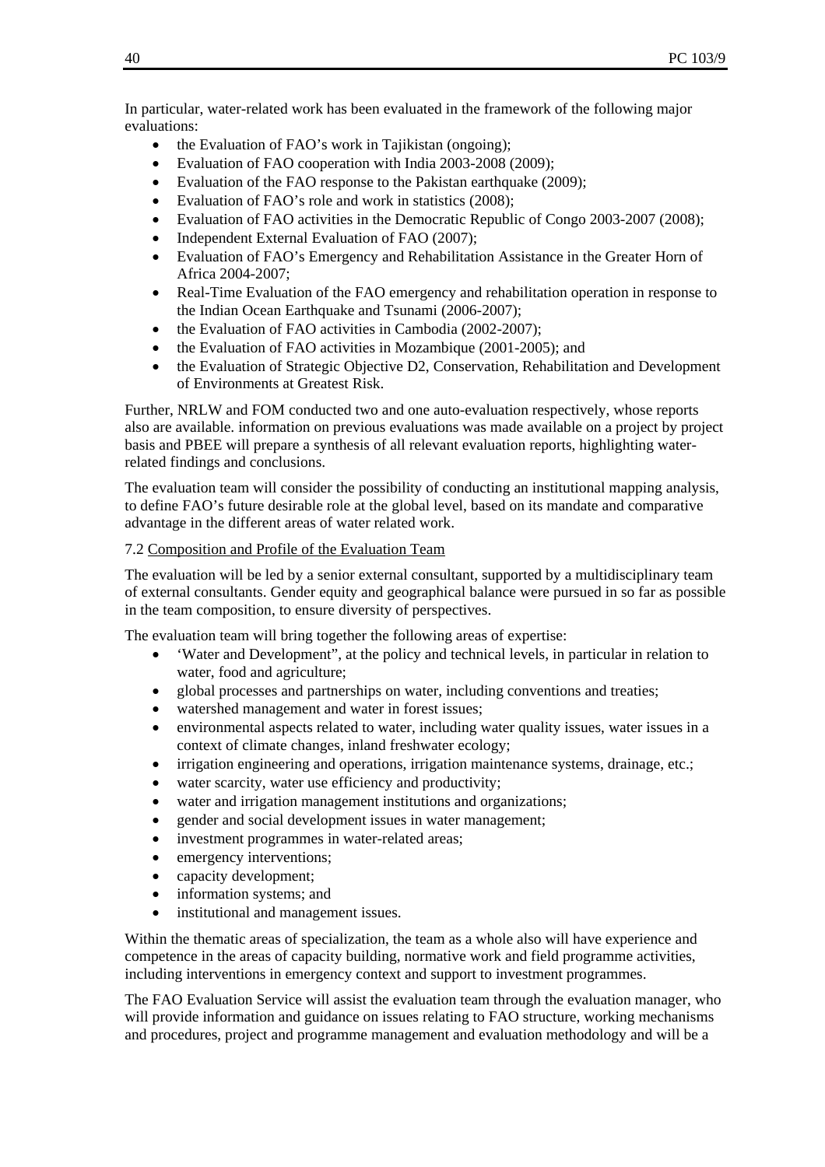In particular, water-related work has been evaluated in the framework of the following major evaluations:

- the Evaluation of FAO's work in Tajikistan (ongoing);
- Evaluation of FAO cooperation with India 2003-2008 (2009);
- Evaluation of the FAO response to the Pakistan earthquake (2009);
- Evaluation of FAO's role and work in statistics (2008);
- Evaluation of FAO activities in the Democratic Republic of Congo 2003-2007 (2008);
- Independent External Evaluation of FAO (2007);
- Evaluation of FAO's Emergency and Rehabilitation Assistance in the Greater Horn of Africa 2004-2007;
- Real-Time Evaluation of the FAO emergency and rehabilitation operation in response to the Indian Ocean Earthquake and Tsunami (2006-2007);
- the Evaluation of FAO activities in Cambodia (2002-2007):
- the Evaluation of FAO activities in Mozambique (2001-2005); and
- the Evaluation of Strategic Objective D2, Conservation, Rehabilitation and Development of Environments at Greatest Risk.

Further, NRLW and FOM conducted two and one auto-evaluation respectively, whose reports also are available. information on previous evaluations was made available on a project by project basis and PBEE will prepare a synthesis of all relevant evaluation reports, highlighting waterrelated findings and conclusions.

The evaluation team will consider the possibility of conducting an institutional mapping analysis, to define FAO's future desirable role at the global level, based on its mandate and comparative advantage in the different areas of water related work.

#### 7.2 Composition and Profile of the Evaluation Team

The evaluation will be led by a senior external consultant, supported by a multidisciplinary team of external consultants. Gender equity and geographical balance were pursued in so far as possible in the team composition, to ensure diversity of perspectives.

The evaluation team will bring together the following areas of expertise:

- 'Water and Development", at the policy and technical levels, in particular in relation to water, food and agriculture;
- global processes and partnerships on water, including conventions and treaties;
- watershed management and water in forest issues;
- environmental aspects related to water, including water quality issues, water issues in a context of climate changes, inland freshwater ecology;
- irrigation engineering and operations, irrigation maintenance systems, drainage, etc.;
- water scarcity, water use efficiency and productivity;
- water and irrigation management institutions and organizations;
- gender and social development issues in water management;
- investment programmes in water-related areas;
- emergency interventions;
- capacity development;
- information systems: and
- institutional and management issues.

Within the thematic areas of specialization, the team as a whole also will have experience and competence in the areas of capacity building, normative work and field programme activities, including interventions in emergency context and support to investment programmes.

The FAO Evaluation Service will assist the evaluation team through the evaluation manager, who will provide information and guidance on issues relating to FAO structure, working mechanisms and procedures, project and programme management and evaluation methodology and will be a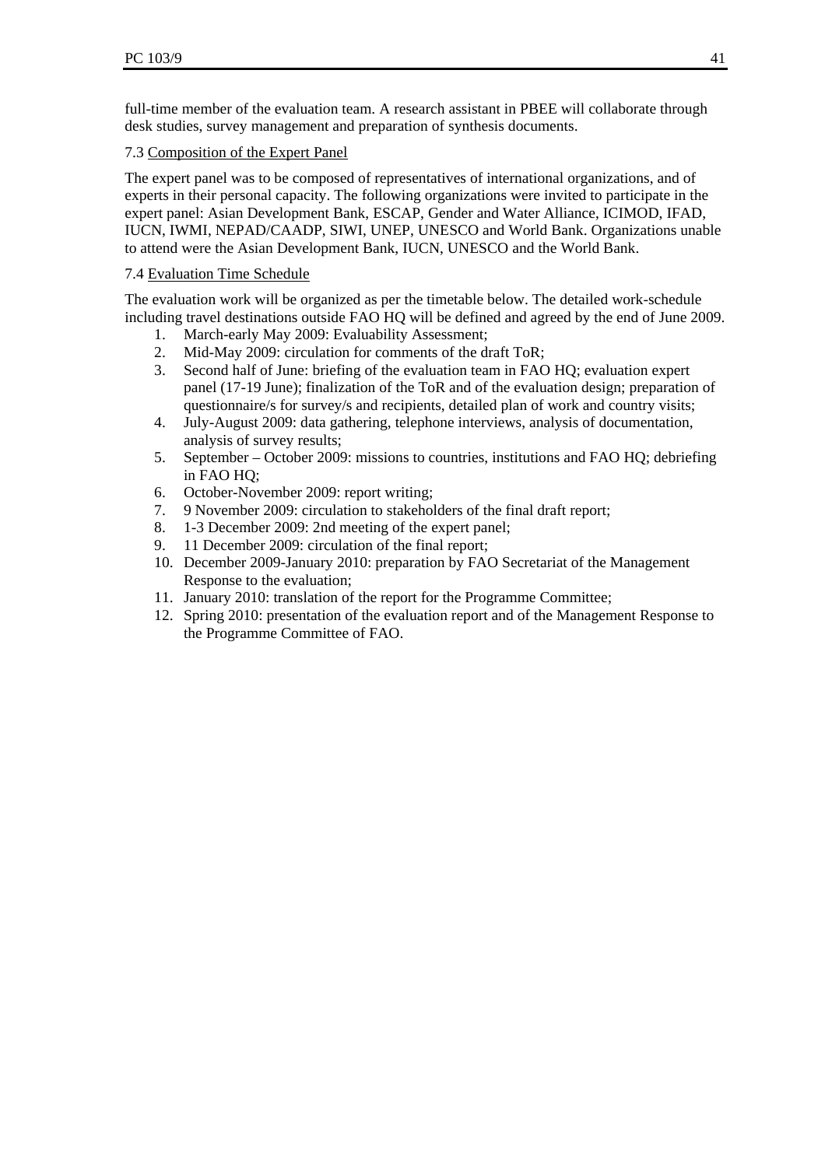full-time member of the evaluation team. A research assistant in PBEE will collaborate through desk studies, survey management and preparation of synthesis documents.

## 7.3 Composition of the Expert Panel

The expert panel was to be composed of representatives of international organizations, and of experts in their personal capacity. The following organizations were invited to participate in the expert panel: Asian Development Bank, ESCAP, Gender and Water Alliance, ICIMOD, IFAD, IUCN, IWMI, NEPAD/CAADP, SIWI, UNEP, UNESCO and World Bank. Organizations unable to attend were the Asian Development Bank, IUCN, UNESCO and the World Bank.

# 7.4 Evaluation Time Schedule

The evaluation work will be organized as per the timetable below. The detailed work-schedule including travel destinations outside FAO HQ will be defined and agreed by the end of June 2009.

- 1. March-early May 2009: Evaluability Assessment;
- 2. Mid-May 2009: circulation for comments of the draft ToR;
- 3. Second half of June: briefing of the evaluation team in FAO HQ; evaluation expert panel (17-19 June); finalization of the ToR and of the evaluation design; preparation of questionnaire/s for survey/s and recipients, detailed plan of work and country visits;
- 4. July-August 2009: data gathering, telephone interviews, analysis of documentation, analysis of survey results;
- 5. September October 2009: missions to countries, institutions and FAO HQ; debriefing in FAO HQ;
- 6. October-November 2009: report writing;
- 7. 9 November 2009: circulation to stakeholders of the final draft report;
- 8. 1-3 December 2009: 2nd meeting of the expert panel;
- 9. 11 December 2009: circulation of the final report;
- 10. December 2009-January 2010: preparation by FAO Secretariat of the Management Response to the evaluation;
- 11. January 2010: translation of the report for the Programme Committee;
- 12. Spring 2010: presentation of the evaluation report and of the Management Response to the Programme Committee of FAO.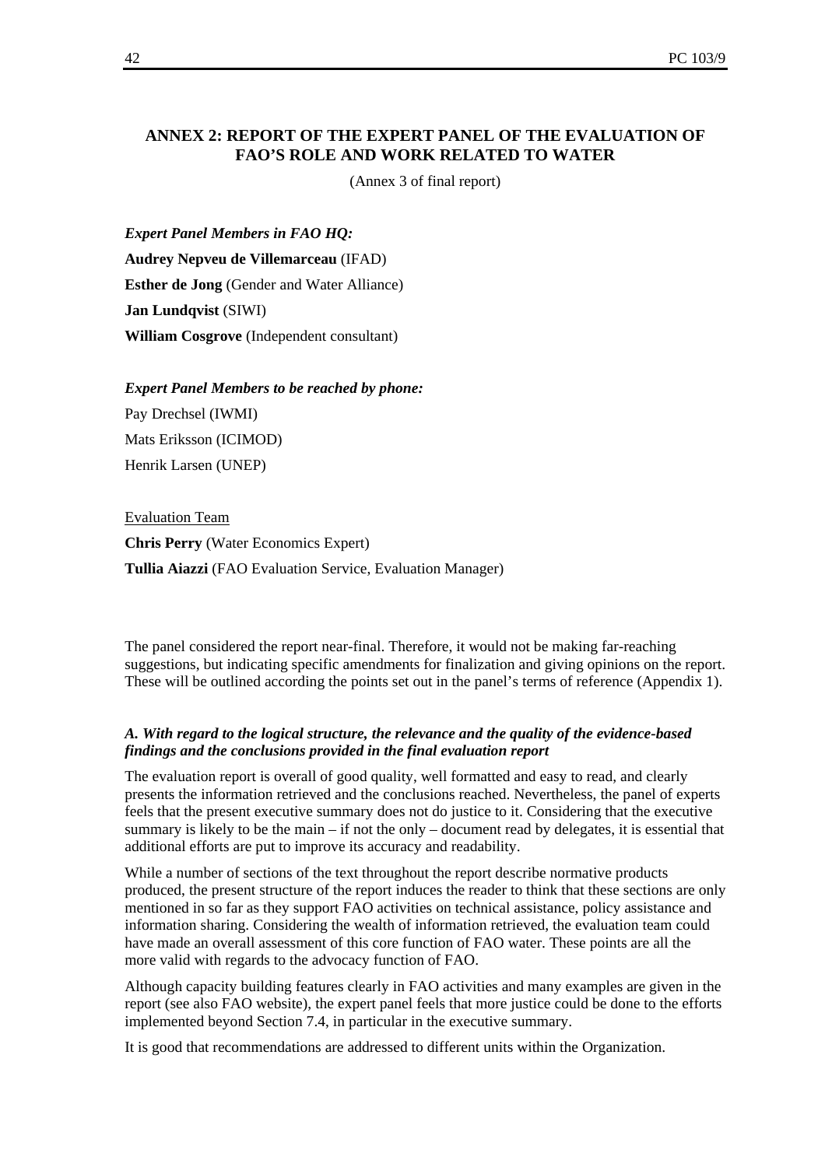#### **ANNEX 2: REPORT OF THE EXPERT PANEL OF THE EVALUATION OF FAO'S ROLE AND WORK RELATED TO WATER**

(Annex 3 of final report)

*Expert Panel Members in FAO HQ:* 

**Audrey Nepveu de Villemarceau** (IFAD) **Esther de Jong** (Gender and Water Alliance) **Jan Lundqvist** (SIWI) **William Cosgrove** (Independent consultant)

*Expert Panel Members to be reached by phone:* 

Pay Drechsel (IWMI) Mats Eriksson (ICIMOD) Henrik Larsen (UNEP)

Evaluation Team **Chris Perry** (Water Economics Expert) **Tullia Aiazzi** (FAO Evaluation Service, Evaluation Manager)

The panel considered the report near-final. Therefore, it would not be making far-reaching suggestions, but indicating specific amendments for finalization and giving opinions on the report. These will be outlined according the points set out in the panel's terms of reference (Appendix 1).

#### *A. With regard to the logical structure, the relevance and the quality of the evidence-based findings and the conclusions provided in the final evaluation report*

The evaluation report is overall of good quality, well formatted and easy to read, and clearly presents the information retrieved and the conclusions reached. Nevertheless, the panel of experts feels that the present executive summary does not do justice to it. Considering that the executive summary is likely to be the main – if not the only – document read by delegates, it is essential that additional efforts are put to improve its accuracy and readability.

While a number of sections of the text throughout the report describe normative products produced, the present structure of the report induces the reader to think that these sections are only mentioned in so far as they support FAO activities on technical assistance, policy assistance and information sharing. Considering the wealth of information retrieved, the evaluation team could have made an overall assessment of this core function of FAO water. These points are all the more valid with regards to the advocacy function of FAO.

Although capacity building features clearly in FAO activities and many examples are given in the report (see also FAO website), the expert panel feels that more justice could be done to the efforts implemented beyond Section 7.4, in particular in the executive summary.

It is good that recommendations are addressed to different units within the Organization.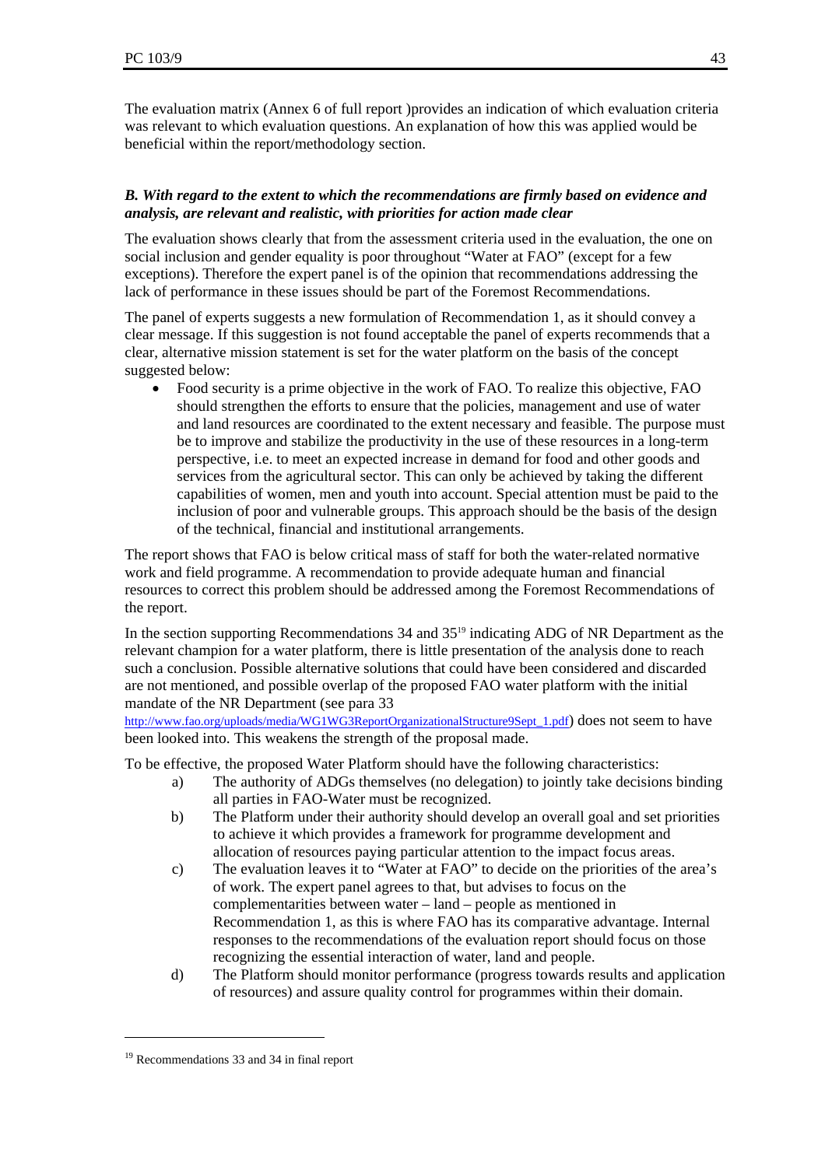The evaluation matrix (Annex 6 of full report )provides an indication of which evaluation criteria was relevant to which evaluation questions. An explanation of how this was applied would be beneficial within the report/methodology section.

#### *B. With regard to the extent to which the recommendations are firmly based on evidence and analysis, are relevant and realistic, with priorities for action made clear*

The evaluation shows clearly that from the assessment criteria used in the evaluation, the one on social inclusion and gender equality is poor throughout "Water at FAO" (except for a few exceptions). Therefore the expert panel is of the opinion that recommendations addressing the lack of performance in these issues should be part of the Foremost Recommendations.

The panel of experts suggests a new formulation of Recommendation 1, as it should convey a clear message. If this suggestion is not found acceptable the panel of experts recommends that a clear, alternative mission statement is set for the water platform on the basis of the concept suggested below:

• Food security is a prime objective in the work of FAO. To realize this objective, FAO should strengthen the efforts to ensure that the policies, management and use of water and land resources are coordinated to the extent necessary and feasible. The purpose must be to improve and stabilize the productivity in the use of these resources in a long-term perspective, i.e. to meet an expected increase in demand for food and other goods and services from the agricultural sector. This can only be achieved by taking the different capabilities of women, men and youth into account. Special attention must be paid to the inclusion of poor and vulnerable groups. This approach should be the basis of the design of the technical, financial and institutional arrangements.

The report shows that FAO is below critical mass of staff for both the water-related normative work and field programme. A recommendation to provide adequate human and financial resources to correct this problem should be addressed among the Foremost Recommendations of the report.

In the section supporting Recommendations 34 and 35<sup>19</sup> indicating ADG of NR Department as the relevant champion for a water platform, there is little presentation of the analysis done to reach such a conclusion. Possible alternative solutions that could have been considered and discarded are not mentioned, and possible overlap of the proposed FAO water platform with the initial mandate of the NR Department (see para 33

http://www.fao.org/uploads/media/WG1WG3ReportOrganizationalStructure9Sept\_1.pdf) does not seem to have been looked into. This weakens the strength of the proposal made.

To be effective, the proposed Water Platform should have the following characteristics:

- a) The authority of ADGs themselves (no delegation) to jointly take decisions binding all parties in FAO-Water must be recognized.
- b) The Platform under their authority should develop an overall goal and set priorities to achieve it which provides a framework for programme development and allocation of resources paying particular attention to the impact focus areas.
- c) The evaluation leaves it to "Water at FAO" to decide on the priorities of the area's of work. The expert panel agrees to that, but advises to focus on the complementarities between water – land – people as mentioned in Recommendation 1, as this is where FAO has its comparative advantage. Internal responses to the recommendations of the evaluation report should focus on those recognizing the essential interaction of water, land and people.
- d) The Platform should monitor performance (progress towards results and application of resources) and assure quality control for programmes within their domain.

<sup>19</sup> Recommendations 33 and 34 in final report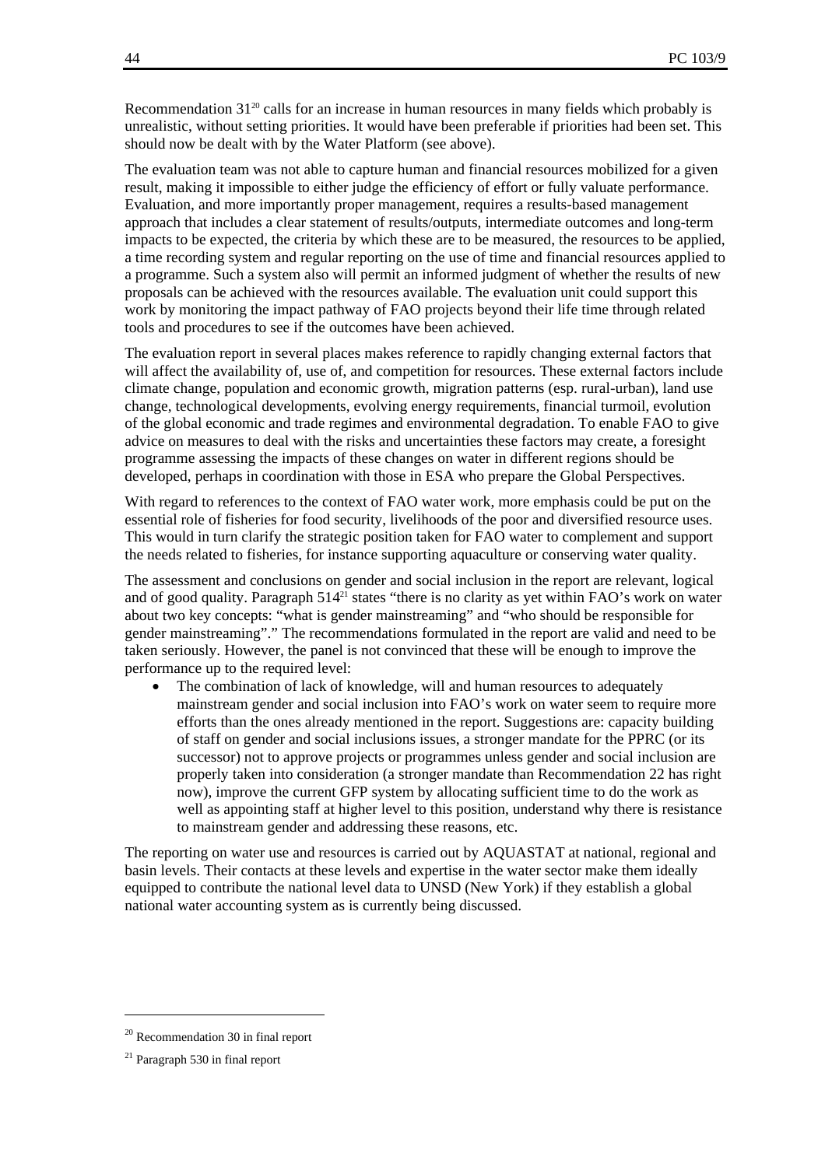Recommendation  $31^{20}$  calls for an increase in human resources in many fields which probably is unrealistic, without setting priorities. It would have been preferable if priorities had been set. This should now be dealt with by the Water Platform (see above).

The evaluation team was not able to capture human and financial resources mobilized for a given result, making it impossible to either judge the efficiency of effort or fully valuate performance. Evaluation, and more importantly proper management, requires a results-based management approach that includes a clear statement of results/outputs, intermediate outcomes and long-term impacts to be expected, the criteria by which these are to be measured, the resources to be applied, a time recording system and regular reporting on the use of time and financial resources applied to a programme. Such a system also will permit an informed judgment of whether the results of new proposals can be achieved with the resources available. The evaluation unit could support this work by monitoring the impact pathway of FAO projects beyond their life time through related tools and procedures to see if the outcomes have been achieved.

The evaluation report in several places makes reference to rapidly changing external factors that will affect the availability of, use of, and competition for resources. These external factors include climate change, population and economic growth, migration patterns (esp. rural-urban), land use change, technological developments, evolving energy requirements, financial turmoil, evolution of the global economic and trade regimes and environmental degradation. To enable FAO to give advice on measures to deal with the risks and uncertainties these factors may create, a foresight programme assessing the impacts of these changes on water in different regions should be developed, perhaps in coordination with those in ESA who prepare the Global Perspectives.

With regard to references to the context of FAO water work, more emphasis could be put on the essential role of fisheries for food security, livelihoods of the poor and diversified resource uses. This would in turn clarify the strategic position taken for FAO water to complement and support the needs related to fisheries, for instance supporting aquaculture or conserving water quality.

The assessment and conclusions on gender and social inclusion in the report are relevant, logical and of good quality. Paragraph 514<sup>21</sup> states "there is no clarity as yet within FAO's work on water about two key concepts: "what is gender mainstreaming" and "who should be responsible for gender mainstreaming"." The recommendations formulated in the report are valid and need to be taken seriously. However, the panel is not convinced that these will be enough to improve the performance up to the required level:

The combination of lack of knowledge, will and human resources to adequately mainstream gender and social inclusion into FAO's work on water seem to require more efforts than the ones already mentioned in the report. Suggestions are: capacity building of staff on gender and social inclusions issues, a stronger mandate for the PPRC (or its successor) not to approve projects or programmes unless gender and social inclusion are properly taken into consideration (a stronger mandate than Recommendation 22 has right now), improve the current GFP system by allocating sufficient time to do the work as well as appointing staff at higher level to this position, understand why there is resistance to mainstream gender and addressing these reasons, etc.

The reporting on water use and resources is carried out by AQUASTAT at national, regional and basin levels. Their contacts at these levels and expertise in the water sector make them ideally equipped to contribute the national level data to UNSD (New York) if they establish a global national water accounting system as is currently being discussed.

 $\overline{a}$ 

<sup>20</sup> Recommendation 30 in final report

<sup>21</sup> Paragraph 530 in final report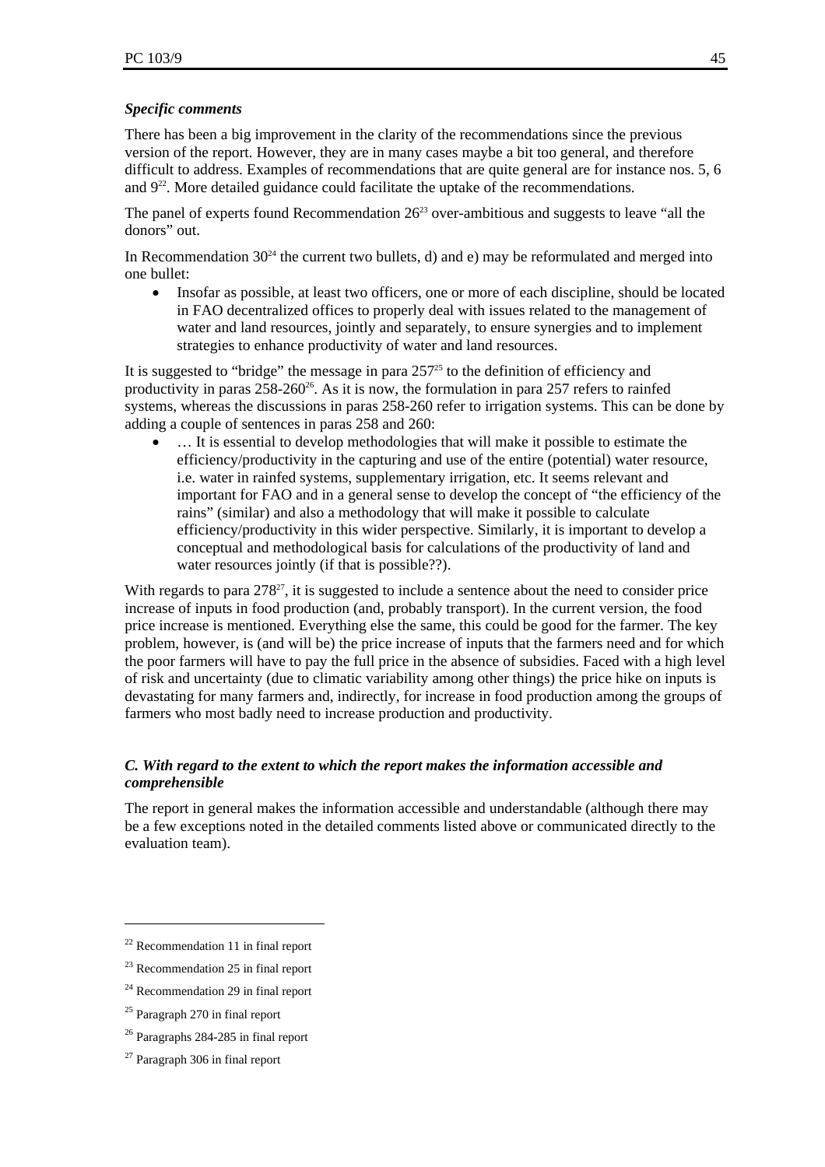#### *Specific comments*

There has been a big improvement in the clarity of the recommendations since the previous version of the report. However, they are in many cases maybe a bit too general, and therefore difficult to address. Examples of recommendations that are quite general are for instance nos. 5, 6 and  $9^{22}$ . More detailed guidance could facilitate the uptake of the recommendations.

The panel of experts found Recommendation  $26<sup>23</sup>$  over-ambitious and suggests to leave "all the donors" out.

In Recommendation  $30^{24}$  the current two bullets, d) and e) may be reformulated and merged into one bullet:

• Insofar as possible, at least two officers, one or more of each discipline, should be located in FAO decentralized offices to properly deal with issues related to the management of water and land resources, jointly and separately, to ensure synergies and to implement strategies to enhance productivity of water and land resources.

It is suggested to "bridge" the message in para  $257<sup>25</sup>$  to the definition of efficiency and productivity in paras  $258-260^{26}$ . As it is now, the formulation in para 257 refers to rainfed systems, whereas the discussions in paras 258-260 refer to irrigation systems. This can be done by adding a couple of sentences in paras 258 and 260:

... It is essential to develop methodologies that will make it possible to estimate the efficiency/productivity in the capturing and use of the entire (potential) water resource, i.e. water in rainfed systems, supplementary irrigation, etc. It seems relevant and important for FAO and in a general sense to develop the concept of "the efficiency of the rains" (similar) and also a methodology that will make it possible to calculate efficiency/productivity in this wider perspective. Similarly, it is important to develop a conceptual and methodological basis for calculations of the productivity of land and water resources jointly (if that is possible??).

With regards to para  $278<sup>27</sup>$ , it is suggested to include a sentence about the need to consider price increase of inputs in food production (and, probably transport). In the current version, the food price increase is mentioned. Everything else the same, this could be good for the farmer. The key problem, however, is (and will be) the price increase of inputs that the farmers need and for which the poor farmers will have to pay the full price in the absence of subsidies. Faced with a high level of risk and uncertainty (due to climatic variability among other things) the price hike on inputs is devastating for many farmers and, indirectly, for increase in food production among the groups of farmers who most badly need to increase production and productivity.

#### *C. With regard to the extent to which the report makes the information accessible and comprehensible*

The report in general makes the information accessible and understandable (although there may be a few exceptions noted in the detailed comments listed above or communicated directly to the evaluation team).

<sup>&</sup>lt;sup>22</sup> Recommendation 11 in final report

 $23$  Recommendation 25 in final report

<sup>&</sup>lt;sup>24</sup> Recommendation 29 in final report

 $25$  Paragraph 270 in final report

<sup>&</sup>lt;sup>26</sup> Paragraphs 284-285 in final report

<sup>27</sup> Paragraph 306 in final report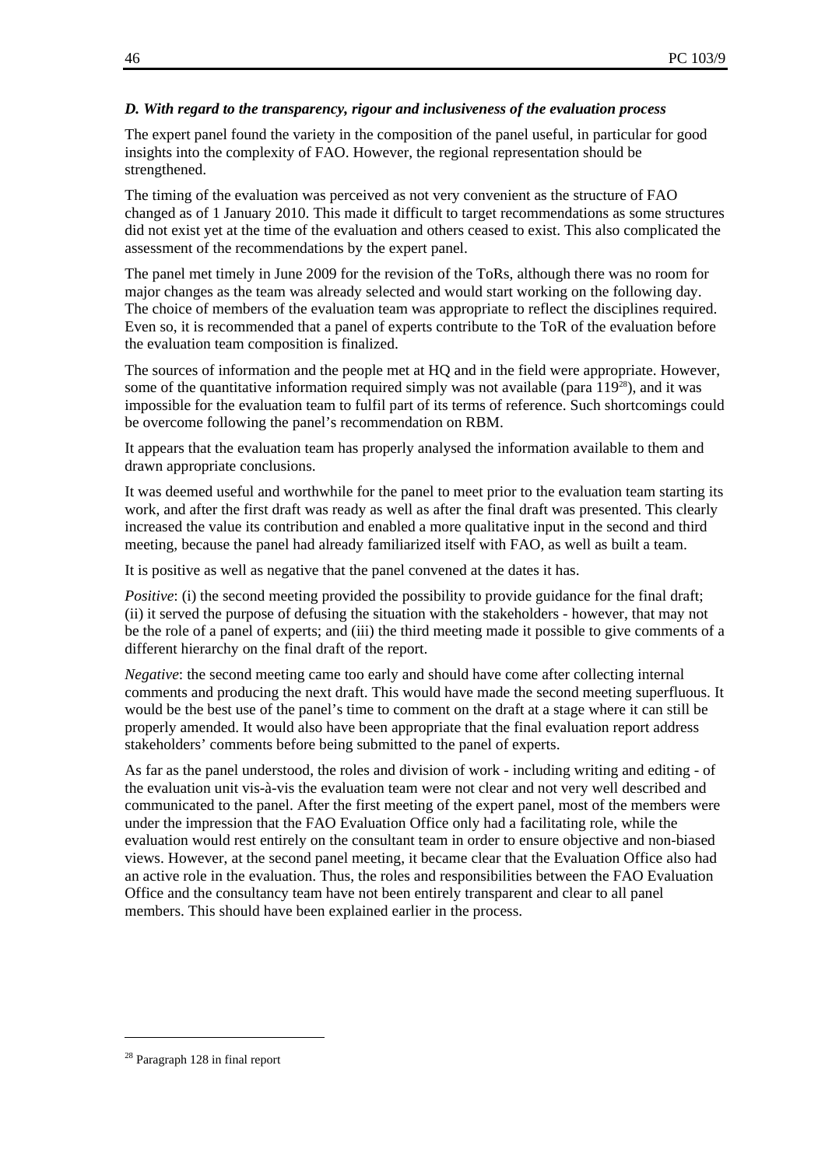#### *D. With regard to the transparency, rigour and inclusiveness of the evaluation process*

The expert panel found the variety in the composition of the panel useful, in particular for good insights into the complexity of FAO. However, the regional representation should be strengthened.

The timing of the evaluation was perceived as not very convenient as the structure of FAO changed as of 1 January 2010. This made it difficult to target recommendations as some structures did not exist yet at the time of the evaluation and others ceased to exist. This also complicated the assessment of the recommendations by the expert panel.

The panel met timely in June 2009 for the revision of the ToRs, although there was no room for major changes as the team was already selected and would start working on the following day. The choice of members of the evaluation team was appropriate to reflect the disciplines required. Even so, it is recommended that a panel of experts contribute to the ToR of the evaluation before the evaluation team composition is finalized.

The sources of information and the people met at HQ and in the field were appropriate. However, some of the quantitative information required simply was not available (para  $119^{28}$ ), and it was impossible for the evaluation team to fulfil part of its terms of reference. Such shortcomings could be overcome following the panel's recommendation on RBM.

It appears that the evaluation team has properly analysed the information available to them and drawn appropriate conclusions.

It was deemed useful and worthwhile for the panel to meet prior to the evaluation team starting its work, and after the first draft was ready as well as after the final draft was presented. This clearly increased the value its contribution and enabled a more qualitative input in the second and third meeting, because the panel had already familiarized itself with FAO, as well as built a team.

It is positive as well as negative that the panel convened at the dates it has.

*Positive*: (i) the second meeting provided the possibility to provide guidance for the final draft; (ii) it served the purpose of defusing the situation with the stakeholders - however, that may not be the role of a panel of experts; and (iii) the third meeting made it possible to give comments of a different hierarchy on the final draft of the report.

*Negative*: the second meeting came too early and should have come after collecting internal comments and producing the next draft. This would have made the second meeting superfluous. It would be the best use of the panel's time to comment on the draft at a stage where it can still be properly amended. It would also have been appropriate that the final evaluation report address stakeholders' comments before being submitted to the panel of experts.

As far as the panel understood, the roles and division of work - including writing and editing - of the evaluation unit vis-à-vis the evaluation team were not clear and not very well described and communicated to the panel. After the first meeting of the expert panel, most of the members were under the impression that the FAO Evaluation Office only had a facilitating role, while the evaluation would rest entirely on the consultant team in order to ensure objective and non-biased views. However, at the second panel meeting, it became clear that the Evaluation Office also had an active role in the evaluation. Thus, the roles and responsibilities between the FAO Evaluation Office and the consultancy team have not been entirely transparent and clear to all panel members. This should have been explained earlier in the process.

<sup>28</sup> Paragraph 128 in final report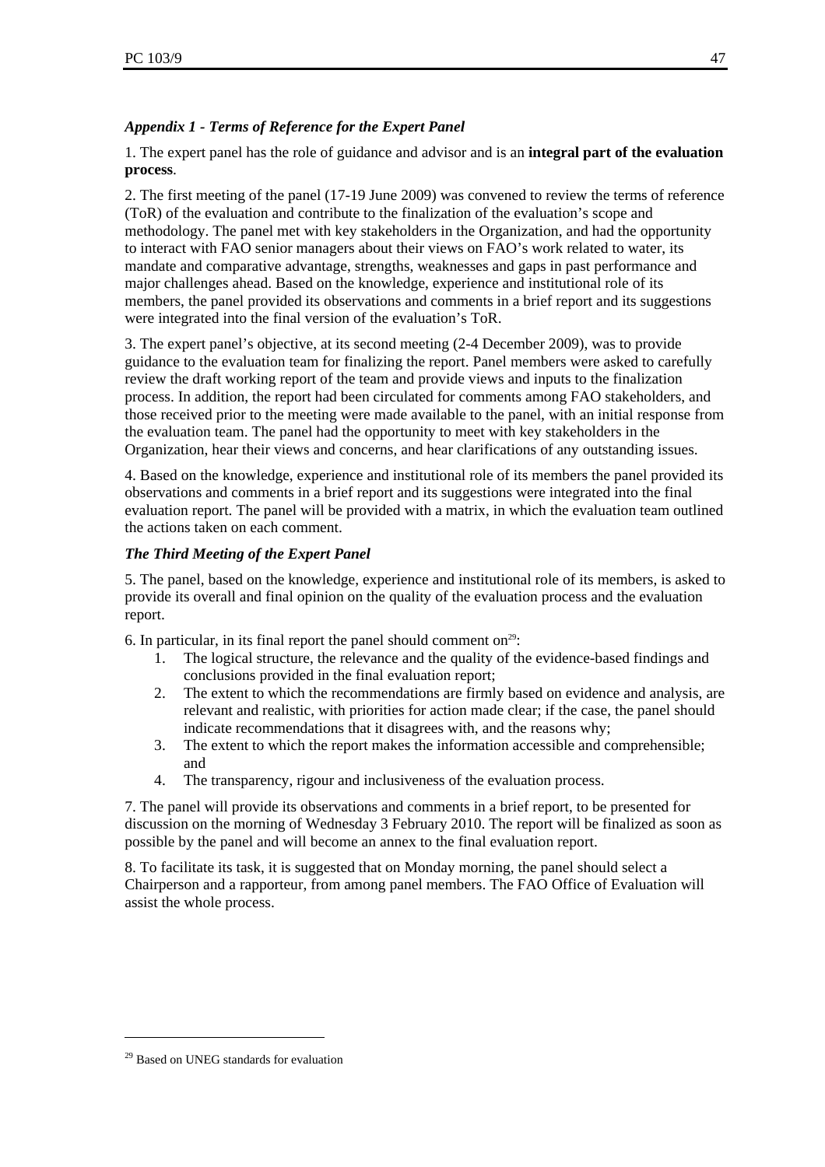# *Appendix 1 - Terms of Reference for the Expert Panel*

1. The expert panel has the role of guidance and advisor and is an **integral part of the evaluation process**.

2. The first meeting of the panel (17-19 June 2009) was convened to review the terms of reference (ToR) of the evaluation and contribute to the finalization of the evaluation's scope and methodology. The panel met with key stakeholders in the Organization, and had the opportunity to interact with FAO senior managers about their views on FAO's work related to water, its mandate and comparative advantage, strengths, weaknesses and gaps in past performance and major challenges ahead. Based on the knowledge, experience and institutional role of its members, the panel provided its observations and comments in a brief report and its suggestions were integrated into the final version of the evaluation's ToR.

3. The expert panel's objective, at its second meeting (2-4 December 2009), was to provide guidance to the evaluation team for finalizing the report. Panel members were asked to carefully review the draft working report of the team and provide views and inputs to the finalization process. In addition, the report had been circulated for comments among FAO stakeholders, and those received prior to the meeting were made available to the panel, with an initial response from the evaluation team. The panel had the opportunity to meet with key stakeholders in the Organization, hear their views and concerns, and hear clarifications of any outstanding issues.

4. Based on the knowledge, experience and institutional role of its members the panel provided its observations and comments in a brief report and its suggestions were integrated into the final evaluation report. The panel will be provided with a matrix, in which the evaluation team outlined the actions taken on each comment.

# *The Third Meeting of the Expert Panel*

5. The panel, based on the knowledge, experience and institutional role of its members, is asked to provide its overall and final opinion on the quality of the evaluation process and the evaluation report.

6. In particular, in its final report the panel should comment on<sup>29</sup>:

- 1. The logical structure, the relevance and the quality of the evidence-based findings and conclusions provided in the final evaluation report;
- 2. The extent to which the recommendations are firmly based on evidence and analysis, are relevant and realistic, with priorities for action made clear; if the case, the panel should indicate recommendations that it disagrees with, and the reasons why;
- 3. The extent to which the report makes the information accessible and comprehensible; and
- 4. The transparency, rigour and inclusiveness of the evaluation process.

7. The panel will provide its observations and comments in a brief report, to be presented for discussion on the morning of Wednesday 3 February 2010. The report will be finalized as soon as possible by the panel and will become an annex to the final evaluation report.

8. To facilitate its task, it is suggested that on Monday morning, the panel should select a Chairperson and a rapporteur, from among panel members. The FAO Office of Evaluation will assist the whole process.

<sup>&</sup>lt;sup>29</sup> Based on UNEG standards for evaluation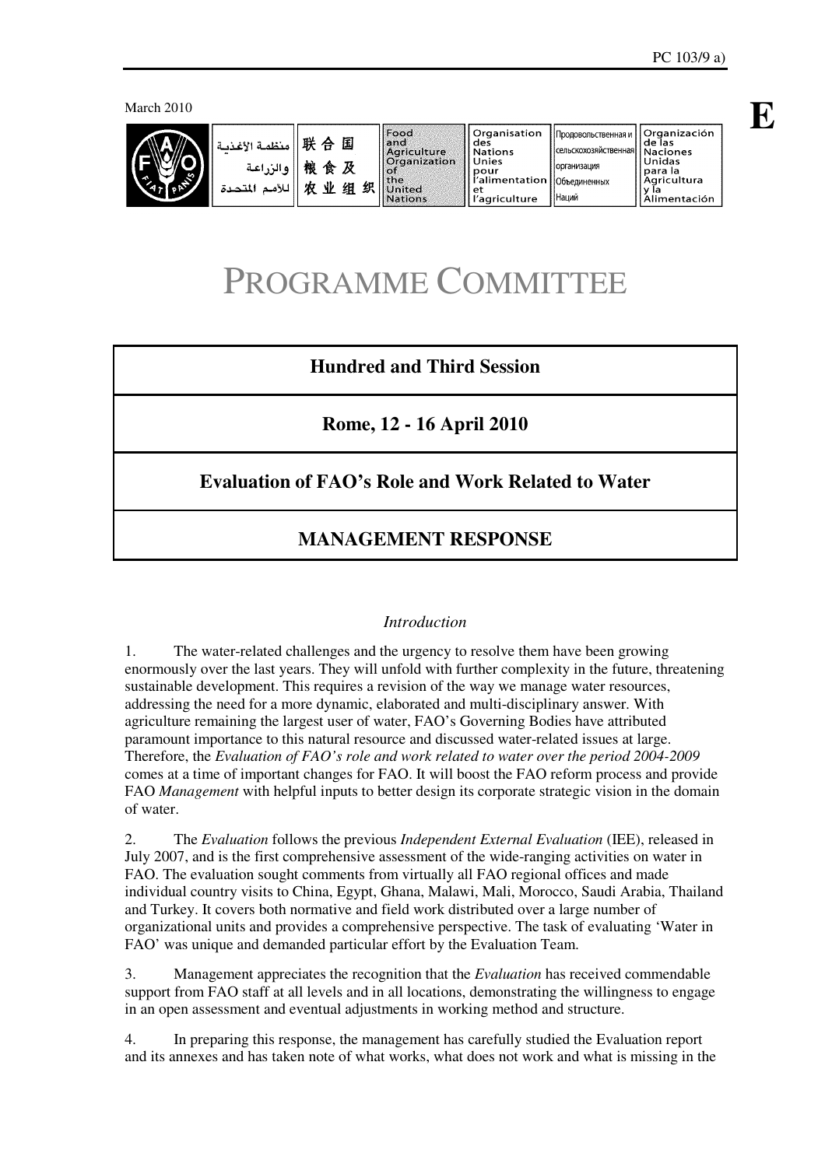March 2010



|  | أمنظمة الأغذمة<br>والزراعة<br>اللأمد<br>المتحدة | 联合国<br>粮食及<br>力 | 业 | 组 | 织 | <b>Food</b><br>land<br>Aariculture<br><b>Organization</b><br>llof<br>l the<br><b>United</b><br><b>Nations</b> | Organisation<br>des<br><b>Nations</b><br>Unies<br>pour<br>l'alimentation   Объединенных<br>еt<br>l'agriculture | 1 Продовольственная и 1<br><b>Сельскохозяйственная</b><br>Порганизация<br><b>Наций</b> | <b>Organización</b><br>de las<br><b>Naciones</b><br>Unidas<br>para la<br>Agricultura<br>limentació۱ |
|--|-------------------------------------------------|-----------------|---|---|---|---------------------------------------------------------------------------------------------------------------|----------------------------------------------------------------------------------------------------------------|----------------------------------------------------------------------------------------|-----------------------------------------------------------------------------------------------------|
|--|-------------------------------------------------|-----------------|---|---|---|---------------------------------------------------------------------------------------------------------------|----------------------------------------------------------------------------------------------------------------|----------------------------------------------------------------------------------------|-----------------------------------------------------------------------------------------------------|

# PROGRAMME COMMITTEE

# **Hundred and Third Session**

**Rome, 12 - 16 April 2010** 

# **Evaluation of FAO's Role and Work Related to Water**

# **MANAGEMENT RESPONSE**

#### *Introduction*

1. The water-related challenges and the urgency to resolve them have been growing enormously over the last years. They will unfold with further complexity in the future, threatening sustainable development. This requires a revision of the way we manage water resources, addressing the need for a more dynamic, elaborated and multi-disciplinary answer. With agriculture remaining the largest user of water, FAO's Governing Bodies have attributed paramount importance to this natural resource and discussed water-related issues at large. Therefore, the *Evaluation of FAO's role and work related to water over the period 2004-2009* comes at a time of important changes for FAO. It will boost the FAO reform process and provide FAO *Management* with helpful inputs to better design its corporate strategic vision in the domain of water.

2. The *Evaluation* follows the previous *Independent External Evaluation* (IEE), released in July 2007, and is the first comprehensive assessment of the wide-ranging activities on water in FAO. The evaluation sought comments from virtually all FAO regional offices and made individual country visits to China, Egypt, Ghana, Malawi, Mali, Morocco, Saudi Arabia, Thailand and Turkey. It covers both normative and field work distributed over a large number of organizational units and provides a comprehensive perspective. The task of evaluating 'Water in FAO' was unique and demanded particular effort by the Evaluation Team.

3. Management appreciates the recognition that the *Evaluation* has received commendable support from FAO staff at all levels and in all locations, demonstrating the willingness to engage in an open assessment and eventual adjustments in working method and structure.

4. In preparing this response, the management has carefully studied the Evaluation report and its annexes and has taken note of what works, what does not work and what is missing in the **E**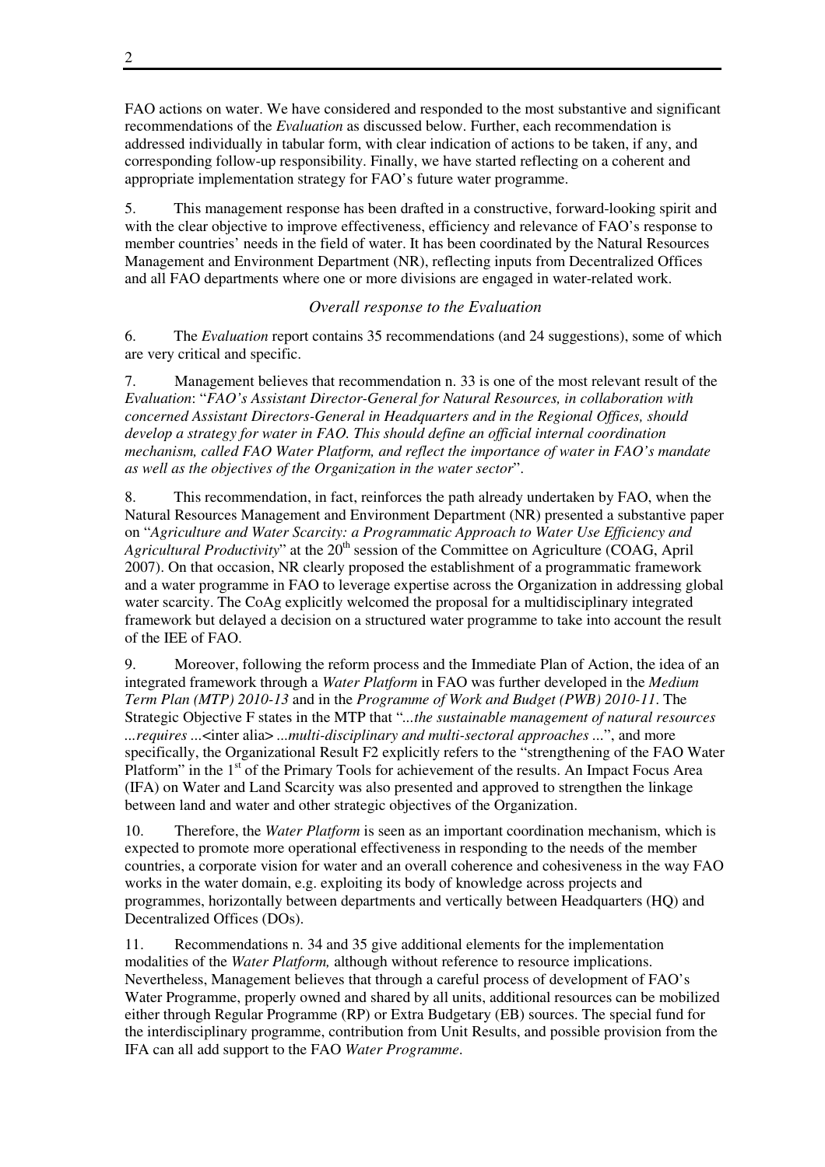FAO actions on water. We have considered and responded to the most substantive and significant recommendations of the *Evaluation* as discussed below. Further, each recommendation is addressed individually in tabular form, with clear indication of actions to be taken, if any, and corresponding follow-up responsibility. Finally, we have started reflecting on a coherent and appropriate implementation strategy for FAO's future water programme.

5. This management response has been drafted in a constructive, forward-looking spirit and with the clear objective to improve effectiveness, efficiency and relevance of FAO's response to member countries' needs in the field of water. It has been coordinated by the Natural Resources Management and Environment Department (NR), reflecting inputs from Decentralized Offices and all FAO departments where one or more divisions are engaged in water-related work.

# *Overall response to the Evaluation*

6. The *Evaluation* report contains 35 recommendations (and 24 suggestions), some of which are very critical and specific.

7. Management believes that recommendation n. 33 is one of the most relevant result of the *Evaluation*: "*FAO's Assistant Director-General for Natural Resources, in collaboration with concerned Assistant Directors-General in Headquarters and in the Regional Offices, should develop a strategy for water in FAO. This should define an official internal coordination mechanism, called FAO Water Platform, and reflect the importance of water in FAO's mandate as well as the objectives of the Organization in the water sector*".

8. This recommendation, in fact, reinforces the path already undertaken by FAO, when the Natural Resources Management and Environment Department (NR) presented a substantive paper on "*Agriculture and Water Scarcity: a Programmatic Approach to Water Use Efficiency and*  Agricultural Productivity" at the 20<sup>th</sup> session of the Committee on Agriculture (COAG, April 2007). On that occasion, NR clearly proposed the establishment of a programmatic framework and a water programme in FAO to leverage expertise across the Organization in addressing global water scarcity. The CoAg explicitly welcomed the proposal for a multidisciplinary integrated framework but delayed a decision on a structured water programme to take into account the result of the IEE of FAO.

9. Moreover, following the reform process and the Immediate Plan of Action, the idea of an integrated framework through a *Water Platform* in FAO was further developed in the *Medium Term Plan (MTP) 2010-13* and in the *Programme of Work and Budget (PWB) 2010-11*. The Strategic Objective F states in the MTP that "*...the sustainable management of natural resources ...requires ...*<inter alia> *...multi-disciplinary and multi-sectoral approaches ...*", and more specifically, the Organizational Result F2 explicitly refers to the "strengthening of the FAO Water Platform" in the 1<sup>st</sup> of the Primary Tools for achievement of the results. An Impact Focus Area (IFA) on Water and Land Scarcity was also presented and approved to strengthen the linkage between land and water and other strategic objectives of the Organization.

10. Therefore, the *Water Platform* is seen as an important coordination mechanism, which is expected to promote more operational effectiveness in responding to the needs of the member countries, a corporate vision for water and an overall coherence and cohesiveness in the way FAO works in the water domain, e.g. exploiting its body of knowledge across projects and programmes, horizontally between departments and vertically between Headquarters (HQ) and Decentralized Offices (DOs).

11. Recommendations n. 34 and 35 give additional elements for the implementation modalities of the *Water Platform,* although without reference to resource implications. Nevertheless, Management believes that through a careful process of development of FAO's Water Programme, properly owned and shared by all units, additional resources can be mobilized either through Regular Programme (RP) or Extra Budgetary (EB) sources. The special fund for the interdisciplinary programme, contribution from Unit Results, and possible provision from the IFA can all add support to the FAO *Water Programme*.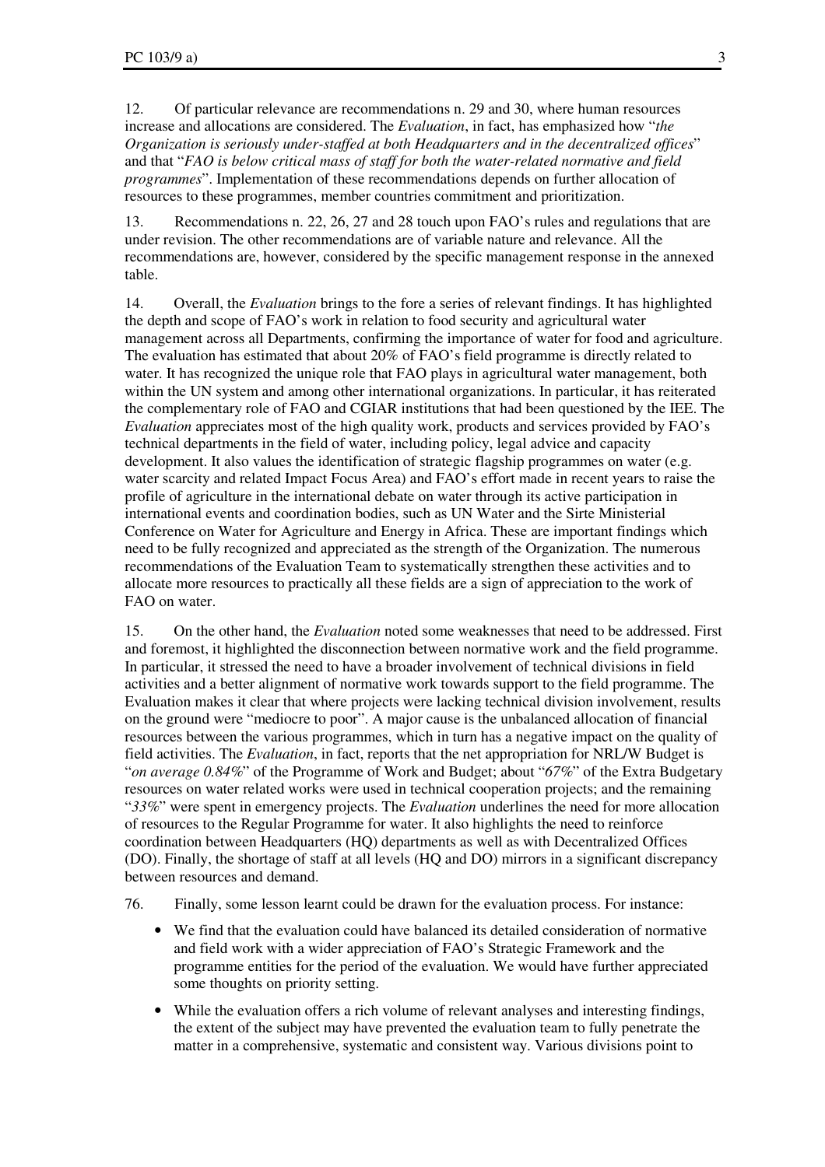12. Of particular relevance are recommendations n. 29 and 30, where human resources increase and allocations are considered. The *Evaluation*, in fact, has emphasized how "*the Organization is seriously under-staffed at both Headquarters and in the decentralized offices*" and that "*FAO is below critical mass of staff for both the water-related normative and field programmes*". Implementation of these recommendations depends on further allocation of resources to these programmes, member countries commitment and prioritization.

13. Recommendations n. 22, 26, 27 and 28 touch upon FAO's rules and regulations that are under revision. The other recommendations are of variable nature and relevance. All the recommendations are, however, considered by the specific management response in the annexed table.

14. Overall, the *Evaluation* brings to the fore a series of relevant findings. It has highlighted the depth and scope of FAO's work in relation to food security and agricultural water management across all Departments, confirming the importance of water for food and agriculture. The evaluation has estimated that about 20% of FAO's field programme is directly related to water. It has recognized the unique role that FAO plays in agricultural water management, both within the UN system and among other international organizations. In particular, it has reiterated the complementary role of FAO and CGIAR institutions that had been questioned by the IEE. The *Evaluation* appreciates most of the high quality work, products and services provided by FAO's technical departments in the field of water, including policy, legal advice and capacity development. It also values the identification of strategic flagship programmes on water (e.g. water scarcity and related Impact Focus Area) and FAO's effort made in recent years to raise the profile of agriculture in the international debate on water through its active participation in international events and coordination bodies, such as UN Water and the Sirte Ministerial Conference on Water for Agriculture and Energy in Africa. These are important findings which need to be fully recognized and appreciated as the strength of the Organization. The numerous recommendations of the Evaluation Team to systematically strengthen these activities and to allocate more resources to practically all these fields are a sign of appreciation to the work of FAO on water.

15. On the other hand, the *Evaluation* noted some weaknesses that need to be addressed. First and foremost, it highlighted the disconnection between normative work and the field programme. In particular, it stressed the need to have a broader involvement of technical divisions in field activities and a better alignment of normative work towards support to the field programme. The Evaluation makes it clear that where projects were lacking technical division involvement, results on the ground were "mediocre to poor". A major cause is the unbalanced allocation of financial resources between the various programmes, which in turn has a negative impact on the quality of field activities. The *Evaluation*, in fact, reports that the net appropriation for NRL/W Budget is "*on average 0.84%*" of the Programme of Work and Budget; about "*67%*" of the Extra Budgetary resources on water related works were used in technical cooperation projects; and the remaining "*33%*" were spent in emergency projects. The *Evaluation* underlines the need for more allocation of resources to the Regular Programme for water. It also highlights the need to reinforce coordination between Headquarters (HQ) departments as well as with Decentralized Offices (DO). Finally, the shortage of staff at all levels (HQ and DO) mirrors in a significant discrepancy between resources and demand.

- 76. Finally, some lesson learnt could be drawn for the evaluation process. For instance:
	- We find that the evaluation could have balanced its detailed consideration of normative and field work with a wider appreciation of FAO's Strategic Framework and the programme entities for the period of the evaluation. We would have further appreciated some thoughts on priority setting.
	- While the evaluation offers a rich volume of relevant analyses and interesting findings, the extent of the subject may have prevented the evaluation team to fully penetrate the matter in a comprehensive, systematic and consistent way. Various divisions point to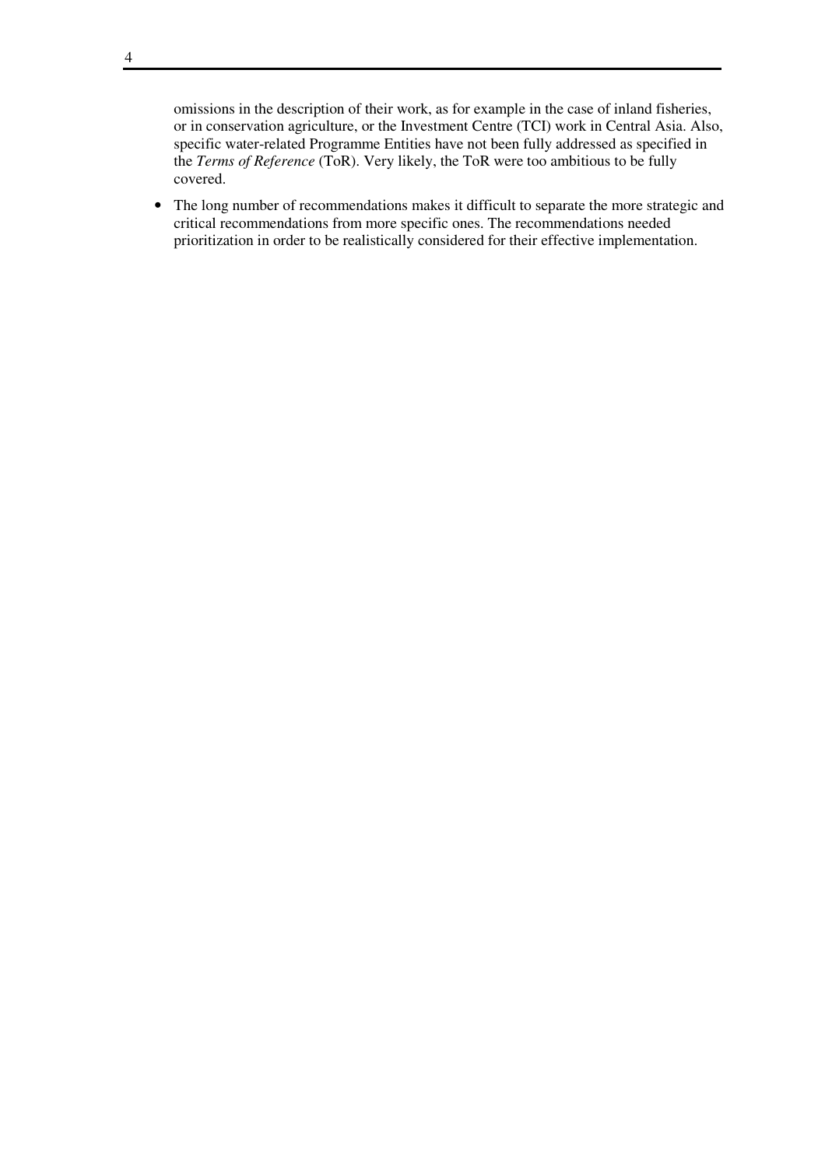omissions in the description of their work, as for example in the case of inland fisheries, or in conservation agriculture, or the Investment Centre (TCI) work in Central Asia. Also, specific water-related Programme Entities have not been fully addressed as specified in the *Terms of Reference* (ToR). Very likely, the ToR were too ambitious to be fully covered.

• The long number of recommendations makes it difficult to separate the more strategic and critical recommendations from more specific ones. The recommendations needed prioritization in order to be realistically considered for their effective implementation.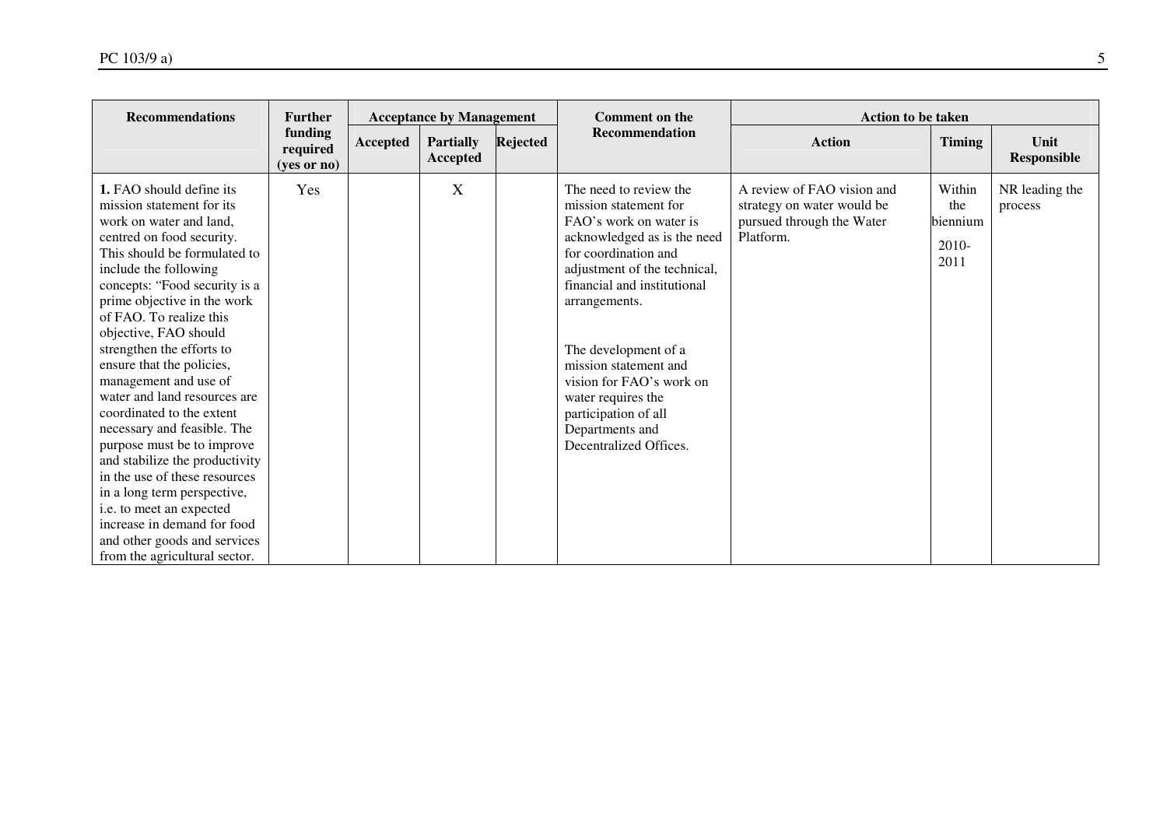| <b>Recommendations</b>                                                                                                                                                                                                                                                                                                                                                                                                                                                                                                                                                                                                                                                                                                                 | <b>Further</b>                     |          | <b>Acceptance by Management</b> |          | <b>Comment on the</b>                                                                                                                                                                                                                                                                                                                                                                    | <b>Action to be taken</b>                                                                          |                                              |                            |
|----------------------------------------------------------------------------------------------------------------------------------------------------------------------------------------------------------------------------------------------------------------------------------------------------------------------------------------------------------------------------------------------------------------------------------------------------------------------------------------------------------------------------------------------------------------------------------------------------------------------------------------------------------------------------------------------------------------------------------------|------------------------------------|----------|---------------------------------|----------|------------------------------------------------------------------------------------------------------------------------------------------------------------------------------------------------------------------------------------------------------------------------------------------------------------------------------------------------------------------------------------------|----------------------------------------------------------------------------------------------------|----------------------------------------------|----------------------------|
|                                                                                                                                                                                                                                                                                                                                                                                                                                                                                                                                                                                                                                                                                                                                        | funding<br>required<br>(yes or no) | Accepted | <b>Partially</b><br>Accepted    | Rejected | Recommendation                                                                                                                                                                                                                                                                                                                                                                           | <b>Action</b>                                                                                      | Timing                                       | Unit<br><b>Responsible</b> |
| 1. FAO should define its<br>mission statement for its.<br>work on water and land.<br>centred on food security.<br>This should be formulated to<br>include the following<br>concepts: "Food security is a<br>prime objective in the work<br>of FAO. To realize this<br>objective, FAO should<br>strengthen the efforts to<br>ensure that the policies,<br>management and use of<br>water and land resources are<br>coordinated to the extent<br>necessary and feasible. The<br>purpose must be to improve<br>and stabilize the productivity<br>in the use of these resources<br>in a long term perspective,<br>i.e. to meet an expected<br>increase in demand for food<br>and other goods and services<br>from the agricultural sector. | Yes                                |          | X                               |          | The need to review the<br>mission statement for<br>FAO's work on water is<br>acknowledged as is the need<br>for coordination and<br>adjustment of the technical,<br>financial and institutional<br>arrangements.<br>The development of a<br>mission statement and<br>vision for FAO's work on<br>water requires the<br>participation of all<br>Departments and<br>Decentralized Offices. | A review of FAO vision and<br>strategy on water would be<br>pursued through the Water<br>Platform. | Within<br>the<br>biennium<br>$2010-$<br>2011 | NR leading the<br>process  |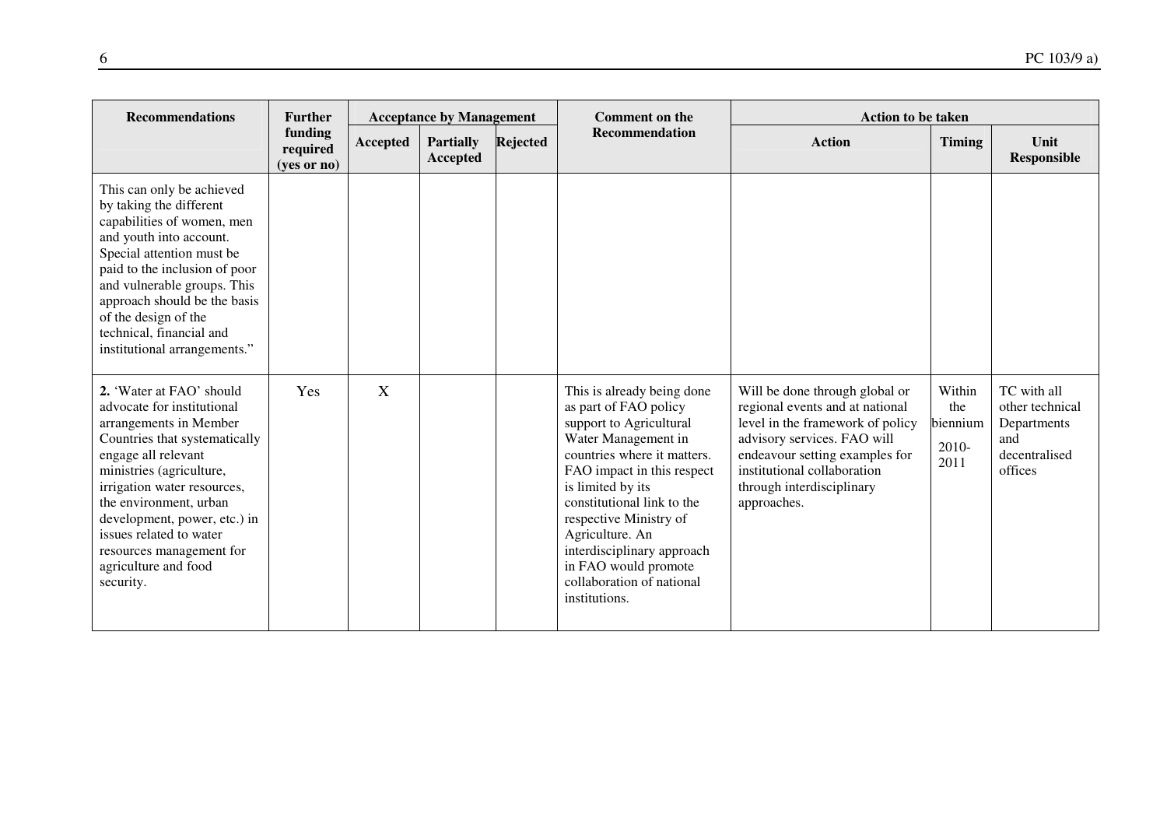| <b>Recommendations</b>                                                                                                                                                                                                                                                                                                                                    | <b>Further</b>                       |          | <b>Acceptance by Management</b> |                 | <b>Comment on the</b>                                                                                                                                                                                                                                                                                                                                                  | <b>Action to be taken</b>                                                                                                                                                                                                                         |                                            |                                                                                  |  |
|-----------------------------------------------------------------------------------------------------------------------------------------------------------------------------------------------------------------------------------------------------------------------------------------------------------------------------------------------------------|--------------------------------------|----------|---------------------------------|-----------------|------------------------------------------------------------------------------------------------------------------------------------------------------------------------------------------------------------------------------------------------------------------------------------------------------------------------------------------------------------------------|---------------------------------------------------------------------------------------------------------------------------------------------------------------------------------------------------------------------------------------------------|--------------------------------------------|----------------------------------------------------------------------------------|--|
|                                                                                                                                                                                                                                                                                                                                                           | funding<br>required<br>$(yes$ or no) | Accepted | <b>Partially</b><br>Accepted    | <b>Rejected</b> | <b>Recommendation</b>                                                                                                                                                                                                                                                                                                                                                  | <b>Action</b>                                                                                                                                                                                                                                     | <b>Timing</b>                              | Unit<br><b>Responsible</b>                                                       |  |
| This can only be achieved<br>by taking the different<br>capabilities of women, men<br>and youth into account.<br>Special attention must be<br>paid to the inclusion of poor<br>and vulnerable groups. This<br>approach should be the basis<br>of the design of the<br>technical, financial and<br>institutional arrangements."                            |                                      |          |                                 |                 |                                                                                                                                                                                                                                                                                                                                                                        |                                                                                                                                                                                                                                                   |                                            |                                                                                  |  |
| 2. 'Water at FAO' should<br>advocate for institutional<br>arrangements in Member<br>Countries that systematically<br>engage all relevant<br>ministries (agriculture,<br>irrigation water resources,<br>the environment, urban<br>development, power, etc.) in<br>issues related to water<br>resources management for<br>agriculture and food<br>security. | Yes                                  | X        |                                 |                 | This is already being done<br>as part of FAO policy<br>support to Agricultural<br>Water Management in<br>countries where it matters.<br>FAO impact in this respect<br>is limited by its<br>constitutional link to the<br>respective Ministry of<br>Agriculture. An<br>interdisciplinary approach<br>in FAO would promote<br>collaboration of national<br>institutions. | Will be done through global or<br>regional events and at national<br>level in the framework of policy<br>advisory services. FAO will<br>endeavour setting examples for<br>institutional collaboration<br>through interdisciplinary<br>approaches. | Within<br>the<br>biennium<br>2010-<br>2011 | TC with all<br>other technical<br>Departments<br>and<br>decentralised<br>offices |  |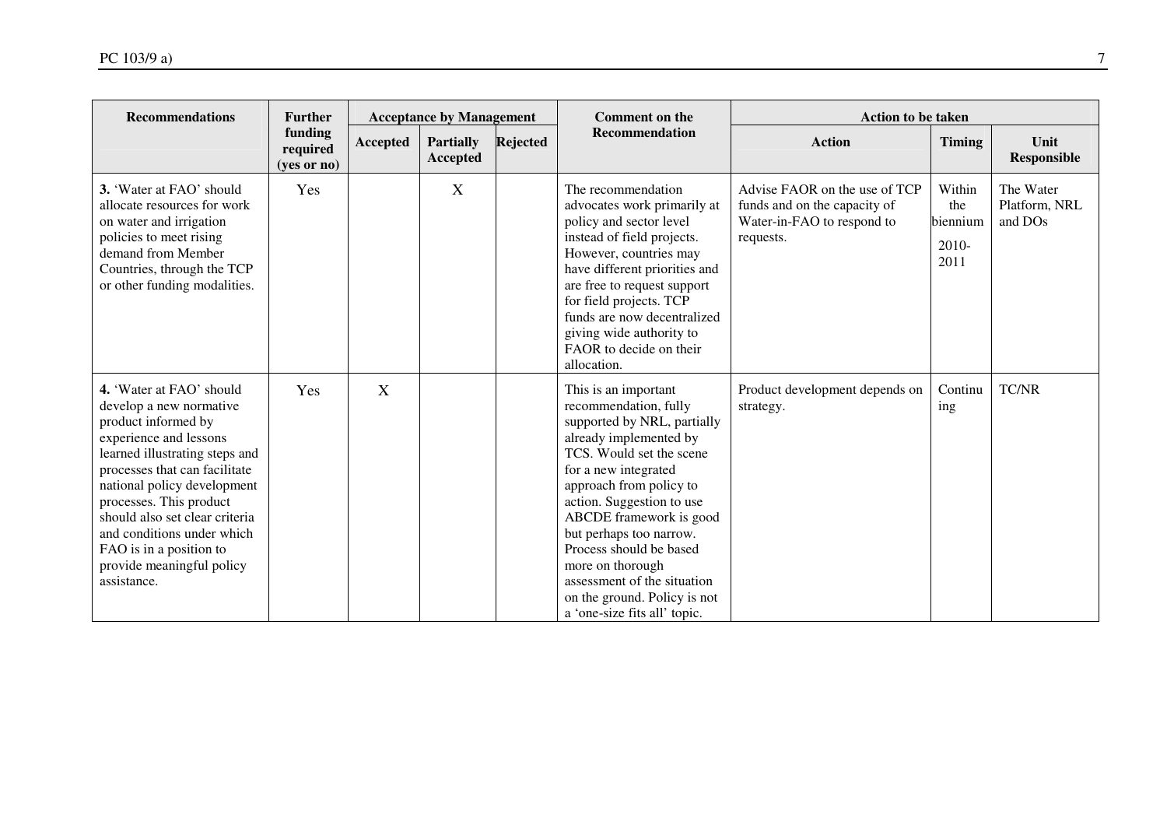| <b>Recommendations</b>                                                                                                                                                                                                                                                                                                                                                   | <b>Further</b>                     | <b>Acceptance by Management</b> |                                     |                 | <b>Comment on the</b>                                                                                                                                                                                                                                                                                                                                                                                                  | <b>Action to be taken</b>                                                                                |                                              |                                       |  |
|--------------------------------------------------------------------------------------------------------------------------------------------------------------------------------------------------------------------------------------------------------------------------------------------------------------------------------------------------------------------------|------------------------------------|---------------------------------|-------------------------------------|-----------------|------------------------------------------------------------------------------------------------------------------------------------------------------------------------------------------------------------------------------------------------------------------------------------------------------------------------------------------------------------------------------------------------------------------------|----------------------------------------------------------------------------------------------------------|----------------------------------------------|---------------------------------------|--|
|                                                                                                                                                                                                                                                                                                                                                                          | funding<br>required<br>(yes or no) | Accepted                        | <b>Partially</b><br><b>Accepted</b> | <b>Rejected</b> | <b>Recommendation</b>                                                                                                                                                                                                                                                                                                                                                                                                  | <b>Action</b>                                                                                            | <b>Timing</b>                                | Unit<br><b>Responsible</b>            |  |
| 3. 'Water at FAO' should<br>allocate resources for work<br>on water and irrigation<br>policies to meet rising<br>demand from Member<br>Countries, through the TCP<br>or other funding modalities.                                                                                                                                                                        | Yes                                |                                 | X                                   |                 | The recommendation<br>advocates work primarily at<br>policy and sector level<br>instead of field projects.<br>However, countries may<br>have different priorities and<br>are free to request support<br>for field projects. TCP<br>funds are now decentralized<br>giving wide authority to<br>FAOR to decide on their<br>allocation.                                                                                   | Advise FAOR on the use of TCP<br>funds and on the capacity of<br>Water-in-FAO to respond to<br>requests. | Within<br>the<br>biennium<br>$2010-$<br>2011 | The Water<br>Platform, NRL<br>and DOs |  |
| 4. 'Water at FAO' should<br>develop a new normative<br>product informed by<br>experience and lessons<br>learned illustrating steps and<br>processes that can facilitate<br>national policy development<br>processes. This product<br>should also set clear criteria<br>and conditions under which<br>FAO is in a position to<br>provide meaningful policy<br>assistance. | Yes                                | X                               |                                     |                 | This is an important<br>recommendation, fully<br>supported by NRL, partially<br>already implemented by<br>TCS. Would set the scene<br>for a new integrated<br>approach from policy to<br>action. Suggestion to use<br>ABCDE framework is good<br>but perhaps too narrow.<br>Process should be based<br>more on thorough<br>assessment of the situation<br>on the ground. Policy is not<br>a 'one-size fits all' topic. | Product development depends on<br>strategy.                                                              | Continu<br>ing                               | <b>TC/NR</b>                          |  |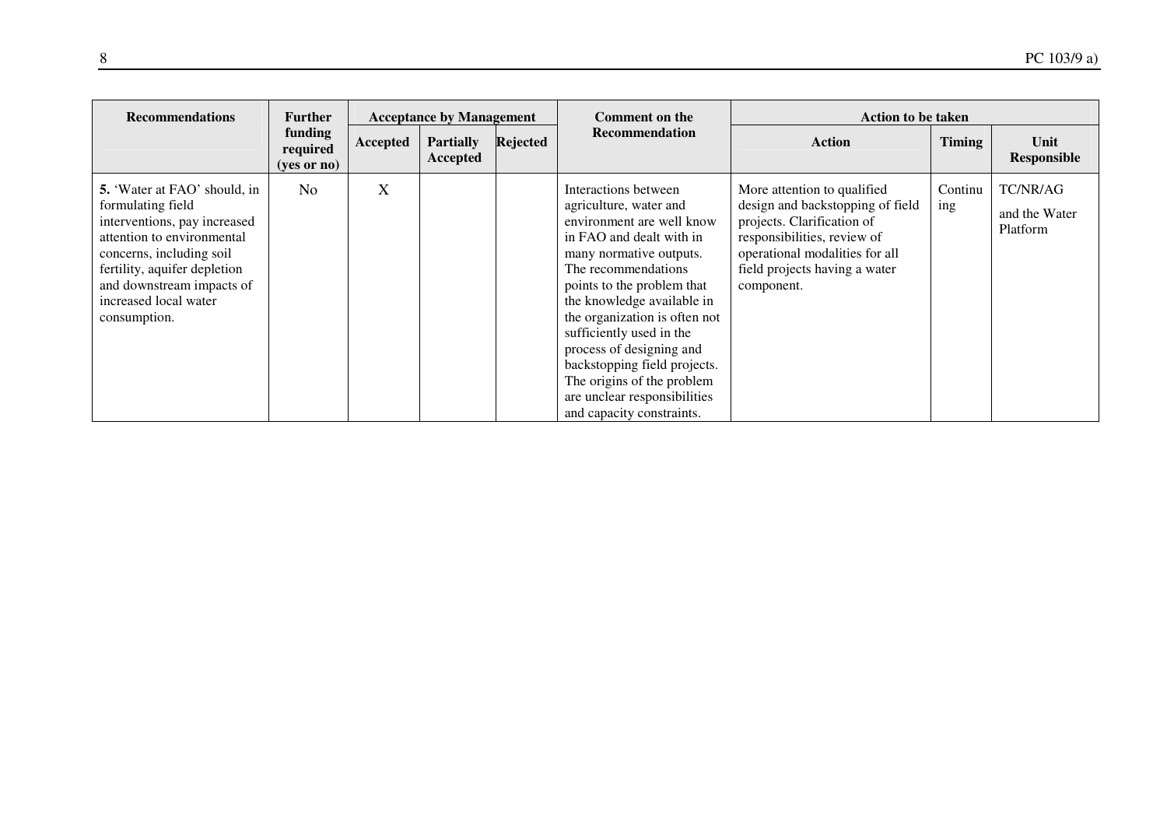| <b>Recommendations</b>                                                                                                                                                                                                                                   | <b>Acceptance by Management</b><br><b>Further</b> |          | Comment on the               | <b>Action to be taken</b> |                                                                                                                                                                                                                                                                                                                                                                                                                                           |                                                                                                                                                                                                               |                |                                       |
|----------------------------------------------------------------------------------------------------------------------------------------------------------------------------------------------------------------------------------------------------------|---------------------------------------------------|----------|------------------------------|---------------------------|-------------------------------------------------------------------------------------------------------------------------------------------------------------------------------------------------------------------------------------------------------------------------------------------------------------------------------------------------------------------------------------------------------------------------------------------|---------------------------------------------------------------------------------------------------------------------------------------------------------------------------------------------------------------|----------------|---------------------------------------|
|                                                                                                                                                                                                                                                          | funding<br>required<br>$(yes \text{ or } no)$     | Accepted | <b>Partially</b><br>Accepted | Rejected                  | <b>Recommendation</b>                                                                                                                                                                                                                                                                                                                                                                                                                     | <b>Action</b>                                                                                                                                                                                                 | <b>Timing</b>  | Unit<br>Responsible                   |
| <b>5.</b> 'Water at FAO' should, in<br>formulating field<br>interventions, pay increased<br>attention to environmental<br>concerns, including soil<br>fertility, aquifer depletion<br>and downstream impacts of<br>increased local water<br>consumption. | N <sub>o</sub>                                    | X        |                              |                           | Interactions between<br>agriculture, water and<br>environment are well know<br>in FAO and dealt with in<br>many normative outputs.<br>The recommendations<br>points to the problem that<br>the knowledge available in<br>the organization is often not<br>sufficiently used in the<br>process of designing and<br>backstopping field projects.<br>The origins of the problem<br>are unclear responsibilities<br>and capacity constraints. | More attention to qualified<br>design and backstopping of field<br>projects. Clarification of<br>responsibilities, review of<br>operational modalities for all<br>field projects having a water<br>component. | Continu<br>ing | TC/NR/AG<br>and the Water<br>Platform |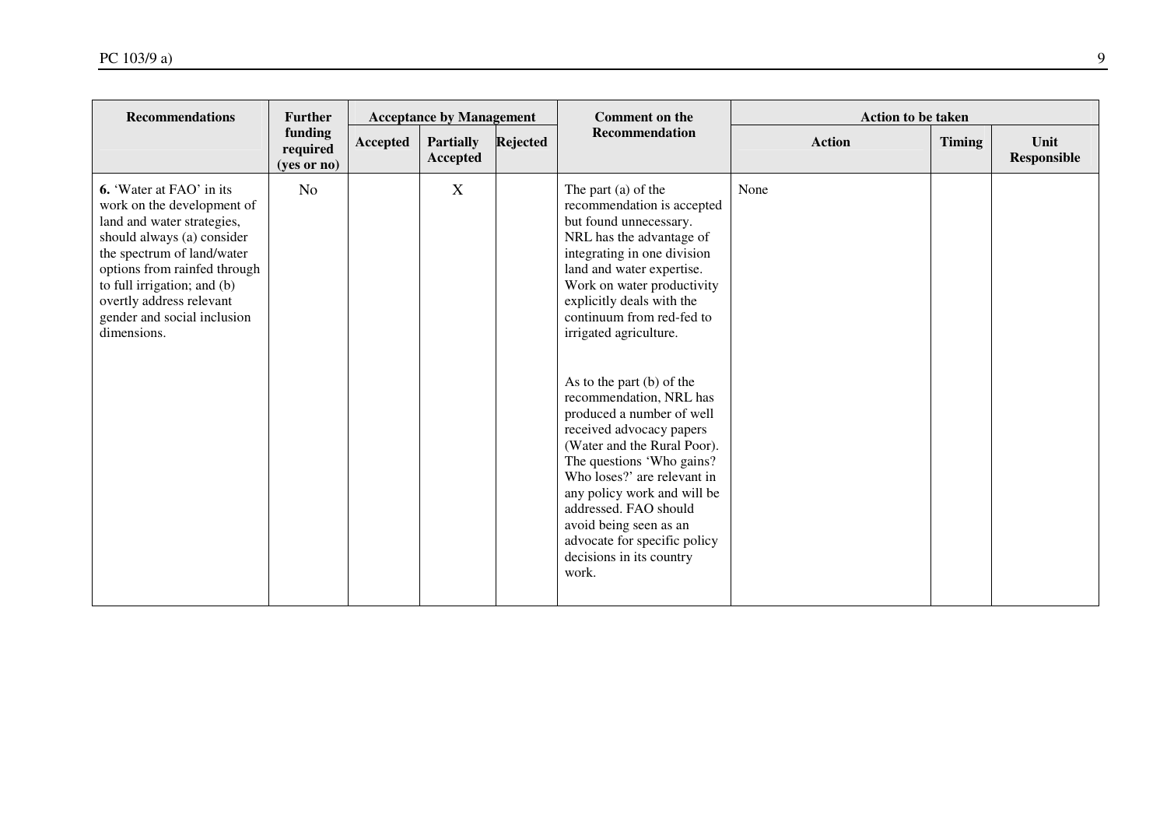| <b>Recommendations</b>                                                                                                                                                                                                                                                                           | <b>Further</b>                     |          | <b>Acceptance by Management</b>     |          | <b>Comment on the</b>                                                                                                                                                                                                                                                                                                                                                                                                                                                                                                                                                                                                                                    | <b>Action to be taken</b> |               |                     |
|--------------------------------------------------------------------------------------------------------------------------------------------------------------------------------------------------------------------------------------------------------------------------------------------------|------------------------------------|----------|-------------------------------------|----------|----------------------------------------------------------------------------------------------------------------------------------------------------------------------------------------------------------------------------------------------------------------------------------------------------------------------------------------------------------------------------------------------------------------------------------------------------------------------------------------------------------------------------------------------------------------------------------------------------------------------------------------------------------|---------------------------|---------------|---------------------|
|                                                                                                                                                                                                                                                                                                  | funding<br>required<br>(yes or no) | Accepted | <b>Partially</b><br><b>Accepted</b> | Rejected | <b>Recommendation</b>                                                                                                                                                                                                                                                                                                                                                                                                                                                                                                                                                                                                                                    | <b>Action</b>             | <b>Timing</b> | Unit<br>Responsible |
| <b>6.</b> 'Water at FAO' in its<br>work on the development of<br>land and water strategies,<br>should always (a) consider<br>the spectrum of land/water<br>options from rainfed through<br>to full irrigation; and (b)<br>overtly address relevant<br>gender and social inclusion<br>dimensions. | N <sub>o</sub>                     |          | $\mathbf X$                         |          | The part (a) of the<br>recommendation is accepted<br>but found unnecessary.<br>NRL has the advantage of<br>integrating in one division<br>land and water expertise.<br>Work on water productivity<br>explicitly deals with the<br>continuum from red-fed to<br>irrigated agriculture.<br>As to the part (b) of the<br>recommendation, NRL has<br>produced a number of well<br>received advocacy papers<br>(Water and the Rural Poor).<br>The questions 'Who gains?<br>Who loses?' are relevant in<br>any policy work and will be<br>addressed. FAO should<br>avoid being seen as an<br>advocate for specific policy<br>decisions in its country<br>work. | None                      |               |                     |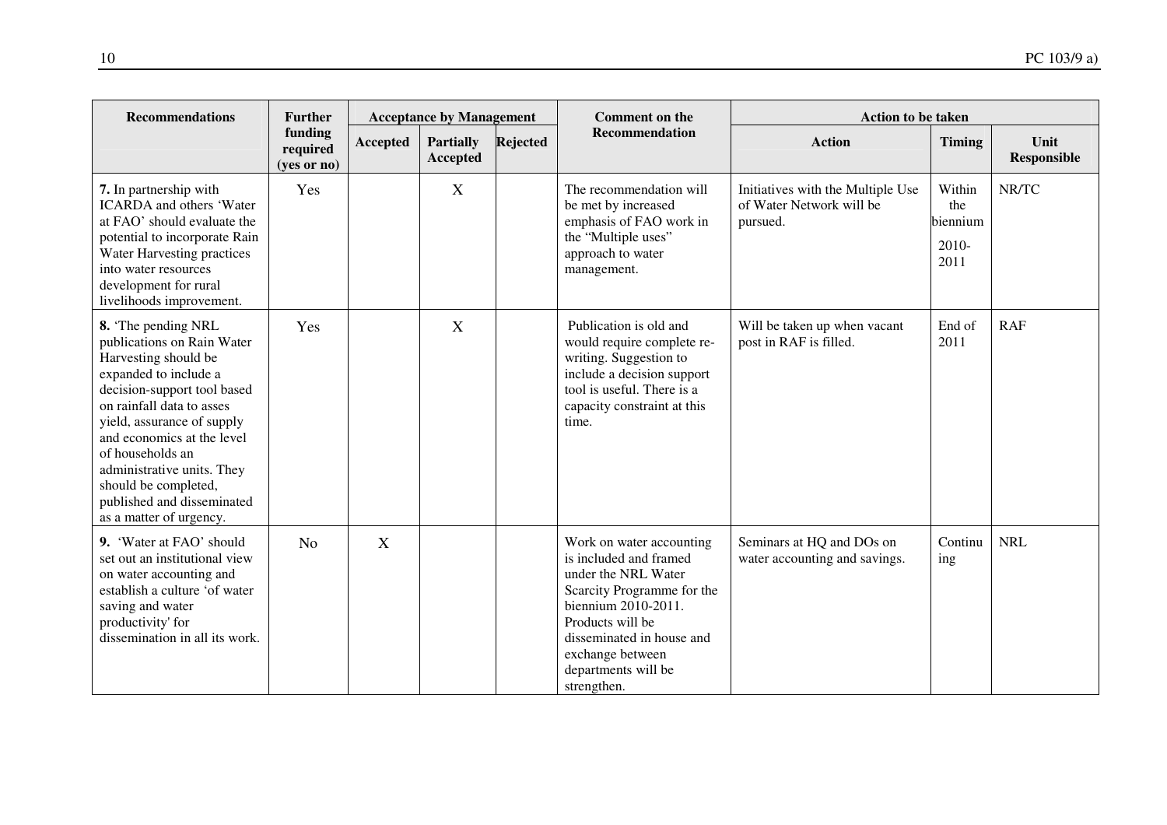| <b>Recommendations</b>                                                                                                                                                                                                                                                                                                                                       | <b>Further</b>                     |                 | <b>Acceptance by Management</b> |                 | <b>Comment on the</b>                                                                                                                                                                                                                     | <b>Action to be taken</b>                                                 |                                              |                            |
|--------------------------------------------------------------------------------------------------------------------------------------------------------------------------------------------------------------------------------------------------------------------------------------------------------------------------------------------------------------|------------------------------------|-----------------|---------------------------------|-----------------|-------------------------------------------------------------------------------------------------------------------------------------------------------------------------------------------------------------------------------------------|---------------------------------------------------------------------------|----------------------------------------------|----------------------------|
|                                                                                                                                                                                                                                                                                                                                                              | funding<br>required<br>(yes or no) | <b>Accepted</b> | <b>Partially</b><br>Accepted    | <b>Rejected</b> | <b>Recommendation</b>                                                                                                                                                                                                                     | <b>Action</b>                                                             | <b>Timing</b>                                | Unit<br><b>Responsible</b> |
| 7. In partnership with<br><b>ICARDA</b> and others 'Water<br>at FAO' should evaluate the<br>potential to incorporate Rain<br>Water Harvesting practices<br>into water resources<br>development for rural<br>livelihoods improvement.                                                                                                                         | Yes                                |                 | X                               |                 | The recommendation will<br>be met by increased<br>emphasis of FAO work in<br>the "Multiple uses"<br>approach to water<br>management.                                                                                                      | Initiatives with the Multiple Use<br>of Water Network will be<br>pursued. | Within<br>the<br>biennium<br>$2010-$<br>2011 | NR/TC                      |
| 8. The pending NRL<br>publications on Rain Water<br>Harvesting should be<br>expanded to include a<br>decision-support tool based<br>on rainfall data to asses<br>yield, assurance of supply<br>and economics at the level<br>of households an<br>administrative units. They<br>should be completed,<br>published and disseminated<br>as a matter of urgency. | Yes                                |                 | X                               |                 | Publication is old and<br>would require complete re-<br>writing. Suggestion to<br>include a decision support<br>tool is useful. There is a<br>capacity constraint at this<br>time.                                                        | Will be taken up when vacant<br>post in RAF is filled.                    | End of<br>2011                               | RAF                        |
| 9. 'Water at FAO' should<br>set out an institutional view<br>on water accounting and<br>establish a culture 'of water<br>saving and water<br>productivity' for<br>dissemination in all its work.                                                                                                                                                             | N <sub>o</sub>                     | X               |                                 |                 | Work on water accounting<br>is included and framed<br>under the NRL Water<br>Scarcity Programme for the<br>biennium 2010-2011.<br>Products will be<br>disseminated in house and<br>exchange between<br>departments will be<br>strengthen. | Seminars at HQ and DOs on<br>water accounting and savings.                | Continu<br>ing                               | <b>NRL</b>                 |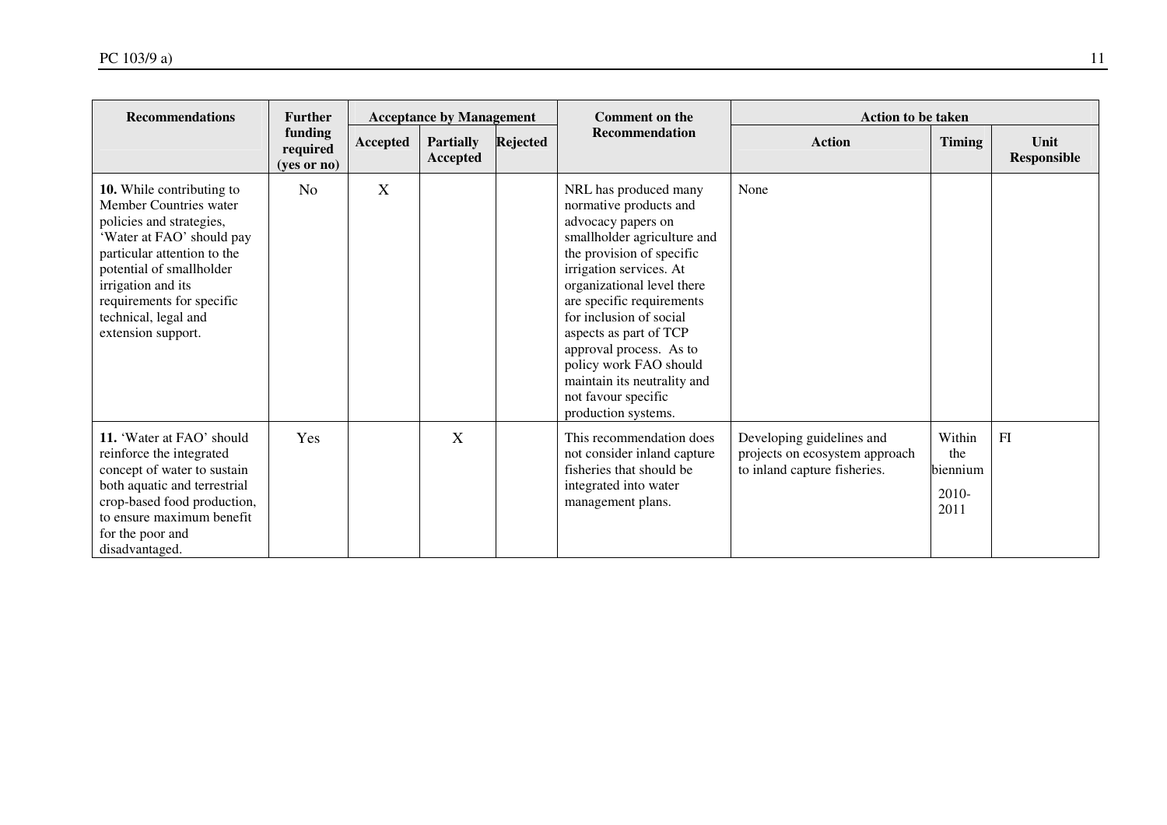| <b>Recommendations</b>                                                                                                                                                                                                                                                   | <b>Further</b>                       | <b>Acceptance by Management</b> |                                     |          | <b>Comment on the</b>                                                                                                                                                                                                                                                                                                                                                                                          | <b>Action to be taken</b>                                                                   |                                              |                            |
|--------------------------------------------------------------------------------------------------------------------------------------------------------------------------------------------------------------------------------------------------------------------------|--------------------------------------|---------------------------------|-------------------------------------|----------|----------------------------------------------------------------------------------------------------------------------------------------------------------------------------------------------------------------------------------------------------------------------------------------------------------------------------------------------------------------------------------------------------------------|---------------------------------------------------------------------------------------------|----------------------------------------------|----------------------------|
|                                                                                                                                                                                                                                                                          | funding<br>required<br>$(yes$ or no) | Accepted                        | <b>Partially</b><br><b>Accepted</b> | Rejected | <b>Recommendation</b>                                                                                                                                                                                                                                                                                                                                                                                          | <b>Action</b>                                                                               | <b>Timing</b>                                | Unit<br><b>Responsible</b> |
| 10. While contributing to<br>Member Countries water<br>policies and strategies,<br>'Water at FAO' should pay<br>particular attention to the<br>potential of smallholder<br>irrigation and its<br>requirements for specific<br>technical, legal and<br>extension support. | No                                   | X                               |                                     |          | NRL has produced many<br>normative products and<br>advocacy papers on<br>smallholder agriculture and<br>the provision of specific<br>irrigation services. At<br>organizational level there<br>are specific requirements<br>for inclusion of social<br>aspects as part of TCP<br>approval process. As to<br>policy work FAO should<br>maintain its neutrality and<br>not favour specific<br>production systems. | None                                                                                        |                                              |                            |
| 11. 'Water at FAO' should<br>reinforce the integrated<br>concept of water to sustain<br>both aquatic and terrestrial<br>crop-based food production,<br>to ensure maximum benefit<br>for the poor and<br>disadvantaged.                                                   | Yes                                  |                                 | X                                   |          | This recommendation does<br>not consider inland capture<br>fisheries that should be<br>integrated into water<br>management plans.                                                                                                                                                                                                                                                                              | Developing guidelines and<br>projects on ecosystem approach<br>to inland capture fisheries. | Within<br>the<br>biennium<br>$2010-$<br>2011 | FI                         |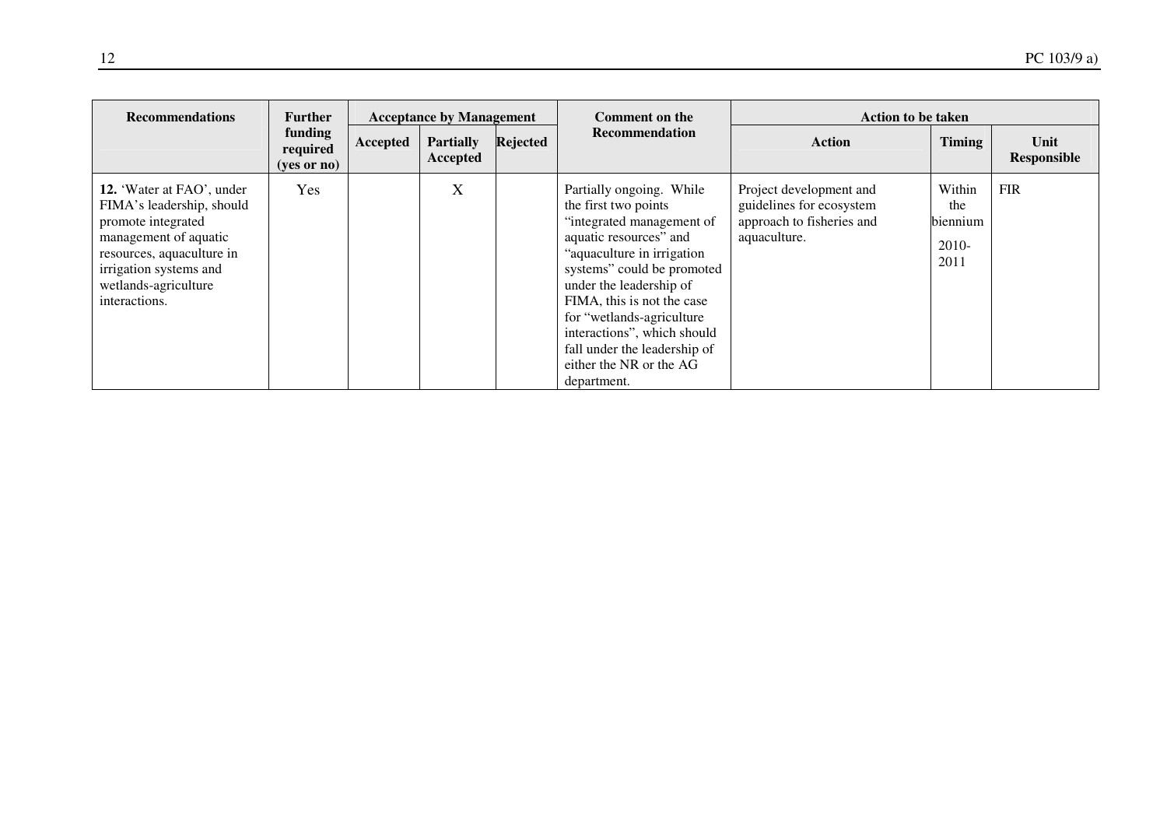| <b>Recommendations</b>                                                                                                                                                                                | <b>Further</b>                                | <b>Acceptance by Management</b> |                              |          | Comment on the                                                                                                                                                                                                                                                                                                                                                      | <b>Action to be taken</b>                                                                        |                                              |                     |  |
|-------------------------------------------------------------------------------------------------------------------------------------------------------------------------------------------------------|-----------------------------------------------|---------------------------------|------------------------------|----------|---------------------------------------------------------------------------------------------------------------------------------------------------------------------------------------------------------------------------------------------------------------------------------------------------------------------------------------------------------------------|--------------------------------------------------------------------------------------------------|----------------------------------------------|---------------------|--|
|                                                                                                                                                                                                       | funding<br>required<br>$(yes \text{ or } no)$ | Accepted                        | <b>Partially</b><br>Accepted | Rejected | Recommendation                                                                                                                                                                                                                                                                                                                                                      | <b>Action</b>                                                                                    | <b>Timing</b>                                | Unit<br>Responsible |  |
| 12. 'Water at FAO', under<br>FIMA's leadership, should<br>promote integrated<br>management of aquatic<br>resources, aquaculture in<br>irrigation systems and<br>wetlands-agriculture<br>interactions. | <b>Yes</b>                                    |                                 | $\boldsymbol{X}$             |          | Partially ongoing. While<br>the first two points<br>"integrated management of<br>aquatic resources" and<br>"aquaculture in irrigation<br>systems" could be promoted<br>under the leadership of<br>FIMA, this is not the case<br>for "wetlands-agriculture"<br>interactions", which should<br>fall under the leadership of<br>either the NR or the AG<br>department. | Project development and<br>guidelines for ecosystem<br>approach to fisheries and<br>aquaculture. | Within<br>the<br>biennium<br>$2010-$<br>2011 | <b>FIR</b>          |  |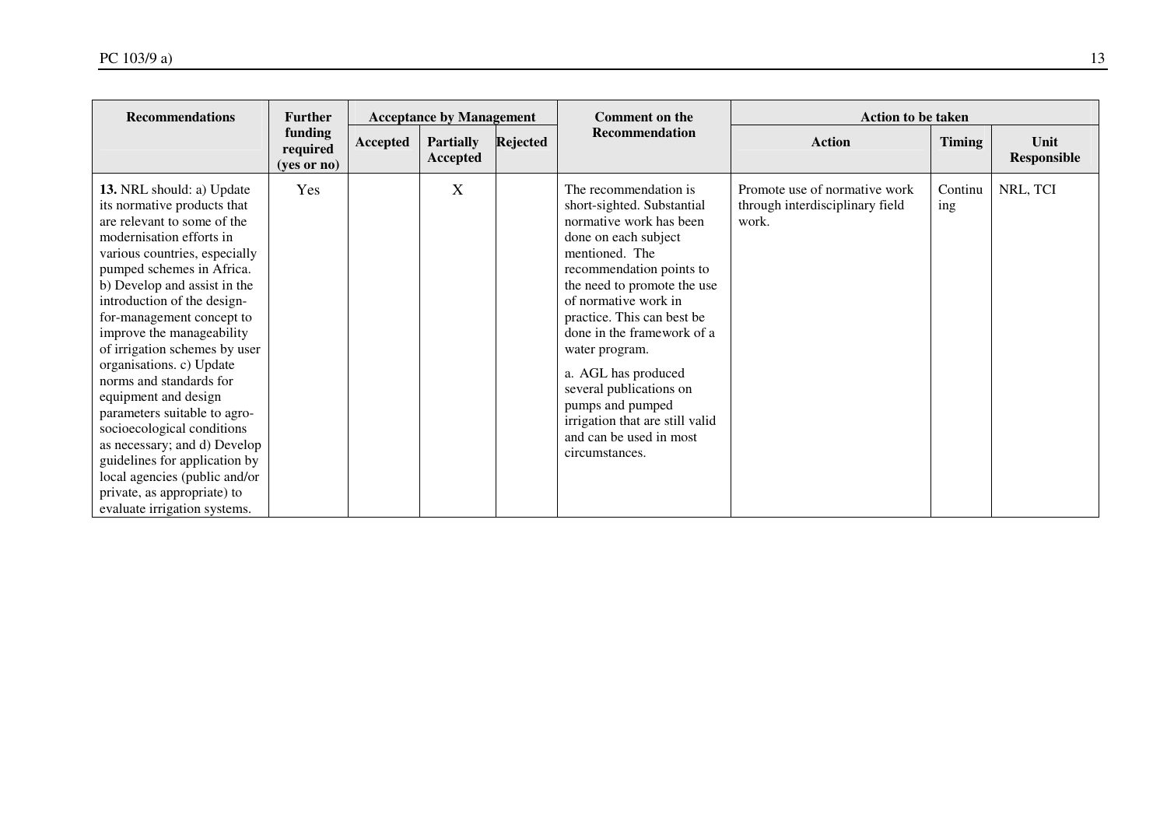| <b>Recommendations</b>                                                                                                                                                                                                                                                                                                                                                                                                                                                                                                                                                                                                                                    | <b>Further</b>                     | <b>Acceptance by Management</b> |                              |                 | <b>Comment on the</b>                                                                                                                                                                                                                                                                                                                                                                                                                            | <b>Action to be taken</b>                                                 |                |                            |  |
|-----------------------------------------------------------------------------------------------------------------------------------------------------------------------------------------------------------------------------------------------------------------------------------------------------------------------------------------------------------------------------------------------------------------------------------------------------------------------------------------------------------------------------------------------------------------------------------------------------------------------------------------------------------|------------------------------------|---------------------------------|------------------------------|-----------------|--------------------------------------------------------------------------------------------------------------------------------------------------------------------------------------------------------------------------------------------------------------------------------------------------------------------------------------------------------------------------------------------------------------------------------------------------|---------------------------------------------------------------------------|----------------|----------------------------|--|
|                                                                                                                                                                                                                                                                                                                                                                                                                                                                                                                                                                                                                                                           | funding<br>required<br>(yes or no) | Accepted                        | <b>Partially</b><br>Accepted | <b>Rejected</b> | Recommendation                                                                                                                                                                                                                                                                                                                                                                                                                                   | <b>Action</b>                                                             | <b>Timing</b>  | Unit<br><b>Responsible</b> |  |
| 13. NRL should: a) Update<br>its normative products that<br>are relevant to some of the<br>modernisation efforts in<br>various countries, especially<br>pumped schemes in Africa.<br>b) Develop and assist in the<br>introduction of the design-<br>for-management concept to<br>improve the manageability<br>of irrigation schemes by user<br>organisations. c) Update<br>norms and standards for<br>equipment and design<br>parameters suitable to agro-<br>socioecological conditions<br>as necessary; and d) Develop<br>guidelines for application by<br>local agencies (public and/or<br>private, as appropriate) to<br>evaluate irrigation systems. | Yes                                |                                 | X                            |                 | The recommendation is.<br>short-sighted. Substantial<br>normative work has been<br>done on each subject<br>mentioned. The<br>recommendation points to<br>the need to promote the use<br>of normative work in<br>practice. This can best be<br>done in the framework of a<br>water program.<br>a. AGL has produced<br>several publications on<br>pumps and pumped<br>irrigation that are still valid<br>and can be used in most<br>circumstances. | Promote use of normative work<br>through interdisciplinary field<br>work. | Continu<br>ing | NRL, TCI                   |  |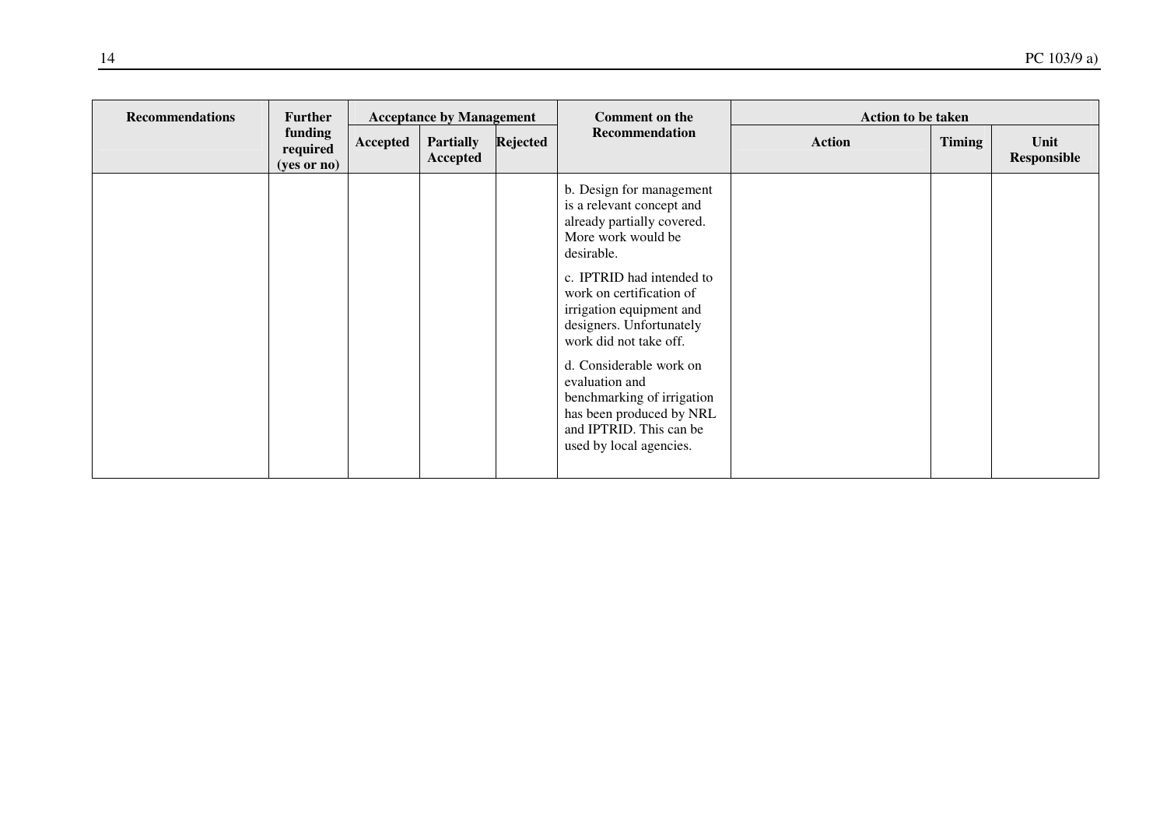| <b>Recommendations</b> | <b>Further</b>                       | <b>Acceptance by Management</b> |                              |          | <b>Comment on the</b>                                                                                                                                                                                                                                                                                                                                                                                                           |               | <b>Action to be taken</b> |                            |  |
|------------------------|--------------------------------------|---------------------------------|------------------------------|----------|---------------------------------------------------------------------------------------------------------------------------------------------------------------------------------------------------------------------------------------------------------------------------------------------------------------------------------------------------------------------------------------------------------------------------------|---------------|---------------------------|----------------------------|--|
|                        | funding<br>required<br>$(yes$ or no) | Accepted                        | <b>Partially</b><br>Accepted | Rejected | <b>Recommendation</b>                                                                                                                                                                                                                                                                                                                                                                                                           | <b>Action</b> | <b>Timing</b>             | Unit<br><b>Responsible</b> |  |
|                        |                                      |                                 |                              |          | b. Design for management<br>is a relevant concept and<br>already partially covered.<br>More work would be<br>desirable.<br>c. IPTRID had intended to<br>work on certification of<br>irrigation equipment and<br>designers. Unfortunately<br>work did not take off.<br>d. Considerable work on<br>evaluation and<br>benchmarking of irrigation<br>has been produced by NRL<br>and IPTRID. This can be<br>used by local agencies. |               |                           |                            |  |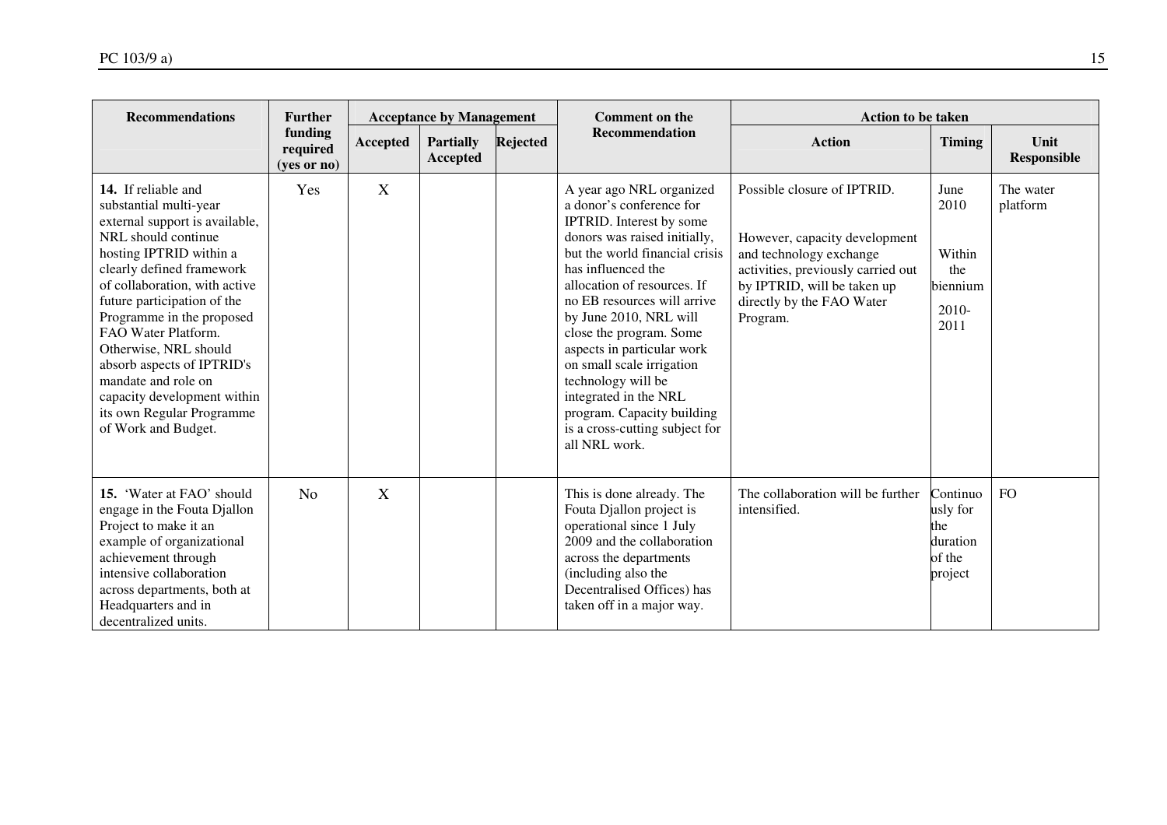| <b>Recommendations</b>                                                                                                                                                                                                                                                                                                                                                                                                                              | <b>Further</b>                     | <b>Comment on the</b><br><b>Acceptance by Management</b><br><b>Action to be taken</b> |                              |                 |                                                                                                                                                                                                                                                                                                                                                                                                                                                                                        |                                                                                                                                                                                                       |                                                              |                            |  |
|-----------------------------------------------------------------------------------------------------------------------------------------------------------------------------------------------------------------------------------------------------------------------------------------------------------------------------------------------------------------------------------------------------------------------------------------------------|------------------------------------|---------------------------------------------------------------------------------------|------------------------------|-----------------|----------------------------------------------------------------------------------------------------------------------------------------------------------------------------------------------------------------------------------------------------------------------------------------------------------------------------------------------------------------------------------------------------------------------------------------------------------------------------------------|-------------------------------------------------------------------------------------------------------------------------------------------------------------------------------------------------------|--------------------------------------------------------------|----------------------------|--|
|                                                                                                                                                                                                                                                                                                                                                                                                                                                     | funding<br>required<br>(yes or no) | Accepted                                                                              | <b>Partially</b><br>Accepted | <b>Rejected</b> | <b>Recommendation</b>                                                                                                                                                                                                                                                                                                                                                                                                                                                                  | <b>Action</b>                                                                                                                                                                                         | <b>Timing</b>                                                | Unit<br><b>Responsible</b> |  |
| 14. If reliable and<br>substantial multi-year<br>external support is available,<br>NRL should continue<br>hosting IPTRID within a<br>clearly defined framework<br>of collaboration, with active<br>future participation of the<br>Programme in the proposed<br>FAO Water Platform.<br>Otherwise, NRL should<br>absorb aspects of IPTRID's<br>mandate and role on<br>capacity development within<br>its own Regular Programme<br>of Work and Budget. | Yes                                | X                                                                                     |                              |                 | A year ago NRL organized<br>a donor's conference for<br>IPTRID. Interest by some<br>donors was raised initially,<br>but the world financial crisis<br>has influenced the<br>allocation of resources. If<br>no EB resources will arrive<br>by June 2010, NRL will<br>close the program. Some<br>aspects in particular work<br>on small scale irrigation<br>technology will be<br>integrated in the NRL<br>program. Capacity building<br>is a cross-cutting subject for<br>all NRL work. | Possible closure of IPTRID.<br>However, capacity development<br>and technology exchange<br>activities, previously carried out<br>by IPTRID, will be taken up<br>directly by the FAO Water<br>Program. | June<br>2010<br>Within<br>the<br>biennium<br>2010-<br>2011   | The water<br>platform      |  |
| 15. 'Water at FAO' should<br>engage in the Fouta Djallon<br>Project to make it an<br>example of organizational<br>achievement through<br>intensive collaboration<br>across departments, both at<br>Headquarters and in<br>decentralized units.                                                                                                                                                                                                      | N <sub>0</sub>                     | X                                                                                     |                              |                 | This is done already. The<br>Fouta Djallon project is<br>operational since 1 July<br>2009 and the collaboration<br>across the departments<br>(including also the<br>Decentralised Offices) has<br>taken off in a major way.                                                                                                                                                                                                                                                            | The collaboration will be further<br>intensified.                                                                                                                                                     | Continuo<br>usly for<br>the<br>duration<br>of the<br>project | <b>FO</b>                  |  |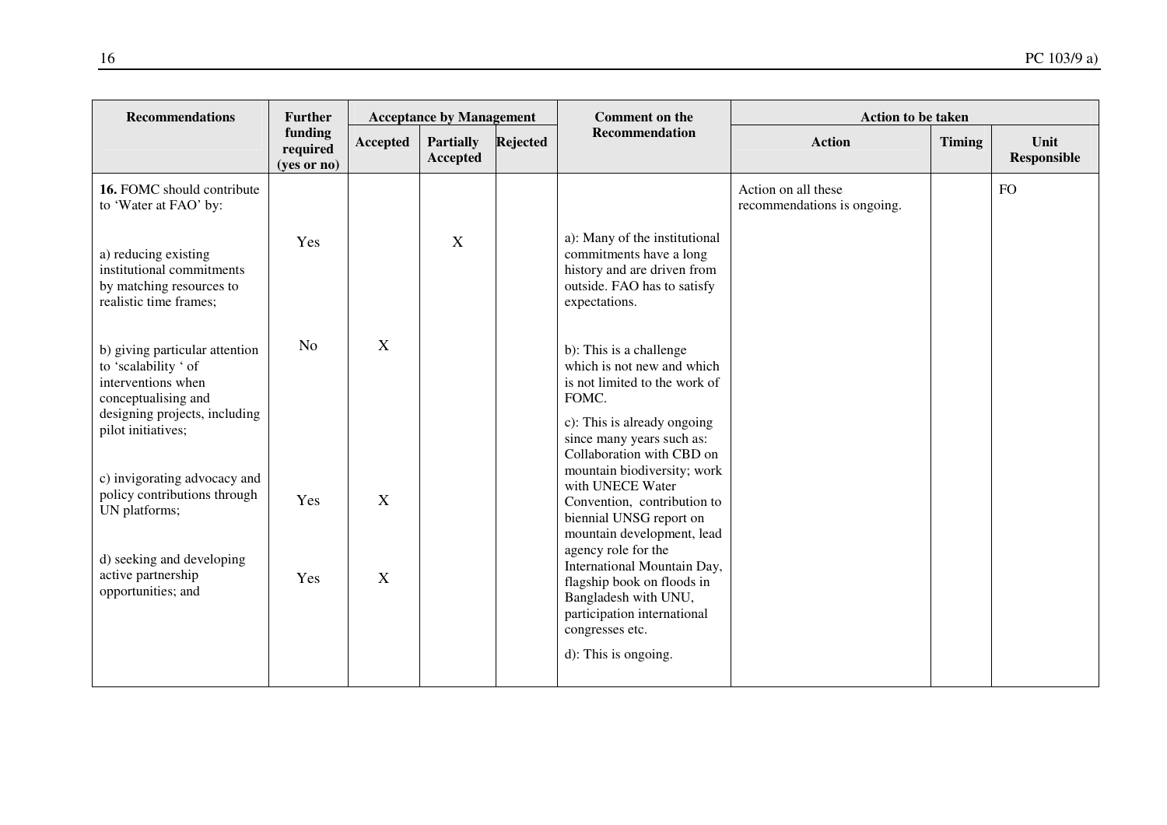| <b>Recommendations</b>                                                                                                                                     | <b>Further</b>                     |          | <b>Acceptance by Management</b> |                 | <b>Comment on the</b>                                                                                                                                                                    | <b>Action to be taken</b>                          |               |                            |
|------------------------------------------------------------------------------------------------------------------------------------------------------------|------------------------------------|----------|---------------------------------|-----------------|------------------------------------------------------------------------------------------------------------------------------------------------------------------------------------------|----------------------------------------------------|---------------|----------------------------|
|                                                                                                                                                            | funding<br>required<br>(yes or no) | Accepted | <b>Partially</b><br>Accepted    | <b>Rejected</b> | <b>Recommendation</b>                                                                                                                                                                    | <b>Action</b>                                      | <b>Timing</b> | Unit<br><b>Responsible</b> |
| 16. FOMC should contribute<br>to 'Water at FAO' by:                                                                                                        | Yes                                |          | X                               |                 | a): Many of the institutional                                                                                                                                                            | Action on all these<br>recommendations is ongoing. |               | <b>FO</b>                  |
| a) reducing existing<br>institutional commitments<br>by matching resources to<br>realistic time frames;                                                    |                                    |          |                                 |                 | commitments have a long<br>history and are driven from<br>outside. FAO has to satisfy<br>expectations.                                                                                   |                                                    |               |                            |
| b) giving particular attention<br>to 'scalability ' of<br>interventions when<br>conceptualising and<br>designing projects, including<br>pilot initiatives; | No                                 | X        |                                 |                 | b): This is a challenge<br>which is not new and which<br>is not limited to the work of<br>FOMC.<br>c): This is already ongoing<br>since many years such as:<br>Collaboration with CBD on |                                                    |               |                            |
| c) invigorating advocacy and<br>policy contributions through<br>UN platforms;                                                                              | Yes                                | X        |                                 |                 | mountain biodiversity; work<br>with UNECE Water<br>Convention, contribution to<br>biennial UNSG report on<br>mountain development, lead<br>agency role for the                           |                                                    |               |                            |
| d) seeking and developing<br>active partnership<br>opportunities; and                                                                                      | Yes                                | X        |                                 |                 | International Mountain Day,<br>flagship book on floods in<br>Bangladesh with UNU,<br>participation international<br>congresses etc.<br>d): This is ongoing.                              |                                                    |               |                            |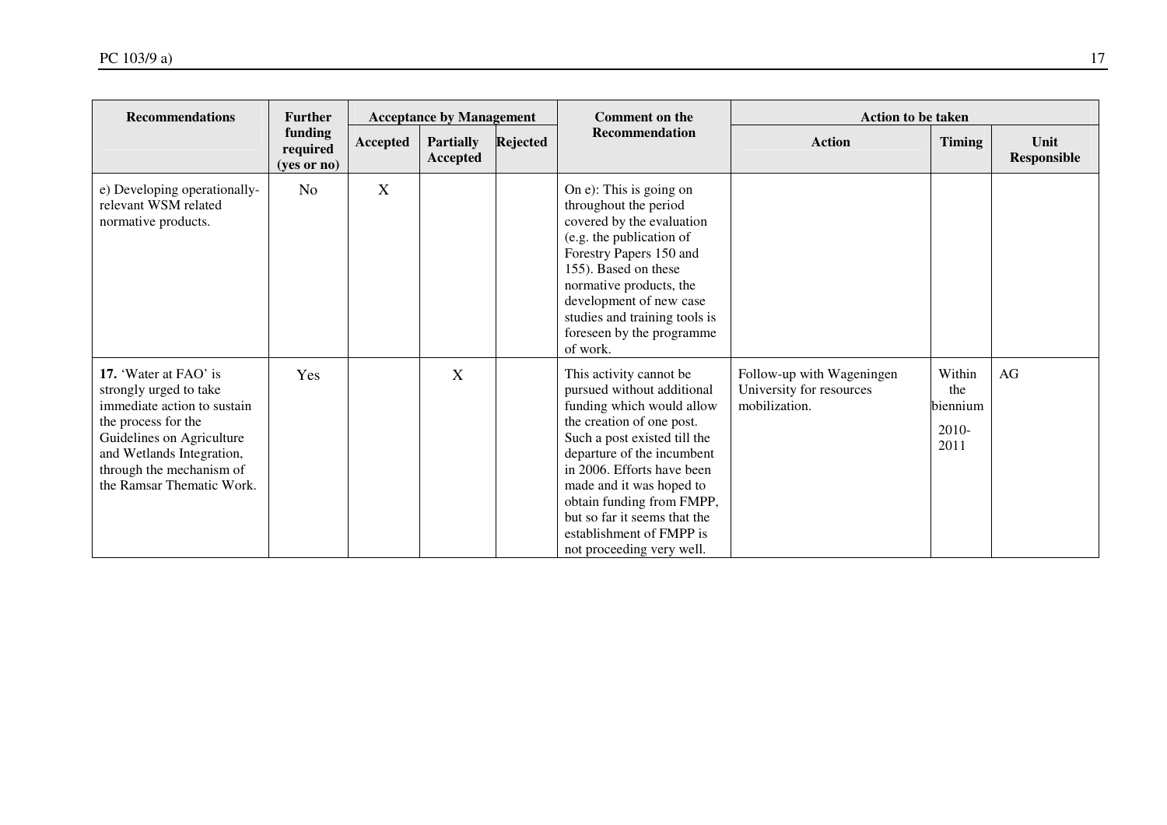| <b>Recommendations</b>                                                                                                                                                                                                   | <b>Further</b>                     |          | <b>Acceptance by Management</b> |          | <b>Comment on the</b>                                                                                                                                                                                                                                                                                                                                         |                                                                        | <b>Action to be taken</b>                    |                            |  |  |
|--------------------------------------------------------------------------------------------------------------------------------------------------------------------------------------------------------------------------|------------------------------------|----------|---------------------------------|----------|---------------------------------------------------------------------------------------------------------------------------------------------------------------------------------------------------------------------------------------------------------------------------------------------------------------------------------------------------------------|------------------------------------------------------------------------|----------------------------------------------|----------------------------|--|--|
|                                                                                                                                                                                                                          | funding<br>required<br>(yes or no) | Accepted | <b>Partially</b><br>Accepted    | Rejected | Recommendation                                                                                                                                                                                                                                                                                                                                                | <b>Action</b>                                                          | <b>Timing</b>                                | Unit<br><b>Responsible</b> |  |  |
| e) Developing operationally-<br>relevant WSM related<br>normative products.                                                                                                                                              | No                                 | X        |                                 |          | On e): This is going on<br>throughout the period<br>covered by the evaluation<br>(e.g. the publication of<br>Forestry Papers 150 and<br>155). Based on these<br>normative products, the<br>development of new case<br>studies and training tools is<br>foreseen by the programme<br>of work.                                                                  |                                                                        |                                              |                            |  |  |
| 17. 'Water at FAO' is<br>strongly urged to take<br>immediate action to sustain<br>the process for the<br>Guidelines on Agriculture<br>and Wetlands Integration,<br>through the mechanism of<br>the Ramsar Thematic Work. | Yes                                |          | X                               |          | This activity cannot be<br>pursued without additional<br>funding which would allow<br>the creation of one post.<br>Such a post existed till the<br>departure of the incumbent<br>in 2006. Efforts have been<br>made and it was hoped to<br>obtain funding from FMPP,<br>but so far it seems that the<br>establishment of FMPP is<br>not proceeding very well. | Follow-up with Wageningen<br>University for resources<br>mobilization. | Within<br>the<br>biennium<br>$2010-$<br>2011 | AG                         |  |  |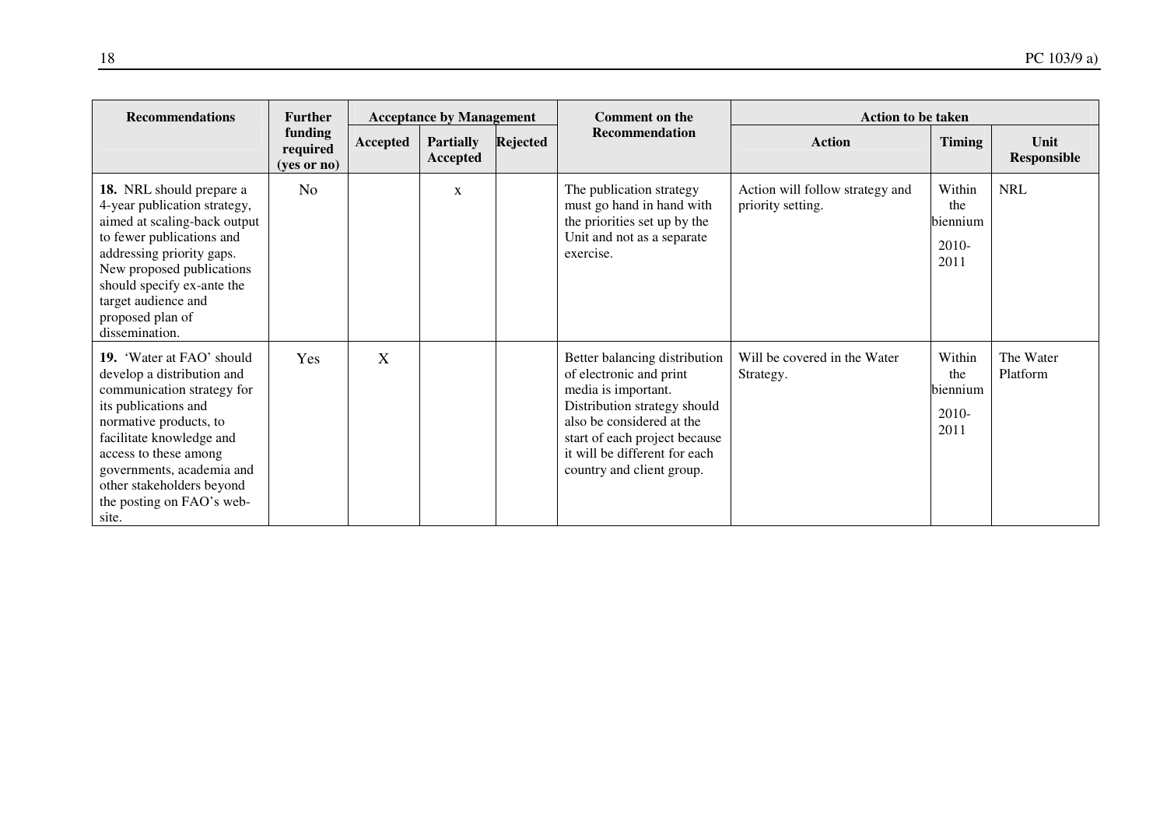| <b>Recommendations</b>                                                                                                                                                                                                                                                                       | <b>Further</b><br><b>Acceptance by Management</b> |              |                              |          | <b>Comment on the</b>                                                                                                                                                                                                                       | <b>Action to be taken</b>                            |                                            |                       |  |
|----------------------------------------------------------------------------------------------------------------------------------------------------------------------------------------------------------------------------------------------------------------------------------------------|---------------------------------------------------|--------------|------------------------------|----------|---------------------------------------------------------------------------------------------------------------------------------------------------------------------------------------------------------------------------------------------|------------------------------------------------------|--------------------------------------------|-----------------------|--|
|                                                                                                                                                                                                                                                                                              | funding<br>required<br>(yes or no)                | Accepted     | <b>Partially</b><br>Accepted | Rejected | <b>Recommendation</b>                                                                                                                                                                                                                       | <b>Action</b>                                        | <b>Timing</b>                              | Unit<br>Responsible   |  |
| 18. NRL should prepare a<br>4-year publication strategy,<br>aimed at scaling-back output<br>to fewer publications and<br>addressing priority gaps.<br>New proposed publications<br>should specify ex-ante the<br>target audience and<br>proposed plan of<br>dissemination.                   | No                                                |              | X                            |          | The publication strategy<br>must go hand in hand with<br>the priorities set up by the<br>Unit and not as a separate<br>exercise.                                                                                                            | Action will follow strategy and<br>priority setting. | Within<br>the<br>biennium<br>2010-<br>2011 | <b>NRL</b>            |  |
| 19. 'Water at FAO' should<br>develop a distribution and<br>communication strategy for<br>its publications and<br>normative products, to<br>facilitate knowledge and<br>access to these among<br>governments, academia and<br>other stakeholders beyond<br>the posting on FAO's web-<br>site. | Yes                                               | $\mathbf{X}$ |                              |          | Better balancing distribution<br>of electronic and print<br>media is important.<br>Distribution strategy should<br>also be considered at the<br>start of each project because<br>it will be different for each<br>country and client group. | Will be covered in the Water<br>Strategy.            | Within<br>the<br>biennium<br>2010-<br>2011 | The Water<br>Platform |  |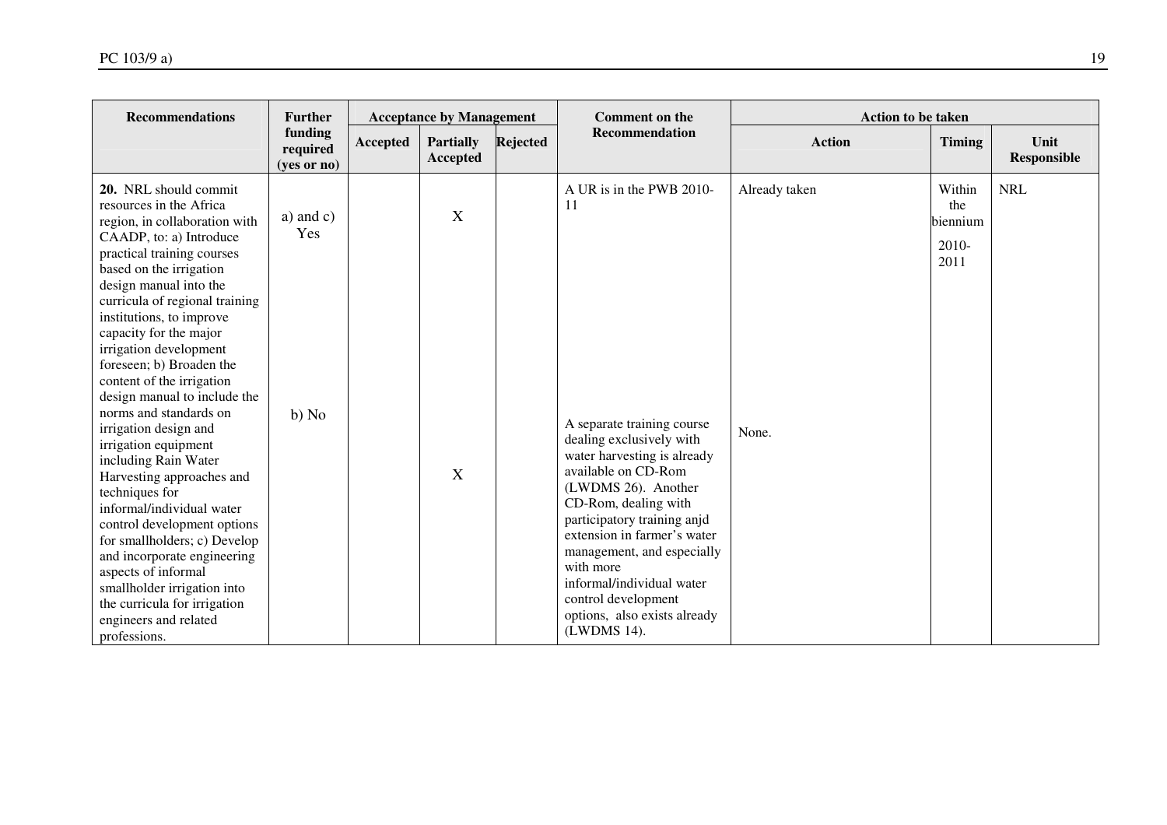| <b>Recommendations</b>                                                                                                                                                                                                                                                                                                                                                                                                                                                                                                                                                                                                                                                                                                                                                                                                 | <b>Further</b>                     | <b>Acceptance by Management</b> |                              | <b>Comment on the</b> | <b>Action to be taken</b>                                                                                                                                                                                                                                                                                                                                                                                 |                        |                                            |                            |
|------------------------------------------------------------------------------------------------------------------------------------------------------------------------------------------------------------------------------------------------------------------------------------------------------------------------------------------------------------------------------------------------------------------------------------------------------------------------------------------------------------------------------------------------------------------------------------------------------------------------------------------------------------------------------------------------------------------------------------------------------------------------------------------------------------------------|------------------------------------|---------------------------------|------------------------------|-----------------------|-----------------------------------------------------------------------------------------------------------------------------------------------------------------------------------------------------------------------------------------------------------------------------------------------------------------------------------------------------------------------------------------------------------|------------------------|--------------------------------------------|----------------------------|
|                                                                                                                                                                                                                                                                                                                                                                                                                                                                                                                                                                                                                                                                                                                                                                                                                        | funding<br>required<br>(yes or no) | Accepted                        | <b>Partially</b><br>Accepted | <b>Rejected</b>       | <b>Recommendation</b>                                                                                                                                                                                                                                                                                                                                                                                     | <b>Action</b>          | <b>Timing</b>                              | Unit<br><b>Responsible</b> |
| 20. NRL should commit<br>resources in the Africa<br>region, in collaboration with<br>CAADP, to: a) Introduce<br>practical training courses<br>based on the irrigation<br>design manual into the<br>curricula of regional training<br>institutions, to improve<br>capacity for the major<br>irrigation development<br>foreseen; b) Broaden the<br>content of the irrigation<br>design manual to include the<br>norms and standards on<br>irrigation design and<br>irrigation equipment<br>including Rain Water<br>Harvesting approaches and<br>techniques for<br>informal/individual water<br>control development options<br>for smallholders; c) Develop<br>and incorporate engineering<br>aspects of informal<br>smallholder irrigation into<br>the curricula for irrigation<br>engineers and related<br>professions. | a) and $c)$<br>Yes<br>b) No        |                                 | X<br>X                       |                       | A UR is in the PWB 2010-<br>11<br>A separate training course<br>dealing exclusively with<br>water harvesting is already<br>available on CD-Rom<br>(LWDMS 26). Another<br>CD-Rom, dealing with<br>participatory training anjd<br>extension in farmer's water<br>management, and especially<br>with more<br>informal/individual water<br>control development<br>options, also exists already<br>(LWDMS 14). | Already taken<br>None. | Within<br>the<br>biennium<br>2010-<br>2011 | <b>NRL</b>                 |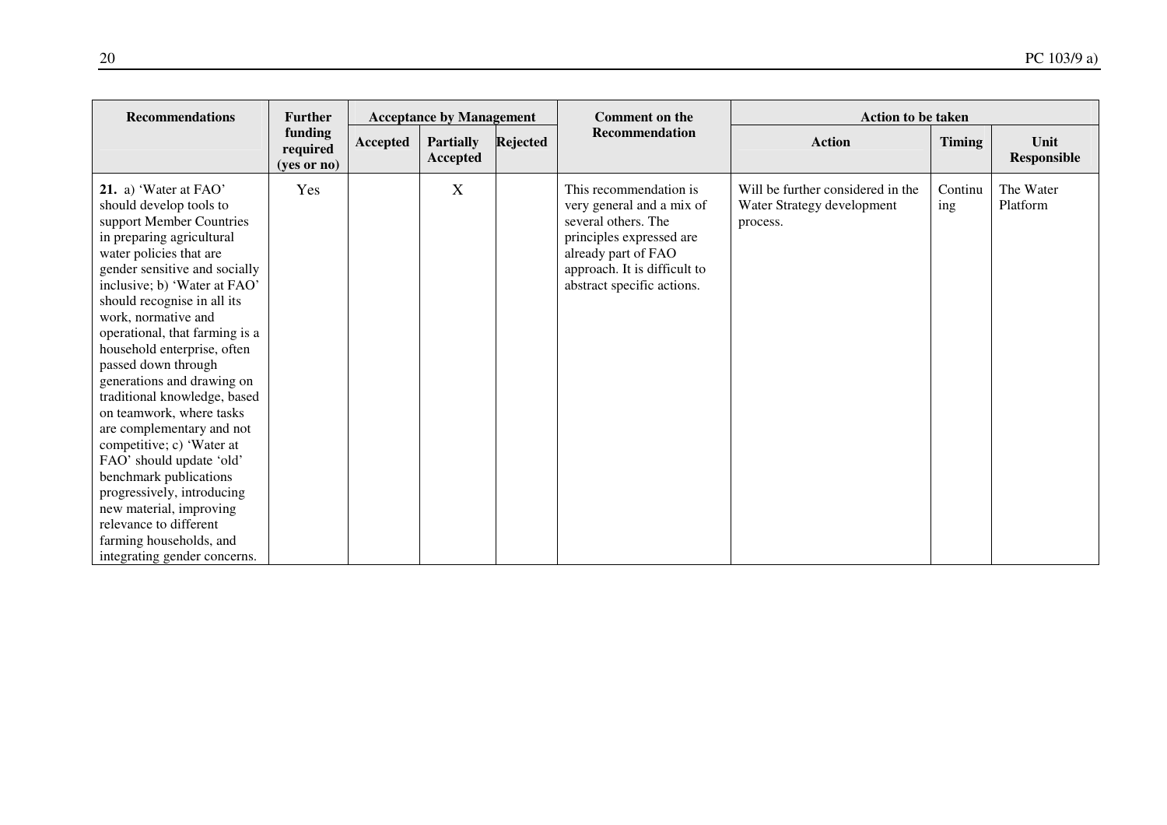| <b>Recommendations</b>                                                                                                                                                                                                                                                                                                                                                                                                                                                                                                                                                                                                                                                                                      | <b>Further</b>                     | <b>Acceptance by Management</b> |                              |          | <b>Comment on the</b>                                                                                                                                                                       | <b>Action to be taken</b>                                                   |                |                            |  |
|-------------------------------------------------------------------------------------------------------------------------------------------------------------------------------------------------------------------------------------------------------------------------------------------------------------------------------------------------------------------------------------------------------------------------------------------------------------------------------------------------------------------------------------------------------------------------------------------------------------------------------------------------------------------------------------------------------------|------------------------------------|---------------------------------|------------------------------|----------|---------------------------------------------------------------------------------------------------------------------------------------------------------------------------------------------|-----------------------------------------------------------------------------|----------------|----------------------------|--|
|                                                                                                                                                                                                                                                                                                                                                                                                                                                                                                                                                                                                                                                                                                             | funding<br>required<br>(yes or no) | Accepted                        | <b>Partially</b><br>Accepted | Rejected | <b>Recommendation</b>                                                                                                                                                                       | <b>Action</b>                                                               | <b>Timing</b>  | Unit<br><b>Responsible</b> |  |
| 21. a) 'Water at FAO'<br>should develop tools to<br>support Member Countries<br>in preparing agricultural<br>water policies that are<br>gender sensitive and socially<br>inclusive; b) 'Water at FAO'<br>should recognise in all its<br>work, normative and<br>operational, that farming is a<br>household enterprise, often<br>passed down through<br>generations and drawing on<br>traditional knowledge, based<br>on teamwork, where tasks<br>are complementary and not<br>competitive; c) 'Water at<br>FAO' should update 'old'<br>benchmark publications<br>progressively, introducing<br>new material, improving<br>relevance to different<br>farming households, and<br>integrating gender concerns. | Yes                                |                                 | X                            |          | This recommendation is<br>very general and a mix of<br>several others. The<br>principles expressed are<br>already part of FAO<br>approach. It is difficult to<br>abstract specific actions. | Will be further considered in the<br>Water Strategy development<br>process. | Continu<br>ing | The Water<br>Platform      |  |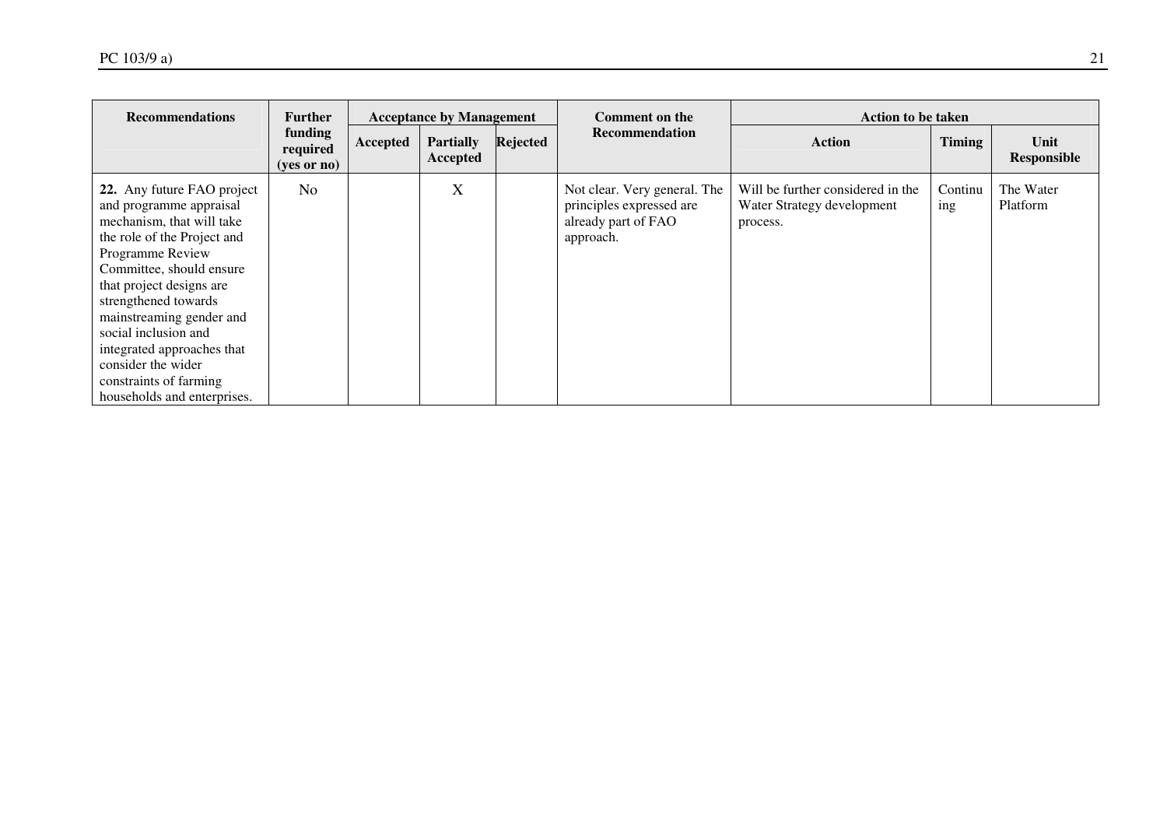| <b>Recommendations</b>                                                                                                                                                                                                                                                                                                                                                                 | <b>Further</b>                                | <b>Acceptance by Management</b> |                              | Comment on the | <b>Action to be taken</b>                                                                    |                                                                             |                |                       |
|----------------------------------------------------------------------------------------------------------------------------------------------------------------------------------------------------------------------------------------------------------------------------------------------------------------------------------------------------------------------------------------|-----------------------------------------------|---------------------------------|------------------------------|----------------|----------------------------------------------------------------------------------------------|-----------------------------------------------------------------------------|----------------|-----------------------|
|                                                                                                                                                                                                                                                                                                                                                                                        | funding<br>required<br>$(yes \text{ or } no)$ | Accepted                        | <b>Partially</b><br>Accepted | Rejected       | <b>Recommendation</b>                                                                        | Action                                                                      | <b>Timing</b>  | Unit<br>Responsible   |
| 22. Any future FAO project<br>and programme appraisal<br>mechanism, that will take<br>the role of the Project and<br>Programme Review<br>Committee, should ensure<br>that project designs are<br>strengthened towards<br>mainstreaming gender and<br>social inclusion and<br>integrated approaches that<br>consider the wider<br>constraints of farming<br>households and enterprises. | No                                            |                                 | X                            |                | Not clear. Very general. The<br>principles expressed are<br>already part of FAO<br>approach. | Will be further considered in the<br>Water Strategy development<br>process. | Continu<br>ing | The Water<br>Platform |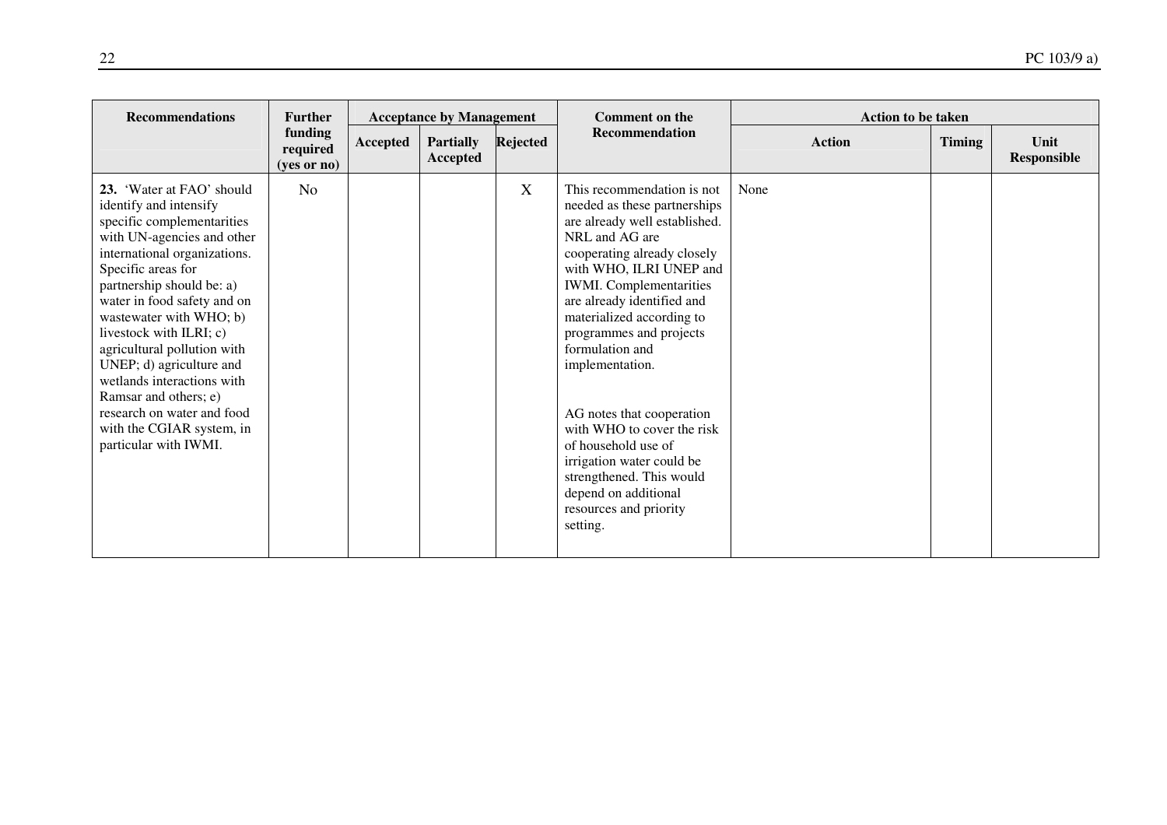| <b>Recommendation</b><br>funding<br>Rejected<br><b>Partially</b><br><b>Action</b><br><b>Timing</b><br>Unit<br><b>Accepted</b><br>required<br><b>Responsible</b><br>Accepted<br>$(yes$ or no)<br>23. 'Water at FAO' should<br>X<br>This recommendation is not<br>None<br>N <sub>o</sub><br>needed as these partnerships<br>identify and intensify<br>specific complementarities<br>are already well established.<br>with UN-agencies and other<br>NRL and AG are<br>international organizations.<br>cooperating already closely<br>Specific areas for<br>with WHO, ILRI UNEP and<br>partnership should be: a)<br><b>IWMI.</b> Complementarities<br>are already identified and<br>water in food safety and on<br>wastewater with WHO; b)<br>materialized according to<br>livestock with ILRI; c)<br>programmes and projects<br>formulation and<br>agricultural pollution with<br>UNEP; d) agriculture and<br>implementation.<br>wetlands interactions with<br>Ramsar and others; e)<br>research on water and food<br>AG notes that cooperation<br>with the CGIAR system, in<br>with WHO to cover the risk<br>particular with IWMI.<br>of household use of<br>irrigation water could be<br>strengthened. This would<br>depend on additional | <b>Recommendations</b> | <b>Further</b> | <b>Acceptance by Management</b> |  |  | <b>Comment on the</b> | <b>Action to be taken</b> |  |  |  |
|------------------------------------------------------------------------------------------------------------------------------------------------------------------------------------------------------------------------------------------------------------------------------------------------------------------------------------------------------------------------------------------------------------------------------------------------------------------------------------------------------------------------------------------------------------------------------------------------------------------------------------------------------------------------------------------------------------------------------------------------------------------------------------------------------------------------------------------------------------------------------------------------------------------------------------------------------------------------------------------------------------------------------------------------------------------------------------------------------------------------------------------------------------------------------------------------------------------------------------------|------------------------|----------------|---------------------------------|--|--|-----------------------|---------------------------|--|--|--|
|                                                                                                                                                                                                                                                                                                                                                                                                                                                                                                                                                                                                                                                                                                                                                                                                                                                                                                                                                                                                                                                                                                                                                                                                                                          |                        |                |                                 |  |  |                       |                           |  |  |  |
| resources and priority<br>setting.                                                                                                                                                                                                                                                                                                                                                                                                                                                                                                                                                                                                                                                                                                                                                                                                                                                                                                                                                                                                                                                                                                                                                                                                       |                        |                |                                 |  |  |                       |                           |  |  |  |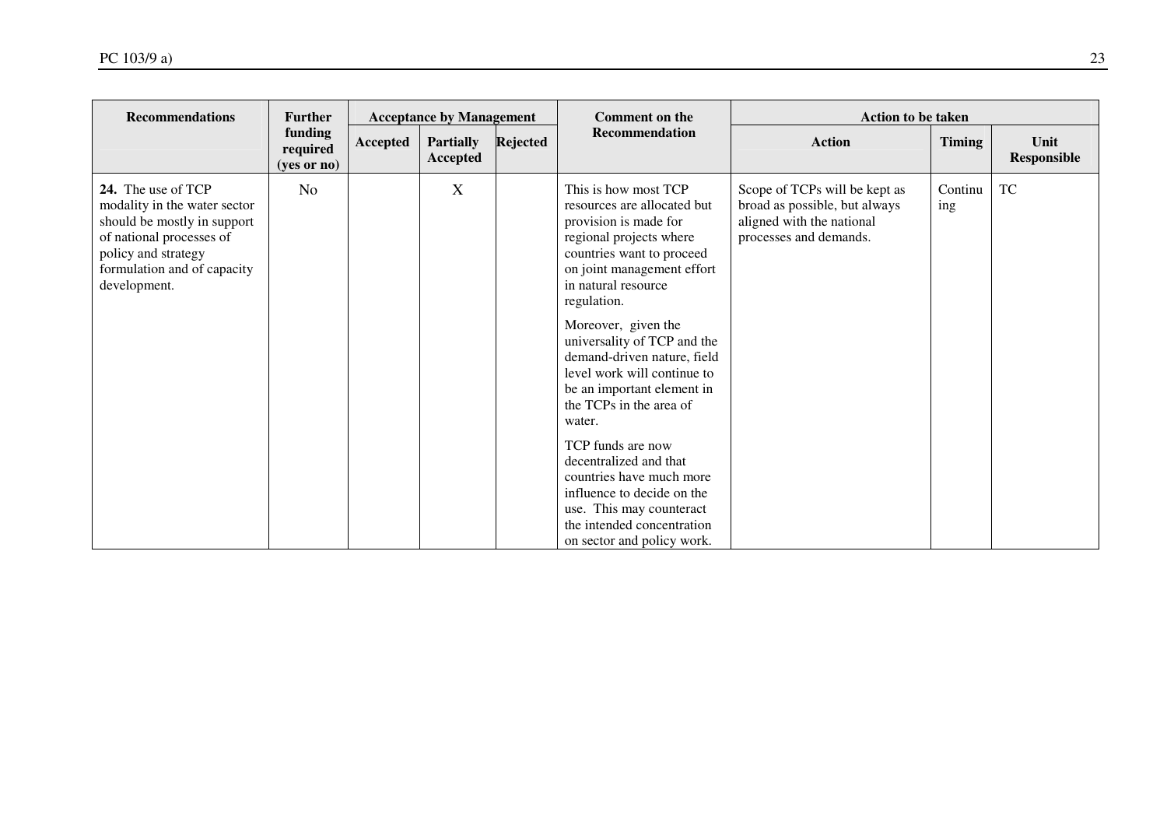| <b>Recommendations</b>                                                                                                                                                              | <b>Further</b>                     |          | <b>Acceptance by Management</b>     |          | <b>Comment on the</b>                                                                                                                                                                                                                                                                                                                                                                                                                                                                                                                                                                            | <b>Action to be taken</b>                                                                                             |                |                            |
|-------------------------------------------------------------------------------------------------------------------------------------------------------------------------------------|------------------------------------|----------|-------------------------------------|----------|--------------------------------------------------------------------------------------------------------------------------------------------------------------------------------------------------------------------------------------------------------------------------------------------------------------------------------------------------------------------------------------------------------------------------------------------------------------------------------------------------------------------------------------------------------------------------------------------------|-----------------------------------------------------------------------------------------------------------------------|----------------|----------------------------|
|                                                                                                                                                                                     | funding<br>required<br>(yes or no) | Accepted | <b>Partially</b><br><b>Accepted</b> | Rejected | <b>Recommendation</b>                                                                                                                                                                                                                                                                                                                                                                                                                                                                                                                                                                            | <b>Action</b>                                                                                                         | <b>Timing</b>  | Unit<br><b>Responsible</b> |
| 24. The use of TCP<br>modality in the water sector<br>should be mostly in support<br>of national processes of<br>policy and strategy<br>formulation and of capacity<br>development. | N <sub>o</sub>                     |          | X                                   |          | This is how most TCP<br>resources are allocated but<br>provision is made for<br>regional projects where<br>countries want to proceed<br>on joint management effort<br>in natural resource<br>regulation.<br>Moreover, given the<br>universality of TCP and the<br>demand-driven nature, field<br>level work will continue to<br>be an important element in<br>the TCPs in the area of<br>water.<br>TCP funds are now<br>decentralized and that<br>countries have much more<br>influence to decide on the<br>use. This may counteract<br>the intended concentration<br>on sector and policy work. | Scope of TCPs will be kept as<br>broad as possible, but always<br>aligned with the national<br>processes and demands. | Continu<br>ing | <b>TC</b>                  |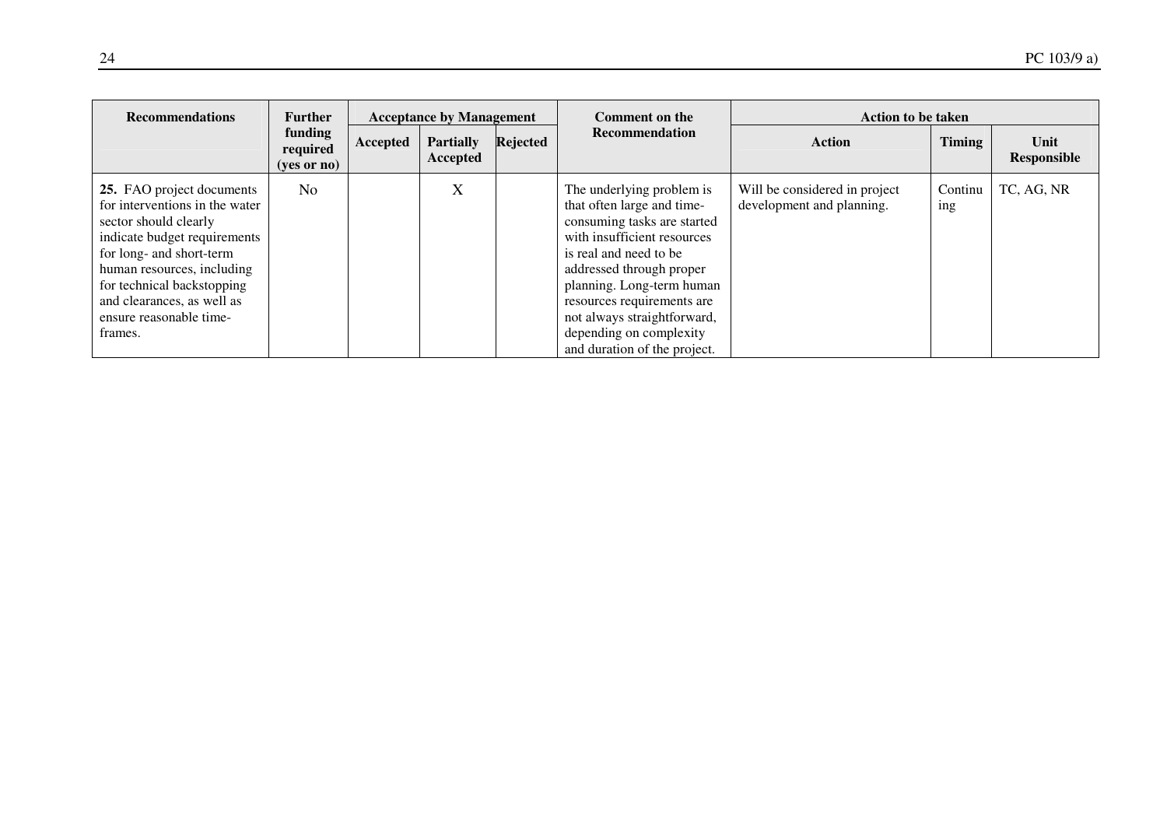| <b>Recommendations</b>                                                                                                                                                                                                                                                           | <b>Further</b>                                | <b>Acceptance by Management</b> |                              | <b>Comment on the</b> | <b>Action to be taken</b>                                                                                                                                                                                                                                                                                                        |                                                            |                |                     |
|----------------------------------------------------------------------------------------------------------------------------------------------------------------------------------------------------------------------------------------------------------------------------------|-----------------------------------------------|---------------------------------|------------------------------|-----------------------|----------------------------------------------------------------------------------------------------------------------------------------------------------------------------------------------------------------------------------------------------------------------------------------------------------------------------------|------------------------------------------------------------|----------------|---------------------|
|                                                                                                                                                                                                                                                                                  | funding<br>required<br>$(yes \text{ or } no)$ | Accepted                        | <b>Partially</b><br>Accepted | Rejected              | Recommendation                                                                                                                                                                                                                                                                                                                   | <b>Action</b>                                              | <b>Timing</b>  | Unit<br>Responsible |
| 25. FAO project documents<br>for interventions in the water<br>sector should clearly<br>indicate budget requirements<br>for long- and short-term<br>human resources, including<br>for technical backstopping<br>and clearances, as well as<br>ensure reasonable time-<br>frames. | No                                            |                                 | X                            |                       | The underlying problem is<br>that often large and time-<br>consuming tasks are started<br>with insufficient resources<br>is real and need to be<br>addressed through proper<br>planning. Long-term human<br>resources requirements are<br>not always straightforward,<br>depending on complexity<br>and duration of the project. | Will be considered in project<br>development and planning. | Continu<br>ing | TC, AG, NR          |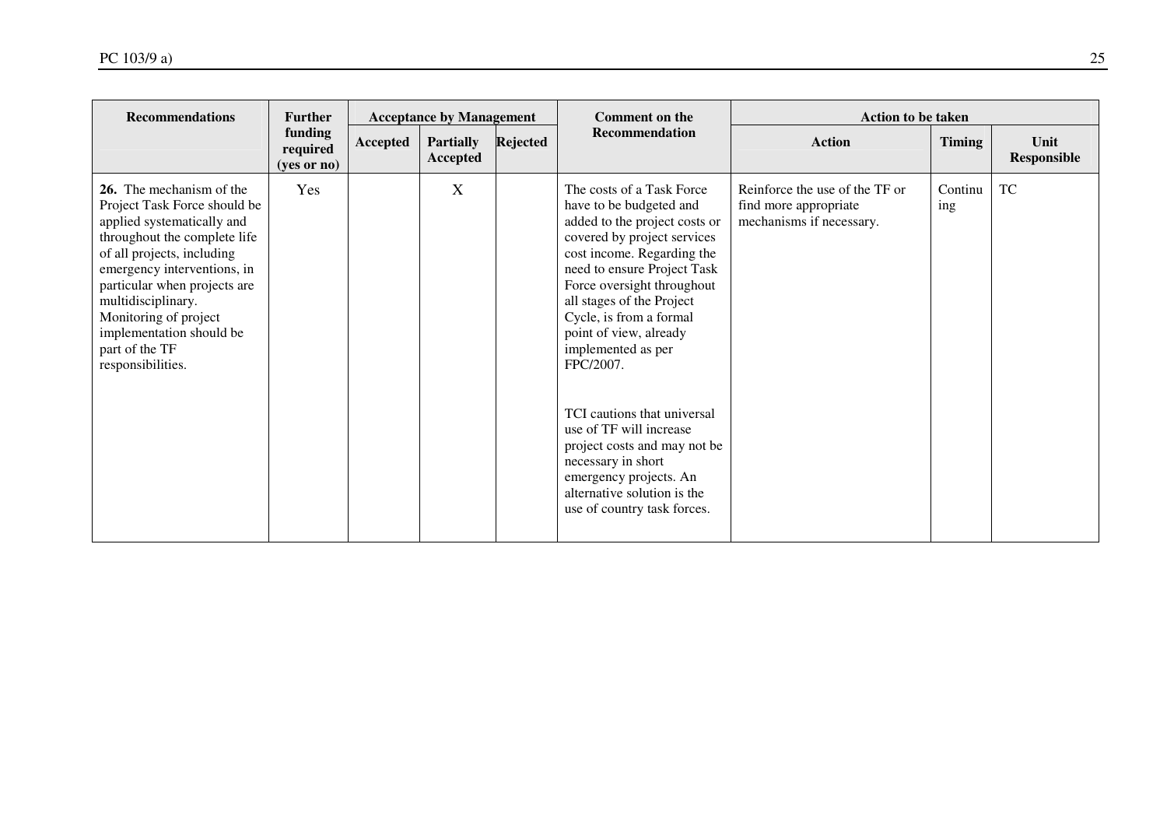| <b>Recommendations</b>                                                                                                                                                                                                                                                                                                                | <b>Acceptance by Management</b><br><b>Further</b> |          | <b>Comment on the</b>        | <b>Action to be taken</b> |                                                                                                                                                                                                                                                                                                                                                                                                                                                                                                                                              |                                                                                     |                |                            |
|---------------------------------------------------------------------------------------------------------------------------------------------------------------------------------------------------------------------------------------------------------------------------------------------------------------------------------------|---------------------------------------------------|----------|------------------------------|---------------------------|----------------------------------------------------------------------------------------------------------------------------------------------------------------------------------------------------------------------------------------------------------------------------------------------------------------------------------------------------------------------------------------------------------------------------------------------------------------------------------------------------------------------------------------------|-------------------------------------------------------------------------------------|----------------|----------------------------|
|                                                                                                                                                                                                                                                                                                                                       | funding<br>required<br>(yes or no)                | Accepted | <b>Partially</b><br>Accepted | <b>Rejected</b>           | <b>Recommendation</b>                                                                                                                                                                                                                                                                                                                                                                                                                                                                                                                        | <b>Action</b>                                                                       | <b>Timing</b>  | Unit<br><b>Responsible</b> |
| 26. The mechanism of the<br>Project Task Force should be<br>applied systematically and<br>throughout the complete life<br>of all projects, including<br>emergency interventions, in<br>particular when projects are<br>multidisciplinary.<br>Monitoring of project<br>implementation should be<br>part of the TF<br>responsibilities. | Yes                                               |          | X                            |                           | The costs of a Task Force<br>have to be budgeted and<br>added to the project costs or<br>covered by project services<br>cost income. Regarding the<br>need to ensure Project Task<br>Force oversight throughout<br>all stages of the Project<br>Cycle, is from a formal<br>point of view, already<br>implemented as per<br>FPC/2007.<br>TCI cautions that universal<br>use of TF will increase<br>project costs and may not be<br>necessary in short<br>emergency projects. An<br>alternative solution is the<br>use of country task forces. | Reinforce the use of the TF or<br>find more appropriate<br>mechanisms if necessary. | Continu<br>ing | <b>TC</b>                  |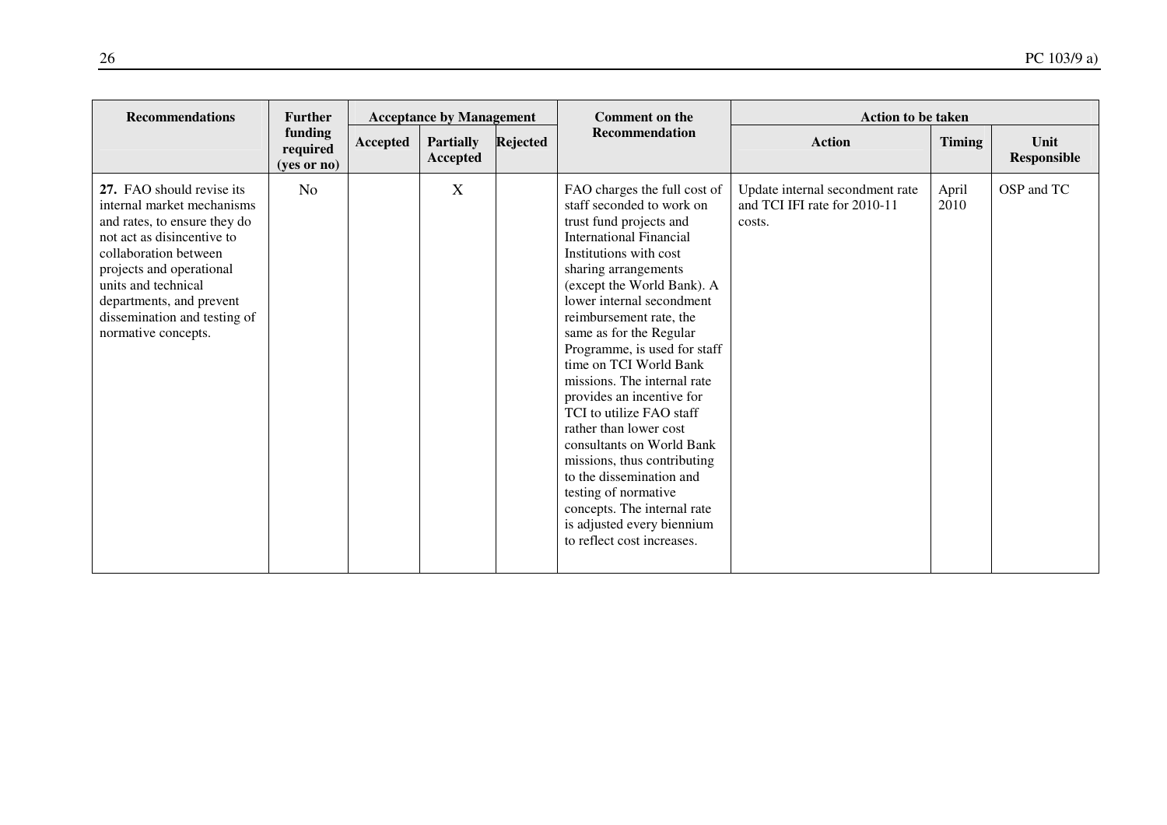| <b>Recommendations</b>                                                                                                                                                                                                                                                               | <b>Further</b><br><b>Acceptance by Management</b> |          |                              | <b>Comment on the</b><br><b>Action to be taken</b> |                                                                                                                                                                                                                                                                                                                                                                                                                                                                                                                                                                                                                                                                                  |                                                                           |               |                            |
|--------------------------------------------------------------------------------------------------------------------------------------------------------------------------------------------------------------------------------------------------------------------------------------|---------------------------------------------------|----------|------------------------------|----------------------------------------------------|----------------------------------------------------------------------------------------------------------------------------------------------------------------------------------------------------------------------------------------------------------------------------------------------------------------------------------------------------------------------------------------------------------------------------------------------------------------------------------------------------------------------------------------------------------------------------------------------------------------------------------------------------------------------------------|---------------------------------------------------------------------------|---------------|----------------------------|
|                                                                                                                                                                                                                                                                                      | funding<br>required<br>(yes or no)                | Accepted | <b>Partially</b><br>Accepted | <b>Rejected</b>                                    | Recommendation                                                                                                                                                                                                                                                                                                                                                                                                                                                                                                                                                                                                                                                                   | <b>Action</b>                                                             | <b>Timing</b> | Unit<br><b>Responsible</b> |
| 27. FAO should revise its<br>internal market mechanisms<br>and rates, to ensure they do<br>not act as disincentive to<br>collaboration between<br>projects and operational<br>units and technical<br>departments, and prevent<br>dissemination and testing of<br>normative concepts. | N <sub>o</sub>                                    |          | X                            |                                                    | FAO charges the full cost of<br>staff seconded to work on<br>trust fund projects and<br><b>International Financial</b><br>Institutions with cost<br>sharing arrangements<br>(except the World Bank). A<br>lower internal secondment<br>reimbursement rate, the<br>same as for the Regular<br>Programme, is used for staff<br>time on TCI World Bank<br>missions. The internal rate<br>provides an incentive for<br>TCI to utilize FAO staff<br>rather than lower cost<br>consultants on World Bank<br>missions, thus contributing<br>to the dissemination and<br>testing of normative<br>concepts. The internal rate<br>is adjusted every biennium<br>to reflect cost increases. | Update internal secondment rate<br>and TCI IFI rate for 2010-11<br>costs. | April<br>2010 | OSP and TC                 |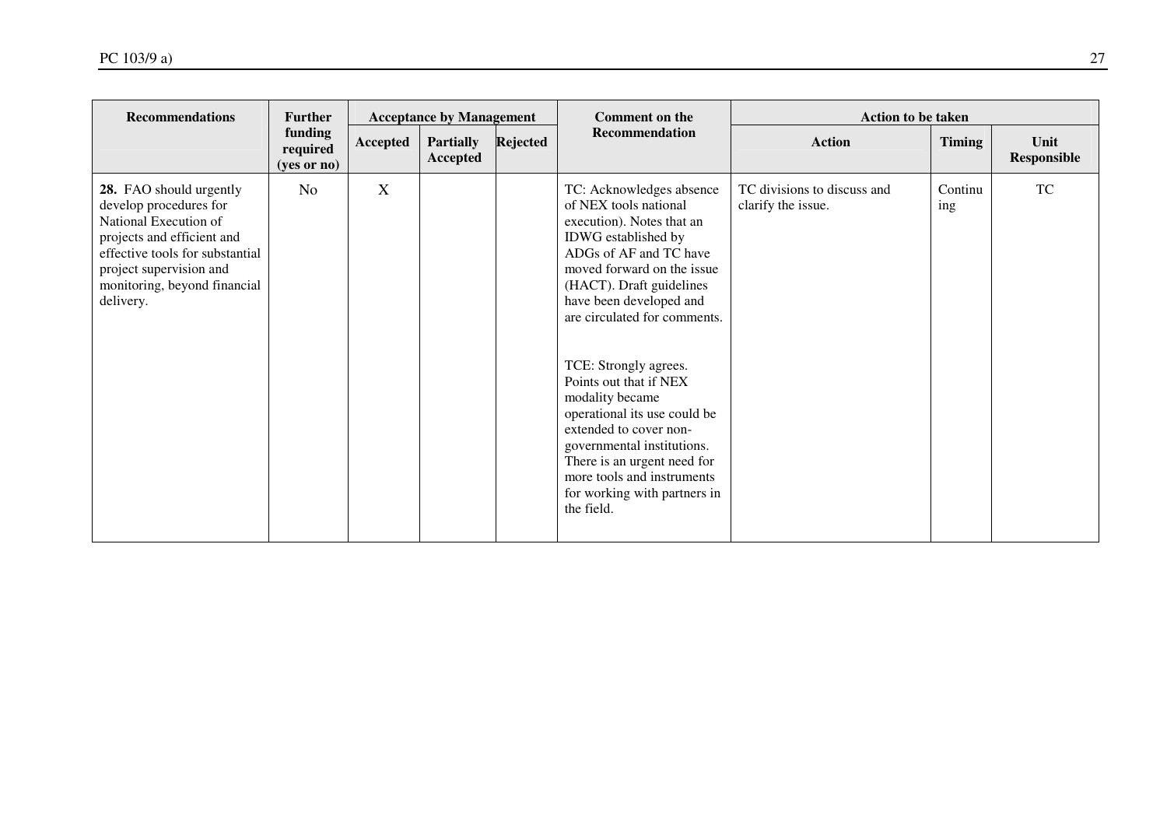| <b>Recommendations</b>                                                                                                                                                                                              | <b>Further</b>                       |          | <b>Acceptance by Management</b> |          | <b>Comment on the</b>                                                                                                                                                                                                                                                                                                                                                                                                                                                                                                         | <b>Action to be taken</b>                         |                |                     |
|---------------------------------------------------------------------------------------------------------------------------------------------------------------------------------------------------------------------|--------------------------------------|----------|---------------------------------|----------|-------------------------------------------------------------------------------------------------------------------------------------------------------------------------------------------------------------------------------------------------------------------------------------------------------------------------------------------------------------------------------------------------------------------------------------------------------------------------------------------------------------------------------|---------------------------------------------------|----------------|---------------------|
|                                                                                                                                                                                                                     | funding<br>required<br>$(yes$ or no) | Accepted | <b>Partially</b><br>Accepted    | Rejected | Recommendation                                                                                                                                                                                                                                                                                                                                                                                                                                                                                                                | <b>Action</b>                                     | <b>Timing</b>  | Unit<br>Responsible |
| 28. FAO should urgently<br>develop procedures for<br>National Execution of<br>projects and efficient and<br>effective tools for substantial<br>project supervision and<br>monitoring, beyond financial<br>delivery. | N <sub>o</sub>                       | X        |                                 |          | TC: Acknowledges absence<br>of NEX tools national<br>execution). Notes that an<br>IDWG established by<br>ADGs of AF and TC have<br>moved forward on the issue<br>(HACT). Draft guidelines<br>have been developed and<br>are circulated for comments.<br>TCE: Strongly agrees.<br>Points out that if NEX<br>modality became<br>operational its use could be<br>extended to cover non-<br>governmental institutions.<br>There is an urgent need for<br>more tools and instruments<br>for working with partners in<br>the field. | TC divisions to discuss and<br>clarify the issue. | Continu<br>ing | <b>TC</b>           |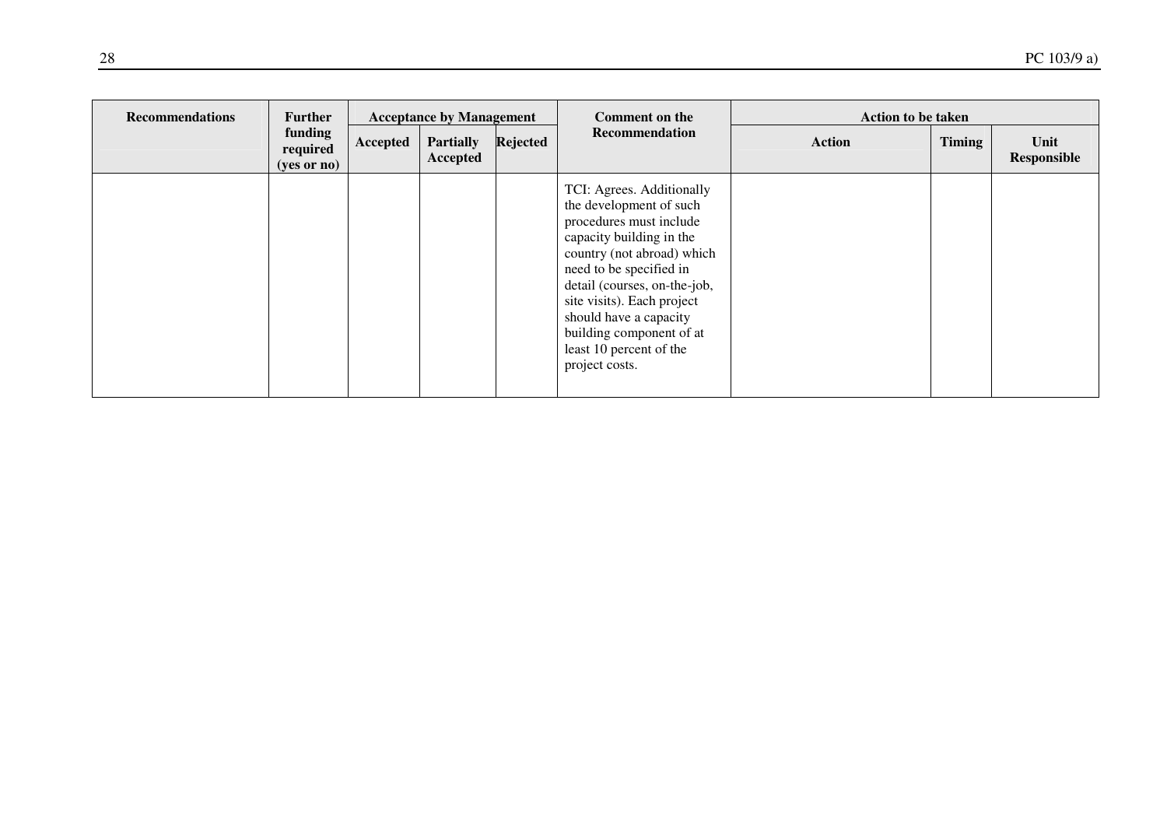| <b>Recommendations</b> | <b>Further</b>                                |          | <b>Acceptance by Management</b> |          | Comment on the                                                                                                                                                                                                                                                                                                                        | <b>Action to be taken</b> |               |                     |
|------------------------|-----------------------------------------------|----------|---------------------------------|----------|---------------------------------------------------------------------------------------------------------------------------------------------------------------------------------------------------------------------------------------------------------------------------------------------------------------------------------------|---------------------------|---------------|---------------------|
|                        | funding<br>required<br>$(yes \text{ or } no)$ | Accepted | <b>Partially</b><br>Accepted    | Rejected | Recommendation                                                                                                                                                                                                                                                                                                                        | <b>Action</b>             | <b>Timing</b> | Unit<br>Responsible |
|                        |                                               |          |                                 |          | TCI: Agrees. Additionally<br>the development of such<br>procedures must include<br>capacity building in the<br>country (not abroad) which<br>need to be specified in<br>detail (courses, on-the-job,<br>site visits). Each project<br>should have a capacity<br>building component of at<br>least 10 percent of the<br>project costs. |                           |               |                     |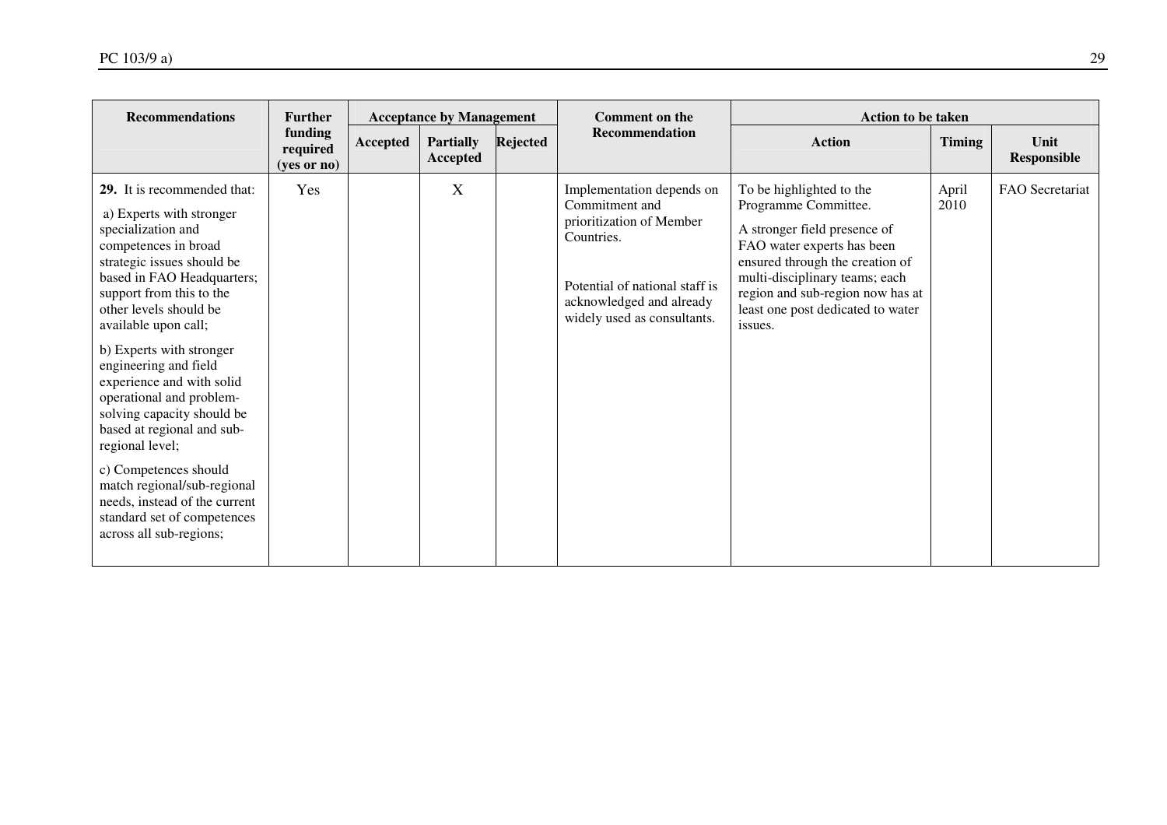| <b>Recommendations</b><br><b>Further</b><br><b>Acceptance by Management</b>                                                                                                                                                                                                                                                                                                                                                                                                                                                                                                                     |                                    |                 |                              |          | <b>Comment on the</b>                                                                                                                                                              | <b>Action to be taken</b>                                                                                                                                                                                                                                               |               |                     |
|-------------------------------------------------------------------------------------------------------------------------------------------------------------------------------------------------------------------------------------------------------------------------------------------------------------------------------------------------------------------------------------------------------------------------------------------------------------------------------------------------------------------------------------------------------------------------------------------------|------------------------------------|-----------------|------------------------------|----------|------------------------------------------------------------------------------------------------------------------------------------------------------------------------------------|-------------------------------------------------------------------------------------------------------------------------------------------------------------------------------------------------------------------------------------------------------------------------|---------------|---------------------|
|                                                                                                                                                                                                                                                                                                                                                                                                                                                                                                                                                                                                 | funding<br>required<br>(ves or no) | <b>Accepted</b> | <b>Partially</b><br>Accepted | Rejected | <b>Recommendation</b>                                                                                                                                                              | <b>Action</b>                                                                                                                                                                                                                                                           | <b>Timing</b> | Unit<br>Responsible |
| 29. It is recommended that:<br>a) Experts with stronger<br>specialization and<br>competences in broad<br>strategic issues should be<br>based in FAO Headquarters;<br>support from this to the<br>other levels should be<br>available upon call;<br>b) Experts with stronger<br>engineering and field<br>experience and with solid<br>operational and problem-<br>solving capacity should be<br>based at regional and sub-<br>regional level;<br>c) Competences should<br>match regional/sub-regional<br>needs, instead of the current<br>standard set of competences<br>across all sub-regions; | Yes                                |                 | X                            |          | Implementation depends on<br>Commitment and<br>prioritization of Member<br>Countries.<br>Potential of national staff is<br>acknowledged and already<br>widely used as consultants. | To be highlighted to the<br>Programme Committee.<br>A stronger field presence of<br>FAO water experts has been<br>ensured through the creation of<br>multi-disciplinary teams; each<br>region and sub-region now has at<br>least one post dedicated to water<br>issues. | April<br>2010 | FAO Secretariat     |
|                                                                                                                                                                                                                                                                                                                                                                                                                                                                                                                                                                                                 |                                    |                 |                              |          |                                                                                                                                                                                    |                                                                                                                                                                                                                                                                         |               |                     |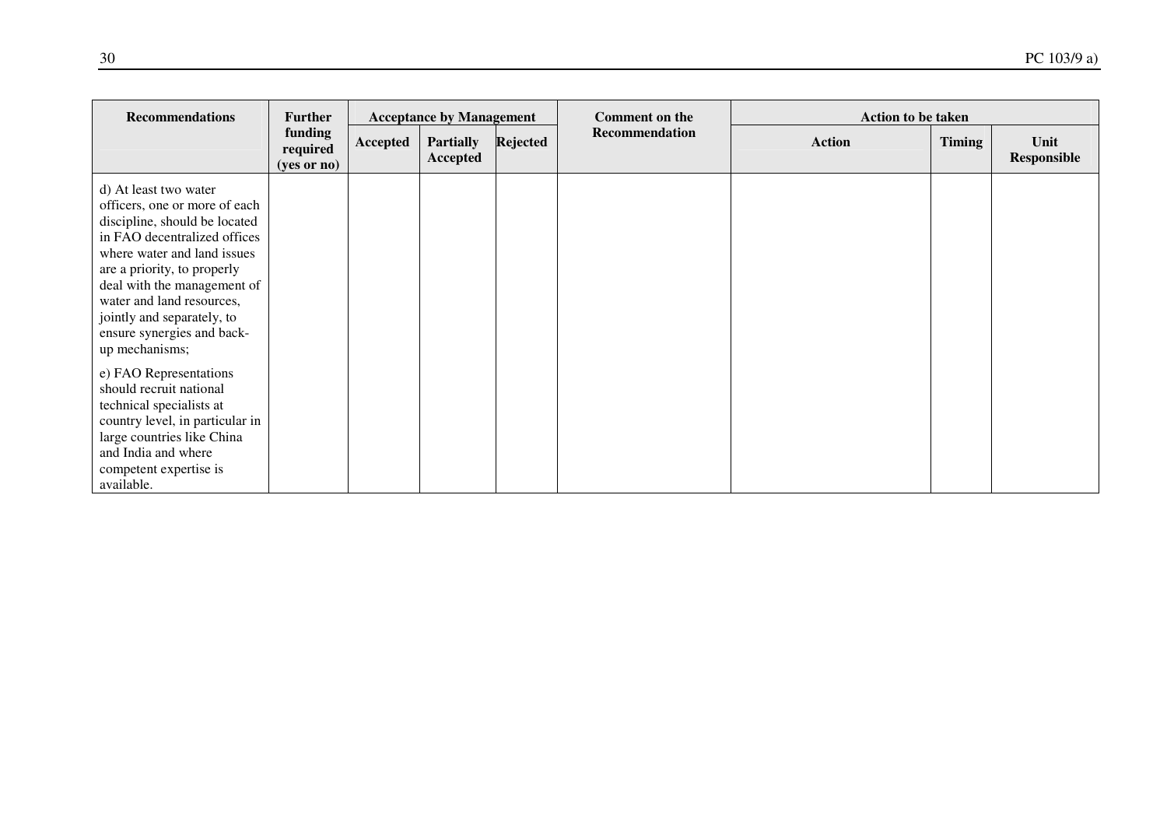| <b>Recommendations</b>                                                                                                                                                                                                                                                                                                          | <b>Further</b>                       | <b>Acceptance by Management</b> |                              | <b>Comment on the</b> | <b>Action to be taken</b> |               |               |                            |
|---------------------------------------------------------------------------------------------------------------------------------------------------------------------------------------------------------------------------------------------------------------------------------------------------------------------------------|--------------------------------------|---------------------------------|------------------------------|-----------------------|---------------------------|---------------|---------------|----------------------------|
|                                                                                                                                                                                                                                                                                                                                 | funding<br>required<br>$(yes$ or no) | Accepted                        | <b>Partially</b><br>Accepted | Rejected              | Recommendation            | <b>Action</b> | <b>Timing</b> | Unit<br><b>Responsible</b> |
| d) At least two water<br>officers, one or more of each<br>discipline, should be located<br>in FAO decentralized offices<br>where water and land issues<br>are a priority, to properly<br>deal with the management of<br>water and land resources,<br>jointly and separately, to<br>ensure synergies and back-<br>up mechanisms; |                                      |                                 |                              |                       |                           |               |               |                            |
| e) FAO Representations<br>should recruit national<br>technical specialists at<br>country level, in particular in<br>large countries like China<br>and India and where<br>competent expertise is<br>available.                                                                                                                   |                                      |                                 |                              |                       |                           |               |               |                            |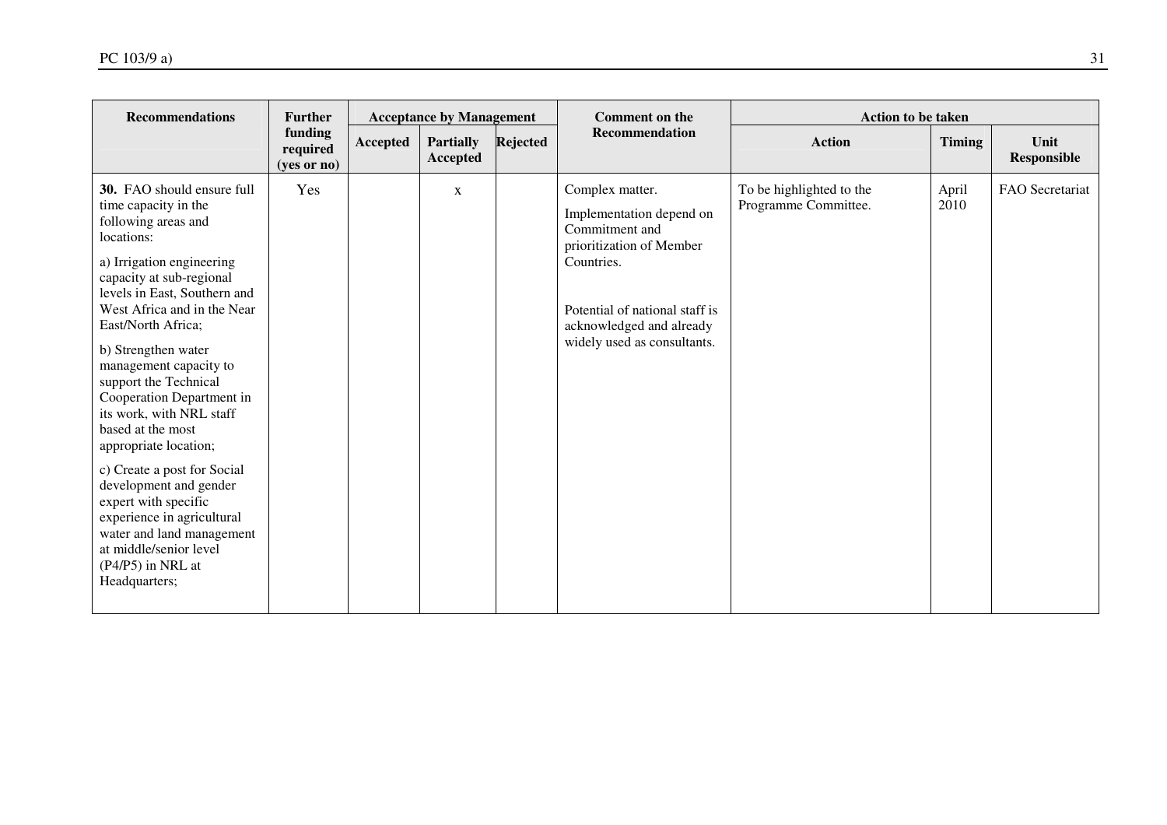| <b>Recommendations</b>                                                                                                                                                                                                                                                                                                                                                                                                                                                                                                                                                                                                             | <b>Further</b><br><b>Acceptance by Management</b> |          |                                     |          | <b>Comment on the</b>                                                                                                                                                                                | <b>Action to be taken</b>                        |               |                            |  |
|------------------------------------------------------------------------------------------------------------------------------------------------------------------------------------------------------------------------------------------------------------------------------------------------------------------------------------------------------------------------------------------------------------------------------------------------------------------------------------------------------------------------------------------------------------------------------------------------------------------------------------|---------------------------------------------------|----------|-------------------------------------|----------|------------------------------------------------------------------------------------------------------------------------------------------------------------------------------------------------------|--------------------------------------------------|---------------|----------------------------|--|
|                                                                                                                                                                                                                                                                                                                                                                                                                                                                                                                                                                                                                                    | funding<br>required<br>(yes or no)                | Accepted | <b>Partially</b><br><b>Accepted</b> | Rejected | Recommendation                                                                                                                                                                                       | <b>Action</b>                                    | <b>Timing</b> | Unit<br><b>Responsible</b> |  |
| 30. FAO should ensure full<br>time capacity in the<br>following areas and<br>locations:<br>a) Irrigation engineering<br>capacity at sub-regional<br>levels in East, Southern and<br>West Africa and in the Near<br>East/North Africa;<br>b) Strengthen water<br>management capacity to<br>support the Technical<br>Cooperation Department in<br>its work, with NRL staff<br>based at the most<br>appropriate location;<br>c) Create a post for Social<br>development and gender<br>expert with specific<br>experience in agricultural<br>water and land management<br>at middle/senior level<br>(P4/P5) in NRL at<br>Headquarters; | Yes                                               |          | $\mathbf X$                         |          | Complex matter.<br>Implementation depend on<br>Commitment and<br>prioritization of Member<br>Countries.<br>Potential of national staff is<br>acknowledged and already<br>widely used as consultants. | To be highlighted to the<br>Programme Committee. | April<br>2010 | FAO Secretariat            |  |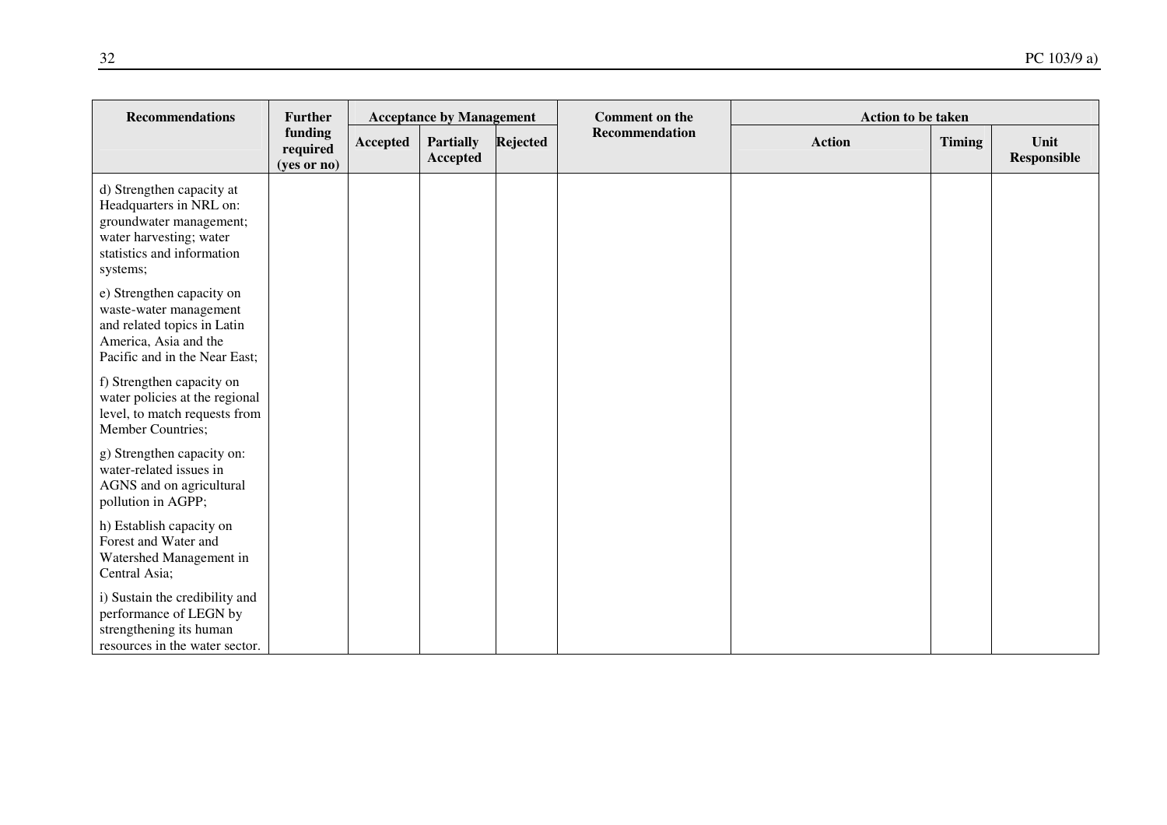| <b>Recommendations</b>                                                                                                                               | <b>Further</b>                     |          | <b>Acceptance by Management</b> |                 | <b>Comment on the</b> | Action to be taken |               |                     |
|------------------------------------------------------------------------------------------------------------------------------------------------------|------------------------------------|----------|---------------------------------|-----------------|-----------------------|--------------------|---------------|---------------------|
|                                                                                                                                                      | funding<br>required<br>(yes or no) | Accepted | <b>Partially</b><br>Accepted    | <b>Rejected</b> | Recommendation        | <b>Action</b>      | <b>Timing</b> | Unit<br>Responsible |
| d) Strengthen capacity at<br>Headquarters in NRL on:<br>groundwater management;<br>water harvesting; water<br>statistics and information<br>systems; |                                    |          |                                 |                 |                       |                    |               |                     |
| e) Strengthen capacity on<br>waste-water management<br>and related topics in Latin<br>America, Asia and the<br>Pacific and in the Near East;         |                                    |          |                                 |                 |                       |                    |               |                     |
| f) Strengthen capacity on<br>water policies at the regional<br>level, to match requests from<br>Member Countries;                                    |                                    |          |                                 |                 |                       |                    |               |                     |
| g) Strengthen capacity on:<br>water-related issues in<br>AGNS and on agricultural<br>pollution in AGPP;                                              |                                    |          |                                 |                 |                       |                    |               |                     |
| h) Establish capacity on<br>Forest and Water and<br>Watershed Management in<br>Central Asia;                                                         |                                    |          |                                 |                 |                       |                    |               |                     |
| i) Sustain the credibility and<br>performance of LEGN by<br>strengthening its human<br>resources in the water sector.                                |                                    |          |                                 |                 |                       |                    |               |                     |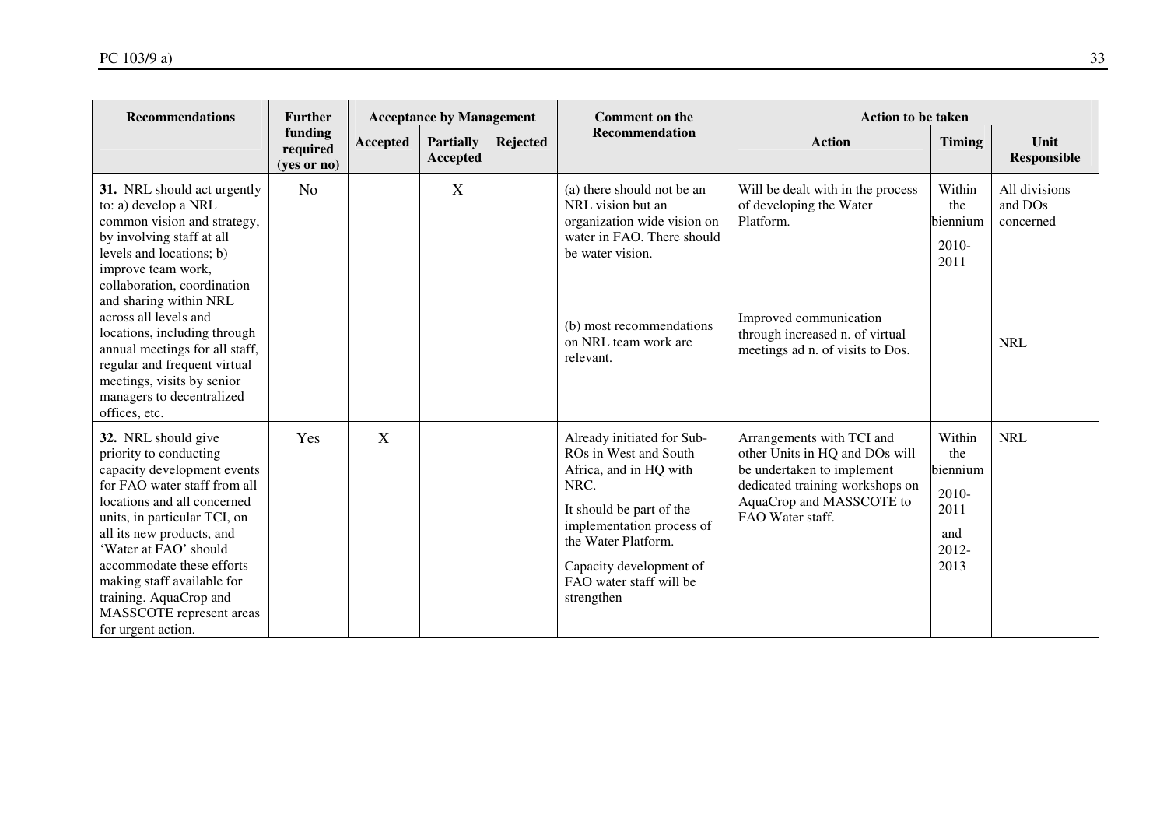| <b>Recommendations</b>                                                                                                                                                                                                                                                                                                                                                                                                            | <b>Further</b>                       |                 | <b>Acceptance by Management</b> |                 | <b>Comment on the</b>                                                                                                                                                                                                                     | <b>Action to be taken</b>                                                                                                                                                    |                                                                    |                                                     |
|-----------------------------------------------------------------------------------------------------------------------------------------------------------------------------------------------------------------------------------------------------------------------------------------------------------------------------------------------------------------------------------------------------------------------------------|--------------------------------------|-----------------|---------------------------------|-----------------|-------------------------------------------------------------------------------------------------------------------------------------------------------------------------------------------------------------------------------------------|------------------------------------------------------------------------------------------------------------------------------------------------------------------------------|--------------------------------------------------------------------|-----------------------------------------------------|
|                                                                                                                                                                                                                                                                                                                                                                                                                                   | funding<br>required<br>$(yes$ or no) | <b>Accepted</b> | <b>Partially</b><br>Accepted    | <b>Rejected</b> | <b>Recommendation</b>                                                                                                                                                                                                                     | <b>Action</b>                                                                                                                                                                | <b>Timing</b>                                                      | Unit<br><b>Responsible</b>                          |
| 31. NRL should act urgently<br>to: a) develop a NRL<br>common vision and strategy,<br>by involving staff at all<br>levels and locations; b)<br>improve team work,<br>collaboration, coordination<br>and sharing within NRL<br>across all levels and<br>locations, including through<br>annual meetings for all staff,<br>regular and frequent virtual<br>meetings, visits by senior<br>managers to decentralized<br>offices, etc. | N <sub>o</sub>                       |                 | X                               |                 | (a) there should not be an<br>NRL vision but an<br>organization wide vision on<br>water in FAO. There should<br>be water vision.<br>(b) most recommendations<br>on NRL team work are<br>relevant.                                         | Will be dealt with in the process<br>of developing the Water<br>Platform.<br>Improved communication<br>through increased n. of virtual<br>meetings ad n. of visits to Dos.   | Within<br>the<br>biennium<br>2010-<br>2011                         | All divisions<br>and DOs<br>concerned<br><b>NRL</b> |
| 32. NRL should give<br>priority to conducting<br>capacity development events<br>for FAO water staff from all<br>locations and all concerned<br>units, in particular TCI, on<br>all its new products, and<br>'Water at FAO' should<br>accommodate these efforts<br>making staff available for<br>training. AquaCrop and<br>MASSCOTE represent areas<br>for urgent action.                                                          | Yes                                  | X               |                                 |                 | Already initiated for Sub-<br>ROs in West and South<br>Africa, and in HQ with<br>NRC.<br>It should be part of the<br>implementation process of<br>the Water Platform.<br>Capacity development of<br>FAO water staff will be<br>strengthen | Arrangements with TCI and<br>other Units in HQ and DOs will<br>be undertaken to implement<br>dedicated training workshops on<br>AquaCrop and MASSCOTE to<br>FAO Water staff. | Within<br>the<br>biennium<br>2010-<br>2011<br>and<br>2012-<br>2013 | <b>NRL</b>                                          |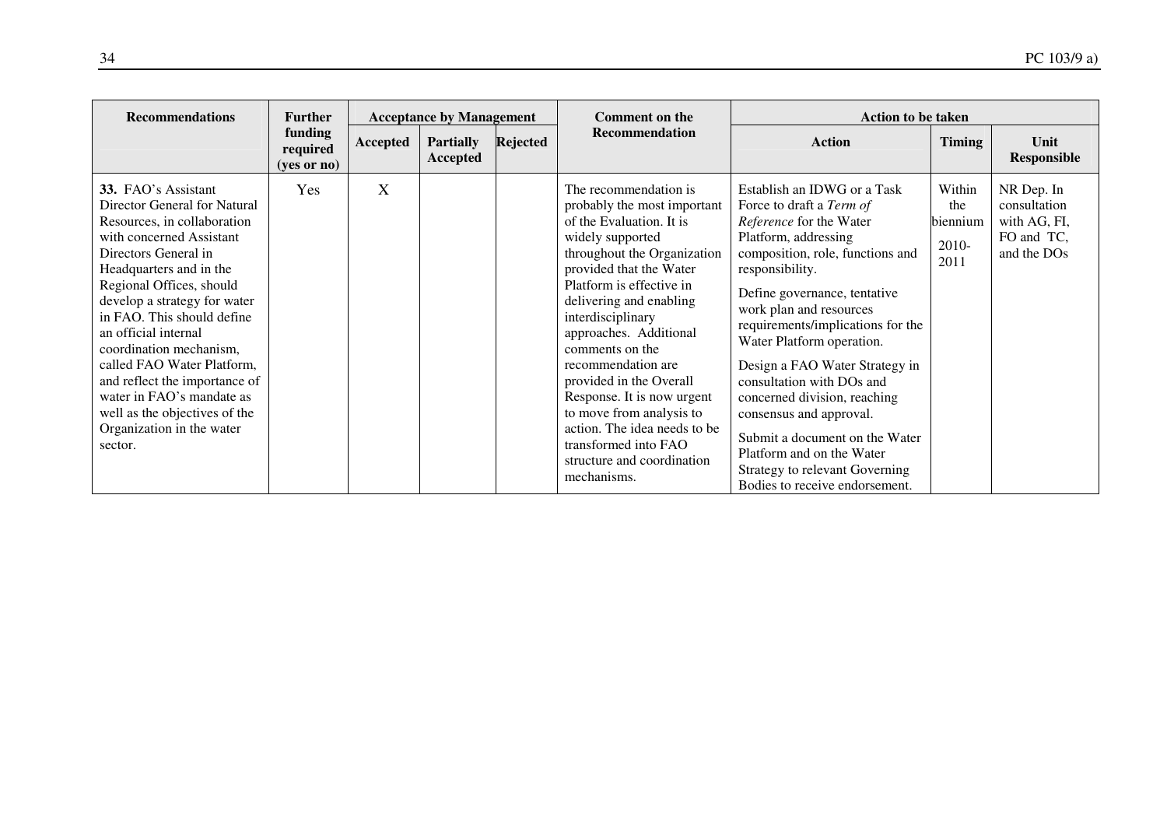| <b>Recommendations</b>                                                                                                                                                                                                                                                                                                                                                                                                                                                                     | <b>Further</b>                       |          | <b>Acceptance by Management</b> |                 | <b>Comment on the</b>                                                                                                                                                                                                                                                                                                                                                                                                                                                                                    | <b>Action to be taken</b>                                                                                                                                                                                                                                                                                                                                                                                                                                                                                                                                   |                                            |                                                                         |
|--------------------------------------------------------------------------------------------------------------------------------------------------------------------------------------------------------------------------------------------------------------------------------------------------------------------------------------------------------------------------------------------------------------------------------------------------------------------------------------------|--------------------------------------|----------|---------------------------------|-----------------|----------------------------------------------------------------------------------------------------------------------------------------------------------------------------------------------------------------------------------------------------------------------------------------------------------------------------------------------------------------------------------------------------------------------------------------------------------------------------------------------------------|-------------------------------------------------------------------------------------------------------------------------------------------------------------------------------------------------------------------------------------------------------------------------------------------------------------------------------------------------------------------------------------------------------------------------------------------------------------------------------------------------------------------------------------------------------------|--------------------------------------------|-------------------------------------------------------------------------|
|                                                                                                                                                                                                                                                                                                                                                                                                                                                                                            | funding<br>required<br>$(yes$ or no) | Accepted | <b>Partially</b><br>Accepted    | <b>Rejected</b> | Recommendation                                                                                                                                                                                                                                                                                                                                                                                                                                                                                           | <b>Action</b>                                                                                                                                                                                                                                                                                                                                                                                                                                                                                                                                               | <b>Timing</b>                              | Unit<br>Responsible                                                     |
| <b>33.</b> FAO's Assistant<br>Director General for Natural<br>Resources, in collaboration<br>with concerned Assistant<br>Directors General in<br>Headquarters and in the<br>Regional Offices, should<br>develop a strategy for water<br>in FAO. This should define<br>an official internal<br>coordination mechanism,<br>called FAO Water Platform,<br>and reflect the importance of<br>water in FAO's mandate as<br>well as the objectives of the<br>Organization in the water<br>sector. | Yes                                  | X        |                                 |                 | The recommendation is.<br>probably the most important<br>of the Evaluation. It is<br>widely supported<br>throughout the Organization<br>provided that the Water<br>Platform is effective in<br>delivering and enabling<br>interdisciplinary<br>approaches. Additional<br>comments on the<br>recommendation are<br>provided in the Overall<br>Response. It is now urgent<br>to move from analysis to<br>action. The idea needs to be<br>transformed into FAO<br>structure and coordination<br>mechanisms. | Establish an IDWG or a Task<br>Force to draft a Term of<br>Reference for the Water<br>Platform, addressing<br>composition, role, functions and<br>responsibility.<br>Define governance, tentative<br>work plan and resources<br>requirements/implications for the<br>Water Platform operation.<br>Design a FAO Water Strategy in<br>consultation with DOs and<br>concerned division, reaching<br>consensus and approval.<br>Submit a document on the Water<br>Platform and on the Water<br>Strategy to relevant Governing<br>Bodies to receive endorsement. | Within<br>the<br>biennium<br>2010-<br>2011 | NR Dep. In<br>consultation<br>with AG, FI,<br>FO and TC,<br>and the DOs |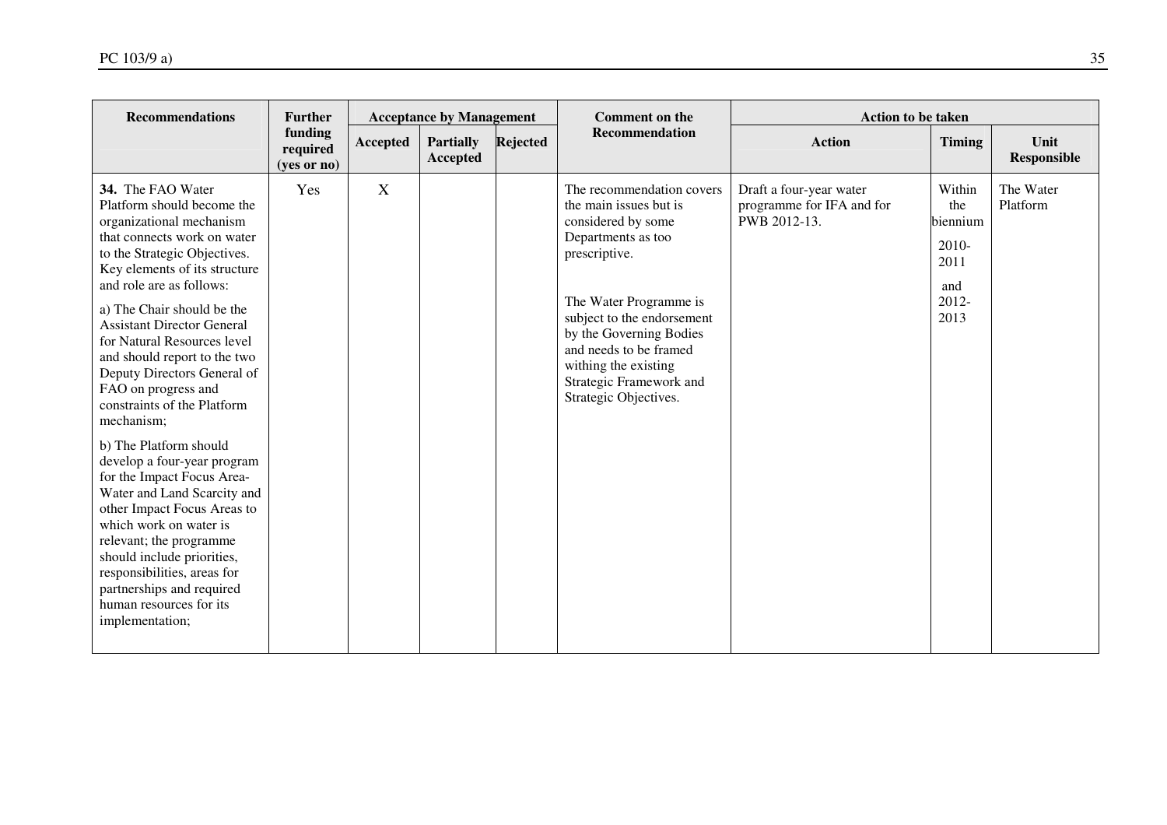| <b>Recommendations</b><br><b>Further</b>                                                                                                                                                                                                                                                                                                                                                                                                     |                                    | <b>Acceptance by Management</b> |                              |                 | <b>Comment on the</b>                                                                                                                                                                                                                                                                                     | <b>Action to be taken</b>                                            |                                                                      |                            |  |
|----------------------------------------------------------------------------------------------------------------------------------------------------------------------------------------------------------------------------------------------------------------------------------------------------------------------------------------------------------------------------------------------------------------------------------------------|------------------------------------|---------------------------------|------------------------------|-----------------|-----------------------------------------------------------------------------------------------------------------------------------------------------------------------------------------------------------------------------------------------------------------------------------------------------------|----------------------------------------------------------------------|----------------------------------------------------------------------|----------------------------|--|
|                                                                                                                                                                                                                                                                                                                                                                                                                                              | funding<br>required<br>(yes or no) | Accepted                        | <b>Partially</b><br>Accepted | <b>Rejected</b> | Recommendation                                                                                                                                                                                                                                                                                            | <b>Action</b>                                                        | <b>Timing</b>                                                        | Unit<br><b>Responsible</b> |  |
| 34. The FAO Water<br>Platform should become the<br>organizational mechanism<br>that connects work on water<br>to the Strategic Objectives.<br>Key elements of its structure<br>and role are as follows:<br>a) The Chair should be the<br><b>Assistant Director General</b><br>for Natural Resources level<br>and should report to the two<br>Deputy Directors General of<br>FAO on progress and<br>constraints of the Platform<br>mechanism; | Yes                                | $\mathbf X$                     |                              |                 | The recommendation covers<br>the main issues but is<br>considered by some<br>Departments as too<br>prescriptive.<br>The Water Programme is<br>subject to the endorsement<br>by the Governing Bodies<br>and needs to be framed<br>withing the existing<br>Strategic Framework and<br>Strategic Objectives. | Draft a four-year water<br>programme for IFA and for<br>PWB 2012-13. | Within<br>the<br>biennium<br>$2010-$<br>2011<br>and<br>2012-<br>2013 | The Water<br>Platform      |  |
| b) The Platform should<br>develop a four-year program<br>for the Impact Focus Area-<br>Water and Land Scarcity and<br>other Impact Focus Areas to<br>which work on water is<br>relevant; the programme<br>should include priorities,<br>responsibilities, areas for<br>partnerships and required<br>human resources for its<br>implementation;                                                                                               |                                    |                                 |                              |                 |                                                                                                                                                                                                                                                                                                           |                                                                      |                                                                      |                            |  |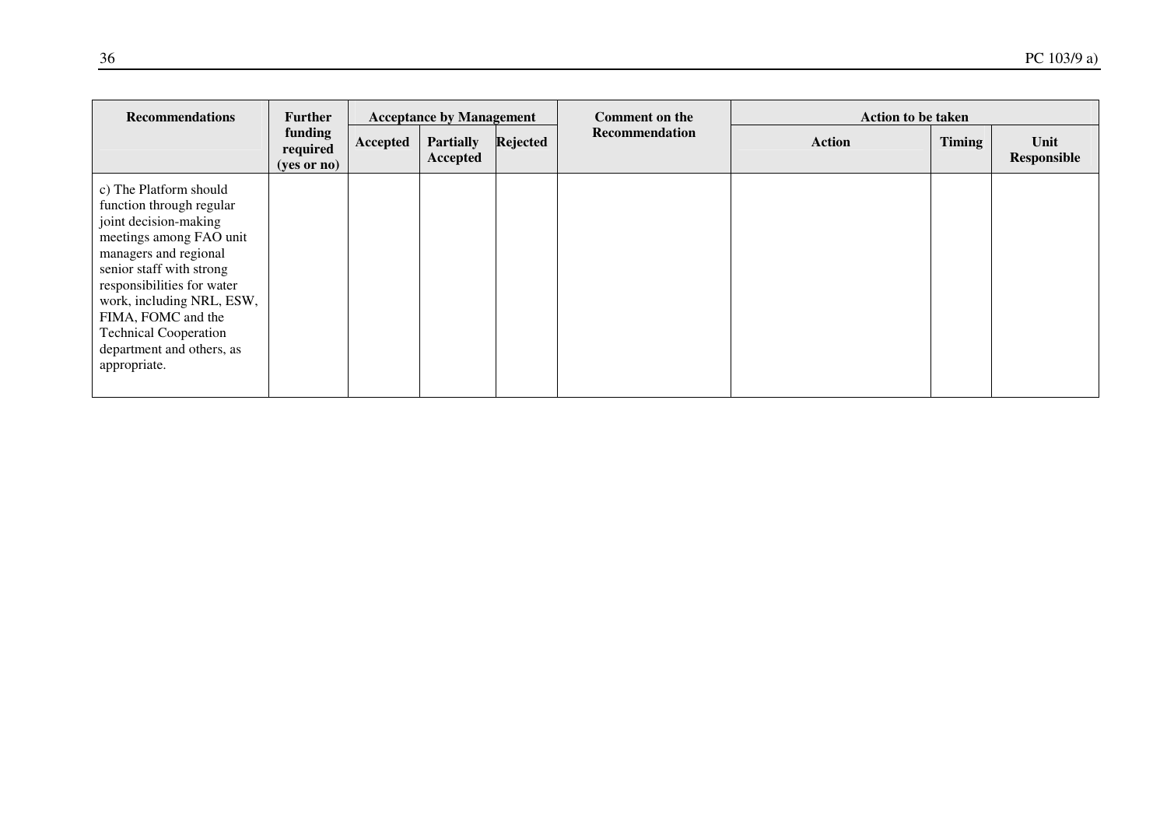| <b>Recommendations</b>                                                                                                                                                                                                                                                                                                    | <b>Further</b>                       |          | <b>Acceptance by Management</b> |          | <b>Comment on the</b> | <b>Action to be taken</b> |               |                     |
|---------------------------------------------------------------------------------------------------------------------------------------------------------------------------------------------------------------------------------------------------------------------------------------------------------------------------|--------------------------------------|----------|---------------------------------|----------|-----------------------|---------------------------|---------------|---------------------|
|                                                                                                                                                                                                                                                                                                                           | funding<br>required<br>$(yes$ or no) | Accepted | <b>Partially</b><br>Accepted    | Rejected | Recommendation        | <b>Action</b>             | <b>Timing</b> | Unit<br>Responsible |
| c) The Platform should<br>function through regular<br>joint decision-making<br>meetings among FAO unit<br>managers and regional<br>senior staff with strong<br>responsibilities for water<br>work, including NRL, ESW,<br>FIMA, FOMC and the<br><b>Technical Cooperation</b><br>department and others, as<br>appropriate. |                                      |          |                                 |          |                       |                           |               |                     |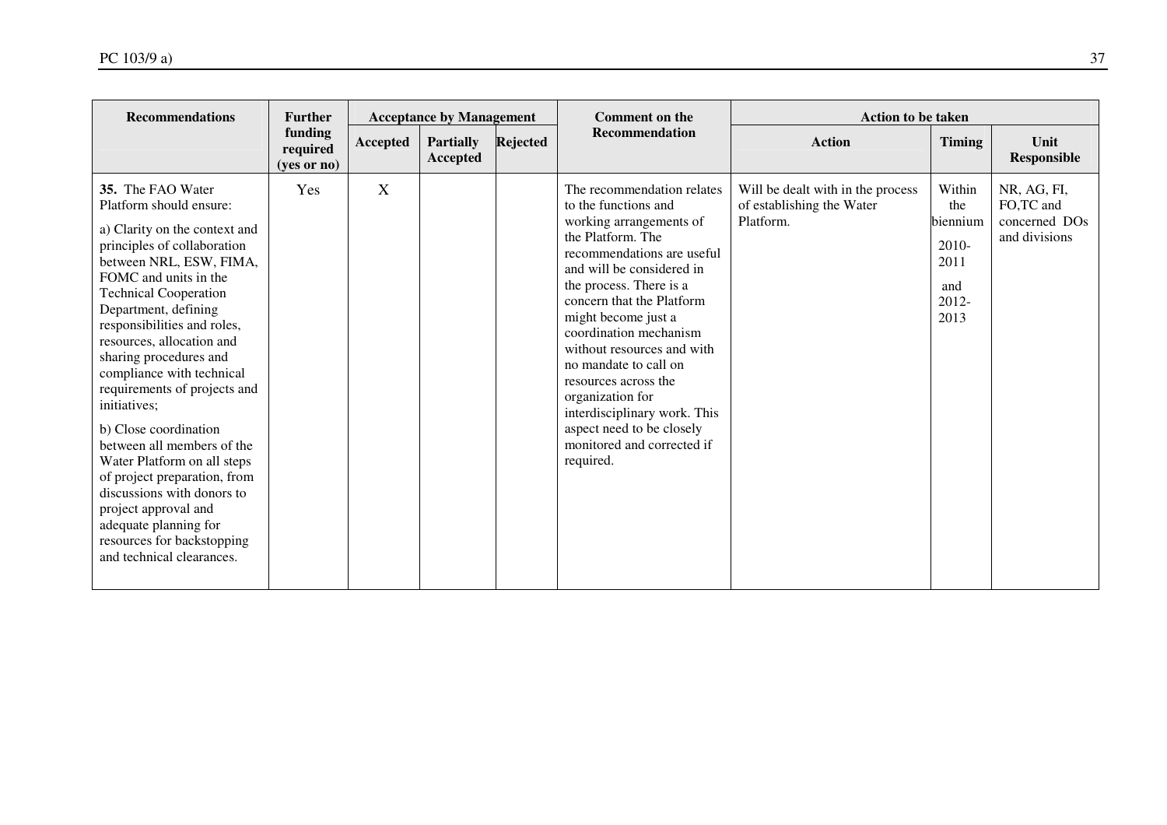| <b>Recommendations</b>                                                                                                                                                                                                                                                                                                                                                                                                                                                                                                                                                                                                                                      | <b>Further</b>                     | <b>Acceptance by Management</b> |                              |                 | <b>Comment on the</b>                                                                                                                                                                                                                                                                                                                                                                                                                                                             | <b>Action to be taken</b>                                                   |                                                                      |                                                                        |
|-------------------------------------------------------------------------------------------------------------------------------------------------------------------------------------------------------------------------------------------------------------------------------------------------------------------------------------------------------------------------------------------------------------------------------------------------------------------------------------------------------------------------------------------------------------------------------------------------------------------------------------------------------------|------------------------------------|---------------------------------|------------------------------|-----------------|-----------------------------------------------------------------------------------------------------------------------------------------------------------------------------------------------------------------------------------------------------------------------------------------------------------------------------------------------------------------------------------------------------------------------------------------------------------------------------------|-----------------------------------------------------------------------------|----------------------------------------------------------------------|------------------------------------------------------------------------|
|                                                                                                                                                                                                                                                                                                                                                                                                                                                                                                                                                                                                                                                             | funding<br>required<br>(yes or no) | Accepted                        | <b>Partially</b><br>Accepted | <b>Rejected</b> | <b>Recommendation</b>                                                                                                                                                                                                                                                                                                                                                                                                                                                             | <b>Action</b>                                                               | <b>Timing</b>                                                        | Unit<br><b>Responsible</b>                                             |
| 35. The FAO Water<br>Platform should ensure:<br>a) Clarity on the context and<br>principles of collaboration<br>between NRL, ESW, FIMA,<br>FOMC and units in the<br><b>Technical Cooperation</b><br>Department, defining<br>responsibilities and roles,<br>resources, allocation and<br>sharing procedures and<br>compliance with technical<br>requirements of projects and<br>initiatives;<br>b) Close coordination<br>between all members of the<br>Water Platform on all steps<br>of project preparation, from<br>discussions with donors to<br>project approval and<br>adequate planning for<br>resources for backstopping<br>and technical clearances. | Yes                                | X                               |                              |                 | The recommendation relates<br>to the functions and<br>working arrangements of<br>the Platform. The<br>recommendations are useful<br>and will be considered in<br>the process. There is a<br>concern that the Platform<br>might become just a<br>coordination mechanism<br>without resources and with<br>no mandate to call on<br>resources across the<br>organization for<br>interdisciplinary work. This<br>aspect need to be closely<br>monitored and corrected if<br>required. | Will be dealt with in the process<br>of establishing the Water<br>Platform. | Within<br>the<br>biennium<br>$2010-$<br>2011<br>and<br>2012-<br>2013 | NR, AG, FI,<br>FO,TC and<br>concerned DO <sub>s</sub><br>and divisions |